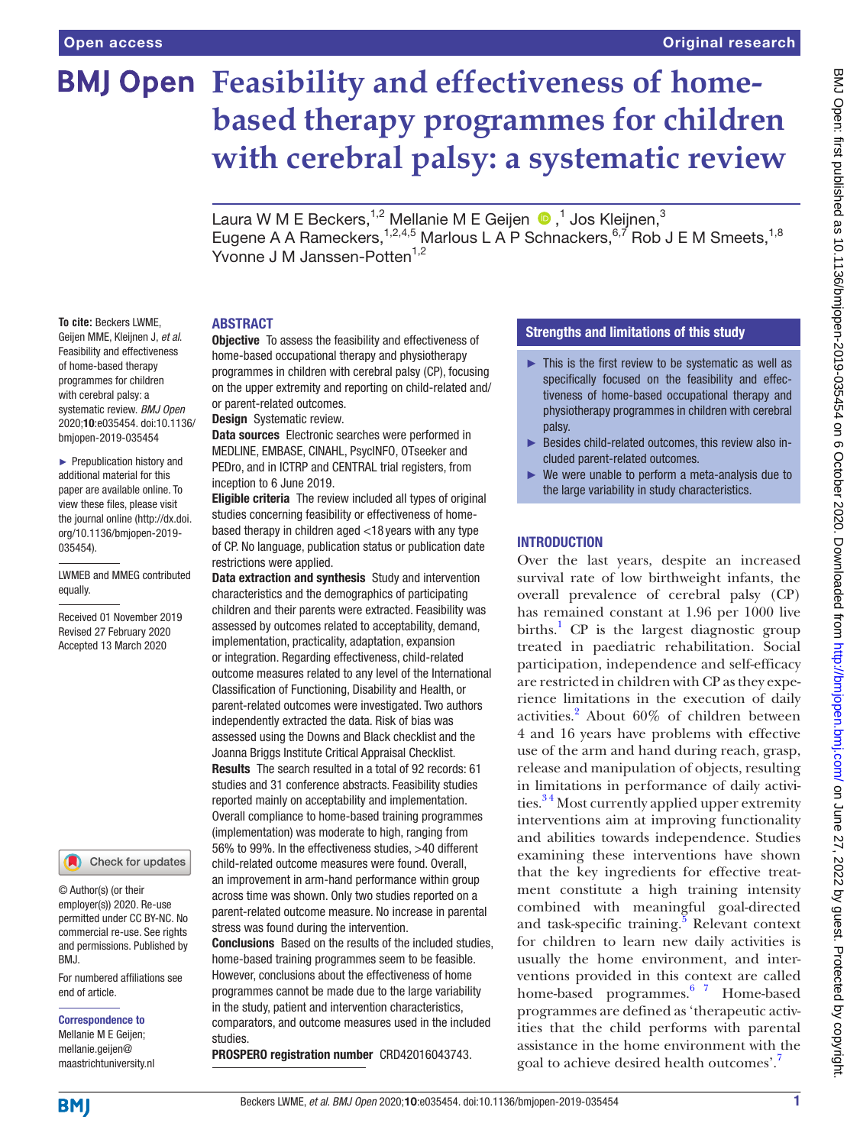# **BMJ Open Feasibility and effectiveness of homebased therapy programmes for children with cerebral palsy: a systematic review**

LauraW M E Beckers,<sup>1,2</sup> Mellanie M E Geijen  $\bigcirc$  ,<sup>1</sup> Jos Kleijnen,<sup>3</sup> Eugene A A Rameckers,  $1,2,4,5$  Marlous L A P Schnackers,  $6,7$  Rob J E M Smeets,  $1,8$ Yvonne J M Janssen-Potten<sup>1,2</sup>

#### **ABSTRACT**

**To cite:** Beckers LWME, Geijen MME, Kleijnen J, *et al*. Feasibility and effectiveness of home-based therapy programmes for children with cerebral palsy: a systematic review. *BMJ Open* 2020;10:e035454. doi:10.1136/ bmjopen-2019-035454

► Prepublication history and additional material for this paper are available online. To view these files, please visit the journal online (http://dx.doi. org/10.1136/bmjopen-2019- 035454).

#### LWMEB and MMEG contributed equally.

Received 01 November 2019 Revised 27 February 2020 Accepted 13 March 2020

Check for updates

© Author(s) (or their employer(s)) 2020. Re-use permitted under CC BY-NC. No commercial re-use. See rights and permissions. Published by BMJ.

For numbered affiliations see end of article.

#### Correspondence to

Mellanie M E Geijen; mellanie.geijen@ maastrichtuniversity.nl

**Objective** To assess the feasibility and effectiveness of home-based occupational therapy and physiotherapy programmes in children with cerebral palsy (CP), focusing on the upper extremity and reporting on child-related and/ or parent-related outcomes.

Design Systematic review.

Data sources Electronic searches were performed in MEDLINE, EMBASE, CINAHL, PsycINFO, OTseeker and PEDro, and in ICTRP and CENTRAL trial registers, from inception to 6 June 2019.

Eligible criteria The review included all types of original studies concerning feasibility or effectiveness of homebased therapy in children aged <18 years with any type of CP. No language, publication status or publication date restrictions were applied.

Data extraction and synthesis Study and intervention characteristics and the demographics of participating children and their parents were extracted. Feasibility was assessed by outcomes related to acceptability, demand, implementation, practicality, adaptation, expansion or integration. Regarding effectiveness, child-related outcome measures related to any level of the International Classification of Functioning, Disability and Health, or parent-related outcomes were investigated. Two authors independently extracted the data. Risk of bias was assessed using the Downs and Black checklist and the Joanna Briggs Institute Critical Appraisal Checklist. Results The search resulted in a total of 92 records: 61 studies and 31 conference abstracts. Feasibility studies reported mainly on acceptability and implementation. Overall compliance to home-based training programmes (implementation) was moderate to high, ranging from 56% to 99%. In the effectiveness studies, >40 different child-related outcome measures were found. Overall, an improvement in arm-hand performance within group across time was shown. Only two studies reported on a parent-related outcome measure. No increase in parental stress was found during the intervention.

Conclusions Based on the results of the included studies, home-based training programmes seem to be feasible. However, conclusions about the effectiveness of home programmes cannot be made due to the large variability in the study, patient and intervention characteristics, comparators, and outcome measures used in the included studies.

PROSPERO registration number CRD42016043743.

### Strengths and limitations of this study

- ► This is the first review to be systematic as well as specifically focused on the feasibility and effectiveness of home-based occupational therapy and physiotherapy programmes in children with cerebral palsy.
- ► Besides child-related outcomes, this review also included parent-related outcomes.
- ► We were unable to perform a meta-analysis due to the large variability in study characteristics.

#### **INTRODUCTION**

Over the last years, despite an increased survival rate of low birthweight infants, the overall prevalence of cerebral palsy (CP) has remained constant at 1.96 per 1000 live births.<sup>1</sup> CP is the largest diagnostic group treated in paediatric rehabilitation. Social participation, independence and self-efficacy are restricted in children with CP as they experience limitations in the execution of daily activities.<sup>[2](#page-49-1)</sup> About 60% of children between 4 and 16 years have problems with effective use of the arm and hand during reach, grasp, release and manipulation of objects, resulting in limitations in performance of daily activities.<sup>34</sup> Most currently applied upper extremity interventions aim at improving functionality and abilities towards independence. Studies examining these interventions have shown that the key ingredients for effective treatment constitute a high training intensity combined with meaningful goal-directed and task-specific training.<sup>[5](#page-49-3)</sup> Relevant context for children to learn new daily activities is usually the home environment, and interventions provided in this context are called home-based programmes.<sup>6 7</sup> Home-based programmes are defined as 'therapeutic activities that the child performs with parental assistance in the home environment with the goal to achieve desired health outcomes'[.7](#page-49-5)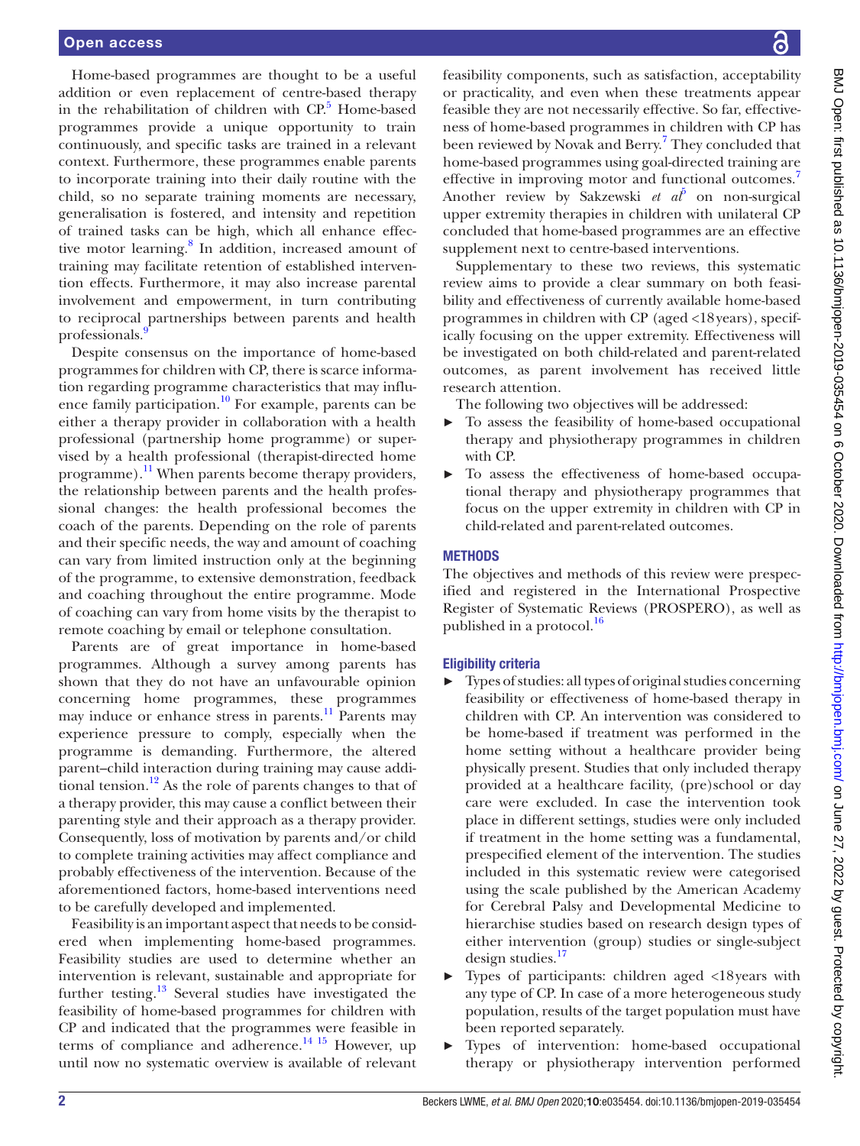Home-based programmes are thought to be a useful addition or even replacement of centre-based therapy in the rehabilitation of children with CP.<sup>5</sup> Home-based programmes provide a unique opportunity to train continuously, and specific tasks are trained in a relevant context. Furthermore, these programmes enable parents to incorporate training into their daily routine with the child, so no separate training moments are necessary, generalisation is fostered, and intensity and repetition of trained tasks can be high, which all enhance effective motor learning.<sup>8</sup> In addition, increased amount of training may facilitate retention of established intervention effects. Furthermore, it may also increase parental involvement and empowerment, in turn contributing to reciprocal partnerships between parents and health professionals[.9](#page-49-7)

Despite consensus on the importance of home-based programmes for children with CP, there is scarce information regarding programme characteristics that may influ-ence family participation.<sup>[10](#page-49-8)</sup> For example, parents can be either a therapy provider in collaboration with a health professional (partnership home programme) or supervised by a health professional (therapist-directed home programme).<sup>11</sup> When parents become therapy providers, the relationship between parents and the health professional changes: the health professional becomes the coach of the parents. Depending on the role of parents and their specific needs, the way and amount of coaching can vary from limited instruction only at the beginning of the programme, to extensive demonstration, feedback and coaching throughout the entire programme. Mode of coaching can vary from home visits by the therapist to remote coaching by email or telephone consultation.

Parents are of great importance in home-based programmes. Although a survey among parents has shown that they do not have an unfavourable opinion concerning home programmes, these programmes may induce or enhance stress in parents.<sup>11</sup> Parents may experience pressure to comply, especially when the programme is demanding. Furthermore, the altered parent–child interaction during training may cause additional tension.<sup>12</sup> As the role of parents changes to that of a therapy provider, this may cause a conflict between their parenting style and their approach as a therapy provider. Consequently, loss of motivation by parents and/or child to complete training activities may affect compliance and probably effectiveness of the intervention. Because of the aforementioned factors, home-based interventions need to be carefully developed and implemented.

Feasibility is an important aspect that needs to be considered when implementing home-based programmes. Feasibility studies are used to determine whether an intervention is relevant, sustainable and appropriate for further testing. $13$  Several studies have investigated the feasibility of home-based programmes for children with CP and indicated that the programmes were feasible in terms of compliance and adherence.<sup>14 15</sup> However, up until now no systematic overview is available of relevant

BMJ Open: first published as 10.1136/bmjopen-2019-035454 on 6 October 2020. Downloaded from http://bmjopen.bmj.com/ on June 27, 2022 by guest. Protected by copyright BMJ Open: first published as 10.1136/bmjopen-2019-030-454 on 6 October 2020. Downloaded from <http://bmjopen.bmj.com/> on June 27, 2022 by guest. Protected by copyright.

feasibility components, such as satisfaction, acceptability or practicality, and even when these treatments appear feasible they are not necessarily effective. So far, effectiveness of home-based programmes in children with CP has been reviewed by Novak and Berry.<sup>[7](#page-49-5)</sup> They concluded that home-based programmes using goal-directed training are effective in improving motor and functional outcomes.<sup>[7](#page-49-5)</sup> Another review by Sakzewski *et*  $a\bar{b}$  on non-surgical upper extremity therapies in children with unilateral CP concluded that home-based programmes are an effective supplement next to centre-based interventions.

Supplementary to these two reviews, this systematic review aims to provide a clear summary on both feasibility and effectiveness of currently available home-based programmes in children with CP (aged <18years), specifically focusing on the upper extremity. Effectiveness will be investigated on both child-related and parent-related outcomes, as parent involvement has received little research attention.

The following two objectives will be addressed:

- ► To assess the feasibility of home-based occupational therapy and physiotherapy programmes in children with CP.
- ► To assess the effectiveness of home-based occupational therapy and physiotherapy programmes that focus on the upper extremity in children with CP in child-related and parent-related outcomes.

#### **METHODS**

The objectives and methods of this review were prespecified and registered in the International Prospective Register of Systematic Reviews (PROSPERO), as well as published in a protocol.<sup>16</sup>

#### Eligibility criteria

- ► Types of studies: all types of original studies concerning feasibility or effectiveness of home-based therapy in children with CP. An intervention was considered to be home-based if treatment was performed in the home setting without a healthcare provider being physically present. Studies that only included therapy provided at a healthcare facility, (pre)school or day care were excluded. In case the intervention took place in different settings, studies were only included if treatment in the home setting was a fundamental, prespecified element of the intervention. The studies included in this systematic review were categorised using the scale published by the American Academy for Cerebral Palsy and Developmental Medicine to hierarchise studies based on research design types of either intervention (group) studies or single-subject design studies. $17$
- ► Types of participants: children aged <18years with any type of CP. In case of a more heterogeneous study population, results of the target population must have been reported separately.
- ► Types of intervention: home-based occupational therapy or physiotherapy intervention performed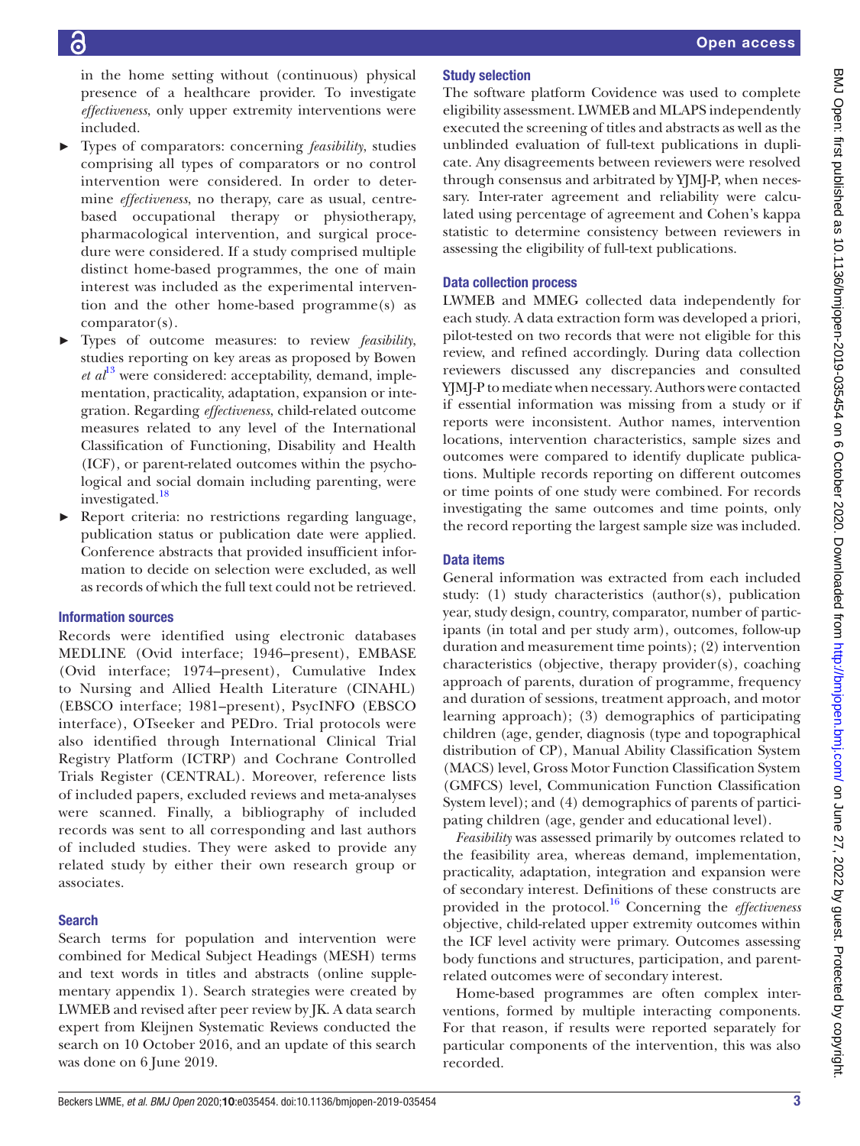in the home setting without (continuous) physical presence of a healthcare provider. To investigate *effectiveness*, only upper extremity interventions were included.

- ► Types of comparators: concerning *feasibility*, studies comprising all types of comparators or no control intervention were considered. In order to determine *effectiveness*, no therapy, care as usual, centrebased occupational therapy or physiotherapy, pharmacological intervention, and surgical procedure were considered. If a study comprised multiple distinct home-based programmes, the one of main interest was included as the experimental intervention and the other home-based programme(s) as comparator(s).
- ► Types of outcome measures: to review *feasibility*, studies reporting on key areas as proposed by Bowen *et al*<sup>13</sup> were considered: acceptability, demand, implementation, practicality, adaptation, expansion or integration. Regarding *effectiveness*, child-related outcome measures related to any level of the International Classification of Functioning, Disability and Health (ICF), or parent-related outcomes within the psychological and social domain including parenting, were investigated.<sup>[18](#page-49-15)</sup>
- Report criteria: no restrictions regarding language, publication status or publication date were applied. Conference abstracts that provided insufficient information to decide on selection were excluded, as well as records of which the full text could not be retrieved.

#### Information sources

Records were identified using electronic databases MEDLINE (Ovid interface; 1946–present), EMBASE (Ovid interface; 1974–present), Cumulative Index to Nursing and Allied Health Literature (CINAHL) (EBSCO interface; 1981–present), PsycINFO (EBSCO interface), OTseeker and PEDro. Trial protocols were also identified through International Clinical Trial Registry Platform (ICTRP) and Cochrane Controlled Trials Register (CENTRAL). Moreover, reference lists of included papers, excluded reviews and meta-analyses were scanned. Finally, a bibliography of included records was sent to all corresponding and last authors of included studies. They were asked to provide any related study by either their own research group or associates.

#### Search

Search terms for population and intervention were combined for Medical Subject Headings (MESH) terms and text words in titles and abstracts ([online supple](https://dx.doi.org/10.1136/bmjopen-2019-035454)[mentary appendix 1](https://dx.doi.org/10.1136/bmjopen-2019-035454)). Search strategies were created by LWMEB and revised after peer review by JK. A data search expert from Kleijnen Systematic Reviews conducted the search on 10 October 2016, and an update of this search was done on 6 June 2019.

#### Study selection

The software platform Covidence was used to complete eligibility assessment. LWMEB and MLAPS independently executed the screening of titles and abstracts as well as the unblinded evaluation of full-text publications in duplicate. Any disagreements between reviewers were resolved through consensus and arbitrated by YJMJ-P, when necessary. Inter-rater agreement and reliability were calculated using percentage of agreement and Cohen's kappa statistic to determine consistency between reviewers in assessing the eligibility of full-text publications.

#### Data collection process

LWMEB and MMEG collected data independently for each study. A data extraction form was developed a priori, pilot-tested on two records that were not eligible for this review, and refined accordingly. During data collection reviewers discussed any discrepancies and consulted YJMJ-P to mediate when necessary. Authors were contacted if essential information was missing from a study or if reports were inconsistent. Author names, intervention locations, intervention characteristics, sample sizes and outcomes were compared to identify duplicate publications. Multiple records reporting on different outcomes or time points of one study were combined. For records investigating the same outcomes and time points, only the record reporting the largest sample size was included.

#### Data items

General information was extracted from each included study: (1) study characteristics (author(s), publication year, study design, country, comparator, number of participants (in total and per study arm), outcomes, follow-up duration and measurement time points); (2) intervention characteristics (objective, therapy provider(s), coaching approach of parents, duration of programme, frequency and duration of sessions, treatment approach, and motor learning approach); (3) demographics of participating children (age, gender, diagnosis (type and topographical distribution of CP), Manual Ability Classification System (MACS) level, Gross Motor Function Classification System (GMFCS) level, Communication Function Classification System level); and (4) demographics of parents of participating children (age, gender and educational level).

*Feasibility* was assessed primarily by outcomes related to the feasibility area, whereas demand, implementation, practicality, adaptation, integration and expansion were of secondary interest. Definitions of these constructs are provided in the protocol[.16](#page-49-13) Concerning the *effectiveness* objective, child-related upper extremity outcomes within the ICF level activity were primary. Outcomes assessing body functions and structures, participation, and parentrelated outcomes were of secondary interest.

Home-based programmes are often complex interventions, formed by multiple interacting components. For that reason, if results were reported separately for particular components of the intervention, this was also recorded.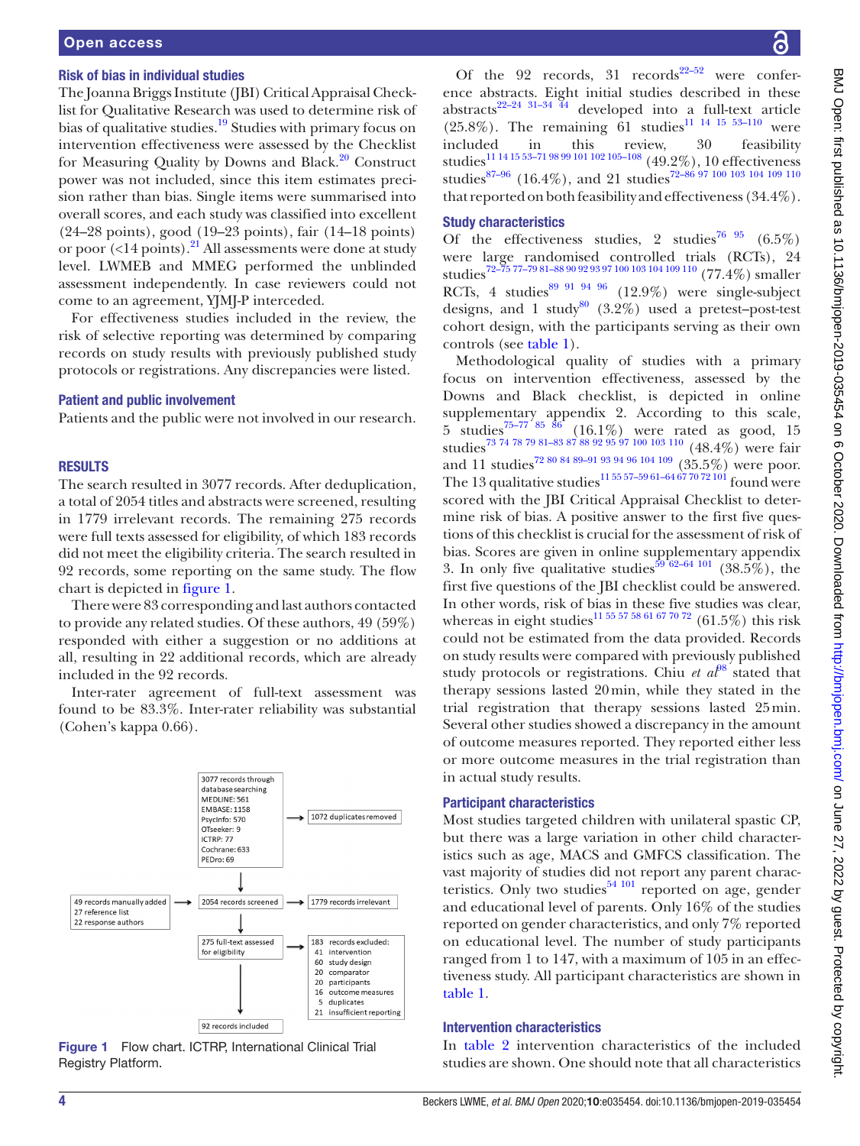#### Open access

#### Risk of bias in individual studies

The Joanna Briggs Institute (JBI) Critical Appraisal Checklist for Qualitative Research was used to determine risk of bias of qualitative studies.<sup>19</sup> Studies with primary focus on intervention effectiveness were assessed by the Checklist for Measuring Quality by Downs and Black.<sup>20</sup> Construct power was not included, since this item estimates precision rather than bias. Single items were summarised into overall scores, and each study was classified into excellent (24–28 points), good (19–23 points), fair (14–18 points) or poor  $\left($  <14 points).<sup>21</sup> All assessments were done at study level. LWMEB and MMEG performed the unblinded assessment independently. In case reviewers could not come to an agreement, YJMJ-P interceded.

For effectiveness studies included in the review, the risk of selective reporting was determined by comparing records on study results with previously published study protocols or registrations. Any discrepancies were listed.

#### Patient and public involvement

Patients and the public were not involved in our research.

#### **RESULTS**

The search resulted in 3077 records. After deduplication, a total of 2054 titles and abstracts were screened, resulting in 1779 irrelevant records. The remaining 275 records were full texts assessed for eligibility, of which 183 records did not meet the eligibility criteria. The search resulted in 92 records, some reporting on the same study. The flow chart is depicted in [figure](#page-3-0) 1.

There were 83 corresponding and last authors contacted to provide any related studies. Of these authors, 49 (59%) responded with either a suggestion or no additions at all, resulting in 22 additional records, which are already included in the 92 records.

Inter-rater agreement of full-text assessment was found to be 83.3%. Inter-rater reliability was substantial (Cohen's kappa 0.66).



<span id="page-3-0"></span>Figure 1 Flow chart. ICTRP, International Clinical Trial Registry Platform.

Of the 92 records, 31 records<sup>22–52</sup> were conference abstracts. Eight initial studies described in these abstracts<sup>22–24 31–34</sup> 44 developed into a full-text article  $(25.8\%)$ . The remaining  $\overline{61}$  studies<sup>11</sup> <sup>14</sup> <sup>15</sup> <sup>53-110</sup> were included in this review, 30 feasibility studies<sup>11 14 15 53–71 98 99 101 102 105–108</sup> (49.2%), 10 effectiveness studies<sup>87-96</sup> (16.4%), and 21 studies<sup>72-86 97</sup> 100 103 104 109 110 that reported on both feasibility and effectiveness (34.4%).

#### Study characteristics

Of the effectiveness studies, 2 studies<sup>76 95</sup> (6.5%) were large randomised controlled trials (RCTs), 24 studies[72–75 77–79 81–88 90 92 93 97 100 103 104 109 110](#page-51-1) (77.4%) smaller RCTs, 4 studies $899919496$  (12.9%) were single-subject designs, and 1 study<sup>[80](#page-51-4)</sup> (3.2%) used a pretest–post-test cohort design, with the participants serving as their own controls (see [table](#page-4-0) 1).

Methodological quality of studies with a primary focus on intervention effectiveness, assessed by the Downs and Black checklist, is depicted in [online](https://dx.doi.org/10.1136/bmjopen-2019-035454)  [supplementary appendix 2.](https://dx.doi.org/10.1136/bmjopen-2019-035454) According to this scale,  $5 \text{ studies}^{75-77/85} \text{ s}^{66}$  (16.1%) were rated as good, 15 studies<sup>73</sup> 74 78 79 81–83 87 88 92 95 97 100 103 110 (48.4%) were fair and 11 studies<sup>[72 80 84 89–91 93 94 96 104 109](#page-51-1)</sup> (35.5%) were poor. The 13 qualitative studies<sup>11 55 57–59 61–64 67</sup> 70 72 101 found were scored with the JBI Critical Appraisal Checklist to determine risk of bias. A positive answer to the first five questions of this checklist is crucial for the assessment of risk of bias. Scores are given in [online supplementary appendix](https://dx.doi.org/10.1136/bmjopen-2019-035454)  [3](https://dx.doi.org/10.1136/bmjopen-2019-035454). In only five qualitative studies<sup>59 62–64 101</sup> (38.5%), the first five questions of the JBI checklist could be answered. In other words, risk of bias in these five studies was clear, whereas in eight studies<sup>[11 55 57 58 61 67 70 72](#page-49-9)</sup> (61.5%) this risk could not be estimated from the data provided. Records on study results were compared with previously published study protocols or registrations. Chiu *et al*<sup>98</sup> stated that therapy sessions lasted 20min, while they stated in the trial registration that therapy sessions lasted 25min. Several other studies showed a discrepancy in the amount of outcome measures reported. They reported either less or more outcome measures in the trial registration than in actual study results.

#### Participant characteristics

Most studies targeted children with unilateral spastic CP, but there was a large variation in other child characteristics such as age, MACS and GMFCS classification. The vast majority of studies did not report any parent characteristics. Only two studies<sup> $54 101$ </sup> reported on age, gender and educational level of parents. Only 16% of the studies reported on gender characteristics, and only 7% reported on educational level. The number of study participants ranged from 1 to 147, with a maximum of 105 in an effectiveness study. All participant characteristics are shown in [table](#page-4-0) 1.

#### Intervention characteristics

In [table](#page-9-0) 2 intervention characteristics of the included studies are shown. One should note that all characteristics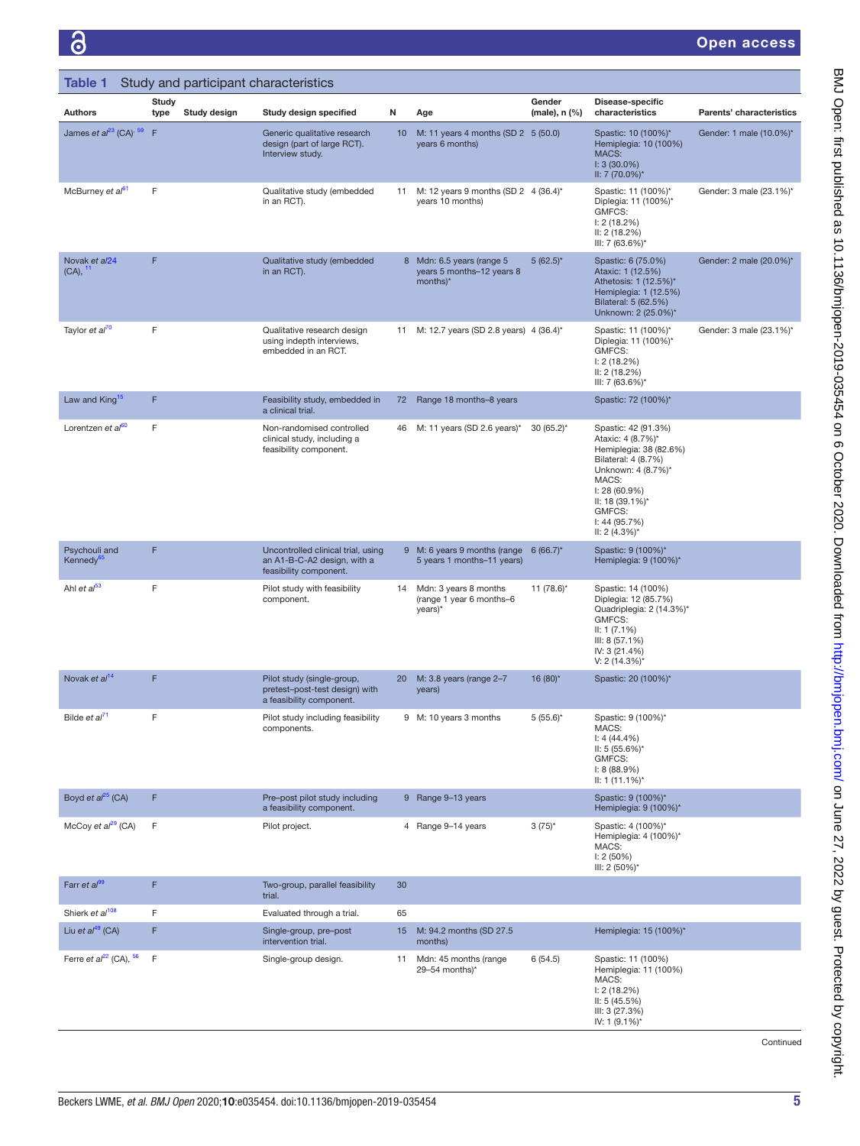<span id="page-4-0"></span>

| Table 1                                  |               |              | Study and participant characteristics                                                       |    |                                                                        |                         |                                                                                                                                                                                                               |                          |
|------------------------------------------|---------------|--------------|---------------------------------------------------------------------------------------------|----|------------------------------------------------------------------------|-------------------------|---------------------------------------------------------------------------------------------------------------------------------------------------------------------------------------------------------------|--------------------------|
| <b>Authors</b>                           | Study<br>type | Study design | Study design specified                                                                      | Ν  | Age                                                                    | Gender<br>(male), n (%) | Disease-specific<br>characteristics                                                                                                                                                                           | Parents' characteristics |
| James et $a^{23}$ (CA) <sup>, 59</sup> F |               |              | Generic qualitative research<br>design (part of large RCT).<br>Interview study.             | 10 | M: 11 years 4 months (SD 2 5 (50.0)<br>years 6 months)                 |                         | Spastic: 10 (100%)*<br>Hemiplegia: 10 (100%)<br>MACS:<br>$1: 3(30.0\%)$<br>II: 7 (70.0%)*                                                                                                                     | Gender: 1 male (10.0%)*  |
| McBurney et al <sup>61</sup>             | F             |              | Qualitative study (embedded<br>in an RCT).                                                  | 11 | M: 12 years 9 months (SD 2 4 (36.4)*<br>years 10 months)               |                         | Spastic: 11 (100%)*<br>Diplegia: 11 (100%)*<br>GMFCS:<br>1: 2(18.2%)<br>II: 2 (18.2%)<br>III: 7 (63.6%)*                                                                                                      | Gender: 3 male (23.1%)*  |
| Novak et al24<br>$(CA),$ <sup>11</sup>   | F             |              | Qualitative study (embedded<br>in an RCT).                                                  |    | 8 Mdn: 6.5 years (range 5<br>years 5 months-12 years 8<br>months)*     | $5(62.5)^*$             | Spastic: 6 (75.0%)<br>Ataxic: 1 (12.5%)<br>Athetosis: 1 (12.5%)*<br>Hemiplegia: 1 (12.5%)<br>Bilateral: 5 (62.5%)<br>Unknown: 2 (25.0%)*                                                                      | Gender: 2 male (20.0%)*  |
| Taylor et al <sup>70</sup>               | F             |              | Qualitative research design<br>using indepth interviews,<br>embedded in an RCT.             |    | 11 M: 12.7 years (SD 2.8 years) 4 (36.4)*                              |                         | Spastic: 11 (100%)*<br>Diplegia: 11 (100%)*<br>GMFCS:<br>1: 2(18.2%)<br>II: 2(18.2%)<br>III: 7 (63.6%)*                                                                                                       | Gender: 3 male (23.1%)*  |
| Law and King <sup>15</sup>               | F             |              | Feasibility study, embedded in<br>a clinical trial.                                         | 72 | Range 18 months-8 years                                                |                         | Spastic: 72 (100%)*                                                                                                                                                                                           |                          |
| Lorentzen et al <sup>60</sup>            | F             |              | Non-randomised controlled<br>clinical study, including a<br>feasibility component.          |    | 46 M: 11 years (SD 2.6 years)*                                         | $30(65.2)$ *            | Spastic: 42 (91.3%)<br>Ataxic: 4 (8.7%)*<br>Hemiplegia: 38 (82.6%)<br>Bilateral: 4 (8.7%)<br>Unknown: 4 (8.7%)*<br>MACS:<br>$I: 28(60.9\%)$<br>II: 18 (39.1%)*<br>GMFCS:<br>1: 44 (95.7%)<br>II: $2(4.3\%)^*$ |                          |
| Psychouli and<br>Kennedy <sup>65</sup>   | F             |              | Uncontrolled clinical trial, using<br>an A1-B-C-A2 design, with a<br>feasibility component. |    | 9 M: 6 years 9 months (range $6(66.7)^*$<br>5 years 1 months-11 years) |                         | Spastic: 9 (100%)*<br>Hemiplegia: 9 (100%)*                                                                                                                                                                   |                          |
| Ahl et al <sup>53</sup>                  | F             |              | Pilot study with feasibility<br>component.                                                  | 14 | Mdn: 3 years 8 months<br>(range 1 year 6 months-6<br>years)*           | 11 $(78.6)^*$           | Spastic: 14 (100%)<br>Diplegia: 12 (85.7%)<br>Quadriplegia: 2 (14.3%)*<br>GMFCS:<br>II: 1 (7.1%)<br>III: 8(57.1%)<br>IV: 3 (21.4%)<br>$V: 2(14.3\%)^*$                                                        |                          |
| Novak et al <sup>14</sup>                | F             |              | Pilot study (single-group,<br>pretest-post-test design) with<br>a feasibility component.    | 20 | M: 3.8 years (range 2-7<br>years)                                      | 16 (80)*                | Spastic: 20 (100%)*                                                                                                                                                                                           |                          |
| Bilde et al <sup>71</sup>                | F             |              | Pilot study including feasibility<br>components.                                            |    | 9 M: 10 years 3 months                                                 | $5(55.6)$ *             | Spastic: 9 (100%)*<br>MACS:<br>$1: 4(44.4\%)$<br>II: 5 (55.6%)*<br>GMFCS:<br>1: 8(88.9%)<br>II: 1 $(11.1\%)^*$                                                                                                |                          |
| Boyd et $al^{25}$ (CA)                   | F             |              | Pre-post pilot study including<br>a feasibility component.                                  |    | 9 Range 9-13 years                                                     |                         | Spastic: 9 (100%)*<br>Hemiplegia: 9 (100%)*                                                                                                                                                                   |                          |
| McCoy et $al^{29}$ (CA)                  | F             |              | Pilot project.                                                                              |    | 4 Range 9-14 years                                                     | $3(75)^{*}$             | Spastic: 4 (100%)*<br>Hemiplegia: 4 (100%)*<br>MACS:<br>I: 2(50%)<br>III: 2 (50%)*                                                                                                                            |                          |
| Farr et $a^{99}$                         | F             |              | Two-group, parallel feasibility<br>trial.                                                   | 30 |                                                                        |                         |                                                                                                                                                                                                               |                          |
| Shierk et al <sup>108</sup>              | F             |              | Evaluated through a trial.                                                                  | 65 |                                                                        |                         |                                                                                                                                                                                                               |                          |
| Liu et $a^{49}$ (CA)                     | F             |              | Single-group, pre-post<br>intervention trial.                                               | 15 | M: 94.2 months (SD 27.5)<br>months)                                    |                         | Hemiplegia: 15 (100%)*                                                                                                                                                                                        |                          |
| Ferre et $a^{22}$ (CA), $56$             | F             |              | Single-group design.                                                                        | 11 | Mdn: 45 months (range<br>29-54 months)*                                | 6(54.5)                 | Spastic: 11 (100%)<br>Hemiplegia: 11 (100%)<br>MACS:<br>1: 2(18.2%)<br>II: 5(45.5%)<br>III: 3 (27.3%)<br>IV: 1 (9.1%)*                                                                                        |                          |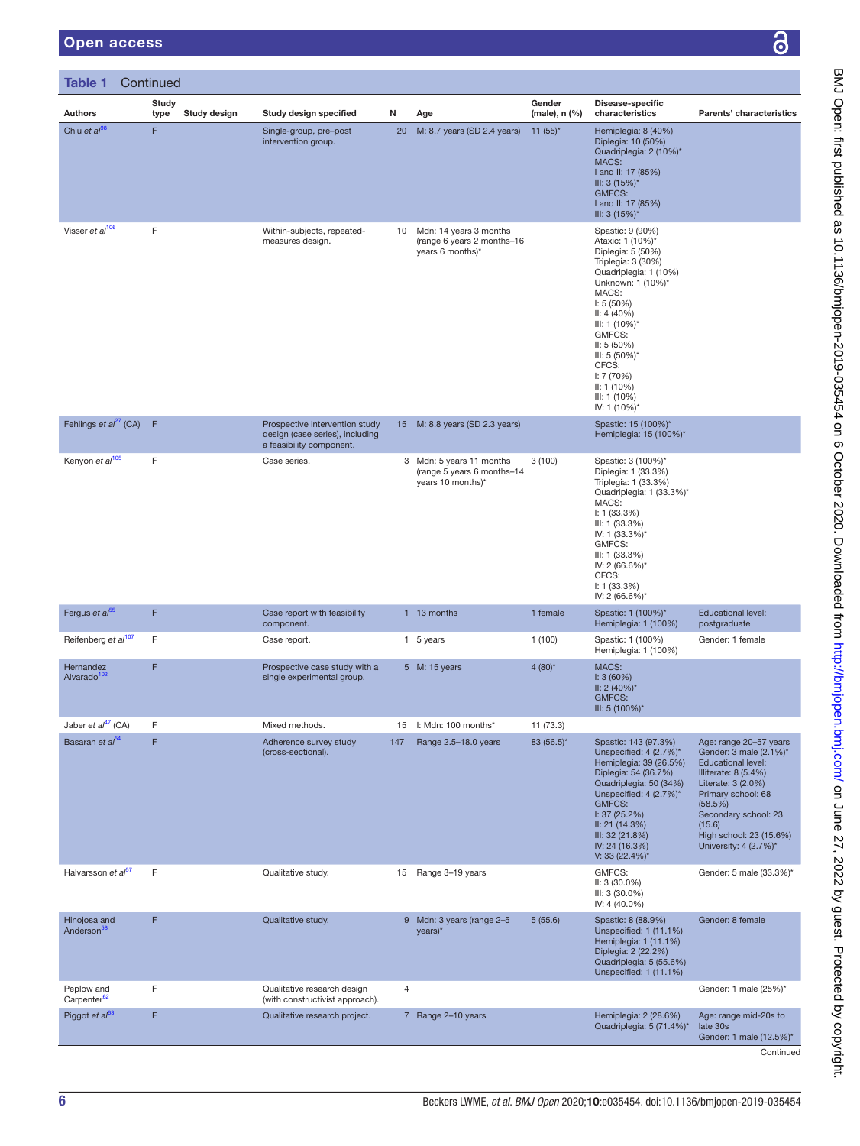| <b>Table 1</b> Continued               |                               |                                                                                               |     |                                                                             |                               |                                                                                                                                                                                                                                                                                                  |                                                                                                                                                                                                                                                    |
|----------------------------------------|-------------------------------|-----------------------------------------------------------------------------------------------|-----|-----------------------------------------------------------------------------|-------------------------------|--------------------------------------------------------------------------------------------------------------------------------------------------------------------------------------------------------------------------------------------------------------------------------------------------|----------------------------------------------------------------------------------------------------------------------------------------------------------------------------------------------------------------------------------------------------|
| <b>Authors</b>                         | Study<br>type<br>Study design | Study design specified                                                                        | N   | Age                                                                         | Gender<br>$(male)$ , n $(\%)$ | Disease-specific<br>characteristics                                                                                                                                                                                                                                                              | Parents' characteristics                                                                                                                                                                                                                           |
| Chiu et $al^{98}$                      | F                             | Single-group, pre-post<br>intervention group.                                                 | 20  | M: 8.7 years (SD 2.4 years)                                                 | 11 $(55)^*$                   | Hemiplegia: 8 (40%)<br>Diplegia: 10 (50%)<br>Quadriplegia: 2 (10%)*<br>MACS:<br>I and II: 17 (85%)<br>III: 3 (15%)*<br><b>GMFCS:</b><br>I and II: 17 (85%)<br>III: $3(15%)^*$                                                                                                                    |                                                                                                                                                                                                                                                    |
| Visser et al <sup>106</sup>            | F                             | Within-subjects, repeated-<br>measures design.                                                | 10  | Mdn: 14 years 3 months<br>(range 6 years 2 months-16<br>years 6 months)*    |                               | Spastic: 9 (90%)<br>Ataxic: 1 (10%)*<br>Diplegia: 5 (50%)<br>Triplegia: 3 (30%)<br>Quadriplegia: 1 (10%)<br>Unknown: 1 (10%)*<br>MACS:<br>1: 5(50%)<br>II: 4(40%)<br>III: 1 (10%)*<br>GMFCS:<br>II: 5(50%)<br>III: 5 (50%)*<br>CFCS:<br>I: 7(70%)<br>II: 1 (10%)<br>III: 1 (10%)<br>IV: 1 (10%)* |                                                                                                                                                                                                                                                    |
| Fehlings et $al^{27}$ (CA)             | F                             | Prospective intervention study<br>design (case series), including<br>a feasibility component. |     | 15 M: 8.8 years (SD 2.3 years)                                              |                               | Spastic: 15 (100%)*<br>Hemiplegia: 15 (100%)*                                                                                                                                                                                                                                                    |                                                                                                                                                                                                                                                    |
| Kenyon et al <sup>105</sup>            | F                             | Case series.                                                                                  |     | 3 Mdn: 5 years 11 months<br>(range 5 years 6 months-14<br>years 10 months)* | 3(100)                        | Spastic: 3 (100%)*<br>Diplegia: 1 (33.3%)<br>Triplegia: 1 (33.3%)<br>Quadriplegia: 1 (33.3%)*<br>MACS:<br>1: 1 (33.3%)<br>III: 1 (33.3%)<br>IV: 1 (33.3%)*<br>GMFCS:<br>III: 1 (33.3%)<br>IV: 2 (66.6%)*<br>CFCS:<br>1: 1 (33.3%)<br>IV: 2 (66.6%)*                                              |                                                                                                                                                                                                                                                    |
| Fergus et al <sup>55</sup>             | F                             | Case report with feasibility<br>component.                                                    |     | 1 13 months                                                                 | 1 female                      | Spastic: 1 (100%)*<br>Hemiplegia: 1 (100%)                                                                                                                                                                                                                                                       | <b>Educational level:</b><br>postgraduate                                                                                                                                                                                                          |
| Reifenberg et al <sup>107</sup>        | F                             | Case report.                                                                                  |     | 1 5 years                                                                   | 1(100)                        | Spastic: 1 (100%)<br>Hemiplegia: 1 (100%)                                                                                                                                                                                                                                                        | Gender: 1 female                                                                                                                                                                                                                                   |
| Hernandez<br>Alvarado <sup>102</sup>   | F                             | Prospective case study with a<br>single experimental group.                                   |     | 5 M: 15 years                                                               | $4(80)$ *                     | MACS:<br>1:3(60%)<br>II: 2 $(40\%)^*$<br><b>GMFCS:</b><br>III: 5 (100%)*                                                                                                                                                                                                                         |                                                                                                                                                                                                                                                    |
| Jaber et al <sup>47</sup> (CA)         | F                             | Mixed methods.                                                                                | 15  | $\mathsf{I}:$ Mdn: 100 months*                                              | 11 (73.3)                     |                                                                                                                                                                                                                                                                                                  |                                                                                                                                                                                                                                                    |
| Basaran et al <sup>54</sup>            | F                             | Adherence survey study<br>(cross-sectional).                                                  | 147 | Range 2.5-18.0 years                                                        | 83 (56.5)*                    | Spastic: 143 (97.3%)<br>Unspecified: 4 (2.7%)*<br>Hemiplegia: 39 (26.5%)<br>Diplegia: 54 (36.7%)<br>Quadriplegia: 50 (34%)<br>Unspecified: 4 (2.7%)*<br><b>GMFCS:</b><br>1:37(25.2%)<br>II: 21 (14.3%)<br>III: 32 (21.8%)<br>IV: 24 (16.3%)<br>V: 33 (22.4%)*                                    | Age: range 20-57 years<br>Gender: 3 male (2.1%)*<br><b>Educational level:</b><br>Illiterate: 8 (5.4%)<br>Literate: 3 (2.0%)<br>Primary school: 68<br>(58.5%)<br>Secondary school: 23<br>(15.6)<br>High school: 23 (15.6%)<br>University: 4 (2.7%)* |
| Halvarsson et al <sup>57</sup>         | F                             | Qualitative study.                                                                            | 15  | Range 3-19 years                                                            |                               | GMFCS:<br>$II: 3(30.0\%)$<br>III: 3 (30.0%)<br>IV: 4 (40.0%)                                                                                                                                                                                                                                     | Gender: 5 male (33.3%)*                                                                                                                                                                                                                            |
| Hinojosa and<br>Anderson <sup>58</sup> | F                             | Qualitative study.                                                                            |     | 9 Mdn: 3 years (range 2-5<br>years)*                                        | 5(55.6)                       | Spastic: 8 (88.9%)<br>Unspecified: 1 (11.1%)<br>Hemiplegia: 1 (11.1%)<br>Diplegia: 2 (22.2%)<br>Quadriplegia: 5 (55.6%)<br>Unspecified: 1 (11.1%)                                                                                                                                                | Gender: 8 female                                                                                                                                                                                                                                   |
| Peplow and<br>Carpenter <sup>62</sup>  | F                             | Qualitative research design<br>(with constructivist approach).                                | 4   |                                                                             |                               |                                                                                                                                                                                                                                                                                                  | Gender: 1 male (25%)*                                                                                                                                                                                                                              |
| Piggot et al <sup>63</sup>             | F                             | Qualitative research project.                                                                 |     | 7 Range 2-10 years                                                          |                               | Hemiplegia: 2 (28.6%)<br>Quadriplegia: 5 (71.4%)*                                                                                                                                                                                                                                                | Age: range mid-20s to<br>late 30s<br>Gender: 1 male (12.5%)*                                                                                                                                                                                       |

Continued

BMJ Open: first published as 10.1136/bmjopen-2019-030-454 on 6 October 2020. Downloaded from <http://bmjopen.bmj.com/> on June 27, 2022 by guest. Protected by copyright.

BMJ Open: first published as 10.1136/bmjopen-2019-035454 on 6 October 2020. Downloaded from http://bmjopen.bmj.com/ on June 27, 2022 by guest. Protected by copyright.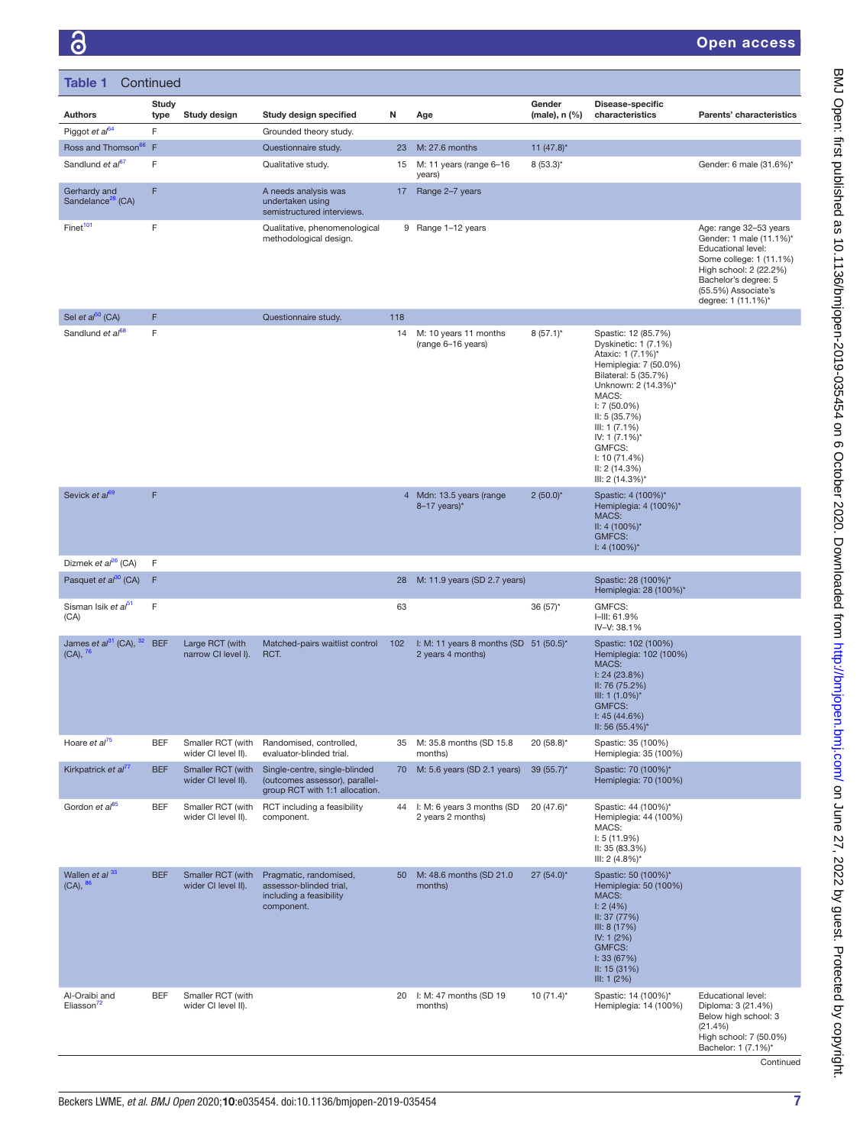| Table 1                                              | Continued     |                                          |                                                                                                   |     |                                                               |                         |                                                                                                                                                                                                                                                                                            |                                                                                                                                                                                                   |
|------------------------------------------------------|---------------|------------------------------------------|---------------------------------------------------------------------------------------------------|-----|---------------------------------------------------------------|-------------------------|--------------------------------------------------------------------------------------------------------------------------------------------------------------------------------------------------------------------------------------------------------------------------------------------|---------------------------------------------------------------------------------------------------------------------------------------------------------------------------------------------------|
| <b>Authors</b>                                       | Study<br>type | Study design                             | Study design specified                                                                            | N   | Age                                                           | Gender<br>(male), n (%) | Disease-specific<br>characteristics                                                                                                                                                                                                                                                        | Parents' characteristics                                                                                                                                                                          |
| Piggot et al <sup>64</sup>                           | F             |                                          | Grounded theory study.                                                                            |     |                                                               |                         |                                                                                                                                                                                                                                                                                            |                                                                                                                                                                                                   |
| Ross and Thomson <sup>66</sup>                       | $\mathsf F$   |                                          | Questionnaire study.                                                                              | 23  | M: 27.6 months                                                | 11 $(47.8)^*$           |                                                                                                                                                                                                                                                                                            |                                                                                                                                                                                                   |
| Sandlund et al <sup>67</sup>                         | F             |                                          | Qualitative study.                                                                                | 15  | M: 11 years (range 6-16<br>years)                             | $8(53.3)^{*}$           |                                                                                                                                                                                                                                                                                            | Gender: 6 male (31.6%)*                                                                                                                                                                           |
| Gerhardy and<br>Sandelance <sup>28</sup> (CA)        | F             |                                          | A needs analysis was<br>undertaken using<br>semistructured interviews.                            | 17  | Range 2-7 years                                               |                         |                                                                                                                                                                                                                                                                                            |                                                                                                                                                                                                   |
| Finet <sup>101</sup>                                 | F             |                                          | Qualitative, phenomenological<br>methodological design.                                           |     | 9 Range 1-12 years                                            |                         |                                                                                                                                                                                                                                                                                            | Age: range 32-53 years<br>Gender: 1 male (11.1%)*<br>Educational level:<br>Some college: 1 (11.1%)<br>High school: 2 (22.2%)<br>Bachelor's degree: 5<br>(55.5%) Associate's<br>degree: 1 (11.1%)* |
| Sel et $al^{50}$ (CA)                                | F             |                                          | Questionnaire study.                                                                              | 118 |                                                               |                         |                                                                                                                                                                                                                                                                                            |                                                                                                                                                                                                   |
| Sandlund et al <sup>68</sup>                         | F             |                                          |                                                                                                   | 14  | M: 10 years 11 months<br>(range 6-16 years)                   | $8(57.1)$ *             | Spastic: 12 (85.7%)<br>Dyskinetic: 1 (7.1%)<br>Ataxic: 1 (7.1%)*<br>Hemiplegia: 7 (50.0%)<br>Bilateral: 5 (35.7%)<br>Unknown: 2 (14.3%)*<br>MACS:<br>$I: 7(50.0\%)$<br>II: 5(35.7%)<br>III: 1 (7.1%)<br>IV: 1 $(7.1\%)^*$<br>GMFCS:<br>1: 10(71.4%)<br>II: 2(14.3%)<br>III: 2 $(14.3\%)^*$ |                                                                                                                                                                                                   |
| Sevick et al <sup>69</sup>                           | F             |                                          |                                                                                                   |     | 4 Mdn: 13.5 years (range<br>$8-17$ years)*                    | $2(50.0)^{*}$           | Spastic: 4 (100%)*<br>Hemiplegia: 4 (100%)*<br>MACS:<br>$II: 4 (100\%)^*$<br><b>GMFCS:</b><br>$1: 4(100\%)^*$                                                                                                                                                                              |                                                                                                                                                                                                   |
| Dizmek et al <sup>26</sup> (CA)                      | F             |                                          |                                                                                                   |     |                                                               |                         |                                                                                                                                                                                                                                                                                            |                                                                                                                                                                                                   |
| Pasquet et al <sup>30</sup> (CA)                     | F             |                                          |                                                                                                   | 28  | M: 11.9 years (SD 2.7 years)                                  |                         | Spastic: 28 (100%)*<br>Hemiplegia: 28 (100%)*                                                                                                                                                                                                                                              |                                                                                                                                                                                                   |
| Sisman Isik et al <sup>51</sup><br>(CA)              | F             |                                          |                                                                                                   | 63  |                                                               | $36(57)$ *              | GMFCS:<br>I-III: 61.9%<br>IV-V: 38.1%                                                                                                                                                                                                                                                      |                                                                                                                                                                                                   |
| James et $a^{31}$ (CA), $32$<br>$(CA), \frac{76}{ }$ | <b>BEF</b>    | Large RCT (with<br>narrow CI level I).   | Matched-pairs waitlist control<br>RCT.                                                            | 102 | I: M: 11 years 8 months (SD $51$ (50.5)*<br>2 years 4 months) |                         | Spastic: 102 (100%)<br>Hemiplegia: 102 (100%)<br>MACS:<br>1: 24 (23.8%)<br>II: 76 (75.2%)<br>III: 1 $(1.0\%)^*$<br><b>GMFCS:</b><br>1: 45(44.6%)<br>II: 56 $(55.4\%)^*$                                                                                                                    |                                                                                                                                                                                                   |
| Hoare et al <sup>75</sup>                            | <b>BEF</b>    | Smaller RCT (with<br>wider CI level II). | Randomised, controlled,<br>evaluator-blinded trial.                                               |     | 35 M: 35.8 months (SD 15.8<br>months)                         | $20(58.8)$ *            | Spastic: 35 (100%)<br>Hemiplegia: 35 (100%)                                                                                                                                                                                                                                                |                                                                                                                                                                                                   |
| Kirkpatrick et al <sup>77</sup>                      | <b>BEF</b>    | Smaller RCT (with<br>wider CI level II). | Single-centre, single-blinded<br>(outcomes assessor), parallel-<br>group RCT with 1:1 allocation. | 70  | M: 5.6 years (SD 2.1 years)                                   | $39(55.7)^*$            | Spastic: 70 (100%)*<br>Hemiplegia: 70 (100%)                                                                                                                                                                                                                                               |                                                                                                                                                                                                   |
| Gordon et al <sup>85</sup>                           | <b>BEF</b>    | Smaller RCT (with<br>wider CI level II). | RCT including a feasibility<br>component.                                                         | 44  | I: M: 6 years 3 months (SD<br>2 years 2 months)               | $20(47.6)$ *            | Spastic: 44 (100%)*<br>Hemiplegia: 44 (100%)<br>MACS:<br>1: 5(11.9%)<br>II: 35 (83.3%)<br>III: 2 $(4.8\%)^*$                                                                                                                                                                               |                                                                                                                                                                                                   |
| Wallen et al <sup>33</sup><br>$(CA), \frac{86}{3}$   | <b>BEF</b>    | Smaller RCT (with<br>wider CI level II). | Pragmatic, randomised,<br>assessor-blinded trial,<br>including a feasibility<br>component.        | 50  | M: 48.6 months (SD 21.0<br>months)                            | 27 (54.0)*              | Spastic: 50 (100%)*<br>Hemiplegia: 50 (100%)<br>MACS:<br>1: 2(4%)<br>II: 37 (77%)<br>III: 8 (17%)<br>IV: 1 $(2%)$<br>GMFCS:<br>1:33(67%)<br>II: 15 (31%)<br>III: 1 (2%)                                                                                                                    |                                                                                                                                                                                                   |
| Al-Oraibi and<br>Eliasson <sup>72</sup>              | <b>BEF</b>    | Smaller RCT (with<br>wider CI level II). |                                                                                                   | 20  | I: M: 47 months (SD 19<br>months)                             | $10(71.4)$ *            | Spastic: 14 (100%)*<br>Hemiplegia: 14 (100%)                                                                                                                                                                                                                                               | Educational level:<br>Diploma: 3 (21.4%)<br>Below high school: 3<br>(21.4%)<br>High school: 7 (50.0%)<br>Bachelor: 1 (7.1%)*                                                                      |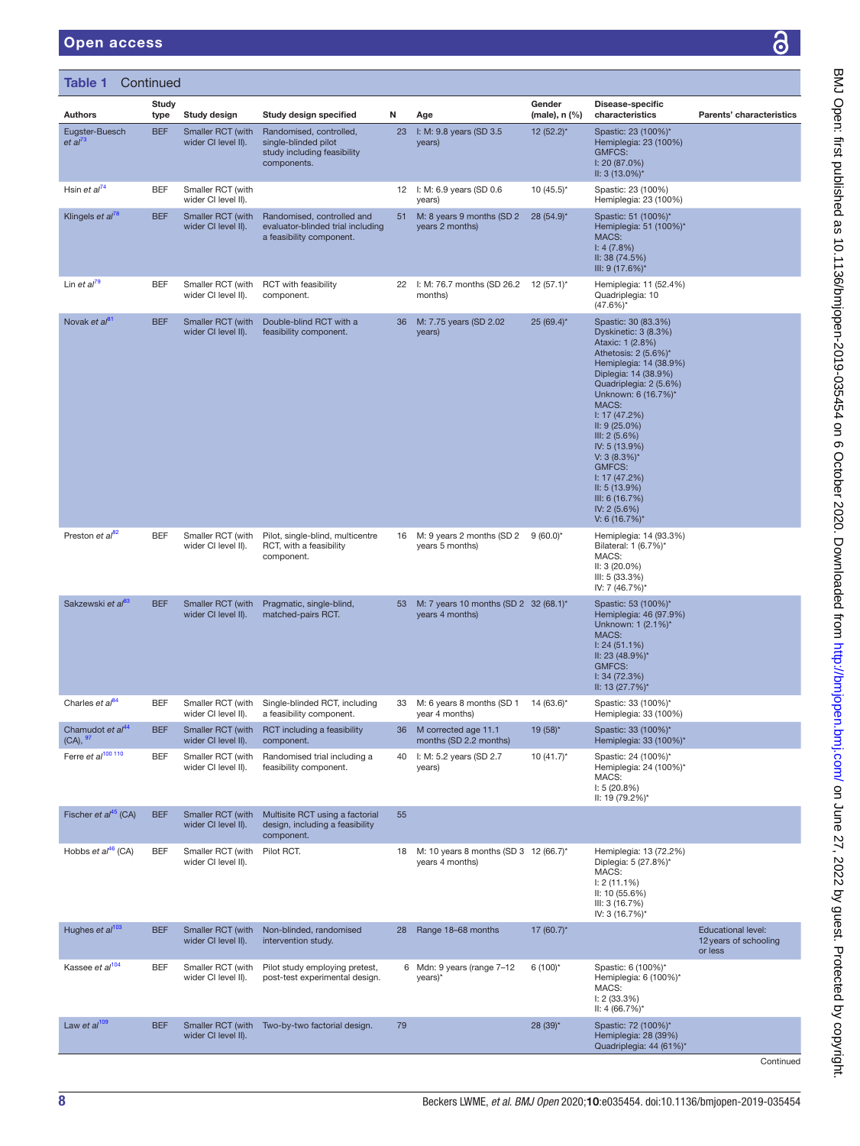| Table 1                                              | Continued            |                                          |                                                                                                    |    |                                                           |                         |                                                                                                                                                                                                                                                                                                                                                                                             |                                                               |
|------------------------------------------------------|----------------------|------------------------------------------|----------------------------------------------------------------------------------------------------|----|-----------------------------------------------------------|-------------------------|---------------------------------------------------------------------------------------------------------------------------------------------------------------------------------------------------------------------------------------------------------------------------------------------------------------------------------------------------------------------------------------------|---------------------------------------------------------------|
| <b>Authors</b>                                       | <b>Study</b><br>type | Study design                             | Study design specified                                                                             | N  | Age                                                       | Gender<br>(male), n (%) | Disease-specific<br>characteristics                                                                                                                                                                                                                                                                                                                                                         | Parents' characteristics                                      |
| Eugster-Buesch<br>et al <sup>73</sup>                | <b>BEF</b>           | Smaller RCT (with<br>wider CI level II). | Randomised, controlled,<br>single-blinded pilot<br>study including feasibility<br>components.      | 23 | I: M: 9.8 years (SD 3.5<br>years)                         | 12 (52.2)*              | Spastic: 23 (100%)*<br>Hemiplegia: 23 (100%)<br>GMFCS:<br>I: 20 (87.0%)<br>II: $3(13.0\%)^*$                                                                                                                                                                                                                                                                                                |                                                               |
| Hsin et $al^{74}$                                    | BEF                  | Smaller RCT (with<br>wider CI level II). |                                                                                                    |    | 12 I: M: 6.9 years (SD 0.6<br>years)                      | $10(45.5)^{*}$          | Spastic: 23 (100%)<br>Hemiplegia: 23 (100%)                                                                                                                                                                                                                                                                                                                                                 |                                                               |
| Klingels et al <sup>78</sup>                         | <b>BEF</b>           | Smaller RCT (with<br>wider CI level II). | Randomised, controlled and<br>evaluator-blinded trial including<br>a feasibility component.        | 51 | M: 8 years 9 months (SD 2<br>years 2 months)              | 28 (54.9)*              | Spastic: 51 (100%)*<br>Hemiplegia: 51 (100%)*<br>MACS:<br>1: 4(7.8%)<br>II: 38 (74.5%)<br>III: 9 $(17.6%)^*$                                                                                                                                                                                                                                                                                |                                                               |
| Lin et $al^{79}$                                     | <b>BEF</b>           | Smaller RCT (with<br>wider CI level II). | RCT with feasibility<br>component.                                                                 |    | 22 I: M: 76.7 months (SD 26.2 12 (57.1)*<br>months)       |                         | Hemiplegia: 11 (52.4%)<br>Quadriplegia: 10<br>$(47.6\%)^*$                                                                                                                                                                                                                                                                                                                                  |                                                               |
| Novak et al <sup>81</sup>                            | <b>BEF</b>           | Smaller RCT (with<br>wider CI level II). | Double-blind RCT with a<br>feasibility component.                                                  | 36 | M: 7.75 years (SD 2.02<br>years)                          | 25 (69.4)*              | Spastic: 30 (83.3%)<br>Dyskinetic: 3 (8.3%)<br>Ataxic: 1 (2.8%)<br>Athetosis: 2 (5.6%)*<br>Hemiplegia: 14 (38.9%)<br>Diplegia: 14 (38.9%)<br>Quadriplegia: 2 (5.6%)<br>Unknown: 6 (16.7%)*<br>MACS:<br>1: 17(47.2%)<br>II: 9(25.0%)<br>III: 2(5.6%)<br>IV: 5 (13.9%)<br>$V: 3(8.3%)^*$<br><b>GMFCS:</b><br>1: 17(47.2%)<br>II: 5(13.9%)<br>III: 6 (16.7%)<br>IV: 2 (5.6%)<br>$V: 6(16.7%)*$ |                                                               |
| Preston et $a^{82}$                                  | <b>BEF</b>           | Smaller RCT (with<br>wider CI level II). | Pilot, single-blind, multicentre<br>RCT, with a feasibility<br>component.                          |    | 16 M: 9 years 2 months (SD 2 9 (60.0)*<br>years 5 months) |                         | Hemiplegia: 14 (93.3%)<br>Bilateral: 1 (6.7%)*<br>MACS:<br>$II: 3(20.0\%)$<br>III: 5 (33.3%)<br>IV: 7 (46.7%)*                                                                                                                                                                                                                                                                              |                                                               |
| Sakzewski et al                                      | <b>BEF</b>           | Smaller RCT (with<br>wider CI level II). | Pragmatic, single-blind,<br>matched-pairs RCT.                                                     | 53 | M: 7 years 10 months (SD 2 32 (68.1)*<br>years 4 months)  |                         | Spastic: 53 (100%)*<br>Hemiplegia: 46 (97.9%)<br>Unknown: 1 (2.1%)*<br>MACS:<br>1: 24(51.1%)<br>II: 23 (48.9%)*<br><b>GMFCS:</b><br>1: 34 (72.3%)<br>II: 13 (27.7%)*                                                                                                                                                                                                                        |                                                               |
| Charles et $al^{84}$                                 | <b>BEF</b>           | wider CI level II).                      | Smaller RCT (with Single-blinded RCT, including<br>a feasibility component.                        |    | 33 M: 6 years 8 months (SD 1<br>year 4 months)            | 14 (63.6)*              | Spastic: 33 (100%)*<br>Hemiplegia: 33 (100%)                                                                                                                                                                                                                                                                                                                                                |                                                               |
| Chamudot et al <sup>44</sup><br>$(CA), \frac{97}{2}$ | <b>BEF</b>           | Smaller RCT (with<br>wider CI level II). | RCT including a feasibility<br>component.                                                          | 36 | M corrected age 11.1<br>months (SD 2.2 months)            | 19 (58)*                | Spastic: 33 (100%)*<br>Hemiplegia: 33 (100%)*                                                                                                                                                                                                                                                                                                                                               |                                                               |
| Ferre et al <sup>100 110</sup>                       | <b>BEF</b>           | Smaller RCT (with<br>wider CI level II). | Randomised trial including a<br>feasibility component.                                             | 40 | I: M: 5.2 years (SD 2.7<br>years)                         | $10(41.7)$ *            | Spastic: 24 (100%)*<br>Hemiplegia: 24 (100%)*<br>MACS:<br>1: 5(20.8%)<br>II: 19 (79.2%)*                                                                                                                                                                                                                                                                                                    |                                                               |
| Fischer et $al^{45}$ (CA)                            | <b>BEF</b>           | wider CI level II).                      | Smaller RCT (with Multisite RCT using a factorial<br>design, including a feasibility<br>component. | 55 |                                                           |                         |                                                                                                                                                                                                                                                                                                                                                                                             |                                                               |
| Hobbs et $al^{46}$ (CA)                              | BEF                  | Smaller RCT (with<br>wider CI level II). | Pilot RCT.                                                                                         | 18 | M: 10 years 8 months (SD 3 12 (66.7)*<br>years 4 months)  |                         | Hemiplegia: 13 (72.2%)<br>Diplegia: 5 (27.8%)*<br>MACS:<br>$1: 2(11.1\%)$<br>II: 10 (55.6%)<br>III: 3 (16.7%)<br>IV: 3 (16.7%)*                                                                                                                                                                                                                                                             |                                                               |
| Hughes et $al^{103}$                                 | <b>BEF</b>           | Smaller RCT (with<br>wider CI level II). | Non-blinded, randomised<br>intervention study.                                                     | 28 | Range 18-68 months                                        | 17 (60.7)*              |                                                                                                                                                                                                                                                                                                                                                                                             | <b>Educational level:</b><br>12 years of schooling<br>or less |
| Kassee et al <sup>104</sup>                          | <b>BEF</b>           | Smaller RCT (with<br>wider CI level II). | Pilot study employing pretest,<br>post-test experimental design.                                   |    | 6 Mdn: 9 years (range 7-12<br>years)*                     | $6(100)^{*}$            | Spastic: 6 (100%)*<br>Hemiplegia: 6 (100%)*<br>MACS:<br>1: 2(33.3%)<br>II: 4 $(66.7%)^*$                                                                                                                                                                                                                                                                                                    |                                                               |
| Law et $al^{109}$                                    | <b>BEF</b>           | wider CI level II).                      | Smaller RCT (with Two-by-two factorial design.                                                     | 79 |                                                           | 28 (39)*                | Spastic: 72 (100%)*<br>Hemiplegia: 28 (39%)<br>Quadriplegia: 44 (61%)*                                                                                                                                                                                                                                                                                                                      |                                                               |
|                                                      |                      |                                          |                                                                                                    |    |                                                           |                         |                                                                                                                                                                                                                                                                                                                                                                                             | Continued                                                     |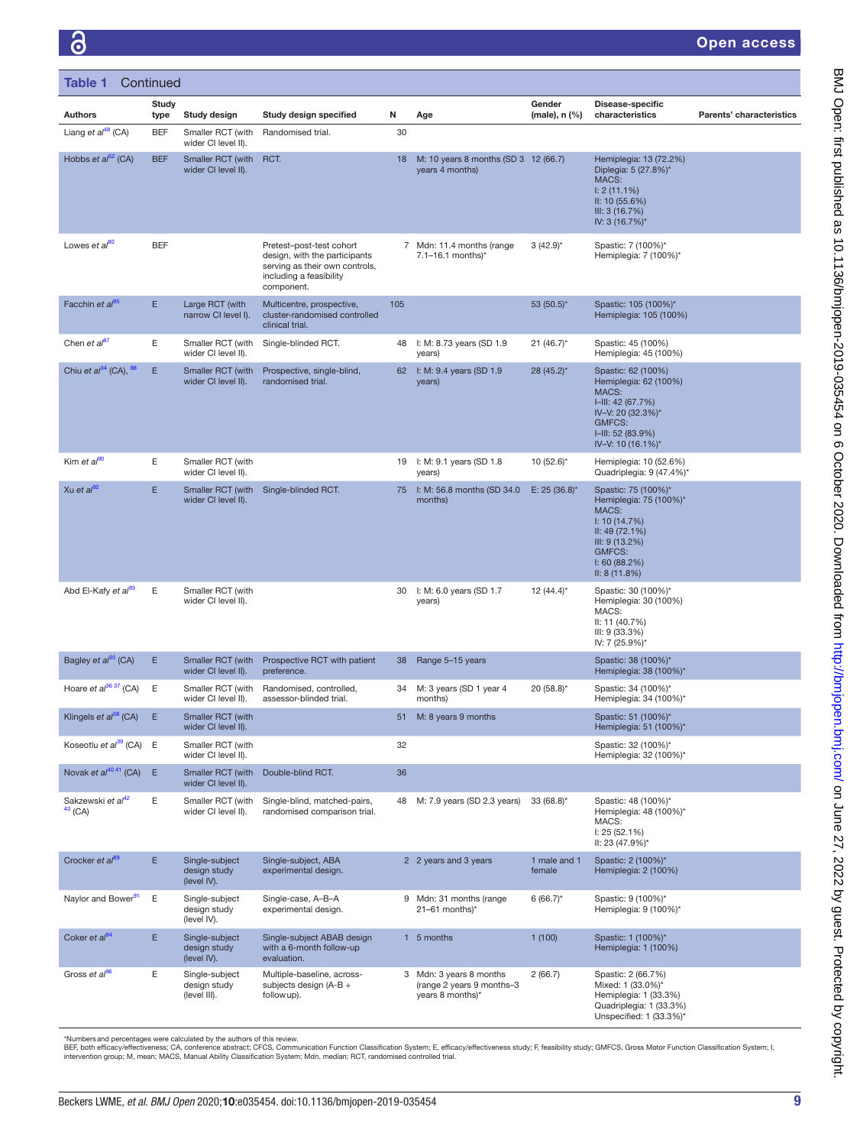င်္ဂ

#### Open access

| Table 1                                    | Continued     |                                                |                                                                                                                                      |     |                                                                          |                         |                                                                                                                                                               |                          |
|--------------------------------------------|---------------|------------------------------------------------|--------------------------------------------------------------------------------------------------------------------------------------|-----|--------------------------------------------------------------------------|-------------------------|---------------------------------------------------------------------------------------------------------------------------------------------------------------|--------------------------|
| <b>Authors</b>                             | Study<br>type | Study design                                   | Study design specified                                                                                                               | N   | Age                                                                      | Gender<br>(male), n (%) | Disease-specific<br>characteristics                                                                                                                           | Parents' characteristics |
| Liang et $a^{48}$ (CA)                     | <b>BEF</b>    | Smaller RCT (with<br>wider CI level II).       | Randomised trial.                                                                                                                    | 30  |                                                                          |                         |                                                                                                                                                               |                          |
| Hobbs et $a^{52}$ (CA)                     | <b>BEF</b>    | Smaller RCT (with<br>wider CI level II).       | RCT.                                                                                                                                 | 18  | M: 10 years 8 months (SD 3 12 (66.7)<br>years 4 months)                  |                         | Hemiplegia: 13 (72.2%)<br>Diplegia: 5 (27.8%)*<br>MACS:<br>$1: 2(11.1\%)$<br>II: 10 (55.6%)<br>III: 3(16.7%)<br>IV: 3 (16.7%)*                                |                          |
| Lowes et al <sup>80</sup>                  | <b>BEF</b>    |                                                | Pretest-post-test cohort<br>design, with the participants<br>serving as their own controls,<br>including a feasibility<br>component. |     | 7 Mdn: 11.4 months (range<br>7.1-16.1 months)*                           | $3(42.9)$ *             | Spastic: 7 (100%)*<br>Hemiplegia: 7 (100%)*                                                                                                                   |                          |
| Facchin et $a^{95}$                        | E             | Large RCT (with<br>narrow CI level I).         | Multicentre, prospective,<br>cluster-randomised controlled<br>clinical trial.                                                        | 105 |                                                                          | 53 (50.5)*              | Spastic: 105 (100%)*<br>Hemiplegia: 105 (100%)                                                                                                                |                          |
| Chen et al <sup>87</sup>                   | Ε             | Smaller RCT (with<br>wider CI level II).       | Single-blinded RCT.                                                                                                                  | 48  | I: M: 8.73 years (SD 1.9<br>years)                                       | $21 (46.7)^*$           | Spastic: 45 (100%)<br>Hemiplegia: 45 (100%)                                                                                                                   |                          |
| Chiu et $a^{34}$ (CA), $^{88}$             | E.            | Smaller RCT (with<br>wider CI level II).       | Prospective, single-blind,<br>randomised trial.                                                                                      |     | 62 I: M: 9.4 years (SD 1.9<br>years)                                     | 28 (45.2)*              | Spastic: 62 (100%)<br>Hemiplegia: 62 (100%)<br>MACS:<br>$I=III: 42 (67.7%)$<br>IV-V: 20 (32.3%)*<br><b>GMFCS:</b><br>$I=III: 52 (83.9%)$<br>IV-V: 10 (16.1%)* |                          |
| Kim et $al^{90}$                           | Ε             | Smaller RCT (with<br>wider CI level II).       |                                                                                                                                      |     | 19 I: M: 9.1 years (SD 1.8<br>years)                                     | $10(52.6)$ <sup>*</sup> | Hemiplegia: 10 (52.6%)<br>Quadriplegia: 9 (47.4%)*                                                                                                            |                          |
| Xu et al $^{92}$                           | E.            | Smaller RCT (with<br>wider CI level II).       | Single-blinded RCT.                                                                                                                  |     | 75 I: M: 56.8 months (SD 34.0<br>months)                                 | E: 25 (36.8)*           | Spastic: 75 (100%)*<br>Hemiplegia: 75 (100%)*<br>MACS:<br>1: 10(14.7%)<br>II: 49 (72.1%)<br>III: 9 (13.2%)<br><b>GMFCS:</b><br>1:60(88.2%)<br>II: 8(11.8%)    |                          |
| Abd El-Kafy et al <sup>93</sup>            | Ε             | Smaller RCT (with<br>wider CI level II).       |                                                                                                                                      | 30  | I: M: 6.0 years (SD 1.7<br>years)                                        | $12(44.4)^*$            | Spastic: 30 (100%)*<br>Hemiplegia: 30 (100%)<br>MACS:<br>II: 11 (40.7%)<br>III: 9(33.3%)<br>IV: 7 (25.9%)*                                                    |                          |
| Bagley et al <sup>35</sup> (CA)            | E.            | Smaller RCT (with<br>wider CI level II).       | Prospective RCT with patient<br>preference.                                                                                          | 38  | Range 5-15 years                                                         |                         | Spastic: 38 (100%)*<br>Hemiplegia: 38 (100%)*                                                                                                                 |                          |
| Hoare et al <sup>36 37</sup> (CA)          | Ε             | Smaller RCT (with<br>wider CI level II).       | Randomised, controlled,<br>assessor-blinded trial.                                                                                   | 34  | M: 3 years (SD 1 year 4<br>months)                                       | 20 (58.8)*              | Spastic: 34 (100%)*<br>Hemiplegia: 34 (100%)*                                                                                                                 |                          |
| Klingels et al <sup>38</sup> (CA)          | Ε             | Smaller RCT (with<br>wider CI level II).       |                                                                                                                                      |     | 51 M: 8 years 9 months                                                   |                         | Spastic: 51 (100%)*<br>Hemiplegia: 51 (100%)*                                                                                                                 |                          |
| Koseotlu et $a^{39}$ (CA) E                |               | Smaller RCT (with<br>wider CI level II).       |                                                                                                                                      | 32  |                                                                          |                         | Spastic: 32 (100%)*<br>Hemiplegia: 32 (100%)*                                                                                                                 |                          |
| Novak et $al^{4041}$ (CA)                  | E             | Smaller RCT (with<br>wider CI level II).       | Double-blind RCT.                                                                                                                    | 36  |                                                                          |                         |                                                                                                                                                               |                          |
| Sakzewski et al <sup>42</sup><br>$43$ (CA) | E             | Smaller RCT (with<br>wider CI level II).       | Single-blind, matched-pairs,<br>randomised comparison trial.                                                                         |     | 48 M: 7.9 years (SD 2.3 years)                                           | $33(68.8)$ *            | Spastic: 48 (100%)*<br>Hemiplegia: 48 (100%)*<br>MACS:<br>1: 25(52.1%)<br>II: 23 (47.9%)*                                                                     |                          |
| Crocker et al <sup>89</sup>                | E.            | Single-subject<br>design study<br>(level IV).  | Single-subject, ABA<br>experimental design.                                                                                          |     | 2 2 years and 3 years                                                    | 1 male and 1<br>female  | Spastic: 2 (100%)*<br>Hemiplegia: 2 (100%)                                                                                                                    |                          |
| Naylor and Bower <sup>91</sup>             | Ε             | Single-subject<br>design study<br>(level IV).  | Single-case, A-B-A<br>experimental design.                                                                                           |     | 9 Mdn: 31 months (range<br>$21-61$ months)*                              | $6(66.7)^{*}$           | Spastic: 9 (100%)*<br>Hemiplegia: 9 (100%)*                                                                                                                   |                          |
| Coker et al <sup>94</sup>                  | E             | Single-subject<br>design study<br>(level IV).  | Single-subject ABAB design<br>with a 6-month follow-up<br>evaluation.                                                                |     | 1 5 months                                                               | 1(100)                  | Spastic: 1 (100%)*<br>Hemiplegia: 1 (100%)                                                                                                                    |                          |
| Gross et al <sup>96</sup>                  | E             | Single-subject<br>design study<br>(level III). | Multiple-baseline, across-<br>subjects design (A-B +<br>follow up).                                                                  |     | 3 Mdn: 3 years 8 months<br>(range 2 years 9 months-3<br>years 8 months)* | 2(66.7)                 | Spastic: 2 (66.7%)<br>Mixed: 1 (33.0%)*<br>Hemiplegia: 1 (33.3%)<br>Quadriplegia: 1 (33.3%)<br>Unspecified: 1 (33.3%)*                                        |                          |

\*Numbersand percentages were calculated by the authors of this review.<br>BEF, both efficacy/effectiveness; CA, conference abstract; CFCS, Communication Function Classification System; E, efficacy/effectiveness study; F, feas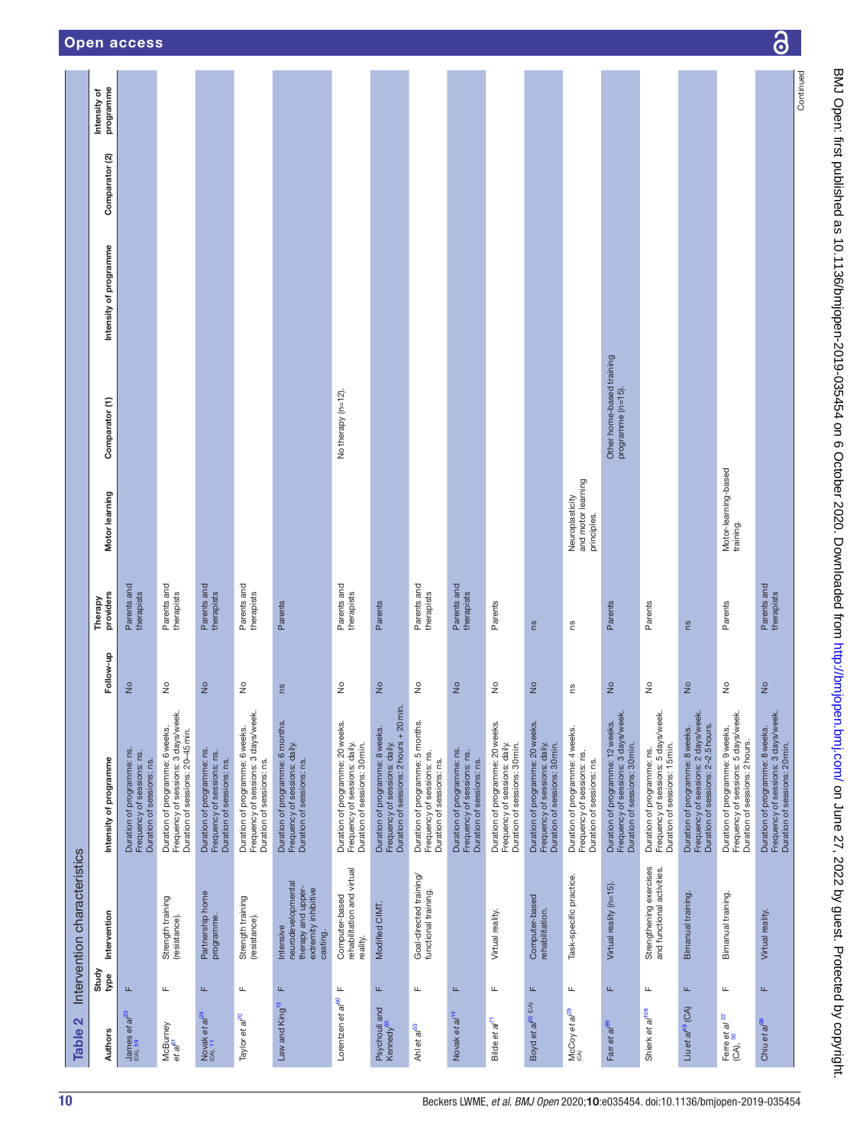<span id="page-9-0"></span>

| $\mathbf{\Omega}$<br>Table :                  |                        | Intervention characteristics                                                              |                                                                                                              |                            |                           |                                                      |                                                |                        |                           |                           |
|-----------------------------------------------|------------------------|-------------------------------------------------------------------------------------------|--------------------------------------------------------------------------------------------------------------|----------------------------|---------------------------|------------------------------------------------------|------------------------------------------------|------------------------|---------------------------|---------------------------|
| <b>Authors</b>                                | Study<br>type          | Intervention                                                                              | Intensity of programme                                                                                       | Follow-up                  | providers<br>Therapy      | Motor learning                                       | Comparator (1)                                 | Intensity of programme | Comparator <sub>(2)</sub> | programme<br>Intensity of |
| James et $a^{23}$<br>$(A), 59$                | Щ                      |                                                                                           | Duration of programme: ns.<br>Frequency of sessions: ns.<br>Duration of sessions: ns.                        | $\frac{1}{2}$              | Parents and<br>therapists |                                                      |                                                |                        |                           |                           |
| McBurney<br>et al <sup>61</sup>               | щ                      | Strength training<br>(resistance).                                                        | Frequency of sessions: 3 days/week.<br>Duration of programme: 6 weeks.<br>Duration of sessions: 20-45 min.   | å                          | Parents and<br>therapists |                                                      |                                                |                        |                           |                           |
| Novak et $a^{24}$ (CA), 11                    | Щ                      | Partnership home<br>programme.                                                            | Duration of programme: ns.<br>Frequency of sessions: ns.<br>Duration of sessions: ns.                        | $\frac{1}{2}$              | Parents and<br>therapists |                                                      |                                                |                        |                           |                           |
| Taylor et al <sup>70</sup>                    | Щ                      | Strength training<br>(resistance).                                                        | Frequency of sessions: 3 days/week.<br>Duration of programme: 6 weeks.<br>Duration of sessions: ns.          | $\frac{1}{2}$              | Parents and<br>therapists |                                                      |                                                |                        |                           |                           |
| Law and King <sup>15</sup>                    | щ                      | neurodevelopmental<br>therapy and upper-<br>extremity inhibitive<br>Intensive<br>casting. | Duration of programme: 6 months.<br>Frequency of sessions: daily.<br>Duration of sessions: ns.               | SU                         | Parents                   |                                                      |                                                |                        |                           |                           |
| Lorentzen et al <sup>60</sup>                 | щ                      | rehabilitation and virtual<br>Computer-based<br>reality.                                  | Duration of programme: 20 weeks.<br>Frequency of sessions: daily.<br>Duration of sessions: 30 min.           | $\frac{1}{2}$              | Parents and<br>therapists |                                                      | No therapy (n=12).                             |                        |                           |                           |
| Psychouli and<br>Kennedy <sup>65</sup>        | $\mathrel{\sqcup}$     | Modified CIMT.                                                                            | Duration of sessions: 2 hours + 20 min.<br>Duration of programme: 8 weeks.<br>Frequency of sessions: daily.  | $\frac{1}{2}$              | Parents                   |                                                      |                                                |                        |                           |                           |
| Ahl et a <sup>p3</sup>                        | $\mathrel{\sqcup}$     | Goal-directed training/<br>functional training.                                           | Duration of programme: 5 months.<br>Frequency of sessions: ns.<br>Duration of sessions: ns.                  | $\frac{1}{2}$              | Parents and<br>therapists |                                                      |                                                |                        |                           |                           |
| Novak et a/ <sup>14</sup>                     | $\mathsf{L}\mathsf{L}$ |                                                                                           | Duration of programme: ns.<br>Frequency of sessions: ns.<br>Duration of sessions: ns.                        | $\frac{1}{2}$              | Parents and<br>therapists |                                                      |                                                |                        |                           |                           |
| Bilde et al <sup>71</sup>                     | Щ                      | Virtual reality.                                                                          | Duration of programme: 20 weeks.<br>Frequency of sessions: daily.<br>Duration of sessions: 30 min.           | $\frac{1}{2}$              | Parents                   |                                                      |                                                |                        |                           |                           |
| Boyd et al <sup>25 (CA)</sup>                 | $\mathsf{L}\mathsf{L}$ | Computer-based<br>rehabilitation.                                                         | Duration of programme: 20 weeks.<br>Frequency of sessions: daily.<br>Duration of sessions: 30 min.           | $\frac{1}{2}$              | <b>SU</b>                 |                                                      |                                                |                        |                           |                           |
| a/ <sup>29</sup><br>McCoy et a                | Щ                      | Task-specific practice.                                                                   | Duration of programme: 4 weeks.<br>Frequency of sessions: ns.<br>Duration of sessions: ns.                   | ςū                         | ςū                        | and motor learning<br>Neuroplasticity<br>principles. |                                                |                        |                           |                           |
| Farr et al <sup>99</sup>                      | Щ                      | Virtual reality (n=15).                                                                   | Frequency of sessions: 3 days/week.<br>Duration of programme: 12 weeks.<br>Duration of sessions: 30 min.     | $\frac{1}{2}$              | Parents                   |                                                      | Other home-based training<br>programme (n=15). |                        |                           |                           |
| Shierk et al <sup>108</sup>                   | щ                      | Strengthening exercises<br>and functional activities.                                     | Frequency of sessions: 5 days/week.<br>Duration of sessions: 15 min.<br>Duration of programme: ns.           | $\frac{1}{2}$              | Parents                   |                                                      |                                                |                        |                           |                           |
| Liu et al <sup>49</sup> (CA)                  | Щ                      | Bimanual training.                                                                        | Frequency of sessions: 2 days/week.<br>Duration of sessions: 2-2.5 hours.<br>Duration of programme: 8 weeks. | $\frac{1}{2}$              | <b>SU</b>                 |                                                      |                                                |                        |                           |                           |
| Ferre et al $\frac{22}{(CA)}$ , $\frac{56}{}$ | Щ                      | Bimanual training.                                                                        | Frequency of sessions: 5 days/week.<br>Duration of programme: 9 weeks.<br>Duration of sessions: 2 hours.     | $\frac{\circ}{\mathsf{Z}}$ | Parents                   | Motor-learning-based<br>training.                    |                                                |                        |                           |                           |
| Chiu et a <sup>pe</sup>                       | $\mathsf{L}\mathsf{L}$ | Virtual reality.                                                                          | Duration of programme: 8 weeks.<br>Frequency of sessions: 3 days/week.<br>Duration of sessions: 20 min.      | $\frac{1}{2}$              | Parents and<br>therapists |                                                      |                                                |                        |                           |                           |
|                                               |                        |                                                                                           |                                                                                                              |                            |                           |                                                      |                                                |                        |                           | Continued                 |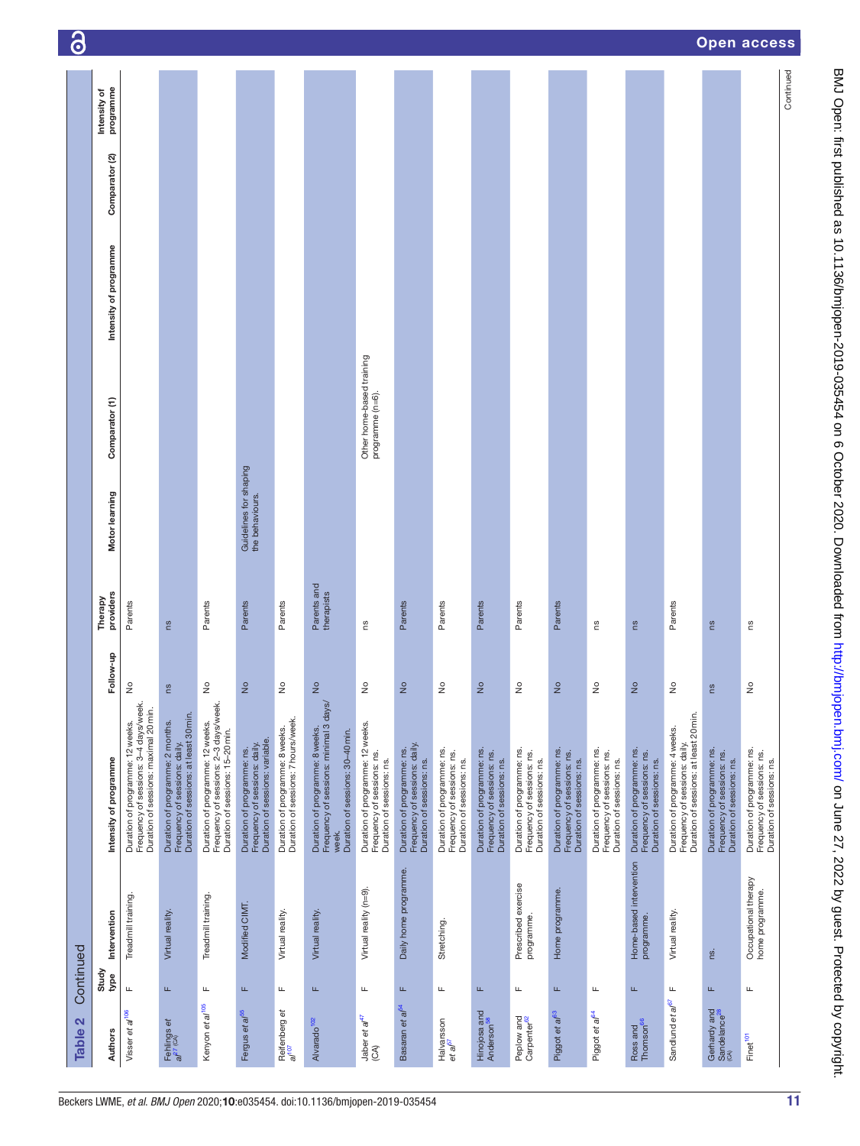| Table 2                                  | Continued          |                                         |                                                                                                                        |                            |                           |                                           |                                               |                        |                |                           | $\ddot{\mathbf{c}}$ |
|------------------------------------------|--------------------|-----------------------------------------|------------------------------------------------------------------------------------------------------------------------|----------------------------|---------------------------|-------------------------------------------|-----------------------------------------------|------------------------|----------------|---------------------------|---------------------|
| <b>Authors</b>                           | Study<br>type      | Intervention                            | Intensity of programme                                                                                                 | Follow-up                  | providers<br>Therapy      | Motor learning                            | Comparator (1)                                | Intensity of programme | Comparator (2) | programme<br>Intensity of |                     |
| Visser et al <sup>106</sup>              | Щ                  | Treadmill training.                     | Frequency of sessions: 3-4 days/week.<br>Duration of sessions: maximal 20 min.<br>Duration of programme: 12 weeks.     | $\frac{1}{2}$              | Parents                   |                                           |                                               |                        |                |                           |                     |
| Fehlings et<br>al <sup>27 (CA)</sup>     | Щ                  | Virtual reality.                        | Duration of sessions: at least 30 min.<br>Duration of programme: 2 months.<br>Frequency of sessions: daily.            | ី                          | ns                        |                                           |                                               |                        |                |                           |                     |
| Kenyon et al <sup>105</sup>              | $\mathrel{\sqcup}$ | Treadmill training.                     | Duration of programme: 12 weeks.<br>Frequency of sessions: 2–3 days/week.<br>Duration of sessions: 15-20 min.          | ş                          | Parents                   |                                           |                                               |                        |                |                           |                     |
| Fergus et al <sup>65</sup>               | Щ                  | Modified CIMT.                          | Duration of programme: ns.<br>Frequency of sessions: daily.<br>Duration of sessions: variable.                         | $\frac{1}{2}$              | Parents                   | Guidelines for shaping<br>the behaviours. |                                               |                        |                |                           |                     |
| Reifenberg et<br>al <sup>107</sup>       | щ                  | Virtual reality.                        | Duration of programme: 8 weeks.<br>Duration of sessions: 7 hours/week.                                                 | $\stackrel{\circ}{\simeq}$ | Parents                   |                                           |                                               |                        |                |                           |                     |
| Alvarado <sup>102</sup>                  | Щ                  | Virtual reality.                        | Duration of programme: 8 weeks.<br>Frequency of sessions: minimal 3 days/<br>Duration of sessions: 30-40 min.<br>week. | $\frac{1}{2}$              | Parents and<br>therapists |                                           |                                               |                        |                |                           |                     |
| Jaber et al <sup>47</sup><br>(CA)        | щ                  | Virtual reality (n=9).                  | Duration of programme: 12 weeks.<br>Frequency of sessions: ns.<br>Duration of sessions: ns.                            | å                          | SU                        |                                           | Other home-based training<br>programme (n=6). |                        |                |                           |                     |
| Basaran et al <sup>54</sup>              | $\mathbf{L}$       | Daily home programme.                   | Duration of programme: ns.<br>Frequency of sessions: daily.<br>Duration of sessions: ns.                               | $\frac{1}{2}$              | Parents                   |                                           |                                               |                        |                |                           |                     |
| Halvarsson<br>et al <sup>57</sup>        | Щ                  | Stretching.                             | Duration of programme: ns.<br>Frequency of sessions: ns.<br>Duration of sessions: ns.                                  | ş                          | Parents                   |                                           |                                               |                        |                |                           |                     |
| Hinojosa and<br>Anderson <sup>58</sup>   | Щ                  |                                         | Duration of programme: ns.<br>Frequency of sessions: ns.<br>Duration of sessions: ns.                                  | $\frac{1}{2}$              | Parents                   |                                           |                                               |                        |                |                           |                     |
| Peplow and<br>Carpenter <sup>62</sup>    | Щ                  | Prescribed exercise<br>programme.       | Duration of programme: ns.<br>Frequency of sessions: ns.<br>Duration of sessions: ns.                                  | $\frac{1}{2}$              | Parents                   |                                           |                                               |                        |                |                           |                     |
| Piggot et al <sup>63</sup>               | Щ                  | Home programme.                         | Duration of programme: ns.<br>Frequency of sessions: ns.<br>Duration of sessions: ns.                                  | $\frac{1}{2}$              | Parents                   |                                           |                                               |                        |                |                           |                     |
| Piggot et al <sup>64</sup>               | Щ                  |                                         | Duration of programme: ns.<br>Frequency of sessions: ns.<br>Duration of sessions: ns.                                  | $\frac{1}{2}$              | SU                        |                                           |                                               |                        |                |                           |                     |
| Ross and<br>Thomson <sup>66</sup>        | L.                 | Home-based intervention<br>programme.   | Duration of programme: ns.<br>Frequency of sessions: ns.<br>Duration of sessions: ns.                                  | $\frac{1}{2}$              | ns                        |                                           |                                               |                        |                |                           |                     |
| Sandlund et al <sup>67</sup>             | щ                  | Virtual reality.                        | Duration of sessions: at least 20 min.<br>Duration of programme: 4 weeks.<br>Frequency of sessions: daily.             | ş                          | Parents                   |                                           |                                               |                        |                |                           |                     |
| Gerhardy and<br>Sandelance <sup>28</sup> | Щ                  | rs.                                     | Duration of programme: ns.<br>Frequency of sessions: ns.<br>Duration of sessions: ns.                                  | es                         | Su                        |                                           |                                               |                        |                |                           | <b>Open access</b>  |
| Finet <sup>101</sup>                     | Щ                  | Occupational therapy<br>home programme. | Duration of programme: ns.<br>Frequency of sessions: ns.<br>Duration of sessions: ns.                                  | $\frac{1}{2}$              | SU                        |                                           |                                               |                        |                |                           |                     |
|                                          |                    |                                         |                                                                                                                        |                            |                           |                                           |                                               |                        |                | Continued                 |                     |

BMJ Open: first published as 10.1136/bmjopen-2019-035454 on 6 October 2020. Downloaded from http://bmjopen.bmj.com/ on June 27, 2022 by guest. Protected by copyright. BMJ Open: first published as 10.1136/bmjopen-2019-030-454 on 6 October 2020. Downloaded from <http://bmjopen.bmj.com/> on June 27, 2022 by guest. Protected by copyright.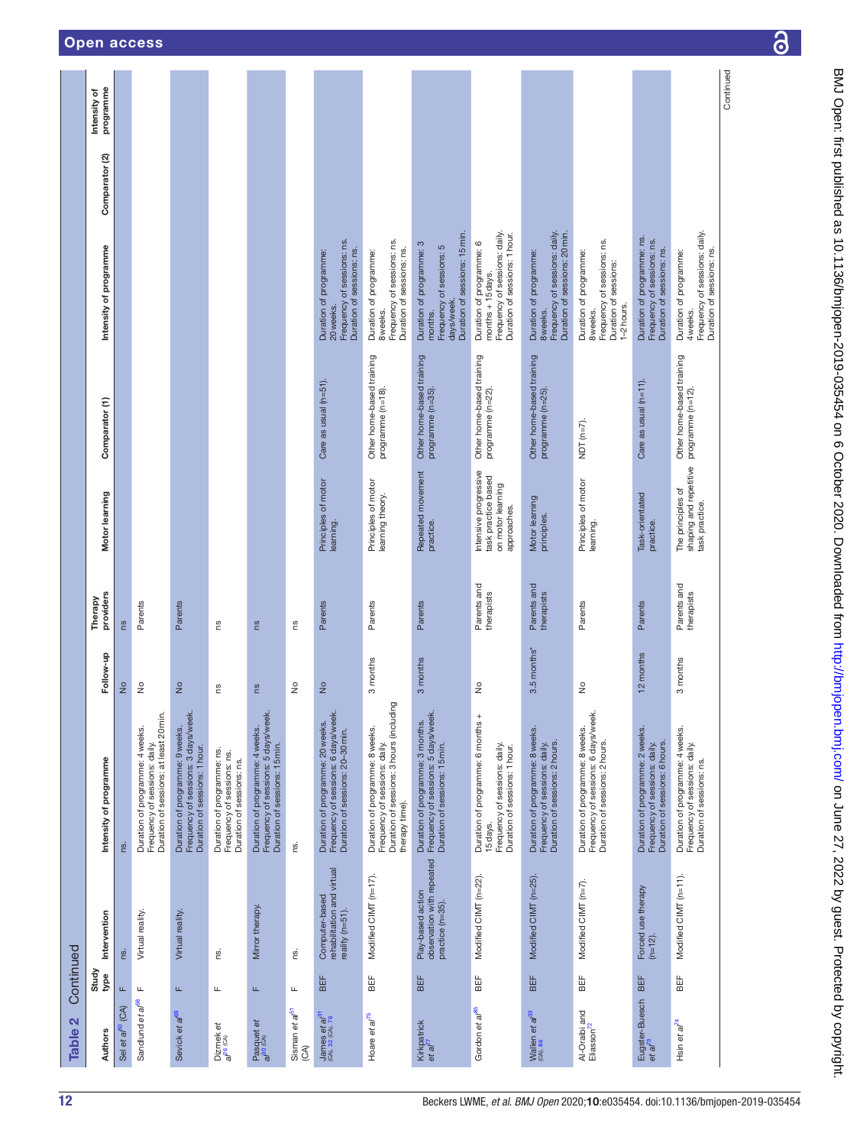| $\mathbf{N}$<br><b>Table</b>                          | Continued     |                                                                   |                                                                                                                                |               |                           |                                                                                  |                                                |                                                                                                                 |                |                           |
|-------------------------------------------------------|---------------|-------------------------------------------------------------------|--------------------------------------------------------------------------------------------------------------------------------|---------------|---------------------------|----------------------------------------------------------------------------------|------------------------------------------------|-----------------------------------------------------------------------------------------------------------------|----------------|---------------------------|
| <b>Authors</b>                                        | Study<br>type | Intervention                                                      | Intensity of programme                                                                                                         | Follow-up     | providers<br>Therapy      | Motor learning                                                                   | Comparator (1)                                 | Intensity of programme                                                                                          | Comparator (2) | programme<br>Intensity of |
| (CA)<br>Sel et al <sup>b</sup>                        | Щ             | rs.                                                               | ns.                                                                                                                            | $\frac{1}{2}$ | ms                        |                                                                                  |                                                |                                                                                                                 |                |                           |
| Sandlund et al <sup>68</sup>                          | Щ             | Virtual reality.                                                  | Duration of sessions: at least 20 min.<br>Duration of programme: 4 weeks.<br>Frequency of sessions: daily.                     | $\frac{1}{2}$ | Parents                   |                                                                                  |                                                |                                                                                                                 |                |                           |
| Sevick et al <sup>69</sup>                            | Щ             | Virtual reality                                                   | Frequency of sessions: 3 days/week.<br>Duration of sessions: 1 hour.<br>Duration of programme: 9 weeks.                        | $\frac{1}{2}$ | Parents                   |                                                                                  |                                                |                                                                                                                 |                |                           |
| Dizmek et<br>a/ <sup>26 (CA)</sup>                    | щ             | g                                                                 | Duration of programme: ns.<br>Frequency of sessions: ns.<br>Duration of sessions: ns.                                          | ns            | m                         |                                                                                  |                                                |                                                                                                                 |                |                           |
| Pasquet et<br>al <sup>30 (CA)</sup>                   | 匡             | Mirror therapy.                                                   | Duration of programme: 4 weeks.<br>Frequency of sessions: 5 days/week.<br>Duration of sessions: 15 min.                        | SU            | SU                        |                                                                                  |                                                |                                                                                                                 |                |                           |
| Sisman et al <sup>51</sup><br>$(A)$                   | щ             | g                                                                 | ns.                                                                                                                            | $\frac{1}{2}$ | SU                        |                                                                                  |                                                |                                                                                                                 |                |                           |
| James <i>et al</i> <sup>31</sup><br>(CA), 32 (CA), 76 | BEF           | rehabilitation and virtual<br>Computer-based<br>reality (n=51).   | Duration of programme: 20 weeks.<br>Frequency of sessions: 6 days/week.<br>Duration of sessions: 20–30 min.                    | $\frac{1}{2}$ | Parents                   | Principles of motor<br>learning.                                                 | Care as usual (n=51).                          | Frequency of sessions: ns.<br>Duration of sessions: ns.<br>Duration of programme:<br>20 weeks.                  |                |                           |
| Hoare et al <sup>75</sup>                             | BEF           | Modified CIMT (n=17).                                             | Duration of programme: 8 weeks.<br>Frequency of sessions: daily.<br>Duration of sessions: 3 hours (including<br>therapy time). | 3 months      | Parents                   | Principles of motor<br>learning theory.                                          | Other home-based training<br>programme (n=18). | Frequency of sessions: ns.<br>Duration of sessions: ns.<br>Duration of programme:<br>8 weeks.                   |                |                           |
| Kirkpatrick<br>et al <sup>77</sup>                    | BEF           | observation with repeated<br>Play-based action<br>practice (n=35) | Duration of programme: 3 months.<br>Frequency of sessions: 5 days/week.<br>Duration of sessions: 15min.                        | 3 months      | Parents                   | Repeated movement<br>practice.                                                   | Other home-based training<br>programme (n=35). | Duration of sessions: 15 min.<br>Duration of programme: 3<br>Frequency of sessions: 5<br>days/week.<br>months.  |                |                           |
| Gordon et al <sup>85</sup>                            | ₩             | Modified CIMT (n=22).                                             | Duration of programme: 6 months +<br>Frequency of sessions: daily.<br>Duration of sessions: 1 hour.<br>15 days.                | $\frac{1}{2}$ | Parents and<br>therapists | Intensive progressive<br>task practice based<br>on motor learning<br>approaches. | Other home-based training<br>programme (n=22). | Frequency of sessions: daily.<br>Duration of sessions: 1 hour.<br>Duration of programme: 6<br>months + 15 days. |                |                           |
| Wallen et al <sup>33</sup><br>(CA), 86                | BEF           | Modified CIMT (n=25).                                             | Duration of programme: 8 weeks.<br>Frequency of sessions: daily.<br>Duration of sessions: 2 hours.                             | 3.5 months*   | Parents and<br>therapists | Motor learning<br>principles.                                                    | Other home-based training<br>programme (n=25). | Frequency of sessions: daily.<br>Duration of sessions: 20 min.<br>Duration of programme:<br>8 weeks.            |                |                           |
| Al-Oraibi and<br>Eliasson <sup>72</sup>               | BEF           | Modified CIMT (n=7).                                              | Frequency of sessions: 6 days/week<br>Duration of programme: 8 weeks.<br>Duration of sessions: 2 hours.                        | $\frac{1}{2}$ | Parents                   | Principles of motor<br>learning.                                                 | NDT $(n=7)$ .                                  | Frequency of sessions: ns.<br>Duration of programme:<br>Duration of sessions:<br>1-2 hours.<br>8 weeks.         |                |                           |
| Eugster-Buesch<br>et al <sup>73</sup>                 | BEF           | Forced use therapy<br>$(n=12)$ .                                  | Duration of programme: 2 weeks.<br>Frequency of sessions: daily.<br>Duration of sessions: 6 hours.                             | 12 months     | Parents                   | Task-orientated<br>practice.                                                     | Care as usual (n=11).                          | Duration of programme: ns.<br>Frequency of sessions: ns.<br>Duration of sessions: ns.                           |                |                           |
| Hsin et al <sup>74</sup>                              | 出<br>BEF      | Modified CIMT (n=11).                                             | Duration of programme: 4 weeks.<br>Frequency of sessions: daily.<br>Duration of sessions: ns.                                  | 3 months      | Parents and<br>therapists | shaping and repetitive<br>The principles of<br>task practice.                    | Other home-based training<br>programme (n=12). | Frequency of sessions: daily.<br>Duration of sessions: ns.<br>Duration of programme:<br>4 weeks.                |                |                           |
|                                                       |               |                                                                   |                                                                                                                                |               |                           |                                                                                  |                                                |                                                                                                                 |                | Continued                 |

12 Beckers LWME, *et al*. *BMJ Open* 2020;10:e035454. doi:10.1136/bmjopen-2019-035454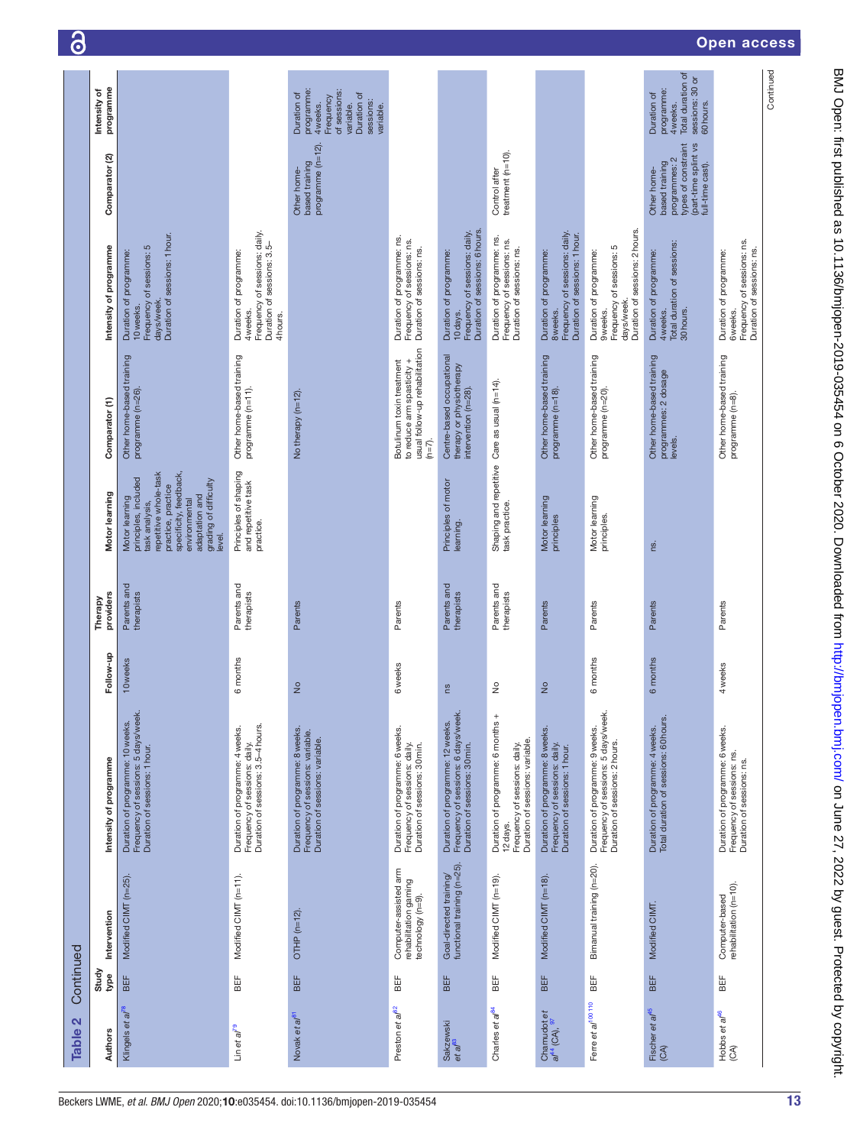| $\mathbf{N}$<br><b>Table</b>                        | Continued     |                                                                     |                                                                                                                   |                |                           |                                                                                                                                                                                                         |                                                                                                        |                                                                                                                   |                                                                                                                   |                                                                                                                          |
|-----------------------------------------------------|---------------|---------------------------------------------------------------------|-------------------------------------------------------------------------------------------------------------------|----------------|---------------------------|---------------------------------------------------------------------------------------------------------------------------------------------------------------------------------------------------------|--------------------------------------------------------------------------------------------------------|-------------------------------------------------------------------------------------------------------------------|-------------------------------------------------------------------------------------------------------------------|--------------------------------------------------------------------------------------------------------------------------|
| <b>Authors</b>                                      | Study<br>type | Intervention                                                        | Intensity of programme                                                                                            | Follow-up      | providers<br>Therapy      | Motor learning                                                                                                                                                                                          | Comparator (1)                                                                                         | Intensity of programme                                                                                            | Comparator (2)                                                                                                    | programme<br>Intensity of                                                                                                |
| Klingels et al <sup>78</sup>                        | BEF           | Modified CIMT (n=25).                                               | Duration of programme: 10 weeks.<br>Frequency of sessions: 5 days/week.<br>Duration of sessions: 1 hour.          | 10 weeks       | Parents and<br>therapists | repetitive whole-task<br>specificity, feedback,<br>principles, included<br>grading of difficulty<br>practice, practice<br>adaptation and<br>Motor learning<br>environmental<br>task analysis,<br>level. | Other home-based training<br>programme (n=26).                                                         | Duration of sessions: 1 hour.<br>S<br>Duration of programme:<br>Frequency of sessions:<br>days/week.<br>10 weeks. |                                                                                                                   |                                                                                                                          |
| Lin et al <sup>79</sup>                             | 出<br>BEF      | Modified CIMT (n=11).                                               | Frequency of sessions: daily.<br>Duration of sessions: 3.5–4 hours.<br>Duration of programme: 4 weeks.            | 6 months       | Parents and<br>therapists | Principles of shaping<br>and repetitive task<br>practice.                                                                                                                                               | Other home-based training<br>programme (n=11).                                                         | Frequency of sessions: daily.<br>Duration of sessions: 3.5-<br>Duration of programme:<br>4 weeks.<br>4 hours.     |                                                                                                                   |                                                                                                                          |
| Novak et al <sup>81</sup>                           | BEF           | OTHP $(n=12)$ .                                                     | Duration of programme: 8 weeks.<br>Frequency of sessions: variable.<br>Duration of sessions: variable.            | $\frac{1}{2}$  | Parents                   |                                                                                                                                                                                                         | No therapy (n=12).                                                                                     |                                                                                                                   | programme $(n=12)$ .<br>based training<br>Other home-                                                             | programme:<br>of sessions:<br>Duration of<br>Duration of<br>Frequency<br>sessions:<br>variable.<br>4 weeks.<br>variable. |
| Preston et al <sup>82</sup>                         | BEF           | Computer-assisted arm<br>rehabilitation gaming<br>technology (n=9). | Duration of programme: 6 weeks.<br>Frequency of sessions: daily.<br>Duration of sessions: 30 min.                 | <b>6</b> weeks | Parents                   |                                                                                                                                                                                                         | usual follow-up rehabilitation<br>Botulinum toxin treatment<br>to reduce arm spasticity +<br>$(n=7)$ . | Duration of programme: ns.<br>Frequency of sessions: ns.<br>Duration of sessions: ns.                             |                                                                                                                   |                                                                                                                          |
| Sakzewski<br>et al <sup>83</sup>                    | BEF           | Goal-directed training/<br>functional training (n=25).              | Duration of programme: 12 weeks.<br>Frequency of sessions: 6 days/week.<br>Duration of sessions: 30 min.          | ns             | Parents and<br>therapists | Principles of motor<br>learning.                                                                                                                                                                        | Centre-based occupational<br>therapy or physiotherapy<br>intervention (n=28).                          | Duration of sessions: 6 hours<br>Frequency of sessions: daily.<br>Duration of programme:<br>10 days.              |                                                                                                                   |                                                                                                                          |
| Charles et al <sup>84</sup>                         | BEF           | Modified CIMT (n=19).                                               | Duration of programme: 6 months +<br>Frequency of sessions: daily.<br>Duration of sessions: variable.<br>12 days. | $\frac{1}{2}$  | Parents and<br>therapists | task practice.                                                                                                                                                                                          | Shaping and repetitive Care as usual (n=14).                                                           | Duration of programme: ns.<br>Frequency of sessions: ns.<br>Duration of sessions: ns.                             | treatment (n=10).<br>Control after                                                                                |                                                                                                                          |
| Chamudot et<br>al <sup>44</sup> (CA), <sup>97</sup> | BEF           | Modified CIMT (n=18)                                                | Duration of programme: 8 weeks.<br>Frequency of sessions: daily.<br>Duration of sessions: 1 hour.                 | $\frac{1}{2}$  | Parents                   | Motor learning<br>principles                                                                                                                                                                            | Other home-based training<br>programme (n=18).                                                         | Frequency of sessions: daily.<br>Duration of sessions: 1 hour.<br>Duration of programme:<br>8 weeks.              |                                                                                                                   |                                                                                                                          |
| Ferre et a/ <sup>100 110</sup>                      | ВË            | Bimanual training (n=20).                                           | Duration of programme: 9 weeks.<br>Frequency of sessions: 5 days/week.<br>Duration of sessions: 2 hours.          | 6 months       | Parents                   | Motor learning<br>principles.                                                                                                                                                                           | Other home-based training<br>programme (n=20).                                                         | Duration of sessions: 2 hours.<br>Frequency of sessions: 5<br>Duration of programme:<br>days/week.<br>9 weeks.    |                                                                                                                   |                                                                                                                          |
| Fischer et al <sup>45</sup><br>(CA)                 | BEF           | Modified CIMT.                                                      | Duration of programme: 4 weeks.<br>Total duration of sessions: 60 hours.                                          | 6 months       | Parents                   | ns.                                                                                                                                                                                                     | Other home-based training<br>programmes: 2 dosage<br>levels.                                           | Total duration of sessions:<br>Duration of programme:<br>30 hours.<br>4 weeks.                                    | types of constraint<br>(part-time splint vs<br>full-time cast).<br>programmes: 2<br>based training<br>Other home- | Total duration of<br>sessions: 30 or<br>programme:<br>Duration of<br>60 hours.<br>4 weeks.                               |
| Hobbs et al <sup>46</sup><br>(CA)                   | BË⊧           | Computer-based<br>rehabilitation (n=10).                            | Duration of programme: 6 weeks.<br>Frequency of sessions: ns.<br>Duration of sessions: ns.                        | 4 weeks        | Parents                   |                                                                                                                                                                                                         | Other home-based training<br>programme (n=8).                                                          | Frequency of sessions: ns.<br>Duration of sessions: ns.<br>Duration of programme:<br>6 weeks.                     |                                                                                                                   |                                                                                                                          |
|                                                     |               |                                                                     |                                                                                                                   |                |                           |                                                                                                                                                                                                         |                                                                                                        |                                                                                                                   |                                                                                                                   | Continued                                                                                                                |

<u> ခြ</u>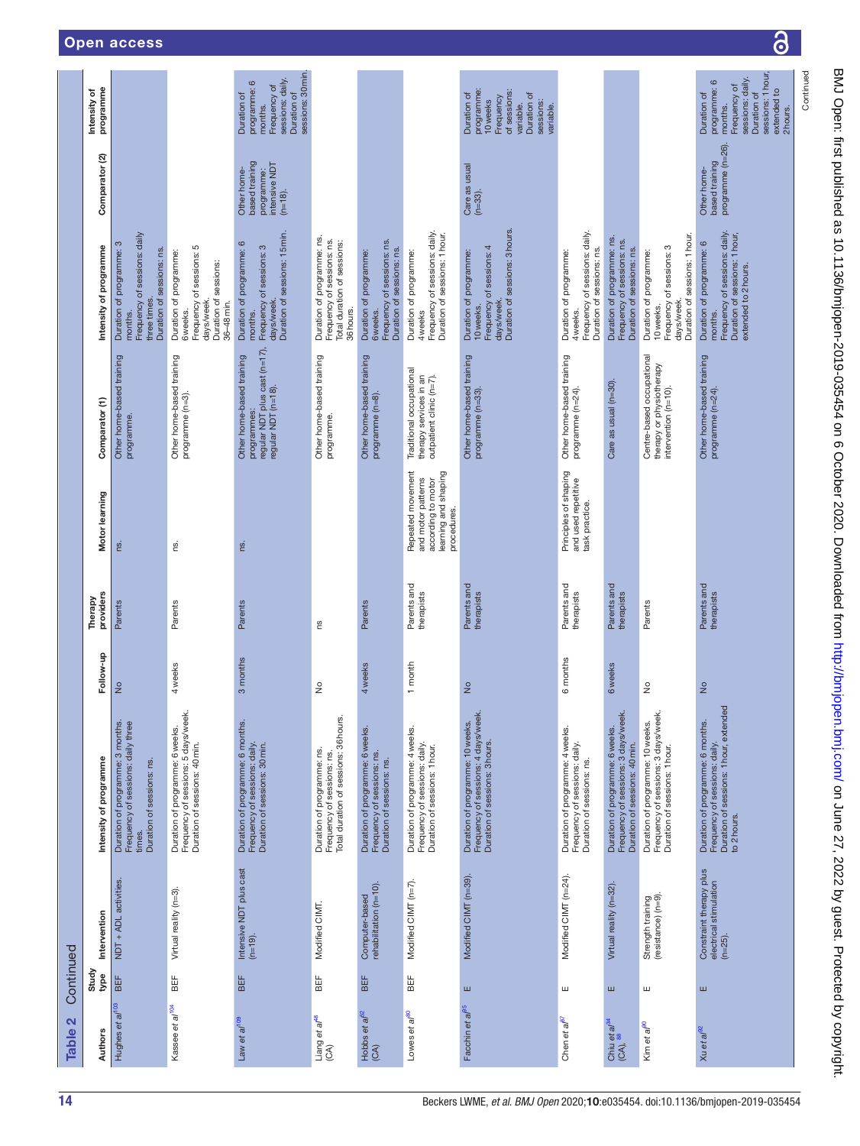| N<br><b>Table</b>                               | Continued     |                                                                 |                                                                                                                            |                |                           |                                                                                                      |                                                                                                  |                                                                                                                               |                                                                            |                                                                                                                                         |
|-------------------------------------------------|---------------|-----------------------------------------------------------------|----------------------------------------------------------------------------------------------------------------------------|----------------|---------------------------|------------------------------------------------------------------------------------------------------|--------------------------------------------------------------------------------------------------|-------------------------------------------------------------------------------------------------------------------------------|----------------------------------------------------------------------------|-----------------------------------------------------------------------------------------------------------------------------------------|
| <b>Authors</b>                                  | Study<br>type | Intervention                                                    | Intensity of programme                                                                                                     | Follow-up      | providers<br>Therapy      | Motor learning                                                                                       | Comparator (1)                                                                                   | Intensity of programme                                                                                                        | Comparator (2)                                                             | programme<br>Intensity of                                                                                                               |
| Hughes et al <sup>103</sup>                     | BEF           | NDT + ADL activities.                                           | Duration of programme: 3 months.<br>Frequency of sessions: daily three<br>Duration of sessions: ns<br>times.               | $\frac{1}{2}$  | Parents                   | ns.                                                                                                  | Other home-based training<br>programme.                                                          | Frequency of sessions: daily<br>Duration of programme: 3<br>Duration of sessions: ns.<br>three times.<br>months.              |                                                                            |                                                                                                                                         |
| Kassee et al <sup>104</sup>                     | <b>BEF</b>    | Virtual reality (n=3).                                          | Duration of programme: 6 weeks.<br>Frequency of sessions: 5 days/week.<br>Duration of sessions: 40 min.                    | 4 weeks        | Parents                   | ns.                                                                                                  | Other home-based training<br>programme (n=3).                                                    | Frequency of sessions: 5<br>Duration of programme:<br>Duration of sessions:<br>days/week.<br>36-48 min.<br>6 weeks.           |                                                                            |                                                                                                                                         |
| Law et al <sup>109</sup>                        | BEF           | Intensive NDT plus cast<br>(n=19).                              | Duration of programme: 6 months.<br>Frequency of sessions: daily.<br>Duration of sessions: 30 min.                         | 3 months       | Parents                   | ns.                                                                                                  | regular NDT plus cast (n=17),<br>regular NDT (n=18).<br>Other home-based training<br>programmes: | Duration of sessions: 15 min.<br>Duration of programme: 6<br>Frequency of sessions: 3<br>days/week.<br>months.                | based training<br>intensive NDT<br>Other home-<br>programme:<br>$(n=18)$ . | sessions: 30 min.<br>sessions: daily.<br>programme: 6<br>Frequency of<br>Duration of<br>Duration of<br>months.                          |
| Liang et al <sup>48</sup><br>$\mathfrak{S}$     | BË⊧           | Modified CIMT.                                                  | Total duration of sessions: 36 hours.<br>Duration of programme: ns.<br>Frequency of sessions: ns.                          | $\frac{1}{2}$  | ΓS                        |                                                                                                      | Other home-based training<br>programme.                                                          | Duration of programme: ns.<br>Frequency of sessions: ns.<br>Total duration of sessions:<br>36 hours.                          |                                                                            |                                                                                                                                         |
| Hobbs et a <sup>f52</sup><br>(CA)               | BEF           | Computer-based<br>rehabilitation (n=10).                        | Duration of programme: 6 weeks.<br>Frequency of sessions: ns.<br>Duration of sessions: ns.                                 | 4 weeks        | Parents                   |                                                                                                      | Other home-based training<br>programme (n=8).                                                    | Frequency of sessions: ns.<br>Duration of sessions: ns.<br>Duration of programme:<br>6 weeks.                                 |                                                                            |                                                                                                                                         |
| Lowes et al <sup>60</sup>                       | BEF           | Modified CIMT (n=7).                                            | Duration of programme: 4 weeks.<br>Frequency of sessions: daily.<br>Duration of sessions: 1 hour.                          | 1 month        | Parents and<br>therapists | Repeated movement<br>learning and shaping<br>and motor patterns<br>according to motor<br>procedures. | Traditional occupational<br>therapy services in an<br>outpatient clinic (n=7).                   | Frequency of sessions: daily.<br>Duration of sessions: 1 hour.<br>Duration of programme:<br>4 weeks                           |                                                                            |                                                                                                                                         |
| Facchin et al <sup>95</sup>                     | ш             | Modified CIMT (n=39).                                           | Frequency of sessions: 4 days/week.<br>Duration of programme: 10 weeks.<br>Duration of sessions: 3 hours.                  | $\frac{1}{2}$  | Parents and<br>therapists |                                                                                                      | Other home-based training<br>programme (n=33).                                                   | Duration of sessions: 3 hours.<br>Frequency of sessions: 4<br>Duration of programme:<br>days/week.<br>10 weeks.               | Care as usual<br>$(n=33)$ .                                                | programme:<br>of sessions:<br>Duration of<br>Duration of<br>Frequency<br>10 weeks<br>sessions:<br>variable.<br>variable.                |
| Chen et al <sup>B7</sup>                        | ш             | Modified CIMT (n=24).                                           | Duration of programme: 4 weeks.<br>Frequency of sessions: daily.<br>Duration of sessions: ns.                              | 6 months       | Parents and<br>therapists | Principles of shaping<br>and used repetitive<br>task practice.                                       | Other home-based training<br>programme (n=24).                                                   | Frequency of sessions: daily.<br>Duration of sessions: ns.<br>Duration of programme:<br>4 weeks.                              |                                                                            |                                                                                                                                         |
| Chiu et al <sup>94</sup><br>(CA), <sup>88</sup> | ш             | Virtual reality (n=32).                                         | Duration of programme: 6weeks.<br>Frequency of sessions: 3 days/week.<br>Duration of sessions: 40 min.                     | <b>6</b> weeks | Parents and<br>therapists |                                                                                                      | Care as usual (n=30).                                                                            | Duration of programme: ns.<br>Frequency of sessions: ns.<br>Duration of sessions: ns.                                         |                                                                            |                                                                                                                                         |
| Kim et al <sup>90</sup>                         | ш             | Strength training<br>(resistance) (n=9)                         | Frequency of sessions: 3 days/week.<br>Duration of programme: 10 weeks.<br>Duration of sessions: 1 hour.                   | $\frac{1}{2}$  | Parents                   |                                                                                                      | Centre-based occupational<br>therapy or physiotherapy<br>intervention (n=10).                    | Duration of sessions: 1 hour.<br>Frequency of sessions: 3<br>Duration of programme:<br>days/week.<br>10 weeks.                |                                                                            |                                                                                                                                         |
| Xu et al <sup>92</sup>                          | ш             | Constraint therapy plus<br>electrical stimulation<br>$(n=25)$ . | Duration of sessions: 1 hour, extended<br>Duration of programme: 6 months.<br>Frequency of sessions: daily.<br>to 2 hours. | $\frac{1}{2}$  | Parents and<br>therapists |                                                                                                      | Other home-based training<br>programme (n=24).                                                   | Frequency of sessions: daily.<br>Duration of sessions: 1 hour,<br>Duration of programme: 6<br>extended to 2 hours.<br>months. | programme (n=26).<br>based training<br>Other home-                         | sessions: 1 hour<br>sessions: daily.<br>programme: 6<br>Frequency of<br>extended to<br>Duration of<br>Duration of<br>months.<br>2hours. |
|                                                 |               |                                                                 |                                                                                                                            |                |                           |                                                                                                      |                                                                                                  |                                                                                                                               |                                                                            | Continued                                                                                                                               |

 $\overline{\partial}$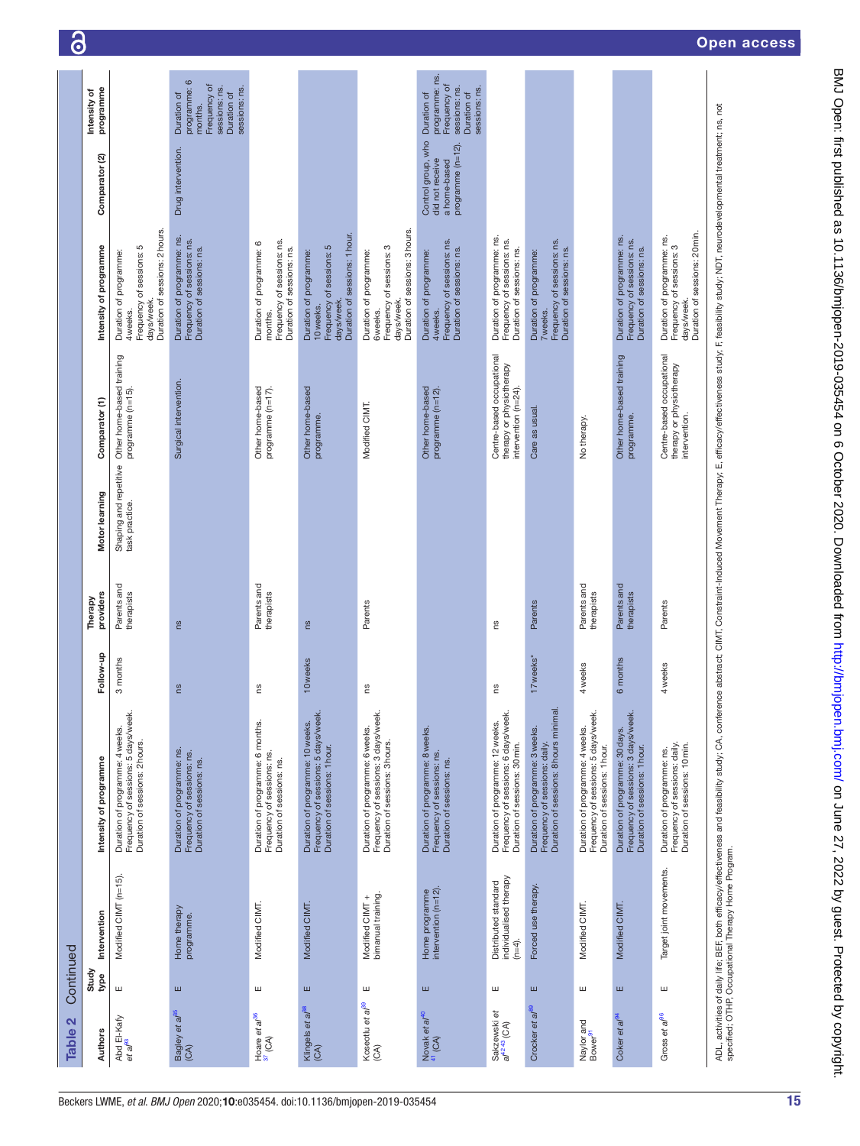| $\mathbf{\Omega}$<br><b>Table</b>              | Continued     |                                                          |                                                                                                                                                                                                                                |                       |                           |                |                                                                               |                                                                                                                |                                                                            |                                                                                                         |
|------------------------------------------------|---------------|----------------------------------------------------------|--------------------------------------------------------------------------------------------------------------------------------------------------------------------------------------------------------------------------------|-----------------------|---------------------------|----------------|-------------------------------------------------------------------------------|----------------------------------------------------------------------------------------------------------------|----------------------------------------------------------------------------|---------------------------------------------------------------------------------------------------------|
| <b>Authors</b>                                 | Study<br>type | Intervention                                             | Intensity of programme                                                                                                                                                                                                         | Follow-up             | providers<br>Therapy      | Motor learning | Comparator (1)                                                                | Intensity of programme                                                                                         | Comparator <sub>(2)</sub>                                                  | programme<br>Intensity of                                                                               |
| Abd El-Kafy<br>et al <sup>93</sup>             | Ш             | Modified CIMT (n=15).                                    | Frequency of sessions: 5 days/week.<br>Duration of sessions: 2 hours.<br>Duration of programme: 4 weeks.                                                                                                                       | 3 months              | Parents and<br>therapists | task practice. | Shaping and repetitive Other home-based training<br>programme (n=15).         | Duration of sessions: 2 hours.<br>Frequency of sessions: 5<br>Duration of programme:<br>days/week.<br>4 weeks. |                                                                            |                                                                                                         |
| Bagley et al <sup>35</sup><br>(CA)             | ш             | Home therapy<br>programme.                               | Duration of programme: ns.<br>Frequency of sessions: ns.<br>Duration of sessions: ns.                                                                                                                                          | Su                    | <b>SU</b>                 |                | Surgical intervention.                                                        | Duration of programme: ns.<br>Frequency of sessions: ns.<br>Duration of sessions: ns.                          | Drug intervention.                                                         | programme: 6<br>Frequency of<br>sessions: ns.<br>sessions: ns.<br>Duration of<br>Duration of<br>months. |
| Hoare et a $^{36}$<br>$^{37}$ (CA)             | Ш             | Modified CIMT.                                           | Duration of programme: 6 months.<br>Frequency of sessions: ns.<br>Duration of sessions: ns.                                                                                                                                    | ns                    | Parents and<br>therapists |                | Other home-based<br>programme (n=17).                                         | Frequency of sessions: ns.<br>Duration of programme: 6<br>Duration of sessions: ns.<br>months.                 |                                                                            |                                                                                                         |
| Klingels et al <sup>38</sup><br>(CA)           | ш             | Modified CIMT.                                           | Duration of programme: 10 weeks.<br>Frequency of sessions: 5 days/week.<br>Duration of sessions: 1 hour.                                                                                                                       | 10 weeks              | ns                        |                | Other home-based<br>programme.                                                | Duration of sessions: 1 hour.<br>Frequency of sessions: 5<br>Duration of programme:<br>days/week.<br>10 weeks. |                                                                            |                                                                                                         |
| Koseotlu et al <sup>39</sup><br>$\mathfrak{S}$ | ш             | bimanual training.<br>Modified CIMT +                    | Frequency of sessions: 3 days/week.<br>Duration of programme: 6 weeks.<br>Duration of sessions: 3 hours.                                                                                                                       | Su                    | Parents                   |                | Modified CIMT.                                                                | Duration of sessions: 3 hours.<br>Frequency of sessions: 3<br>Duration of programme:<br>days/week.<br>6 weeks. |                                                                            |                                                                                                         |
| Novak et a $t^{40}$<br>$41$ (CA)               | ш             | Home programme<br>intervention (n=12)                    | Duration of programme: 8 weeks.<br>Frequency of sessions: ns.<br>Duration of sessions: ns.                                                                                                                                     |                       |                           |                | Other home-based<br>programme (n=12).                                         | Frequency of sessions: ns.<br>Duration of sessions: ns.<br>Duration of programme:<br>4 weeks.                  | Control group, who<br>programme (n=12).<br>did not receive<br>a home-based | programme: ns.<br>Frequency of<br>sessions: ns.<br>sessions: ns.<br>Duration of<br>Duration of          |
| Sakzewski et<br>al <sup>4243</sup> (CA)        | ш             | individualised therapy<br>Distributed standard<br>(n=4). | Frequency of sessions: 6 days/week.<br>Duration of programme: 12 weeks.<br>Duration of sessions: 30 min.                                                                                                                       | 2n                    | ΓS                        |                | Centre-based occupational<br>therapy or physiotherapy<br>intervention (n=24). | Duration of programme: ns.<br>Frequency of sessions: ns.<br>Duration of sessions: ns.                          |                                                                            |                                                                                                         |
| Crocker et al <sup>89</sup>                    | ш             | Forced use therapy.                                      | Duration of programme: 3 weeks.<br>Frequency of sessions: daily.<br>Duration of sessions: 8 hours minimal.                                                                                                                     | 17 weeks <sup>*</sup> | Parents                   |                | Care as usual                                                                 | Frequency of sessions: ns.<br>Duration of sessions: ns.<br>Duration of programme:<br>7 weeks.                  |                                                                            |                                                                                                         |
| Naylor and<br>Bower <sup>91</sup>              | Ш             | Modified CIMT.                                           | Frequency of sessions: 5 days/week.<br>Duration of programme: 4 weeks.<br>Duration of sessions: 1 hour.                                                                                                                        | 4 weeks               | Parents and<br>therapists |                | No therapy.                                                                   |                                                                                                                |                                                                            |                                                                                                         |
| Coker et al <sup>e</sup>                       | Ш             | Modified CIMT.                                           | Frequency of sessions: 3 days/week.<br>Duration of programme: 30 days.<br>Duration of sessions: 1 hour.                                                                                                                        | 6 months              | Parents and<br>therapists |                | Other home-based training<br>programme.                                       | Duration of programme: ns.<br>Frequency of sessions: ns.<br>Duration of sessions: ns.                          |                                                                            |                                                                                                         |
| Gross et al <sup>96</sup>                      | ш             | Target joint movements.                                  | Frequency of sessions: daily.<br>Duration of sessions: 10 min.<br>Duration of programme: ns.                                                                                                                                   | 4 weeks               | Parents                   |                | Centre-based occupational<br>therapy or physiotherapy<br>intervention.        | Duration of sessions: 20 min.<br>Duration of programme: ns.<br>Frequency of sessions: 3<br>days/week.          |                                                                            |                                                                                                         |
|                                                |               |                                                          | ADL, activities of daily life; BEF, both efficacy/effectiveness and feasibility study; CA, conference abstract; CIMT, Constraint-Induced Movement Therapy; E, efficacy/effectiveness study; F, feasibility study; NDT, neurode |                       |                           |                |                                                                               |                                                                                                                |                                                                            |                                                                                                         |

ි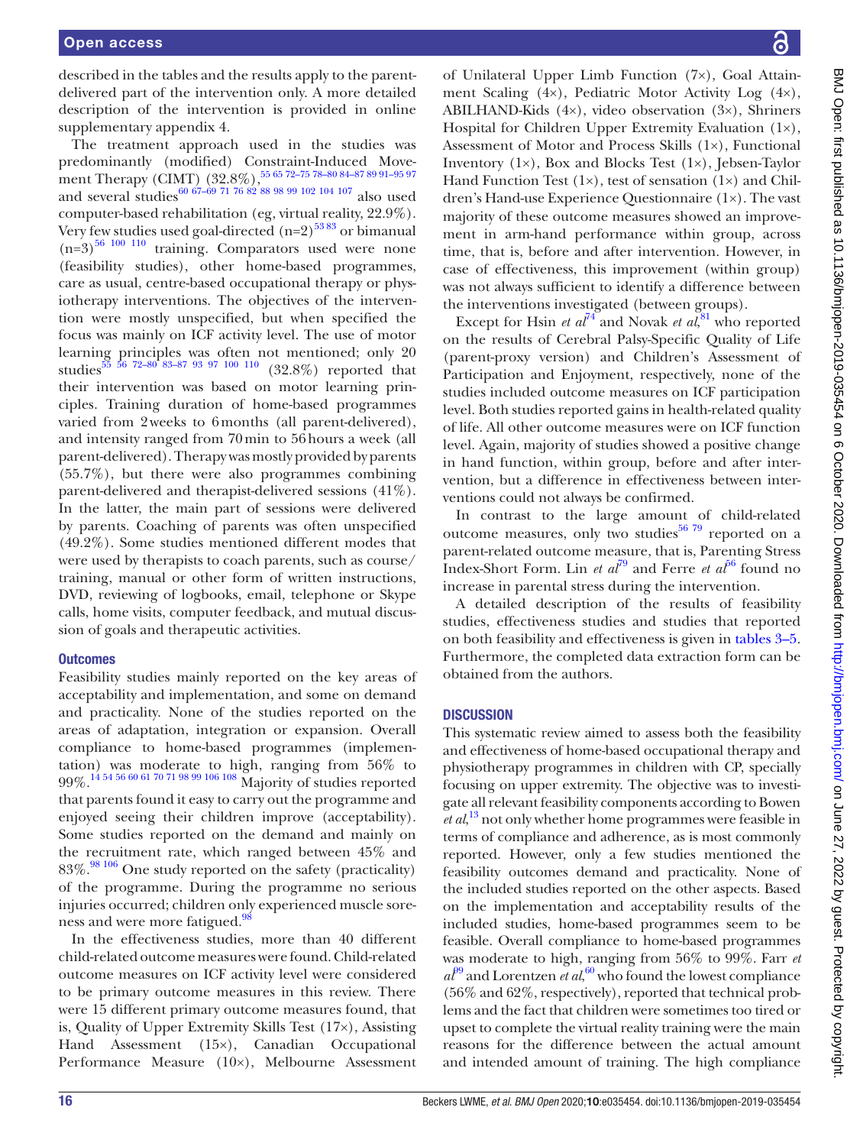described in the tables and the results apply to the parentdelivered part of the intervention only. A more detailed description of the intervention is provided in [online](https://dx.doi.org/10.1136/bmjopen-2019-035454) [supplementary appendix 4.](https://dx.doi.org/10.1136/bmjopen-2019-035454)

The treatment approach used in the studies was predominantly (modified) Constraint-Induced Movement Therapy (CIMT) (32.8%),<sup>55 65</sup> 72-75 78-80 84-87 89 91-95 97 and several studies<sup>60 67–69 71 76 82</sup> 88 98 99 102 104 107 also used computer-based rehabilitation (eg, virtual reality, 22.9%). Very few studies used goal-directed  $(n=2)^{5383}$  or bimanual  $(n=3)$ <sup>[56 100 110](#page-50-10)</sup> training. Comparators used were none (feasibility studies), other home-based programmes, care as usual, centre-based occupational therapy or physiotherapy interventions. The objectives of the intervention were mostly unspecified, but when specified the focus was mainly on ICF activity level. The use of motor learning principles was often not mentioned; only 20 studies<sup>55</sup> <sup>56</sup> <sup>72-80</sup> <sup>83-87</sup> <sup>93</sup> <sup>97</sup> <sup>100</sup> <sup>110</sup> (32.8%) reported that their intervention was based on motor learning principles. Training duration of home-based programmes varied from 2weeks to 6months (all parent-delivered), and intensity ranged from 70min to 56hours a week (all parent-delivered). Therapy was mostly provided by parents (55.7%), but there were also programmes combining parent-delivered and therapist-delivered sessions (41%). In the latter, the main part of sessions were delivered by parents. Coaching of parents was often unspecified (49.2%). Some studies mentioned different modes that were used by therapists to coach parents, such as course/ training, manual or other form of written instructions, DVD, reviewing of logbooks, email, telephone or Skype calls, home visits, computer feedback, and mutual discussion of goals and therapeutic activities.

#### **Outcomes**

Feasibility studies mainly reported on the key areas of acceptability and implementation, and some on demand and practicality. None of the studies reported on the areas of adaptation, integration or expansion. Overall compliance to home-based programmes (implementation) was moderate to high, ranging from 56% to 99%.[14 54 56 60 61 70 71 98 99 106 108](#page-49-12) Majority of studies reported that parents found it easy to carry out the programme and enjoyed seeing their children improve (acceptability). Some studies reported on the demand and mainly on the recruitment rate, which ranged between 45% and 83%.<sup>98 106</sup> One study reported on the safety (practicality) of the programme. During the programme no serious injuries occurred; children only experienced muscle sore-ness and were more fatigued.<sup>[98](#page-51-7)</sup>

In the effectiveness studies, more than 40 different child-related outcome measures were found. Child-related outcome measures on ICF activity level were considered to be primary outcome measures in this review. There were 15 different primary outcome measures found, that is, Quality of Upper Extremity Skills Test (17×), Assisting Hand Assessment (15×), Canadian Occupational Performance Measure (10×), Melbourne Assessment

of Unilateral Upper Limb Function (7×), Goal Attainment Scaling (4×), Pediatric Motor Activity Log (4×), ABILHAND-Kids (4×), video observation (3×), Shriners Hospital for Children Upper Extremity Evaluation (1×), Assessment of Motor and Process Skills (1×), Functional Inventory  $(1\times)$ , Box and Blocks Test  $(1\times)$ , Jebsen-Taylor Hand Function Test  $(1\times)$ , test of sensation  $(1\times)$  and Children's Hand-use Experience Questionnaire (1×). The vast majority of these outcome measures showed an improvement in arm-hand performance within group, across time, that is, before and after intervention. However, in case of effectiveness, this improvement (within group) was not always sufficient to identify a difference between the interventions investigated (between groups).

Except for Hsin *et al*<sup>[74](#page-51-18)</sup> and Novak *et al*,<sup>[81](#page-51-21)</sup> who reported on the results of Cerebral Palsy-Specific Quality of Life (parent-proxy version) and Children's Assessment of Participation and Enjoyment, respectively, none of the studies included outcome measures on ICF participation level. Both studies reported gains in health-related quality of life. All other outcome measures were on ICF function level. Again, majority of studies showed a positive change in hand function, within group, before and after intervention, but a difference in effectiveness between interventions could not always be confirmed.

In contrast to the large amount of child-related outcome measures, only two studies $56\frac{79}{12}$  reported on a parent-related outcome measure, that is, Parenting Stress Index-Short Form. Lin *et al*<sup> $79$ </sup> and Ferre *et al*<sup> $56$ </sup> found no increase in parental stress during the intervention.

A detailed description of the results of feasibility studies, effectiveness studies and studies that reported on both feasibility and effectiveness is given in [tables](#page-16-0) 3–5. Furthermore, the completed data extraction form can be obtained from the authors.

#### **DISCUSSION**

This systematic review aimed to assess both the feasibility and effectiveness of home-based occupational therapy and physiotherapy programmes in children with CP, specially focusing on upper extremity. The objective was to investigate all relevant feasibility components according to Bowen *et al*, [13](#page-49-11) not only whether home programmes were feasible in terms of compliance and adherence, as is most commonly reported. However, only a few studies mentioned the feasibility outcomes demand and practicality. None of the included studies reported on the other aspects. Based on the implementation and acceptability results of the included studies, home-based programmes seem to be feasible. Overall compliance to home-based programmes was moderate to high, ranging from 56% to 99%. Farr *et*   $a^{p9}$  and Lorentzen *et al*,<sup>60</sup> who found the lowest compliance (56% and 62%, respectively), reported that technical problems and the fact that children were sometimes too tired or upset to complete the virtual reality training were the main reasons for the difference between the actual amount and intended amount of training. The high compliance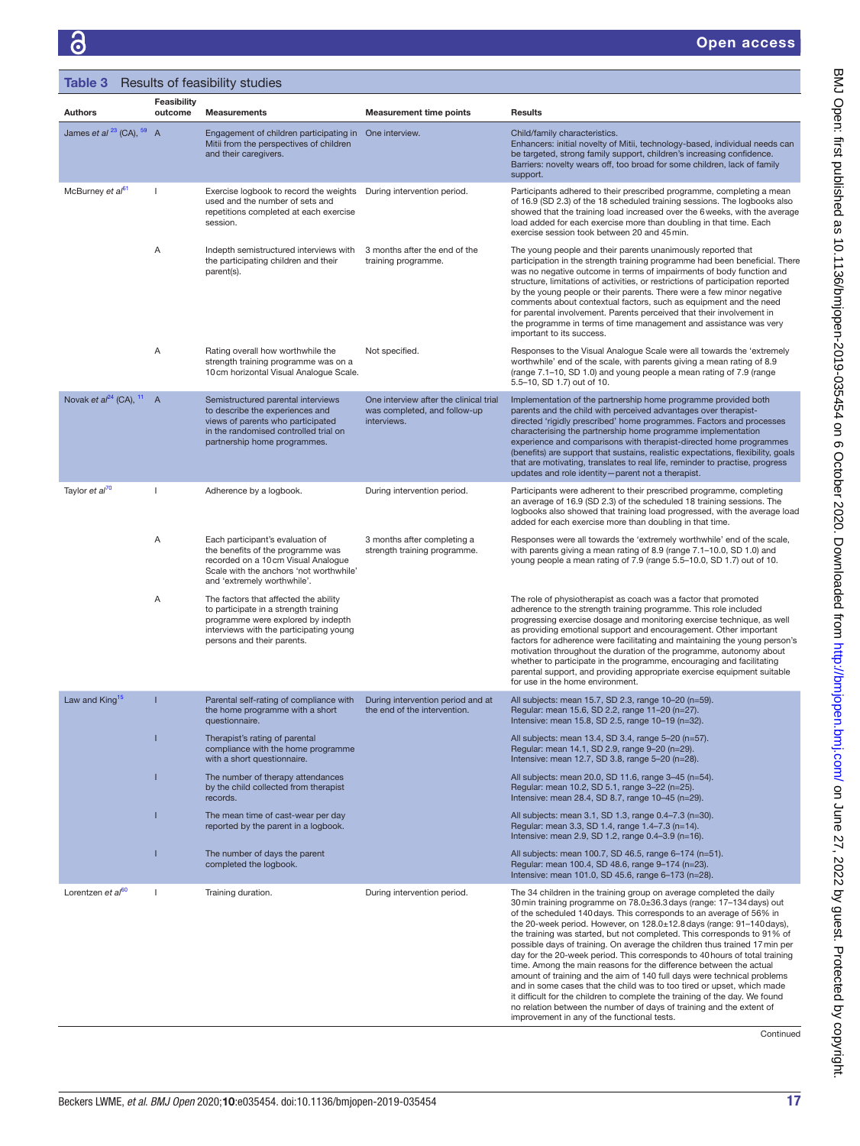<span id="page-16-0"></span>

| Table 3 Results of feasibility studies |                        |                                                                                                                                                                                               |                                                                                       |                                                                                                                                                                                                                                                                                                                                                                                                                                                                                                                                                                                                                                                                                                                                                                                                                                                                                                                                                                            |
|----------------------------------------|------------------------|-----------------------------------------------------------------------------------------------------------------------------------------------------------------------------------------------|---------------------------------------------------------------------------------------|----------------------------------------------------------------------------------------------------------------------------------------------------------------------------------------------------------------------------------------------------------------------------------------------------------------------------------------------------------------------------------------------------------------------------------------------------------------------------------------------------------------------------------------------------------------------------------------------------------------------------------------------------------------------------------------------------------------------------------------------------------------------------------------------------------------------------------------------------------------------------------------------------------------------------------------------------------------------------|
| <b>Authors</b>                         | Feasibility<br>outcome | <b>Measurements</b>                                                                                                                                                                           | <b>Measurement time points</b>                                                        | <b>Results</b>                                                                                                                                                                                                                                                                                                                                                                                                                                                                                                                                                                                                                                                                                                                                                                                                                                                                                                                                                             |
| James et al $^{23}$ (CA), $^{59}$ A    |                        | Engagement of children participating in One interview.<br>Mitii from the perspectives of children<br>and their caregivers.                                                                    |                                                                                       | Child/family characteristics.<br>Enhancers: initial novelty of Mitii, technology-based, individual needs can<br>be targeted, strong family support, children's increasing confidence.<br>Barriers: novelty wears off, too broad for some children, lack of family<br>support.                                                                                                                                                                                                                                                                                                                                                                                                                                                                                                                                                                                                                                                                                              |
| McBurney et al <sup>61</sup>           |                        | Exercise logbook to record the weights<br>used and the number of sets and<br>repetitions completed at each exercise<br>session.                                                               | During intervention period.                                                           | Participants adhered to their prescribed programme, completing a mean<br>of 16.9 (SD 2.3) of the 18 scheduled training sessions. The logbooks also<br>showed that the training load increased over the 6 weeks, with the average<br>load added for each exercise more than doubling in that time. Each<br>exercise session took between 20 and 45 min.                                                                                                                                                                                                                                                                                                                                                                                                                                                                                                                                                                                                                     |
|                                        | Α                      | Indepth semistructured interviews with<br>the participating children and their<br>parent(s).                                                                                                  | 3 months after the end of the<br>training programme.                                  | The young people and their parents unanimously reported that<br>participation in the strength training programme had been beneficial. There<br>was no negative outcome in terms of impairments of body function and<br>structure, limitations of activities, or restrictions of participation reported<br>by the young people or their parents. There were a few minor negative<br>comments about contextual factors, such as equipment and the need<br>for parental involvement. Parents perceived that their involvement in<br>the programme in terms of time management and assistance was very<br>important to its success.                                                                                                                                                                                                                                                                                                                                            |
|                                        | Α                      | Rating overall how worthwhile the<br>strength training programme was on a<br>10cm horizontal Visual Analogue Scale.                                                                           | Not specified.                                                                        | Responses to the Visual Analogue Scale were all towards the 'extremely<br>worthwhile' end of the scale, with parents giving a mean rating of 8.9<br>(range 7.1–10, SD 1.0) and young people a mean rating of 7.9 (range<br>5.5-10, SD 1.7) out of 10.                                                                                                                                                                                                                                                                                                                                                                                                                                                                                                                                                                                                                                                                                                                      |
| Novak et $al^{24}$ (CA), $11$          | $\overline{A}$         | Semistructured parental interviews<br>to describe the experiences and<br>views of parents who participated<br>in the randomised controlled trial on<br>partnership home programmes.           | One interview after the clinical trial<br>was completed, and follow-up<br>interviews. | Implementation of the partnership home programme provided both<br>parents and the child with perceived advantages over therapist-<br>directed 'rigidly prescribed' home programmes. Factors and processes<br>characterising the partnership home programme implementation<br>experience and comparisons with therapist-directed home programmes<br>(benefits) are support that sustains, realistic expectations, flexibility, goals<br>that are motivating, translates to real life, reminder to practise, progress<br>updates and role identity-parent not a therapist.                                                                                                                                                                                                                                                                                                                                                                                                   |
| Taylor et al <sup>70</sup>             | $\mathbf{I}$           | Adherence by a logbook.                                                                                                                                                                       | During intervention period.                                                           | Participants were adherent to their prescribed programme, completing<br>an average of 16.9 (SD 2.3) of the scheduled 18 training sessions. The<br>logbooks also showed that training load progressed, with the average load<br>added for each exercise more than doubling in that time.                                                                                                                                                                                                                                                                                                                                                                                                                                                                                                                                                                                                                                                                                    |
|                                        | Α                      | Each participant's evaluation of<br>the benefits of the programme was<br>recorded on a 10 cm Visual Analogue<br>Scale with the anchors 'not worthwhile'<br>and 'extremely worthwhile'.        | 3 months after completing a<br>strength training programme.                           | Responses were all towards the 'extremely worthwhile' end of the scale,<br>with parents giving a mean rating of 8.9 (range 7.1-10.0, SD 1.0) and<br>young people a mean rating of 7.9 (range 5.5–10.0, SD 1.7) out of 10.                                                                                                                                                                                                                                                                                                                                                                                                                                                                                                                                                                                                                                                                                                                                                  |
|                                        | Α                      | The factors that affected the ability<br>to participate in a strength training<br>programme were explored by indepth<br>interviews with the participating young<br>persons and their parents. |                                                                                       | The role of physiotherapist as coach was a factor that promoted<br>adherence to the strength training programme. This role included<br>progressing exercise dosage and monitoring exercise technique, as well<br>as providing emotional support and encouragement. Other important<br>factors for adherence were facilitating and maintaining the young person's<br>motivation throughout the duration of the programme, autonomy about<br>whether to participate in the programme, encouraging and facilitating<br>parental support, and providing appropriate exercise equipment suitable<br>for use in the home environment.                                                                                                                                                                                                                                                                                                                                            |
| Law and King <sup>15</sup>             |                        | Parental self-rating of compliance with<br>the home programme with a short<br>questionnaire.                                                                                                  | During intervention period and at<br>the end of the intervention.                     | All subjects: mean 15.7, SD 2.3, range 10-20 (n=59).<br>Regular: mean 15.6, SD 2.2, range 11-20 (n=27).<br>Intensive: mean 15.8, SD 2.5, range 10-19 (n=32).                                                                                                                                                                                                                                                                                                                                                                                                                                                                                                                                                                                                                                                                                                                                                                                                               |
|                                        |                        | Therapist's rating of parental<br>compliance with the home programme<br>with a short questionnaire.                                                                                           |                                                                                       | All subjects: mean 13.4, SD 3.4, range 5-20 (n=57).<br>Regular: mean 14.1, SD 2.9, range 9-20 (n=29).<br>Intensive: mean 12.7, SD 3.8, range 5-20 (n=28).                                                                                                                                                                                                                                                                                                                                                                                                                                                                                                                                                                                                                                                                                                                                                                                                                  |
|                                        |                        | The number of therapy attendances<br>by the child collected from therapist<br>records.                                                                                                        |                                                                                       | All subjects: mean 20.0, SD 11.6, range 3-45 (n=54).<br>Regular: mean 10.2, SD 5.1, range 3-22 (n=25).<br>Intensive: mean 28.4, SD 8.7, range 10-45 (n=29).                                                                                                                                                                                                                                                                                                                                                                                                                                                                                                                                                                                                                                                                                                                                                                                                                |
|                                        |                        | The mean time of cast-wear per day<br>reported by the parent in a logbook.                                                                                                                    |                                                                                       | All subjects: mean 3.1, SD 1.3, range 0.4-7.3 (n=30).<br>Regular: mean 3.3, SD 1.4, range 1.4-7.3 (n=14).<br>Intensive: mean 2.9, SD 1.2, range 0.4-3.9 (n=16).                                                                                                                                                                                                                                                                                                                                                                                                                                                                                                                                                                                                                                                                                                                                                                                                            |
|                                        |                        | The number of days the parent<br>completed the logbook.                                                                                                                                       |                                                                                       | All subjects: mean 100.7, SD 46.5, range 6-174 (n=51).<br>Regular: mean 100.4, SD 48.6, range 9-174 (n=23).<br>Intensive: mean 101.0, SD 45.6, range 6-173 (n=28).                                                                                                                                                                                                                                                                                                                                                                                                                                                                                                                                                                                                                                                                                                                                                                                                         |
| Lorentzen et al <sup>60</sup>          |                        | Training duration.                                                                                                                                                                            | During intervention period.                                                           | The 34 children in the training group on average completed the daily<br>30 min training programme on 78.0±36.3 days (range: 17-134 days) out<br>of the scheduled 140 days. This corresponds to an average of 56% in<br>the 20-week period. However, on $128.0 \pm 12.8$ days (range: 91-140 days),<br>the training was started, but not completed. This corresponds to 91% of<br>possible days of training. On average the children thus trained 17 min per<br>day for the 20-week period. This corresponds to 40 hours of total training<br>time. Among the main reasons for the difference between the actual<br>amount of training and the aim of 140 full days were technical problems<br>and in some cases that the child was to too tired or upset, which made<br>it difficult for the children to complete the training of the day. We found<br>no relation between the number of days of training and the extent of<br>improvement in any of the functional tests. |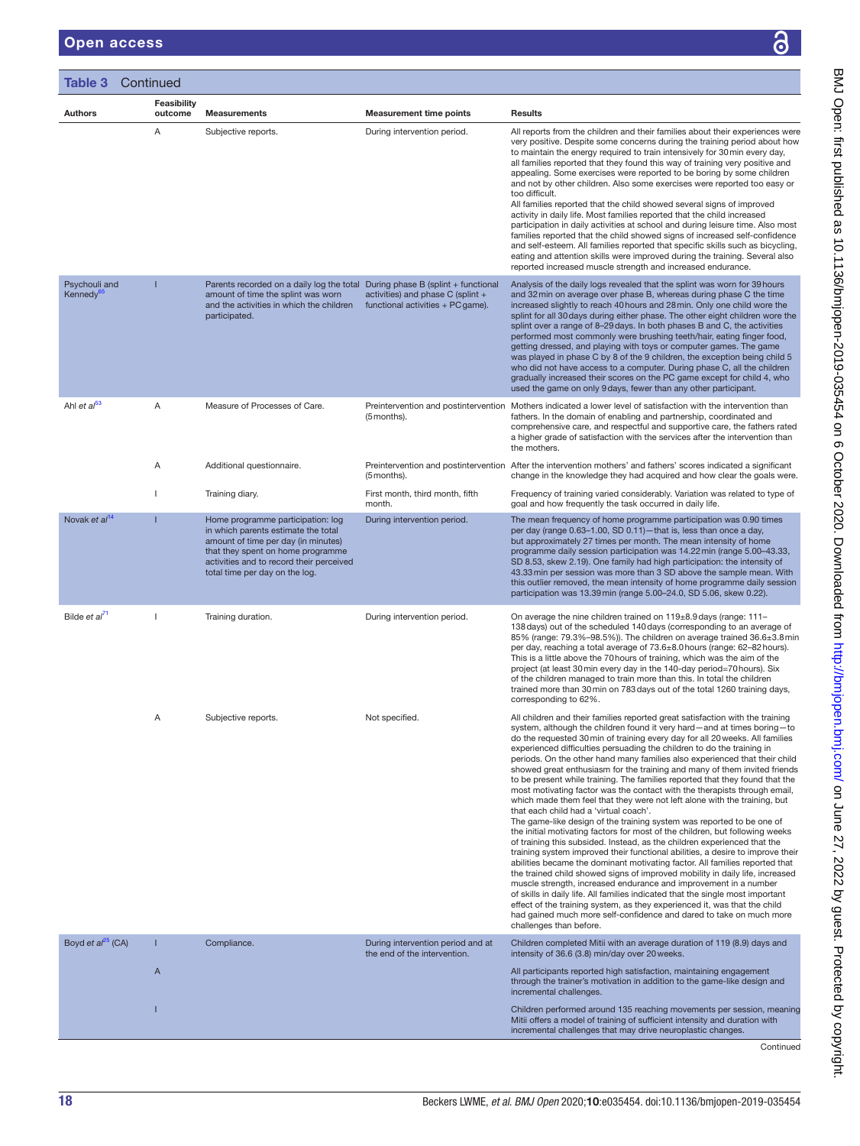|                                        | Feasibility  |                                                                                                                                                                                                                                    |                                                                        |                                                                                                                                                                                                                                                                                                                                                                                                                                                                                                                                                                                                                                                                                                                                                                                                                                                                                                                                                                                                                                                                                                                                                                                                                                                                                                                                                                                                                                                                                                                                                                                              |
|----------------------------------------|--------------|------------------------------------------------------------------------------------------------------------------------------------------------------------------------------------------------------------------------------------|------------------------------------------------------------------------|----------------------------------------------------------------------------------------------------------------------------------------------------------------------------------------------------------------------------------------------------------------------------------------------------------------------------------------------------------------------------------------------------------------------------------------------------------------------------------------------------------------------------------------------------------------------------------------------------------------------------------------------------------------------------------------------------------------------------------------------------------------------------------------------------------------------------------------------------------------------------------------------------------------------------------------------------------------------------------------------------------------------------------------------------------------------------------------------------------------------------------------------------------------------------------------------------------------------------------------------------------------------------------------------------------------------------------------------------------------------------------------------------------------------------------------------------------------------------------------------------------------------------------------------------------------------------------------------|
| <b>Authors</b>                         | outcome<br>Α | <b>Measurements</b><br>Subjective reports.                                                                                                                                                                                         | <b>Measurement time points</b><br>During intervention period.          | <b>Results</b><br>All reports from the children and their families about their experiences were<br>very positive. Despite some concerns during the training period about how<br>to maintain the energy required to train intensively for 30 min every day,<br>all families reported that they found this way of training very positive and<br>appealing. Some exercises were reported to be boring by some children<br>and not by other children. Also some exercises were reported too easy or<br>too difficult.<br>All families reported that the child showed several signs of improved<br>activity in daily life. Most families reported that the child increased<br>participation in daily activities at school and during leisure time. Also most<br>families reported that the child showed signs of increased self-confidence<br>and self-esteem. All families reported that specific skills such as bicycling,<br>eating and attention skills were improved during the training. Several also<br>reported increased muscle strength and increased endurance.                                                                                                                                                                                                                                                                                                                                                                                                                                                                                                                        |
| Psychouli and<br>Kennedy <sup>65</sup> | Т            | Parents recorded on a daily log the total During phase B (splint + functional<br>amount of time the splint was worn<br>and the activities in which the children<br>participated.                                                   | activities) and phase C (splint +<br>functional activities + PC game). | Analysis of the daily logs revealed that the splint was worn for 39 hours<br>and 32 min on average over phase B, whereas during phase C the time<br>increased slightly to reach 40 hours and 28 min. Only one child wore the<br>splint for all 30 days during either phase. The other eight children wore the<br>splint over a range of 8-29 days. In both phases B and C, the activities<br>performed most commonly were brushing teeth/hair, eating finger food,<br>getting dressed, and playing with toys or computer games. The game<br>was played in phase C by 8 of the 9 children, the exception being child 5<br>who did not have access to a computer. During phase C, all the children<br>gradually increased their scores on the PC game except for child 4, who<br>used the game on only 9 days, fewer than any other participant.                                                                                                                                                                                                                                                                                                                                                                                                                                                                                                                                                                                                                                                                                                                                               |
| Ahl et $a^{53}$                        | Α            | Measure of Processes of Care.                                                                                                                                                                                                      | (5 months).                                                            | Preintervention and postintervention Mothers indicated a lower level of satisfaction with the intervention than<br>fathers. In the domain of enabling and partnership, coordinated and<br>comprehensive care, and respectful and supportive care, the fathers rated<br>a higher grade of satisfaction with the services after the intervention than<br>the mothers.                                                                                                                                                                                                                                                                                                                                                                                                                                                                                                                                                                                                                                                                                                                                                                                                                                                                                                                                                                                                                                                                                                                                                                                                                          |
|                                        | Α            | Additional questionnaire.                                                                                                                                                                                                          | (5 months).                                                            | Preintervention and postintervention After the intervention mothers' and fathers' scores indicated a significant<br>change in the knowledge they had acquired and how clear the goals were.                                                                                                                                                                                                                                                                                                                                                                                                                                                                                                                                                                                                                                                                                                                                                                                                                                                                                                                                                                                                                                                                                                                                                                                                                                                                                                                                                                                                  |
|                                        |              | Training diary.                                                                                                                                                                                                                    | First month, third month, fifth<br>month.                              | Frequency of training varied considerably. Variation was related to type of<br>goal and how frequently the task occurred in daily life.                                                                                                                                                                                                                                                                                                                                                                                                                                                                                                                                                                                                                                                                                                                                                                                                                                                                                                                                                                                                                                                                                                                                                                                                                                                                                                                                                                                                                                                      |
| Novak et $al^{14}$                     | ı            | Home programme participation: log<br>in which parents estimate the total<br>amount of time per day (in minutes)<br>that they spent on home programme<br>activities and to record their perceived<br>total time per day on the log. | During intervention period.                                            | The mean frequency of home programme participation was 0.90 times<br>per day (range 0.63–1.00, SD 0.11)-that is, less than once a day,<br>but approximately 27 times per month. The mean intensity of home<br>programme daily session participation was 14.22 min (range 5.00-43.33,<br>SD 8.53, skew 2.19). One family had high participation: the intensity of<br>43.33 min per session was more than 3 SD above the sample mean. With<br>this outlier removed, the mean intensity of home programme daily session<br>participation was 13.39 min (range 5.00-24.0, SD 5.06, skew 0.22).                                                                                                                                                                                                                                                                                                                                                                                                                                                                                                                                                                                                                                                                                                                                                                                                                                                                                                                                                                                                   |
| Bilde et al <sup>71</sup>              | J.           | Training duration.                                                                                                                                                                                                                 | During intervention period.                                            | On average the nine children trained on 119±8.9 days (range: 111-<br>138 days) out of the scheduled 140 days (corresponding to an average of<br>85% (range: 79.3%-98.5%)). The children on average trained 36.6±3.8 min<br>per day, reaching a total average of 73.6±8.0 hours (range: 62-82 hours).<br>This is a little above the 70 hours of training, which was the aim of the<br>project (at least 30 min every day in the 140-day period=70 hours). Six<br>of the children managed to train more than this. In total the children<br>trained more than 30 min on 783 days out of the total 1260 training days,<br>corresponding to 62%.                                                                                                                                                                                                                                                                                                                                                                                                                                                                                                                                                                                                                                                                                                                                                                                                                                                                                                                                                 |
|                                        | Α            | Subjective reports.                                                                                                                                                                                                                | Not specified.                                                         | All children and their families reported great satisfaction with the training<br>system, although the children found it very hard-and at times boring-to<br>do the requested 30 min of training every day for all 20 weeks. All families<br>experienced difficulties persuading the children to do the training in<br>periods. On the other hand many families also experienced that their child<br>showed great enthusiasm for the training and many of them invited friends<br>to be present while training. The families reported that they found that the<br>most motivating factor was the contact with the therapists through email,<br>which made them feel that they were not left alone with the training, but<br>that each child had a 'virtual coach'.<br>The game-like design of the training system was reported to be one of<br>the initial motivating factors for most of the children, but following weeks<br>of training this subsided. Instead, as the children experienced that the<br>training system improved their functional abilities, a desire to improve their<br>abilities became the dominant motivating factor. All families reported that<br>the trained child showed signs of improved mobility in daily life, increased<br>muscle strength, increased endurance and improvement in a number<br>of skills in daily life. All families indicated that the single most important<br>effect of the training system, as they experienced it, was that the child<br>had gained much more self-confidence and dared to take on much more<br>challenges than before. |
| Boyd et $al^{25}$ (CA)                 | T            | Compliance.                                                                                                                                                                                                                        | During intervention period and at<br>the end of the intervention.      | Children completed Mitii with an average duration of 119 (8.9) days and<br>intensity of 36.6 (3.8) min/day over 20 weeks.                                                                                                                                                                                                                                                                                                                                                                                                                                                                                                                                                                                                                                                                                                                                                                                                                                                                                                                                                                                                                                                                                                                                                                                                                                                                                                                                                                                                                                                                    |
|                                        | A            |                                                                                                                                                                                                                                    |                                                                        | All participants reported high satisfaction, maintaining engagement<br>through the trainer's motivation in addition to the game-like design and<br>incremental challenges.                                                                                                                                                                                                                                                                                                                                                                                                                                                                                                                                                                                                                                                                                                                                                                                                                                                                                                                                                                                                                                                                                                                                                                                                                                                                                                                                                                                                                   |
|                                        |              |                                                                                                                                                                                                                                    |                                                                        | Children performed around 135 reaching movements per session, meaning<br>Mitii offers a model of training of sufficient intensity and duration with<br>incremental challenges that may drive neuroplastic changes.                                                                                                                                                                                                                                                                                                                                                                                                                                                                                                                                                                                                                                                                                                                                                                                                                                                                                                                                                                                                                                                                                                                                                                                                                                                                                                                                                                           |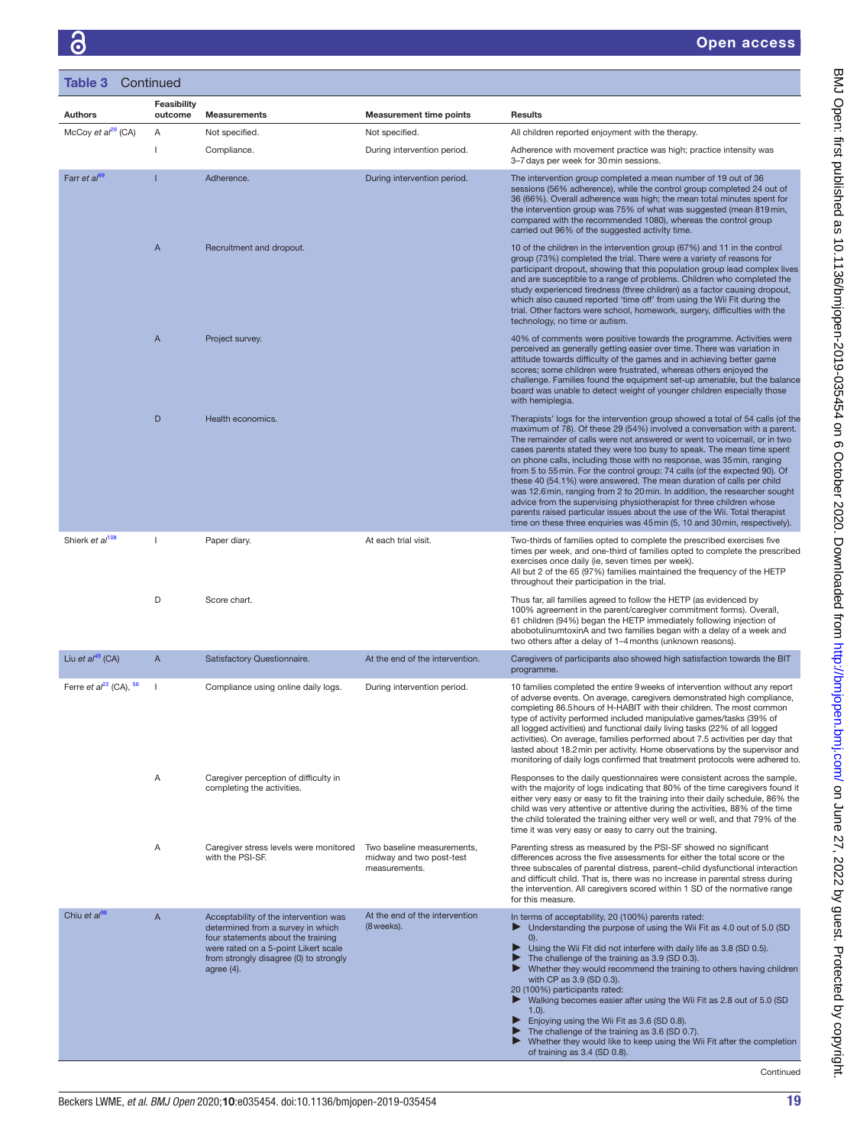| <b>Table 3</b> Continued     |                               |                                                                                                                                                                                                                     |                                                                         |                                                                                                                                                                                                                                                                                                                                                                                                                                                                                                                                                                                                                                                                                                                                                                                                                                                                  |
|------------------------------|-------------------------------|---------------------------------------------------------------------------------------------------------------------------------------------------------------------------------------------------------------------|-------------------------------------------------------------------------|------------------------------------------------------------------------------------------------------------------------------------------------------------------------------------------------------------------------------------------------------------------------------------------------------------------------------------------------------------------------------------------------------------------------------------------------------------------------------------------------------------------------------------------------------------------------------------------------------------------------------------------------------------------------------------------------------------------------------------------------------------------------------------------------------------------------------------------------------------------|
| <b>Authors</b>               | <b>Feasibility</b><br>outcome | <b>Measurements</b>                                                                                                                                                                                                 | <b>Measurement time points</b>                                          | <b>Results</b>                                                                                                                                                                                                                                                                                                                                                                                                                                                                                                                                                                                                                                                                                                                                                                                                                                                   |
| McCoy et $al^{29}$ (CA)      | Α                             | Not specified.                                                                                                                                                                                                      | Not specified.                                                          | All children reported enjoyment with the therapy.                                                                                                                                                                                                                                                                                                                                                                                                                                                                                                                                                                                                                                                                                                                                                                                                                |
|                              | $\mathbf{I}$                  | Compliance.                                                                                                                                                                                                         | During intervention period.                                             | Adherence with movement practice was high; practice intensity was<br>3-7 days per week for 30 min sessions.                                                                                                                                                                                                                                                                                                                                                                                                                                                                                                                                                                                                                                                                                                                                                      |
| Farr et al <sup>99</sup>     |                               | Adherence.                                                                                                                                                                                                          | During intervention period.                                             | The intervention group completed a mean number of 19 out of 36<br>sessions (56% adherence), while the control group completed 24 out of<br>36 (66%). Overall adherence was high; the mean total minutes spent for<br>the intervention group was 75% of what was suggested (mean 819 min,<br>compared with the recommended 1080), whereas the control group<br>carried out 96% of the suggested activity time.                                                                                                                                                                                                                                                                                                                                                                                                                                                    |
|                              | $\overline{A}$                | Recruitment and dropout.                                                                                                                                                                                            |                                                                         | 10 of the children in the intervention group (67%) and 11 in the control<br>group (73%) completed the trial. There were a variety of reasons for<br>participant dropout, showing that this population group lead complex lives<br>and are susceptible to a range of problems. Children who completed the<br>study experienced tiredness (three children) as a factor causing dropout,<br>which also caused reported 'time off' from using the Wii Fit during the<br>trial. Other factors were school, homework, surgery, difficulties with the<br>technology, no time or autism.                                                                                                                                                                                                                                                                                 |
|                              | $\mathsf{A}$                  | Project survey.                                                                                                                                                                                                     |                                                                         | 40% of comments were positive towards the programme. Activities were<br>perceived as generally getting easier over time. There was variation in<br>attitude towards difficulty of the games and in achieving better game<br>scores; some children were frustrated, whereas others enjoyed the<br>challenge. Families found the equipment set-up amenable, but the balance<br>board was unable to detect weight of younger children especially those<br>with hemiplegia.                                                                                                                                                                                                                                                                                                                                                                                          |
|                              | D                             | Health economics.                                                                                                                                                                                                   |                                                                         | Therapists' logs for the intervention group showed a total of 54 calls (of the<br>maximum of 78). Of these 29 (54%) involved a conversation with a parent.<br>The remainder of calls were not answered or went to voicemail, or in two<br>cases parents stated they were too busy to speak. The mean time spent<br>on phone calls, including those with no response, was 35 min, ranging<br>from 5 to 55 min. For the control group: 74 calls (of the expected 90). Of<br>these 40 (54.1%) were answered. The mean duration of calls per child<br>was 12.6 min, ranging from 2 to 20 min. In addition, the researcher sought<br>advice from the supervising physiotherapist for three children whose<br>parents raised particular issues about the use of the Wii. Total therapist<br>time on these three enquiries was 45 min (5, 10 and 30 min, respectively). |
| Shierk et al <sup>108</sup>  | $\mathbf{I}$                  | Paper diary.                                                                                                                                                                                                        | At each trial visit.                                                    | Two-thirds of families opted to complete the prescribed exercises five<br>times per week, and one-third of families opted to complete the prescribed<br>exercises once daily (ie, seven times per week).<br>All but 2 of the 65 (97%) families maintained the frequency of the HETP<br>throughout their participation in the trial.                                                                                                                                                                                                                                                                                                                                                                                                                                                                                                                              |
|                              | D                             | Score chart.                                                                                                                                                                                                        |                                                                         | Thus far, all families agreed to follow the HETP (as evidenced by<br>100% agreement in the parent/caregiver commitment forms). Overall,<br>61 children (94%) began the HETP immediately following injection of<br>abobotulinumtoxinA and two families began with a delay of a week and<br>two others after a delay of 1-4 months (unknown reasons).                                                                                                                                                                                                                                                                                                                                                                                                                                                                                                              |
| Liu et $al^{49}$ (CA)        | A                             | Satisfactory Questionnaire.                                                                                                                                                                                         | At the end of the intervention.                                         | Caregivers of participants also showed high satisfaction towards the BIT<br>programme.                                                                                                                                                                                                                                                                                                                                                                                                                                                                                                                                                                                                                                                                                                                                                                           |
| Ferre et $a^{22}$ (CA), $56$ |                               | Compliance using online daily logs.                                                                                                                                                                                 | During intervention period.                                             | 10 families completed the entire 9 weeks of intervention without any report<br>of adverse events. On average, caregivers demonstrated high compliance,<br>completing 86.5 hours of H-HABIT with their children. The most common<br>type of activity performed included manipulative games/tasks (39% of<br>all logged activities) and functional daily living tasks (22% of all logged<br>activities). On average, families performed about 7.5 activities per day that<br>lasted about 18.2 min per activity. Home observations by the supervisor and<br>monitoring of daily logs confirmed that treatment protocols were adhered to.                                                                                                                                                                                                                           |
|                              | Α                             | Caregiver perception of difficulty in<br>completing the activities.                                                                                                                                                 |                                                                         | Responses to the daily questionnaires were consistent across the sample,<br>with the majority of logs indicating that 80% of the time caregivers found it<br>either very easy or easy to fit the training into their daily schedule, 86% the<br>child was very attentive or attentive during the activities, 88% of the time<br>the child tolerated the training either very well or well, and that 79% of the<br>time it was very easy or easy to carry out the training.                                                                                                                                                                                                                                                                                                                                                                                       |
|                              | Α                             | Caregiver stress levels were monitored<br>with the PSI-SF.                                                                                                                                                          | Two baseline measurements,<br>midway and two post-test<br>measurements. | Parenting stress as measured by the PSI-SF showed no significant<br>differences across the five assessments for either the total score or the<br>three subscales of parental distress, parent-child dysfunctional interaction<br>and difficult child. That is, there was no increase in parental stress during<br>the intervention. All caregivers scored within 1 SD of the normative range<br>for this measure.                                                                                                                                                                                                                                                                                                                                                                                                                                                |
| Chiu et $a^{08}$             | $\mathsf{A}$                  | Acceptability of the intervention was<br>determined from a survey in which<br>four statements about the training<br>were rated on a 5-point Likert scale<br>from strongly disagree (0) to strongly<br>agree $(4)$ . | At the end of the intervention<br>(8 weeks).                            | In terms of acceptability, 20 (100%) parents rated:<br>Understanding the purpose of using the Wii Fit as 4.0 out of 5.0 (SD<br>0).<br>Using the Wii Fit did not interfere with daily life as 3.8 (SD 0.5).<br>The challenge of the training as 3.9 (SD 0.3).<br>Whether they would recommend the training to others having children<br>▶<br>with CP as 3.9 (SD 0.3).<br>20 (100%) participants rated:<br>Walking becomes easier after using the Wii Fit as 2.8 out of 5.0 (SD<br>▶<br>$1.0$ ).<br>Enjoying using the Wii Fit as 3.6 (SD 0.8).<br>▶<br>The challenge of the training as 3.6 (SD 0.7).<br>▶<br>Whether they would like to keep using the Wii Fit after the completion<br>of training as 3.4 (SD 0.8).                                                                                                                                              |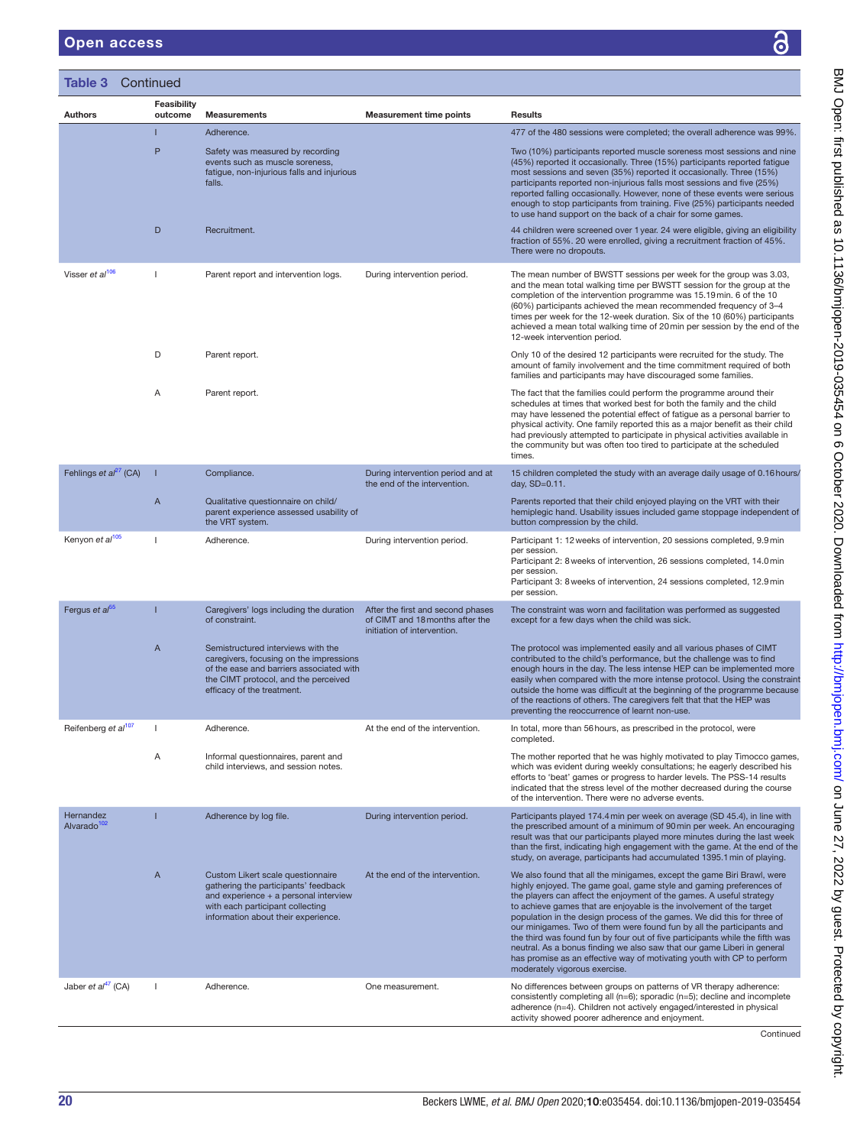#### Open access

| Table 3                              | Continued                     |                                                                                                                                                                                                 |                                                                                                     |                                                                                                                                                                                                                                                                                                                                                                                                                                                                                                                                                                                                                                                                                                                         |
|--------------------------------------|-------------------------------|-------------------------------------------------------------------------------------------------------------------------------------------------------------------------------------------------|-----------------------------------------------------------------------------------------------------|-------------------------------------------------------------------------------------------------------------------------------------------------------------------------------------------------------------------------------------------------------------------------------------------------------------------------------------------------------------------------------------------------------------------------------------------------------------------------------------------------------------------------------------------------------------------------------------------------------------------------------------------------------------------------------------------------------------------------|
| Authors                              | <b>Feasibility</b><br>outcome | <b>Measurements</b>                                                                                                                                                                             | <b>Measurement time points</b>                                                                      | <b>Results</b>                                                                                                                                                                                                                                                                                                                                                                                                                                                                                                                                                                                                                                                                                                          |
|                                      | П                             | Adherence.                                                                                                                                                                                      |                                                                                                     | 477 of the 480 sessions were completed; the overall adherence was 99%.                                                                                                                                                                                                                                                                                                                                                                                                                                                                                                                                                                                                                                                  |
|                                      | P                             | Safety was measured by recording<br>events such as muscle soreness,<br>fatigue, non-injurious falls and injurious<br>falls.                                                                     |                                                                                                     | Two (10%) participants reported muscle soreness most sessions and nine<br>(45%) reported it occasionally. Three (15%) participants reported fatique<br>most sessions and seven (35%) reported it occasionally. Three (15%)<br>participants reported non-injurious falls most sessions and five (25%)<br>reported falling occasionally. However, none of these events were serious<br>enough to stop participants from training. Five (25%) participants needed<br>to use hand support on the back of a chair for some games.                                                                                                                                                                                            |
|                                      | D                             | Recruitment.                                                                                                                                                                                    |                                                                                                     | 44 children were screened over 1 year. 24 were eligible, giving an eligibility<br>fraction of 55%. 20 were enrolled, giving a recruitment fraction of 45%.<br>There were no dropouts.                                                                                                                                                                                                                                                                                                                                                                                                                                                                                                                                   |
| Visser et al <sup>106</sup>          | -1                            | Parent report and intervention logs.                                                                                                                                                            | During intervention period.                                                                         | The mean number of BWSTT sessions per week for the group was 3.03,<br>and the mean total walking time per BWSTT session for the group at the<br>completion of the intervention programme was 15.19 min. 6 of the 10<br>(60%) participants achieved the mean recommended frequency of 3-4<br>times per week for the 12-week duration. Six of the 10 (60%) participants<br>achieved a mean total walking time of 20 min per session by the end of the<br>12-week intervention period.                                                                                                                                                                                                                                     |
|                                      | D                             | Parent report.                                                                                                                                                                                  |                                                                                                     | Only 10 of the desired 12 participants were recruited for the study. The<br>amount of family involvement and the time commitment required of both<br>families and participants may have discouraged some families.                                                                                                                                                                                                                                                                                                                                                                                                                                                                                                      |
|                                      | Α                             | Parent report.                                                                                                                                                                                  |                                                                                                     | The fact that the families could perform the programme around their<br>schedules at times that worked best for both the family and the child<br>may have lessened the potential effect of fatigue as a personal barrier to<br>physical activity. One family reported this as a major benefit as their child<br>had previously attempted to participate in physical activities available in<br>the community but was often too tired to participate at the scheduled<br>times.                                                                                                                                                                                                                                           |
| Fehlings et $a^{27}$ (CA)            |                               | Compliance.                                                                                                                                                                                     | During intervention period and at<br>the end of the intervention.                                   | 15 children completed the study with an average daily usage of 0.16 hours/<br>day, $SD=0.11$ .                                                                                                                                                                                                                                                                                                                                                                                                                                                                                                                                                                                                                          |
|                                      | $\overline{A}$                | Qualitative questionnaire on child/<br>parent experience assessed usability of<br>the VRT system.                                                                                               |                                                                                                     | Parents reported that their child enjoyed playing on the VRT with their<br>hemiplegic hand. Usability issues included game stoppage independent of<br>button compression by the child.                                                                                                                                                                                                                                                                                                                                                                                                                                                                                                                                  |
| Kenyon et al <sup>105</sup>          | -1                            | Adherence.                                                                                                                                                                                      | During intervention period.                                                                         | Participant 1: 12 weeks of intervention, 20 sessions completed, 9.9 min<br>per session.<br>Participant 2: 8 weeks of intervention, 26 sessions completed, 14.0 min<br>per session.<br>Participant 3: 8 weeks of intervention, 24 sessions completed, 12.9 min<br>per session.                                                                                                                                                                                                                                                                                                                                                                                                                                           |
| Fergus et al <sup>55</sup>           | Π                             | Caregivers' logs including the duration<br>of constraint.                                                                                                                                       | After the first and second phases<br>of CIMT and 18 months after the<br>initiation of intervention. | The constraint was worn and facilitation was performed as suggested<br>except for a few days when the child was sick.                                                                                                                                                                                                                                                                                                                                                                                                                                                                                                                                                                                                   |
|                                      | A                             | Semistructured interviews with the<br>caregivers, focusing on the impressions<br>of the ease and barriers associated with<br>the CIMT protocol, and the perceived<br>efficacy of the treatment. |                                                                                                     | The protocol was implemented easily and all various phases of CIMT<br>contributed to the child's performance, but the challenge was to find<br>enough hours in the day. The less intense HEP can be implemented more<br>easily when compared with the more intense protocol. Using the constraint<br>outside the home was difficult at the beginning of the programme because<br>of the reactions of others. The caregivers felt that that the HEP was<br>preventing the reoccurrence of learnt non-use.                                                                                                                                                                                                                |
| Reifenberg et al <sup>107</sup>      | -1                            | Adherence.                                                                                                                                                                                      | At the end of the intervention.                                                                     | In total, more than 56 hours, as prescribed in the protocol, were<br>completed.                                                                                                                                                                                                                                                                                                                                                                                                                                                                                                                                                                                                                                         |
|                                      | Α                             | Informal questionnaires, parent and<br>child interviews, and session notes.                                                                                                                     |                                                                                                     | The mother reported that he was highly motivated to play Timocco games,<br>which was evident during weekly consultations; he eagerly described his<br>efforts to 'beat' games or progress to harder levels. The PSS-14 results<br>indicated that the stress level of the mother decreased during the course<br>of the intervention. There were no adverse events.                                                                                                                                                                                                                                                                                                                                                       |
| Hernandez<br>Alvarado <sup>102</sup> |                               | Adherence by log file.                                                                                                                                                                          | During intervention period.                                                                         | Participants played 174.4 min per week on average (SD 45.4), in line with<br>the prescribed amount of a minimum of 90 min per week. An encouraging<br>result was that our participants played more minutes during the last week<br>than the first, indicating high engagement with the game. At the end of the<br>study, on average, participants had accumulated 1395.1 min of playing.                                                                                                                                                                                                                                                                                                                                |
|                                      | $\mathsf{A}$                  | Custom Likert scale questionnaire<br>gathering the participants' feedback<br>and experience + a personal interview<br>with each participant collecting<br>information about their experience.   | At the end of the intervention.                                                                     | We also found that all the minigames, except the game Biri Brawl, were<br>highly enjoyed. The game goal, game style and gaming preferences of<br>the players can affect the enjoyment of the games. A useful strategy<br>to achieve games that are enjoyable is the involvement of the target<br>population in the design process of the games. We did this for three of<br>our minigames. Two of them were found fun by all the participants and<br>the third was found fun by four out of five participants while the fifth was<br>neutral. As a bonus finding we also saw that our game Liberi in general<br>has promise as an effective way of motivating youth with CP to perform<br>moderately vigorous exercise. |
| Jaber et $al^{47}$ (CA)              | -1                            | Adherence.                                                                                                                                                                                      | One measurement.                                                                                    | No differences between groups on patterns of VR therapy adherence:<br>consistently completing all $(n=6)$ ; sporadic $(n=5)$ ; decline and incomplete<br>adherence (n=4). Children not actively engaged/interested in physical<br>activity showed poorer adherence and enjoyment.                                                                                                                                                                                                                                                                                                                                                                                                                                       |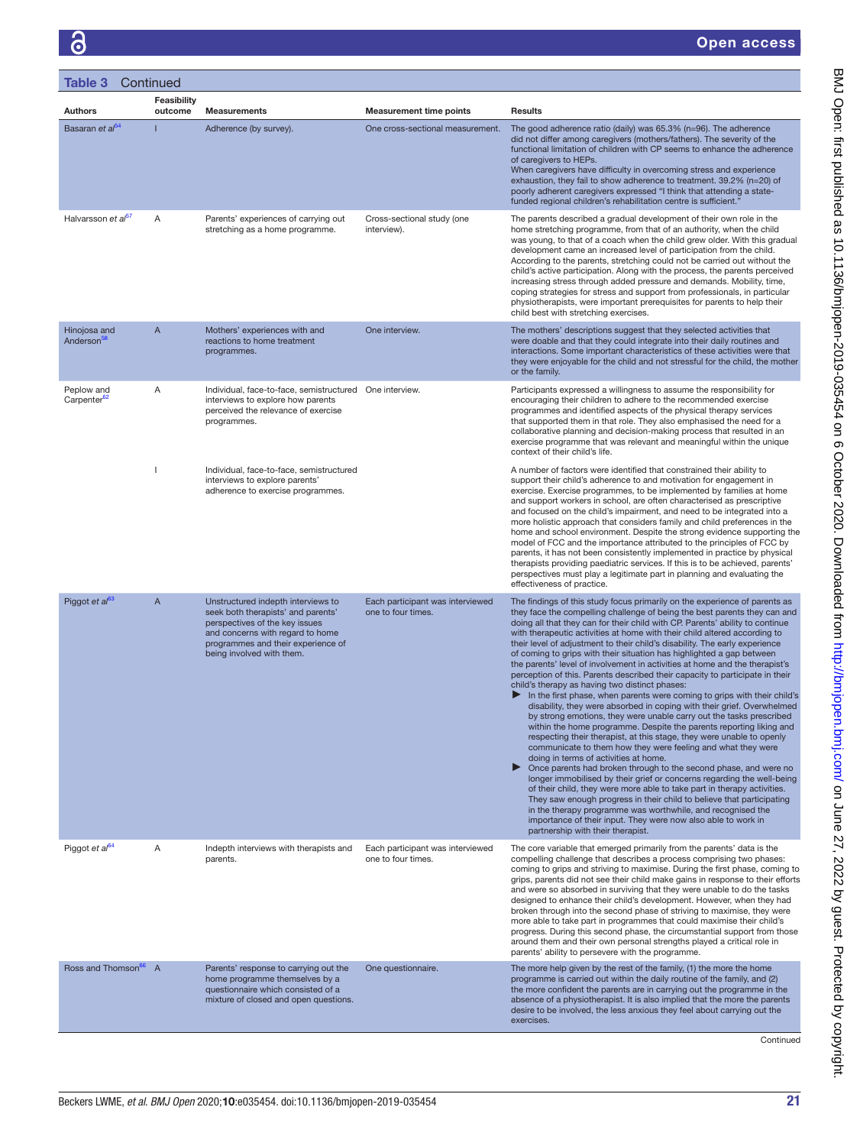| <b>Table 3 Continued</b>               |                        |                                                                                                                                                                                                                   |                                                        |                                                                                                                                                                                                                                                                                                                                                                                                                                                                                                                                                                                                                                                                                                                                                                                                                                                                                                                                                                                                                                                                                                                                                                                                                                                                                                                                                                                                                                                                                                                                                                                                                                                                       |
|----------------------------------------|------------------------|-------------------------------------------------------------------------------------------------------------------------------------------------------------------------------------------------------------------|--------------------------------------------------------|-----------------------------------------------------------------------------------------------------------------------------------------------------------------------------------------------------------------------------------------------------------------------------------------------------------------------------------------------------------------------------------------------------------------------------------------------------------------------------------------------------------------------------------------------------------------------------------------------------------------------------------------------------------------------------------------------------------------------------------------------------------------------------------------------------------------------------------------------------------------------------------------------------------------------------------------------------------------------------------------------------------------------------------------------------------------------------------------------------------------------------------------------------------------------------------------------------------------------------------------------------------------------------------------------------------------------------------------------------------------------------------------------------------------------------------------------------------------------------------------------------------------------------------------------------------------------------------------------------------------------------------------------------------------------|
| <b>Authors</b>                         | Feasibility<br>outcome | <b>Measurements</b>                                                                                                                                                                                               | <b>Measurement time points</b>                         | <b>Results</b>                                                                                                                                                                                                                                                                                                                                                                                                                                                                                                                                                                                                                                                                                                                                                                                                                                                                                                                                                                                                                                                                                                                                                                                                                                                                                                                                                                                                                                                                                                                                                                                                                                                        |
| Basaran et al <sup>54</sup>            |                        | Adherence (by survey).                                                                                                                                                                                            | One cross-sectional measurement.                       | The good adherence ratio (daily) was 65.3% (n=96). The adherence<br>did not differ among caregivers (mothers/fathers). The severity of the<br>functional limitation of children with CP seems to enhance the adherence<br>of caregivers to HEPs.<br>When caregivers have difficulty in overcoming stress and experience<br>exhaustion, they fail to show adherence to treatment. 39.2% (n=20) of<br>poorly adherent caregivers expressed "I think that attending a state-<br>funded regional children's rehabilitation centre is sufficient."                                                                                                                                                                                                                                                                                                                                                                                                                                                                                                                                                                                                                                                                                                                                                                                                                                                                                                                                                                                                                                                                                                                         |
| Halvarsson et al <sup>57</sup>         | A                      | Parents' experiences of carrying out<br>stretching as a home programme.                                                                                                                                           | Cross-sectional study (one<br>interview).              | The parents described a gradual development of their own role in the<br>home stretching programme, from that of an authority, when the child<br>was young, to that of a coach when the child grew older. With this gradual<br>development came an increased level of participation from the child.<br>According to the parents, stretching could not be carried out without the<br>child's active participation. Along with the process, the parents perceived<br>increasing stress through added pressure and demands. Mobility, time,<br>coping strategies for stress and support from professionals, in particular<br>physiotherapists, were important prerequisites for parents to help their<br>child best with stretching exercises.                                                                                                                                                                                                                                                                                                                                                                                                                                                                                                                                                                                                                                                                                                                                                                                                                                                                                                                            |
| Hinojosa and<br>Anderson <sup>58</sup> | A                      | Mothers' experiences with and<br>reactions to home treatment<br>programmes.                                                                                                                                       | One interview.                                         | The mothers' descriptions suggest that they selected activities that<br>were doable and that they could integrate into their daily routines and<br>interactions. Some important characteristics of these activities were that<br>they were enjoyable for the child and not stressful for the child, the mother<br>or the family.                                                                                                                                                                                                                                                                                                                                                                                                                                                                                                                                                                                                                                                                                                                                                                                                                                                                                                                                                                                                                                                                                                                                                                                                                                                                                                                                      |
| Peplow and<br>Carpenter <sup>62</sup>  | Α                      | Individual, face-to-face, semistructured One interview.<br>interviews to explore how parents<br>perceived the relevance of exercise<br>programmes.                                                                |                                                        | Participants expressed a willingness to assume the responsibility for<br>encouraging their children to adhere to the recommended exercise<br>programmes and identified aspects of the physical therapy services<br>that supported them in that role. They also emphasised the need for a<br>collaborative planning and decision-making process that resulted in an<br>exercise programme that was relevant and meaningful within the unique<br>context of their child's life.                                                                                                                                                                                                                                                                                                                                                                                                                                                                                                                                                                                                                                                                                                                                                                                                                                                                                                                                                                                                                                                                                                                                                                                         |
|                                        |                        | Individual, face-to-face, semistructured<br>interviews to explore parents'<br>adherence to exercise programmes.                                                                                                   |                                                        | A number of factors were identified that constrained their ability to<br>support their child's adherence to and motivation for engagement in<br>exercise. Exercise programmes, to be implemented by families at home<br>and support workers in school, are often characterised as prescriptive<br>and focused on the child's impairment, and need to be integrated into a<br>more holistic approach that considers family and child preferences in the<br>home and school environment. Despite the strong evidence supporting the<br>model of FCC and the importance attributed to the principles of FCC by<br>parents, it has not been consistently implemented in practice by physical<br>therapists providing paediatric services. If this is to be achieved, parents'<br>perspectives must play a legitimate part in planning and evaluating the<br>effectiveness of practice.                                                                                                                                                                                                                                                                                                                                                                                                                                                                                                                                                                                                                                                                                                                                                                                    |
| Piggot et al <sup>63</sup>             | A                      | Unstructured indepth interviews to<br>seek both therapists' and parents'<br>perspectives of the key issues<br>and concerns with regard to home<br>programmes and their experience of<br>being involved with them. | Each participant was interviewed<br>one to four times. | The findings of this study focus primarily on the experience of parents as<br>they face the compelling challenge of being the best parents they can and<br>doing all that they can for their child with CP. Parents' ability to continue<br>with therapeutic activities at home with their child altered according to<br>their level of adjustment to their child's disability. The early experience<br>of coming to grips with their situation has highlighted a gap between<br>the parents' level of involvement in activities at home and the therapist's<br>perception of this. Parents described their capacity to participate in their<br>child's therapy as having two distinct phases:<br>In the first phase, when parents were coming to grips with their child's<br>▶<br>disability, they were absorbed in coping with their grief. Overwhelmed<br>by strong emotions, they were unable carry out the tasks prescribed<br>within the home programme. Despite the parents reporting liking and<br>respecting their therapist, at this stage, they were unable to openly<br>communicate to them how they were feeling and what they were<br>doing in terms of activities at home.<br>▶<br>Once parents had broken through to the second phase, and were no<br>longer immobilised by their grief or concerns regarding the well-being<br>of their child, they were more able to take part in therapy activities.<br>They saw enough progress in their child to believe that participating<br>in the therapy programme was worthwhile, and recognised the<br>importance of their input. They were now also able to work in<br>partnership with their therapist. |
| Piggot et $a^{64}$                     | Α                      | Indepth interviews with therapists and<br>parents.                                                                                                                                                                | Each participant was interviewed<br>one to four times. | The core variable that emerged primarily from the parents' data is the<br>compelling challenge that describes a process comprising two phases:<br>coming to grips and striving to maximise. During the first phase, coming to<br>grips, parents did not see their child make gains in response to their efforts<br>and were so absorbed in surviving that they were unable to do the tasks<br>designed to enhance their child's development. However, when they had<br>broken through into the second phase of striving to maximise, they were<br>more able to take part in programmes that could maximise their child's<br>progress. During this second phase, the circumstantial support from those<br>around them and their own personal strengths played a critical role in<br>parents' ability to persevere with the programme.                                                                                                                                                                                                                                                                                                                                                                                                                                                                                                                                                                                                                                                                                                                                                                                                                                  |
| Ross and Thomson <sup>66</sup> A       |                        | Parents' response to carrying out the<br>home programme themselves by a<br>questionnaire which consisted of a<br>mixture of closed and open questions.                                                            | One questionnaire.                                     | The more help given by the rest of the family, (1) the more the home<br>programme is carried out within the daily routine of the family, and (2)<br>the more confident the parents are in carrying out the programme in the<br>absence of a physiotherapist. It is also implied that the more the parents<br>desire to be involved, the less anxious they feel about carrying out the<br>exercises.                                                                                                                                                                                                                                                                                                                                                                                                                                                                                                                                                                                                                                                                                                                                                                                                                                                                                                                                                                                                                                                                                                                                                                                                                                                                   |

BMJ Open: first published as 10.1136/bmjopen-2019-035454 on 6 October 2020. Downloaded from http://bmjopen.bmj.com/ on June 27, 2022 by guest. Protected by copyright. BMJ Open: first published as 10.1136/bmjopen-2019-030-454 on 6 October 2020. Downloaded from <http://bmjopen.bmj.com/> on June 27, 2022 by guest. Protected by copyright.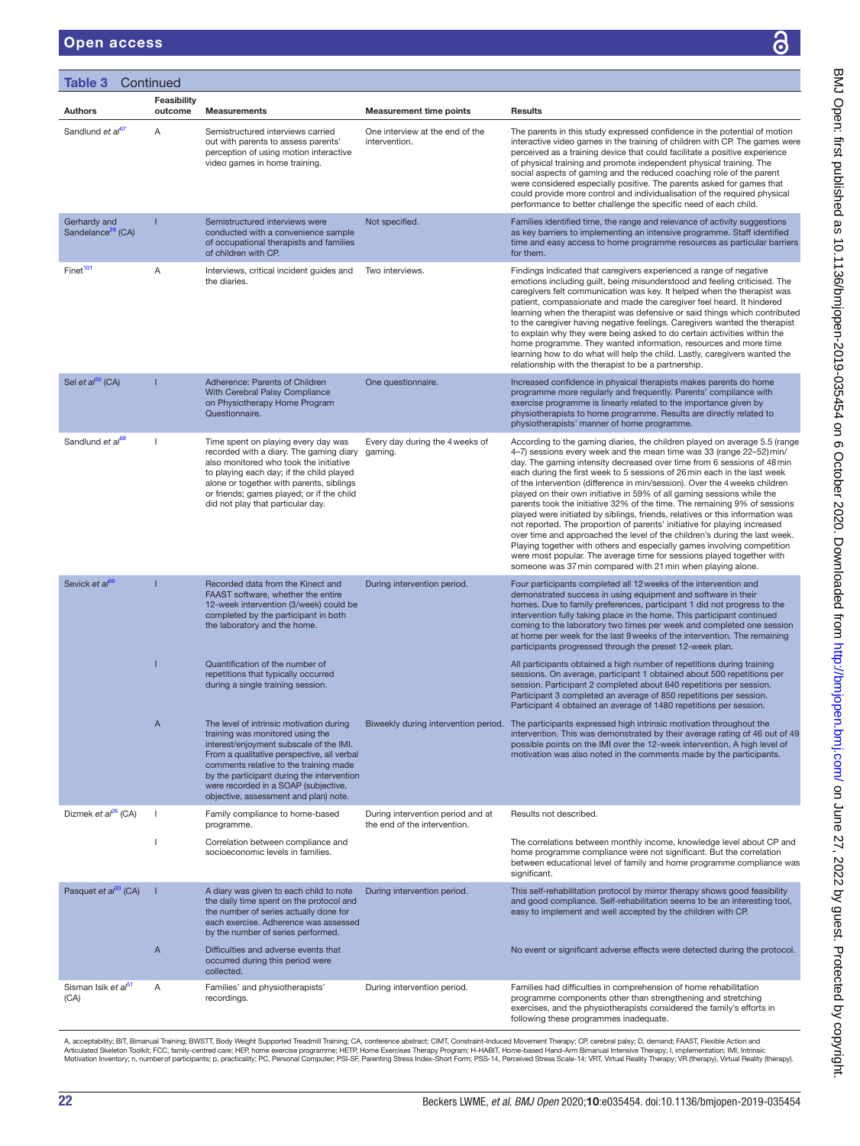#### Open access

| Table 3                                       | Continued              |                                                                                                                                                                                                                                                                                                                                                |                                                                   |                                                                                                                                                                                                                                                                                                                                                                                                                                                                                                                                                                                                                                                                                                                                                                                                                                                                                                                                                                                                               |
|-----------------------------------------------|------------------------|------------------------------------------------------------------------------------------------------------------------------------------------------------------------------------------------------------------------------------------------------------------------------------------------------------------------------------------------|-------------------------------------------------------------------|---------------------------------------------------------------------------------------------------------------------------------------------------------------------------------------------------------------------------------------------------------------------------------------------------------------------------------------------------------------------------------------------------------------------------------------------------------------------------------------------------------------------------------------------------------------------------------------------------------------------------------------------------------------------------------------------------------------------------------------------------------------------------------------------------------------------------------------------------------------------------------------------------------------------------------------------------------------------------------------------------------------|
| <b>Authors</b>                                | Feasibility<br>outcome | <b>Measurements</b>                                                                                                                                                                                                                                                                                                                            | <b>Measurement time points</b>                                    | <b>Results</b>                                                                                                                                                                                                                                                                                                                                                                                                                                                                                                                                                                                                                                                                                                                                                                                                                                                                                                                                                                                                |
| Sandlund et al <sup>67</sup>                  | Α                      | Semistructured interviews carried<br>out with parents to assess parents'<br>perception of using motion interactive<br>video games in home training.                                                                                                                                                                                            | One interview at the end of the<br>intervention.                  | The parents in this study expressed confidence in the potential of motion<br>interactive video games in the training of children with CP. The games were<br>perceived as a training device that could facilitate a positive experience<br>of physical training and promote independent physical training. The<br>social aspects of gaming and the reduced coaching role of the parent<br>were considered especially positive. The parents asked for games that<br>could provide more control and individualisation of the required physical<br>performance to better challenge the specific need of each child.                                                                                                                                                                                                                                                                                                                                                                                               |
| Gerhardy and<br>Sandelance <sup>28</sup> (CA) |                        | Semistructured interviews were<br>conducted with a convenience sample<br>of occupational therapists and families<br>of children with CP.                                                                                                                                                                                                       | Not specified.                                                    | Families identified time, the range and relevance of activity suggestions<br>as key barriers to implementing an intensive programme. Staff identified<br>time and easy access to home programme resources as particular barriers<br>for them.                                                                                                                                                                                                                                                                                                                                                                                                                                                                                                                                                                                                                                                                                                                                                                 |
| Finet <sup>101</sup>                          | Α                      | Interviews, critical incident quides and<br>the diaries.                                                                                                                                                                                                                                                                                       | Two interviews.                                                   | Findings indicated that caregivers experienced a range of negative<br>emotions including guilt, being misunderstood and feeling criticised. The<br>caregivers felt communication was key. It helped when the therapist was<br>patient, compassionate and made the caregiver feel heard. It hindered<br>learning when the therapist was defensive or said things which contributed<br>to the caregiver having negative feelings. Caregivers wanted the therapist<br>to explain why they were being asked to do certain activities within the<br>home programme. They wanted information, resources and more time<br>learning how to do what will help the child. Lastly, caregivers wanted the<br>relationship with the therapist to be a partnership.                                                                                                                                                                                                                                                         |
| Sel et $a^{50}$ (CA)                          |                        | Adherence: Parents of Children<br>With Cerebral Palsy Compliance<br>on Physiotherapy Home Program<br>Questionnaire.                                                                                                                                                                                                                            | One questionnaire.                                                | Increased confidence in physical therapists makes parents do home<br>programme more regularly and frequently. Parents' compliance with<br>exercise programme is linearly related to the importance given by<br>physiotherapists to home programme. Results are directly related to<br>physiotherapists' manner of home programme.                                                                                                                                                                                                                                                                                                                                                                                                                                                                                                                                                                                                                                                                             |
| Sandlund et al <sup>68</sup>                  |                        | Time spent on playing every day was<br>recorded with a diary. The gaming diary<br>also monitored who took the initiative<br>to playing each day; if the child played<br>alone or together with parents, siblings<br>or friends; games played; or if the child<br>did not play that particular day.                                             | Every day during the 4 weeks of<br>gaming.                        | According to the gaming diaries, the children played on average 5.5 (range<br>4-7) sessions every week and the mean time was 33 (range 22-52) min/<br>day. The gaming intensity decreased over time from 6 sessions of 48 min<br>each during the first week to 5 sessions of 26 min each in the last week<br>of the intervention (difference in min/session). Over the 4 weeks children<br>played on their own initiative in 59% of all gaming sessions while the<br>parents took the initiative 32% of the time. The remaining 9% of sessions<br>played were initiated by siblings, friends, relatives or this information was<br>not reported. The proportion of parents' initiative for playing increased<br>over time and approached the level of the children's during the last week.<br>Playing together with others and especially games involving competition<br>were most popular. The average time for sessions played together with<br>someone was 37 min compared with 21 min when playing alone. |
| Sevick et al <sup>69</sup>                    |                        | Recorded data from the Kinect and<br>FAAST software, whether the entire<br>12-week intervention (3/week) could be<br>completed by the participant in both<br>the laboratory and the home.                                                                                                                                                      | During intervention period.                                       | Four participants completed all 12 weeks of the intervention and<br>demonstrated success in using equipment and software in their<br>homes. Due to family preferences, participant 1 did not progress to the<br>intervention fully taking place in the home. This participant continued<br>coming to the laboratory two times per week and completed one session<br>at home per week for the last 9 weeks of the intervention. The remaining<br>participants progressed through the preset 12-week plan.                                                                                                                                                                                                                                                                                                                                                                                                                                                                                                      |
|                                               |                        | Quantification of the number of<br>repetitions that typically occurred<br>during a single training session.                                                                                                                                                                                                                                    |                                                                   | All participants obtained a high number of repetitions during training<br>sessions. On average, participant 1 obtained about 500 repetitions per<br>session. Participant 2 completed about 640 repetitions per session.<br>Participant 3 completed an average of 850 repetitions per session.<br>Participant 4 obtained an average of 1480 repetitions per session.                                                                                                                                                                                                                                                                                                                                                                                                                                                                                                                                                                                                                                           |
|                                               | Α                      | The level of intrinsic motivation during<br>training was monitored using the<br>interest/enjoyment subscale of the IMI.<br>From a qualitative perspective, all verbal<br>comments relative to the training made<br>by the participant during the intervention<br>were recorded in a SOAP (subjective,<br>objective, assessment and plan) note. |                                                                   | Biweekly during intervention period. The participants expressed high intrinsic motivation throughout the<br>intervention. This was demonstrated by their average rating of 46 out of 49<br>possible points on the IMI over the 12-week intervention. A high level of<br>motivation was also noted in the comments made by the participants.                                                                                                                                                                                                                                                                                                                                                                                                                                                                                                                                                                                                                                                                   |
| Dizmek et $a^{26}$ (CA)                       |                        | Family compliance to home-based<br>programme.                                                                                                                                                                                                                                                                                                  | During intervention period and at<br>the end of the intervention. | Results not described.                                                                                                                                                                                                                                                                                                                                                                                                                                                                                                                                                                                                                                                                                                                                                                                                                                                                                                                                                                                        |
|                                               |                        | Correlation between compliance and<br>socioeconomic levels in families.                                                                                                                                                                                                                                                                        |                                                                   | The correlations between monthly income, knowledge level about CP and<br>home programme compliance were not significant. But the correlation<br>between educational level of family and home programme compliance was<br>significant.                                                                                                                                                                                                                                                                                                                                                                                                                                                                                                                                                                                                                                                                                                                                                                         |
| Pasquet et al <sup>30</sup> (CA)              |                        | A diary was given to each child to note<br>the daily time spent on the protocol and<br>the number of series actually done for<br>each exercise. Adherence was assessed<br>by the number of series performed.                                                                                                                                   | During intervention period.                                       | This self-rehabilitation protocol by mirror therapy shows good feasibility<br>and good compliance. Self-rehabilitation seems to be an interesting tool,<br>easy to implement and well accepted by the children with CP.                                                                                                                                                                                                                                                                                                                                                                                                                                                                                                                                                                                                                                                                                                                                                                                       |
|                                               | A                      | Difficulties and adverse events that<br>occurred during this period were<br>collected.                                                                                                                                                                                                                                                         |                                                                   | No event or significant adverse effects were detected during the protocol.                                                                                                                                                                                                                                                                                                                                                                                                                                                                                                                                                                                                                                                                                                                                                                                                                                                                                                                                    |
| Sisman Isik et al <sup>51</sup><br>(CA)       | Α                      | Families' and physiotherapists'<br>recordings.                                                                                                                                                                                                                                                                                                 | During intervention period.                                       | Families had difficulties in comprehension of home rehabilitation<br>programme components other than strengthening and stretching<br>exercises, and the physiotherapists considered the family's efforts in<br>following these programmes inadequate.                                                                                                                                                                                                                                                                                                                                                                                                                                                                                                                                                                                                                                                                                                                                                         |

A, acceptability; BIT, Bimanual Training; BWSTT, Body Weight Supported Treadmill Training; CA, conference abstract; CIMT, Constraint-Induced Movement Therapy; CP, cerebral palsy; D, demand; FAAST, Flexible Action and<br>Artic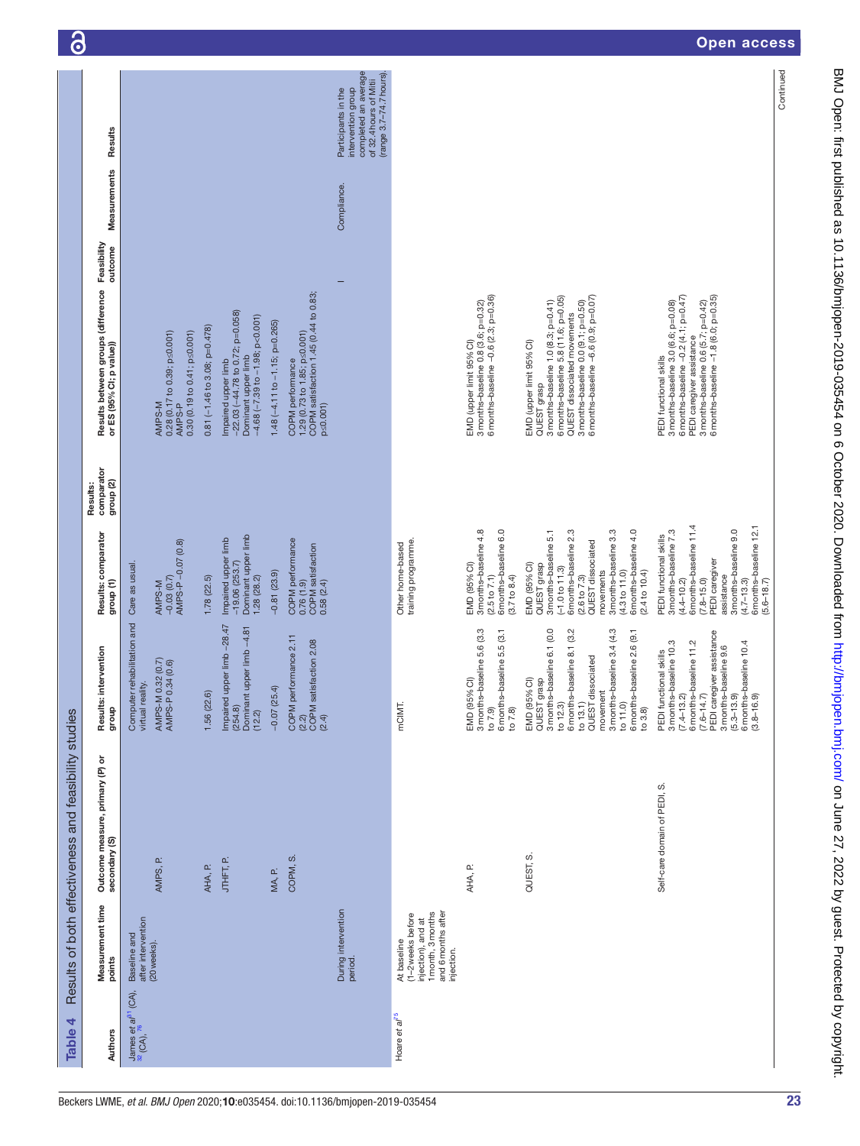| Table 4                                                  |                                                                                                                 | Results of both effectiveness and feasibility studies |                                                                                                                                                                                                                                          |                                                                                                                                                                                                                                         |                                                |                                                                                                                                                                                                                                      |              |                                                                                                                       |
|----------------------------------------------------------|-----------------------------------------------------------------------------------------------------------------|-------------------------------------------------------|------------------------------------------------------------------------------------------------------------------------------------------------------------------------------------------------------------------------------------------|-----------------------------------------------------------------------------------------------------------------------------------------------------------------------------------------------------------------------------------------|------------------------------------------------|--------------------------------------------------------------------------------------------------------------------------------------------------------------------------------------------------------------------------------------|--------------|-----------------------------------------------------------------------------------------------------------------------|
| Authors                                                  | Measurement time<br>points                                                                                      | Outcome measure, primary (P) or<br>secondary (S)      | Results: intervention<br>dnoub                                                                                                                                                                                                           | Results: comparator<br>group (1)                                                                                                                                                                                                        | comparator<br>group <sub>(2)</sub><br>Results: | Feasibility<br>outcome<br>Results between groups (difference<br>or ES (95% CI; p value))                                                                                                                                             | Measurements | Results                                                                                                               |
| James et al <sup>31</sup> (CA),<br>$^{32}$ (CA), $^{76}$ | after intervention<br>Baseline and<br>(20 weeks)                                                                | d.<br>AMPS,                                           | Computer rehabilitation and<br>AMPS-M 0.32 (0.7)<br>AMPS-P 0.34 (0.6)<br>virtual reality.                                                                                                                                                | $-0.03(0.7)$<br>AMPS-P $-0.07(0.8)$<br>Care as usual<br>AMPS-M                                                                                                                                                                          |                                                | $0.28(0.17 to 0.39; p \le 0.001)$<br>$0.30(0.19 to 0.41; p \le 0.001)$<br>AMPS-M<br>AMPS-P                                                                                                                                           |              |                                                                                                                       |
|                                                          |                                                                                                                 | AHA, P.                                               | 1.56(22.6)                                                                                                                                                                                                                               | 1.78(22.5)                                                                                                                                                                                                                              |                                                | $0.81 (-1.46 to 3.08; p=0.478)$                                                                                                                                                                                                      |              |                                                                                                                       |
|                                                          |                                                                                                                 | JTHFT, P.                                             | Impaired upper limb -28.47<br>Dominant upper limb -4.81<br>(254.8)<br>(12.2)                                                                                                                                                             | Dominant upper limb<br>Impaired upper limb<br>$-19.06(253.7)$<br>1.28(28.2)                                                                                                                                                             |                                                | $-22.03 (-44.78$ to 0.72; p=0.058)<br>Dominant upper limb<br>-4.68 (-7.39 to -1.98; p<0.001)<br>Impaired upper limb                                                                                                                  |              |                                                                                                                       |
|                                                          |                                                                                                                 | MA, P.                                                | $-0.07(25.4)$                                                                                                                                                                                                                            | $-0.81(23.9)$                                                                                                                                                                                                                           |                                                | 1.48 $(-4.11$ to $-1.15$ ; p=0.265)                                                                                                                                                                                                  |              |                                                                                                                       |
|                                                          |                                                                                                                 | COPM, S.                                              | COPM performance 2.11<br>(2.2)<br>COPM satisfaction 2.08<br>(2.4)                                                                                                                                                                        | COPM performance<br><b>COPM</b> satisfaction<br>0.76(1.9)<br>0.58(2.4)                                                                                                                                                                  |                                                | COPM satisfaction 1.45 (0.44 to 0.83;<br>COPM performance<br>1.29 (0.73 to 1.85; p≤0.001)<br>$p \le 0.001$                                                                                                                           |              |                                                                                                                       |
|                                                          | During intervention<br>period.                                                                                  |                                                       |                                                                                                                                                                                                                                          |                                                                                                                                                                                                                                         |                                                |                                                                                                                                                                                                                                      | Compliance.  | completed an average<br>(range 3.7-74.7 hours)<br>of 32.4 hours of Mitii<br>Participants in the<br>intervention group |
| Hoare et al <sup>75</sup>                                | injection), and at<br>1 month, 3 months<br>and 6 months after<br>(1-2 weeks before<br>At baseline<br>injection. |                                                       | mCIMT.                                                                                                                                                                                                                                   | training programme.<br>Other home-based                                                                                                                                                                                                 |                                                |                                                                                                                                                                                                                                      |              |                                                                                                                       |
|                                                          |                                                                                                                 | AHA, P.                                               | 3 months-baseline 5.6 (3.3<br>6 months-baseline 5.5 (3.1<br>to 7.8)<br>EMD (95% CI)<br>to $7.9$                                                                                                                                          | 3 months-baseline 4.8<br>6 months-baseline 6.0<br>EMD (95% CI)<br>(2.5 to 7.1)<br>(3.7 to 8.4)                                                                                                                                          |                                                | 3 months-baseline 0.8 (3.6; p=0.32)<br>6 months-baseline -0.6 (2.3; p=0.36)<br>EMD (upper limit 95% Cl)                                                                                                                              |              |                                                                                                                       |
|                                                          |                                                                                                                 | vi<br>QUEST,                                          | 3 months-baseline 6.1 (0.0<br>3 months-baseline 3.4 (4.3<br>6 months-baseline 8.1 (3.2<br>to 11.0)<br>6 months-baseline 2.6 (9.1<br>to 13.1)<br>QUEST dissociated<br>EMD (95% CI)<br>grasp<br>movement<br>to $12.3$<br>QUEST<br>to $3.8$ | 6 months-baseline 2.3<br>3 months-baseline 3.3<br>6 months-baseline 4.0<br>3 months-baseline 5.1<br>QUEST dissociated<br>EMD (95% CI)<br>QUEST grasp<br>$(-1.0 to 11.3)$<br>movements<br>(4.3 to 11.0)<br>(2.4 to 10.4)<br>(2.6 to 7.3) |                                                | 6 months-baseline 5.8 (11.6; p=0.05)<br>6 months-baseline -6.6 (0.9; p=0.07)<br>3 months-baseline 0.0 (9.1; p=0.50)<br>3 months-baseline 1.0 (8.3; p=0.41)<br>QUEST dissociated movements<br>EMD (upper limit 95% Cl)<br>QUEST grasp |              |                                                                                                                       |
|                                                          |                                                                                                                 | Self-care domain of PEDI, S.                          | 6 months–baseline 11.2<br>(7.6–14.7)<br>PEDI caregiver assistance<br>3 months-baseline 10.3<br>(5.3–13.9)<br>6 months–baseline 10.4<br>(3.8–16.9)<br>3 months-baseline 9.6<br>PEDI functional skills<br>$(7.4 - 13.2)$                   | 6 months-baseline 11.4<br>6 months-baseline 12.1<br>3 months-baseline 9.0<br>3 months-baseline 7.3<br>PEDI functional skills<br>PEDI caregiver<br>assistance<br>$(7.8 - 15.0)$<br>$(4.4 - 10.2)$<br>$(4.7 - 13.3)$<br>$(5.6 - 18.7)$    |                                                | 6 months-baseline -0.2 (4.1; p=0.47)<br>6 months-baseline -1.8 (6.0; p=0.35)<br>3 months-baseline 3.0 (6.6; p=0.08)<br>3 months-baseline 0.6 (5.7; p=0.42)<br>PEDI caregiver assistance<br>PEDI functional skills                    |              |                                                                                                                       |
|                                                          |                                                                                                                 |                                                       |                                                                                                                                                                                                                                          |                                                                                                                                                                                                                                         |                                                |                                                                                                                                                                                                                                      |              | Continued                                                                                                             |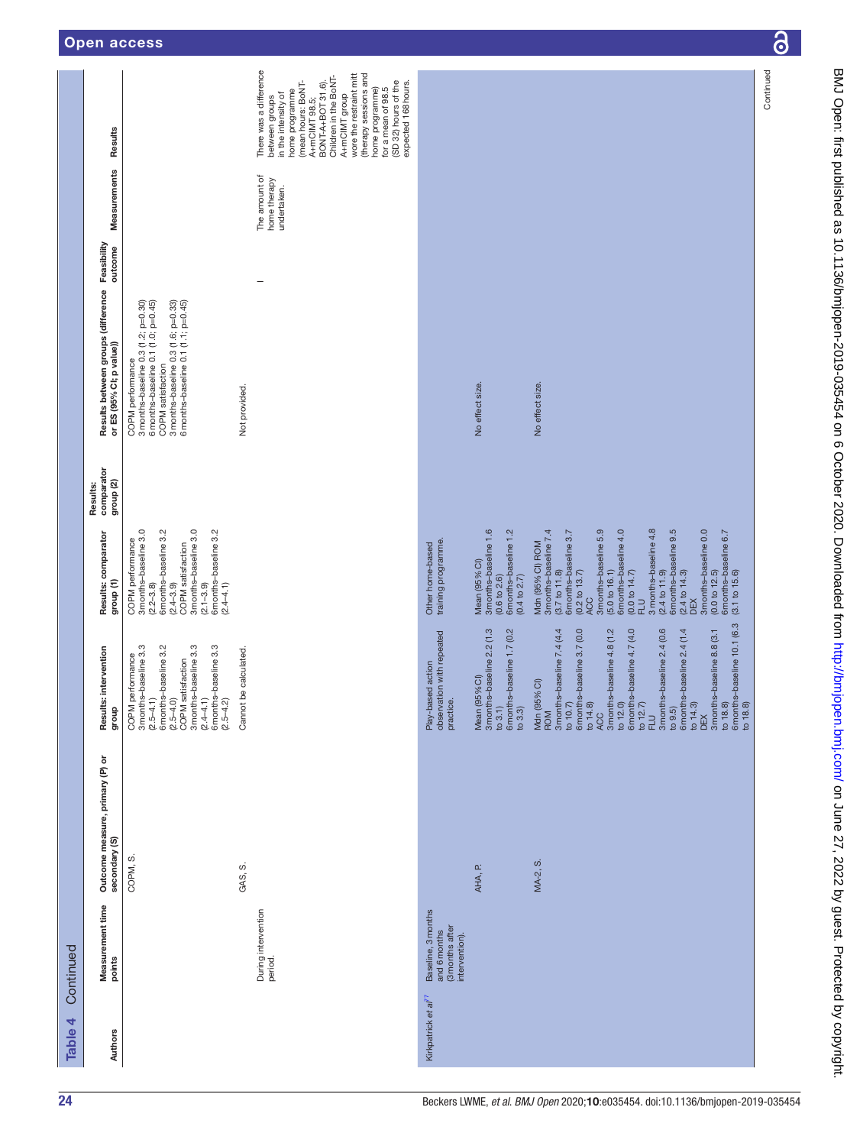|           |                                                                            |                                                                                                                                                                                                                                                                                                                                     |                                                                                                                                                                                                                                                                                                                                                                                                                                                                                                                                                                                     | Continued |
|-----------|----------------------------------------------------------------------------|-------------------------------------------------------------------------------------------------------------------------------------------------------------------------------------------------------------------------------------------------------------------------------------------------------------------------------------|-------------------------------------------------------------------------------------------------------------------------------------------------------------------------------------------------------------------------------------------------------------------------------------------------------------------------------------------------------------------------------------------------------------------------------------------------------------------------------------------------------------------------------------------------------------------------------------|-----------|
|           | Results                                                                    | There was a difference<br>wore the restraint mitt<br>(therapy sessions and<br>Children in the BoNT-<br>BONT-A+BOT 31.6).<br>(mean hours: BoNT-<br>(SD 32) hours of the<br>expected 168 hours.<br>home programme)<br>for a mean of 98.5<br>home programme<br>in the intensity of<br>A+mCIMT group<br>between groups<br>A+mCIMT 98.5; |                                                                                                                                                                                                                                                                                                                                                                                                                                                                                                                                                                                     |           |
|           | Measurements                                                               | The amount of<br>home therapy<br>undertaken.                                                                                                                                                                                                                                                                                        |                                                                                                                                                                                                                                                                                                                                                                                                                                                                                                                                                                                     |           |
|           | outcome                                                                    | -                                                                                                                                                                                                                                                                                                                                   |                                                                                                                                                                                                                                                                                                                                                                                                                                                                                                                                                                                     |           |
|           | Results between groups (difference Feasibility<br>or ES (95% CI; p value)) | 3 months-baseline 0.3 (1.6; p=0.33)<br>6 months-baseline 0.1 (1.1; p=0.45)<br>3 months-baseline 0.3 (1.2; p=0.30)<br>6 months-baseline 0.1 (1.0; p=0.45)<br>COPM performance<br>COPM satisfaction<br>Not provided.                                                                                                                  | No effect size.<br>No effect size.                                                                                                                                                                                                                                                                                                                                                                                                                                                                                                                                                  |           |
|           | comparator<br>group (2)<br>Results:                                        |                                                                                                                                                                                                                                                                                                                                     |                                                                                                                                                                                                                                                                                                                                                                                                                                                                                                                                                                                     |           |
|           | Results: comparator<br>group <sub>(1)</sub>                                | 3 months-baseline 3.0<br>$(2.2-3.8)$<br>6 months-baseline $3.2$<br>3 months-baseline 3.0<br>(2.1–3.9)<br>6 months–baseline 3.2<br>COPM performance<br>COPM satisfaction<br>$(2.4 - 3.9)$<br>$(2.4 - 4.1)$                                                                                                                           | 3 months-baseline 4.8<br>3 months-baseline 1.6<br>3 months-baseline 7.4<br>3 months-baseline 5.9<br>6 months-baseline 4.0<br>$(2.4 \text{ to } 11.9)$<br>6 months-baseline 9.5<br>3 months-baseline 0.0<br>$(0.6 \text{ to } 2.6)$<br>6 months-baseline 1.2<br>$(3.7 \text{ to } 11.8)$<br>6 months-baseline 3.7<br>6months-baseline 6.7<br>(3.1 to 15.6)<br>training programme.<br>Mdn (95% CI) ROM<br>Other home-based<br>Mean (95% CI)<br>(5.0 to 16.1)<br>(0.0 to 12.5)<br>(0.2 to 13.7)<br>(0.0 to 14.7)<br>$(2.4 \text{ to } 14.3)$<br>DEX<br>(0.4 to 2.7)<br><b>ACC</b><br>근 |           |
|           | Results: intervention<br>dho.f6                                            | 3 months-baseline 3.3<br>(2.5–4.1)<br>6 months–baseline 3.2<br>(2.5–4.0)<br>3 months-baseline 3.3<br>6 months-baseline 3.3<br>be calculated.<br>COPM performance<br>COPM satisfaction<br>$(2.4 - 4.1)$<br>$(2.5 - 4.2)$<br>Cannot                                                                                                   | 6 months-baseline 10.1 (6.3<br>3 months-baseline 2.4 (0.6<br>3 months-baseline 2.2 (1.3<br>to 3.1)<br>6 months-baseline 1.7 (0.2<br>3 months-baseline 7.4 (4.4<br>6 months-baseline 3.7 (0.0<br>3 months-baseline 4.8 (1.2<br>6 months-baseline 4.7 (4.0<br>6 months-baseline 2.4 (1.4<br>3 months-baseline 8.8 (3.1<br>observation with repeated<br>Play-based action<br>Mean (95% CI)<br>Mdn (95% CI)<br>practice.<br>to 14.8)<br>ACC<br>to 12.0)<br>to $12.7$<br>to $14.3$<br>to 18.8)<br>to $10.7$<br>to 18.8)<br>to $3.3$<br>to $9.5$<br><b>ROM</b><br>DEX<br>已<br>FLU         |           |
|           | Outcome measure, primary (P) or<br>secondary (S)                           | COPM, S.<br>GAS, S.                                                                                                                                                                                                                                                                                                                 | MA-2, S.<br>AHA, P.                                                                                                                                                                                                                                                                                                                                                                                                                                                                                                                                                                 |           |
| Continued | Measurement time<br>points                                                 | During intervention<br>period.                                                                                                                                                                                                                                                                                                      | Baseline, 3 months<br>(3 months after<br>intervention).<br>and 6 months                                                                                                                                                                                                                                                                                                                                                                                                                                                                                                             |           |
| Table 4   | Authors                                                                    |                                                                                                                                                                                                                                                                                                                                     | Kirkpatrick et al <sup>77</sup>                                                                                                                                                                                                                                                                                                                                                                                                                                                                                                                                                     |           |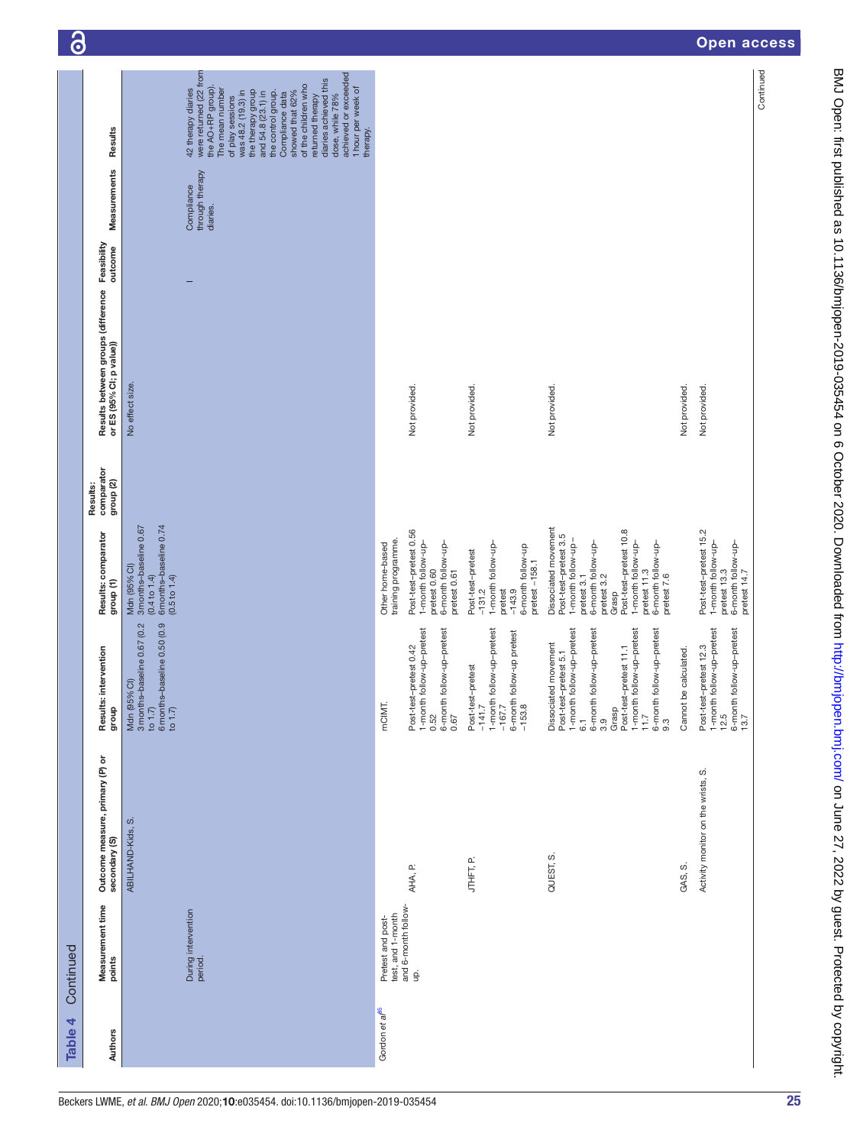| Table 4                    | Continued                                |                                                  |                                                                                                                                                                                                                                                           |                                                                                                                                                                                                                                      |                                     |                                                                            |                                           |                                                                                                                                                                                                                                                                                                                                                                                        |
|----------------------------|------------------------------------------|--------------------------------------------------|-----------------------------------------------------------------------------------------------------------------------------------------------------------------------------------------------------------------------------------------------------------|--------------------------------------------------------------------------------------------------------------------------------------------------------------------------------------------------------------------------------------|-------------------------------------|----------------------------------------------------------------------------|-------------------------------------------|----------------------------------------------------------------------------------------------------------------------------------------------------------------------------------------------------------------------------------------------------------------------------------------------------------------------------------------------------------------------------------------|
| Authors                    | Measurement time<br>points               | Outcome measure, primary (P) or<br>secondary (S) | intervention<br>Results:<br>dho.fb                                                                                                                                                                                                                        | Results: comparator<br>group (1)                                                                                                                                                                                                     | comparator<br>group (2)<br>Results: | Results between groups (difference Feasibility<br>or ES (95% CI; p value)) | Measurements                              | Results                                                                                                                                                                                                                                                                                                                                                                                |
|                            | During intervention<br>period.           | ωj<br>ABILHAND-Kids,                             | to 1.7)<br>6 months-baseline 0.50 (0.9<br>3 months-baseline 0.67 (0.2<br>Mdn (95% CI)<br>to $1.7$                                                                                                                                                         | $(0.4~t\text{o}~1.4)$<br>6 months-baseline 0.74<br>3 months-baseline 0.67<br>Mdn (95% CI)<br>(0.5 to 1.4)                                                                                                                            |                                     | No effect size.                                                            | through therapy<br>Compliance<br>diaries. | were returned (22 from<br>achieved or exceeded<br>diaries achieved this<br>of the children who<br>the AO+RP group).<br>1 hour per week of<br>42 therapy diaries<br>The mean number<br>was 48.2 (19.3) in<br>the therapy group<br>and 54.8 (23.1) in<br>the control group.<br>showed that 62%<br>Compliance data<br>dose, while 78%<br>returned therapy<br>of play sessions<br>therapy. |
| Gordon et al <sup>85</sup> | Pretest and post-                        |                                                  | mCIMT.                                                                                                                                                                                                                                                    | Other home-based                                                                                                                                                                                                                     |                                     |                                                                            |                                           |                                                                                                                                                                                                                                                                                                                                                                                        |
|                            | test, and 1-month<br>and 6-month follow- |                                                  |                                                                                                                                                                                                                                                           | training programme.                                                                                                                                                                                                                  |                                     |                                                                            |                                           |                                                                                                                                                                                                                                                                                                                                                                                        |
|                            | g.                                       | AHA, P.                                          | follow-up-pretest<br>follow-up-pretest<br>Post-test-pretest 0.42<br>1-month<br>6-month<br>0.52<br>0.67                                                                                                                                                    | Post-test-pretest 0.56<br>1-month follow-up-<br>6-month follow-up-<br>pretest 0.61<br>pretest 0.60                                                                                                                                   |                                     | Not provided.                                                              |                                           |                                                                                                                                                                                                                                                                                                                                                                                        |
|                            |                                          | e.i中片                                            | 1-month follow-up-pretest<br>follow-up pretest<br>Post-test-pretest<br>$-167.7$<br>6-month 1<br>-153.8<br>$-141.7$                                                                                                                                        | 1-month follow-up-<br>6-month follow-up<br>Post-test-pretest<br>pretest $-158.1$<br>pretest<br>$-131.2$<br>$-143.9$                                                                                                                  |                                     | Not provided.                                                              |                                           |                                                                                                                                                                                                                                                                                                                                                                                        |
|                            |                                          | QUEST, S.                                        | 1-month follow-up-pretest<br>follow-up-pretest<br>follow-up-pretest<br>follow-up-pretest<br>Dissociated movement<br>Post-test-pretest 5.1<br>Post-test-pretest 11.1<br>6-month<br>1-month<br>$6$ -month $9.3$<br>Grasp<br>11.7<br>3.9<br>$\overline{6}$ . | Dissociated movement<br>Post-test-pretest 10.8<br>Post-test-pretest 3.5<br>-month follow-up-<br>1-month follow-up-<br>6-month follow-up-<br>pretest 7.6<br>6-month follow-up-<br>pretest 11.3<br>pretest 3.2<br>pretest 3.1<br>Grasp |                                     | Not provided.                                                              |                                           |                                                                                                                                                                                                                                                                                                                                                                                        |
|                            |                                          | GAS, S.                                          | Cannot be calculated.                                                                                                                                                                                                                                     |                                                                                                                                                                                                                                      |                                     | Not provided.                                                              |                                           |                                                                                                                                                                                                                                                                                                                                                                                        |
|                            |                                          | Activity monitor on the wrists, S.               | 1-month follow-up-pretest<br>12.5<br>6-month follow-up-pretest<br>13.7<br>Post-test-pretest 12.3                                                                                                                                                          | Post-test-pretest 15.2<br>1-month follow-up-<br>6-month follow-up-<br>pretest 14.7<br>pretest 13.3                                                                                                                                   |                                     | Not provided.                                                              |                                           |                                                                                                                                                                                                                                                                                                                                                                                        |
|                            |                                          |                                                  |                                                                                                                                                                                                                                                           |                                                                                                                                                                                                                                      |                                     |                                                                            |                                           | Continued                                                                                                                                                                                                                                                                                                                                                                              |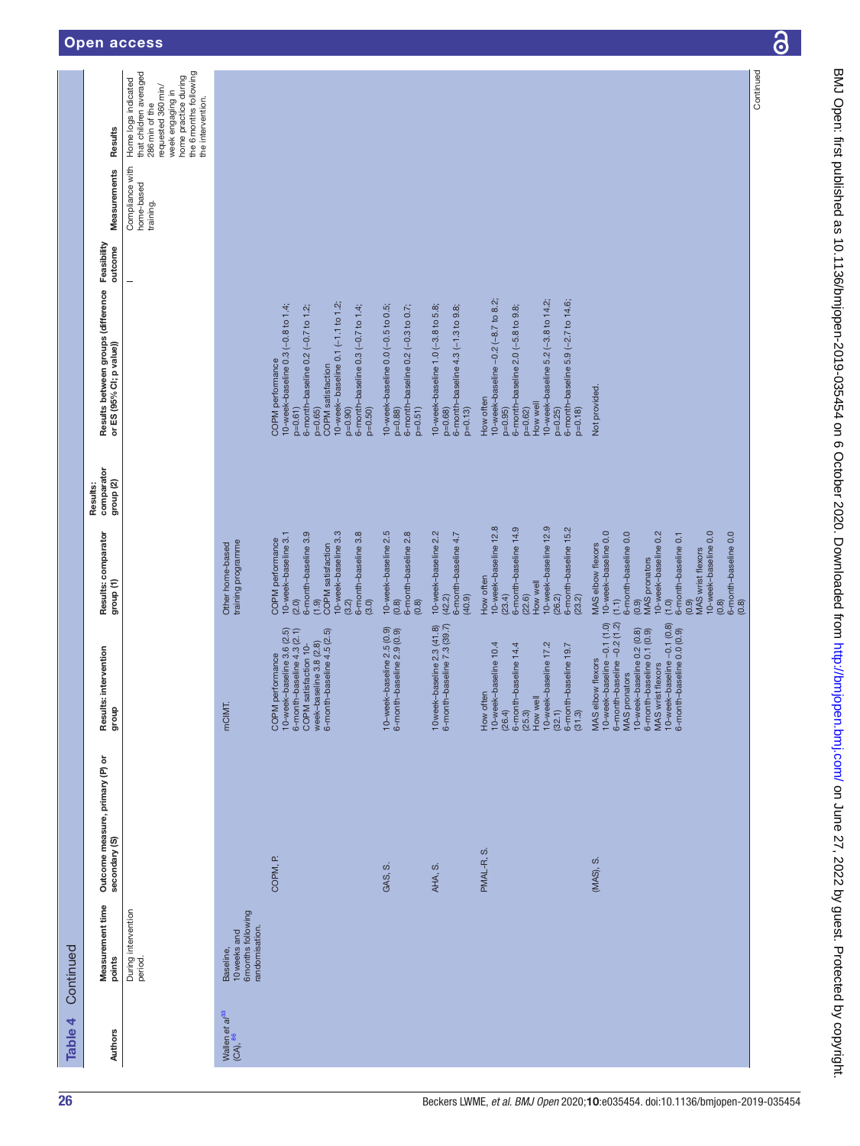|           | Results                                                        | the 6 months following<br>that children averaged<br>home practice during<br>Home logs indicated<br>requested 360 min/<br>week engaging in<br>the intervention.<br>286 min of the |                                                                   |                                                                                                                                                                                                                                                          |                                                                                                    |                                                                                                    |                                                                                                                                                                                                                                         |                                                                                                                                                                                                                                                                      |
|-----------|----------------------------------------------------------------|----------------------------------------------------------------------------------------------------------------------------------------------------------------------------------|-------------------------------------------------------------------|----------------------------------------------------------------------------------------------------------------------------------------------------------------------------------------------------------------------------------------------------------|----------------------------------------------------------------------------------------------------|----------------------------------------------------------------------------------------------------|-----------------------------------------------------------------------------------------------------------------------------------------------------------------------------------------------------------------------------------------|----------------------------------------------------------------------------------------------------------------------------------------------------------------------------------------------------------------------------------------------------------------------|
|           | Measurements                                                   | Compliance with<br>home-based<br>training.                                                                                                                                       |                                                                   |                                                                                                                                                                                                                                                          |                                                                                                    |                                                                                                    |                                                                                                                                                                                                                                         |                                                                                                                                                                                                                                                                      |
|           | Feasibility<br>outcome                                         | $\overline{\phantom{0}}$                                                                                                                                                         |                                                                   |                                                                                                                                                                                                                                                          |                                                                                                    |                                                                                                    |                                                                                                                                                                                                                                         |                                                                                                                                                                                                                                                                      |
|           | Results between groups (difference<br>or ES (95% CI; p value)) |                                                                                                                                                                                  |                                                                   | 10-week- baseline 0.1 (-1.1 to 1.2)<br>10-week-baseline 0.3 (-0.8 to 1.4;<br>6-month-baseline 0.3 (-0.7 to 1.4;<br>6-month-baseline 0.2 (-0.7 to 1.2;<br>COPM performance<br><b>COPM</b> satisfaction<br>$p=0.90)$<br>$p=0.50$<br>$p=0.61$<br>$p=0.65$ ) | 10-week-baseline 0.0 (-0.5 to 0.5;<br>6-month-baseline 0.2 (-0.3 to 0.7;<br>$p=0.51$ )<br>$p=0.88$ | 10-week-baseline 1.0 (-3.8 to 5.8;<br>6-month-baseline 4.3 (-1.3 to 9.8;<br>$p=0.13$<br>$p = 0.68$ | 10-week-baseline -0.2 (-8.7 to 8.2;<br>10-week-baseline 5.2 (-3.8 to 14.2;<br>6-month-baseline 5.9 (-2.7 to 14.6;<br>6-month-baseline $2.0$ (-5.8 to $9.8$ ;<br>How often<br>How well<br>$p = 0.25$<br>$p=0.18$<br>$p=0.95$<br>$p=0.62$ | Not provided.                                                                                                                                                                                                                                                        |
|           | comparator<br>group <sub>(2)</sub><br>Results:                 |                                                                                                                                                                                  |                                                                   |                                                                                                                                                                                                                                                          |                                                                                                    |                                                                                                    |                                                                                                                                                                                                                                         |                                                                                                                                                                                                                                                                      |
|           | Results: comparator<br>group (1)                               |                                                                                                                                                                                  | training programme<br>Other home-based                            | 6-month-baseline 3.9<br>10-week-baseline 3.3<br>6-month-baseline 3.8<br>10-week-baseline 3.1<br>COPM performance<br><b>COPM</b> satisfaction<br>(3.2)<br>(2.0)<br>(3.0)<br>(1.9)                                                                         | 10-week-baseline 2.5<br>6-month-baseline 2.8<br>(0.8)<br>(0.8)                                     | 10-week-baseline 2.2<br>6-month-baseline 4.7<br>(40.9)<br>(42.2)                                   | 10-week-baseline 12.9<br>10-week-baseline 12.8<br>6-month-baseline 14.9<br>6-month-baseline 15.2<br>How often<br>How well<br>(23.4)<br>(22.6)<br>(26.2)<br>(23.2)                                                                       | 6-month-baseline 0.0<br>10-week-baseline 0.0<br>10-week-baseline 0.0<br>10-week-baseline 0.2<br>6-month-baseline 0.0<br>6-month-baseline 0.1<br>MAS elbow flexors<br>MAS wrist flexors<br><b>MAS</b> pronators<br>(1.1)<br>(1.0)<br>(6.0)<br>(0.8)<br>(0.9)<br>(0.8) |
|           | Results: intervention<br>group                                 |                                                                                                                                                                                  | mCIMT.                                                            | 10-week-baseline $3.6$ $(2.5)$<br>6-month-baseline $4.3$ $(2.1)$<br>6-month-baseline 4.5 (2.5)<br>week-baseline 3.8 (2.8)<br>COPM satisfaction 10-<br>COPM performance                                                                                   | 10-week-baseline 2.5 (0.9)<br>6-month-baseline 2.9 (0.9)                                           | 10 week-baseline 2.3 (41.8)<br>6-month-baseline 7.3 (39.7)                                         | 10-week-baseline 10.4<br>(26.4)<br>10-week-baseline 17.2<br>6-month-baseline 14.4<br>6-month-baseline 19.7<br>How often<br>How well<br>(32.1)<br>(25.3)<br>(31.3)                                                                       | 10-week-baseline -0.1 (0.8)<br>6-month-baseline 0.0 (0.9)<br>10-week-baseline -0.1 (1.0)<br>6-month-baseline -0.2 (1.2)<br>10-week-baseline 0.2 (0.8)<br>6-month-baseline 0.1 (0.9)<br>MAS elbow flexors<br>MAS wrist flexors<br><b>MAS</b> pronators                |
|           | Outcome measure, primary (P) or<br>secondary (S)               |                                                                                                                                                                                  |                                                                   | COPM, P.                                                                                                                                                                                                                                                 | GAS, S.                                                                                            | AHA, S.                                                                                            | PMAL-R, S.                                                                                                                                                                                                                              | (MAS), S.                                                                                                                                                                                                                                                            |
| Continued | Measurement time<br>points                                     | During intervention<br>period.                                                                                                                                                   | 6 months following<br>randomisation.<br>10 weeks and<br>Baseline, |                                                                                                                                                                                                                                                          |                                                                                                    |                                                                                                    |                                                                                                                                                                                                                                         |                                                                                                                                                                                                                                                                      |
| Table 4   | Authors                                                        |                                                                                                                                                                                  | Wallen et $a^{33}$<br>(CA), $^{86}$                               |                                                                                                                                                                                                                                                          |                                                                                                    |                                                                                                    |                                                                                                                                                                                                                                         |                                                                                                                                                                                                                                                                      |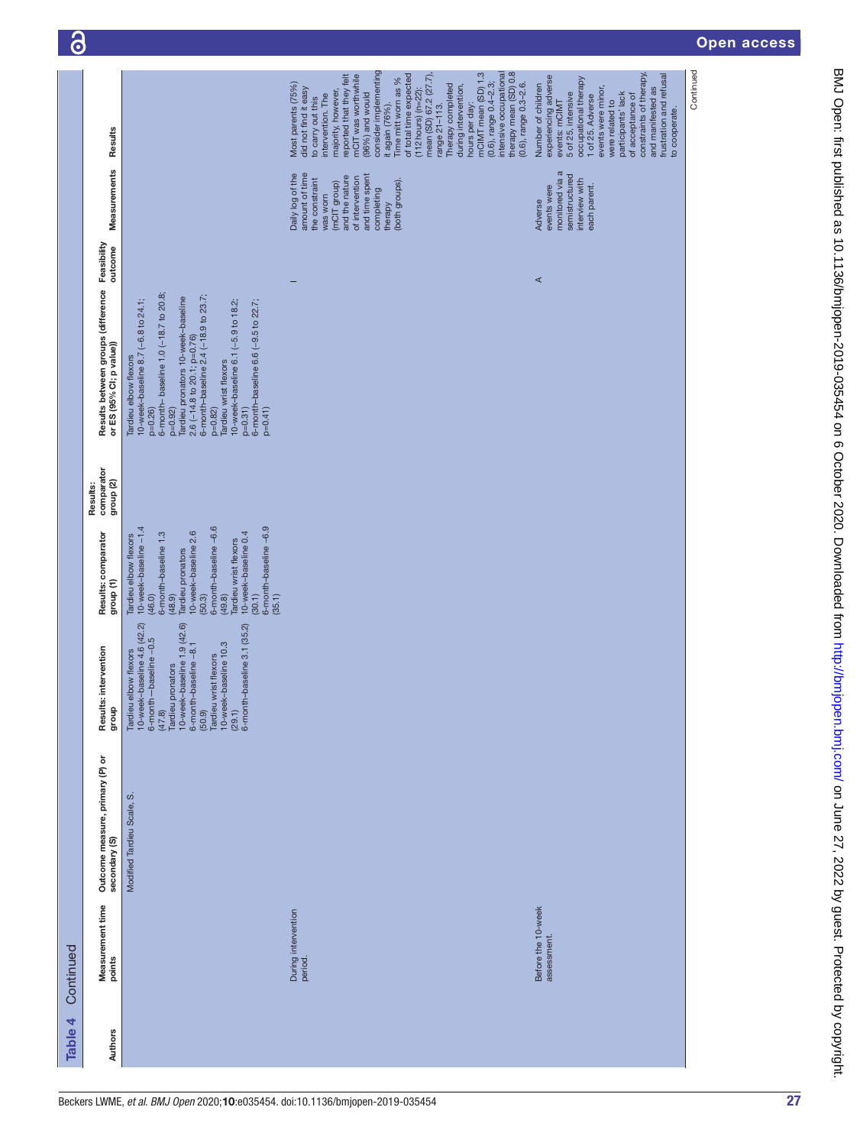| Measurement time<br>points        |                                                  |                                                                                                                                                                                                                                                                             |                                                                                                                                                                                                                                                                                    | Results:                           |                                                                                                                                                                                                                                                                                                                                                                                                 |                        |                                                                                                                                                                                   |                                                                                                                                                                                                                                                                                                                                                                                                                                                                                                                                                               |
|-----------------------------------|--------------------------------------------------|-----------------------------------------------------------------------------------------------------------------------------------------------------------------------------------------------------------------------------------------------------------------------------|------------------------------------------------------------------------------------------------------------------------------------------------------------------------------------------------------------------------------------------------------------------------------------|------------------------------------|-------------------------------------------------------------------------------------------------------------------------------------------------------------------------------------------------------------------------------------------------------------------------------------------------------------------------------------------------------------------------------------------------|------------------------|-----------------------------------------------------------------------------------------------------------------------------------------------------------------------------------|---------------------------------------------------------------------------------------------------------------------------------------------------------------------------------------------------------------------------------------------------------------------------------------------------------------------------------------------------------------------------------------------------------------------------------------------------------------------------------------------------------------------------------------------------------------|
|                                   | Outcome measure, primary (P) or<br>secondary (S) | Results: intervention<br>dho.fb                                                                                                                                                                                                                                             | Results: comparator<br>group <sub>(1)</sub>                                                                                                                                                                                                                                        | comparator<br>group <sub>(2)</sub> | Results between groups (difference<br>or ES (95% CI; p value))                                                                                                                                                                                                                                                                                                                                  | Feasibility<br>outcome | Measurements                                                                                                                                                                      | Results                                                                                                                                                                                                                                                                                                                                                                                                                                                                                                                                                       |
|                                   | Modified Tardieu Scale, S                        | 10-week-baseline 4.6 (42.2)<br>6-month – baseline –0.5<br>(47.8)<br>Tardieu pronators<br>10-week-baseline 1.9 (42.6)<br>6-month-baseline 3.1 (35.2)<br>10-week-baseline 10.3<br>6-month-baseline -8.1<br>(50.9)<br>Tardieu wrist flexors<br>Tardieu elbow flexors<br>(29.1) | 6-month-baseline -6.6<br>6-month-baseline -6.9<br>10-week-baseline -1.4<br>6-month-baseline 1.3<br>10-week-baseline 2.6<br>10-week-baseline 0.4<br>Tardieu elbow flexors<br>Tardieu wrist flexors<br>Tardieu pronators<br>(48.9)<br>(49.8)<br>(30.1)<br>(35.1)<br>(46.0)<br>(50.3) |                                    | 6-month- baseline 1.0 (-18.7 to 20.8;<br>6-month-baseline 2.4 (-18.9 to 23.7;<br>ardieu pronators 10-week-baseline<br>10-week-baseline 8.7 (-6.8 to 24.1;<br>6-month-baseline 6.6 (-9.5 to 22.7;<br>10-week-baseline 6.1 (-5.9 to 18.2;<br>2.6 (-14.8 to 20.1; p=0.76)<br>Tardieu elbow flexors<br><b>Tardieu wrist flexors</b><br>$p=0.92$<br>$p=0.82$ )<br>$p=0.31$<br>$p = 0.41$<br>$p=0.26$ |                        |                                                                                                                                                                                   |                                                                                                                                                                                                                                                                                                                                                                                                                                                                                                                                                               |
| During intervention<br>period.    |                                                  |                                                                                                                                                                                                                                                                             |                                                                                                                                                                                                                                                                                    |                                    |                                                                                                                                                                                                                                                                                                                                                                                                 |                        | amount of time<br>Daily log of the<br>and time spent<br>and the nature<br>of intervention<br>the constraint<br>(both groups)<br>(mCIT group)<br>completing<br>was worn<br>therapy | consider implementing<br>therapy mean (SD) 0.8<br>intensive occupational<br>mCIMT mean (SD) 1.3<br>reported that they felt<br>mCIT was worthwhile<br>$(112 hours)$ (n=22):<br>mean (SD) 67.2 (27.7),<br>of total time expected<br>Time mitt worn as %<br>$(0.6)$ , range $0.4 - 2.3$ ;<br>Most parents (75%)<br>Therapy completed<br>$(0.6)$ , range $0.3 - 2.6$ .<br>during intervention,<br>did not find it easy<br>majority, however,<br>$(96%)$ and would<br>intervention. The<br>to carry out this<br>it again (76%).<br>hours per day:<br>range 21-113. |
| Before the 10-week<br>assessment. |                                                  |                                                                                                                                                                                                                                                                             |                                                                                                                                                                                                                                                                                    |                                    |                                                                                                                                                                                                                                                                                                                                                                                                 | ⋖                      | monitored via a<br>semistructured<br>interview with<br>events were<br>each parent.<br>Adverse                                                                                     | constraints of therapy<br>frustration and refusal<br>experiencing adverse<br>occupational therapy<br>Number of children<br>events were minor,<br>and manifested as<br>5 of 25, intensive<br>participants' lack<br>of acceptance of<br>1 of 25. Adverse<br>were related to<br>events: mCIMT<br>to cooperate.                                                                                                                                                                                                                                                   |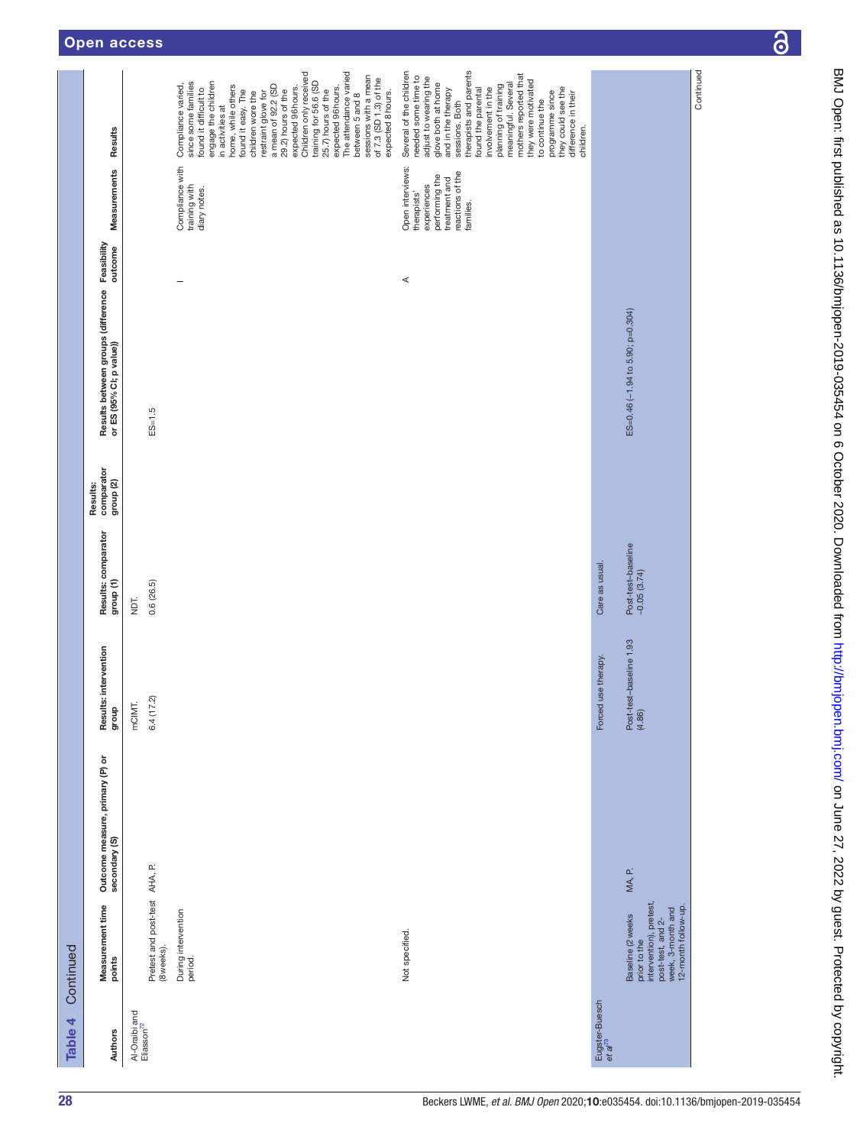| Table 4                                 | Continued                                                                                                                    |                                                  |                                                          |                                                       |                                                |                                                                            |                                                                                                                    |                                                                                                                                                                                                                                                                                                                                                                                                                                                                                         |
|-----------------------------------------|------------------------------------------------------------------------------------------------------------------------------|--------------------------------------------------|----------------------------------------------------------|-------------------------------------------------------|------------------------------------------------|----------------------------------------------------------------------------|--------------------------------------------------------------------------------------------------------------------|-----------------------------------------------------------------------------------------------------------------------------------------------------------------------------------------------------------------------------------------------------------------------------------------------------------------------------------------------------------------------------------------------------------------------------------------------------------------------------------------|
| <b>Authors</b>                          | Measurement time<br>points                                                                                                   | Outcome measure, primary (P) or<br>secondary (S) | Results: intervention<br>dhoub                           | Results: comparator<br>group (1)                      | comparator<br>group <sub>(2)</sub><br>Results: | Results between groups (difference Feasibility<br>or ES (95% CI; p value)) | Measurements                                                                                                       | Results                                                                                                                                                                                                                                                                                                                                                                                                                                                                                 |
| Al-Oraibi and<br>Eliasson <sup>72</sup> | Pretest and post-test AHA, P.<br>(8 weeks).                                                                                  |                                                  | 6.4(17.2)<br>mCIMT.                                      | 0.6(26.5)<br>Пqм                                      |                                                | $ES = 1.5$                                                                 |                                                                                                                    |                                                                                                                                                                                                                                                                                                                                                                                                                                                                                         |
|                                         | During intervention<br>period.                                                                                               |                                                  |                                                          |                                                       |                                                |                                                                            | Compliance with<br>training with<br>diary notes.                                                                   | Children only received<br>The attendance varied<br>sessions with a mean<br>of 7.3 (SD 1.3) of the<br>training for 56.6 (SD<br>since some families<br>engage the children<br>Compliance varied,<br>home, while others<br>a mean of 92.2 (SD<br>expected 96hours.<br>expected 96hours.<br>found it difficult to<br>found it easy. The<br>25.7) hours of the<br>29.2) hours of the<br>expected 8 hours.<br>children wore the<br>restraint glove for<br>between 5 and 8<br>in activities at |
|                                         | Not specified.                                                                                                               |                                                  |                                                          |                                                       |                                                | ⋖                                                                          | Open interviews:<br>reactions of the<br>performing the<br>treatment and<br>experiences<br>therapists'<br>families. | therapists and parents<br>Several of the children<br>mothers reported that<br>needed some time to<br>adjust to wearing the<br>they were motivated<br>glove both at home<br>and in the therapy<br>meaningful. Several<br>planning of training<br>involvement in the<br>they could see the<br>found the parental<br>programme since<br>difference in their<br>to continue the<br>sessions. Both<br>children.                                                                              |
| Eugster-Buesch<br>et al <sup>73</sup>   | intervention), pretest<br>12-month follow-up.<br>post-test, and 2-<br>week, 3-month and<br>Baseline (2 weeks<br>prior to the | MA, P.                                           | Post-test-baseline 1.93<br>(4.86)<br>Forced use therapy. | Post-test-baseline<br>Care as usual.<br>$-0.05(3.74)$ |                                                | ES=0.46 (-1.94 to 5.90; p=0.304)                                           |                                                                                                                    |                                                                                                                                                                                                                                                                                                                                                                                                                                                                                         |
|                                         |                                                                                                                              |                                                  |                                                          |                                                       |                                                |                                                                            |                                                                                                                    | Continued                                                                                                                                                                                                                                                                                                                                                                                                                                                                               |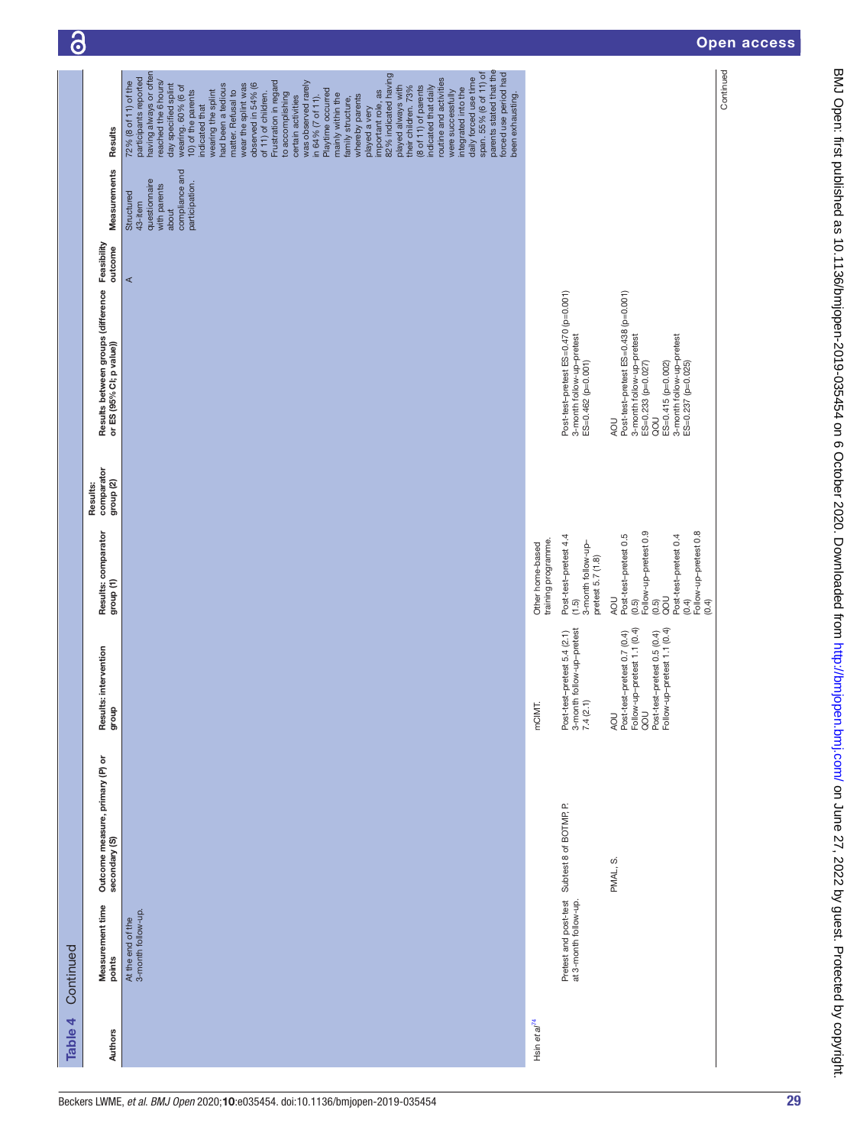| Table 4                  | Continued                                      |                                                  |                                                                                                                                        |                                                                                                                                                    |                                                |                                                                                                                                                                                |         |                                                                                                     |                                                                                                                                                                                                                                                                                                                                                                                                                                                                                                                                                                                                                                                                                                                                                                                                                                                                                           |
|--------------------------|------------------------------------------------|--------------------------------------------------|----------------------------------------------------------------------------------------------------------------------------------------|----------------------------------------------------------------------------------------------------------------------------------------------------|------------------------------------------------|--------------------------------------------------------------------------------------------------------------------------------------------------------------------------------|---------|-----------------------------------------------------------------------------------------------------|-------------------------------------------------------------------------------------------------------------------------------------------------------------------------------------------------------------------------------------------------------------------------------------------------------------------------------------------------------------------------------------------------------------------------------------------------------------------------------------------------------------------------------------------------------------------------------------------------------------------------------------------------------------------------------------------------------------------------------------------------------------------------------------------------------------------------------------------------------------------------------------------|
| Authors                  | Measurement time<br>points                     | Outcome measure, primary (P) or<br>secondary (S) | Results: intervention<br>dhoub                                                                                                         | Results: comparator<br>group (1)                                                                                                                   | comparator<br>group <sub>(2)</sub><br>Results: | Results between groups (difference Feasibility<br>or ES (95% CI; p value))                                                                                                     |         | Measurements                                                                                        | Results                                                                                                                                                                                                                                                                                                                                                                                                                                                                                                                                                                                                                                                                                                                                                                                                                                                                                   |
|                          | 3-month follow-up.<br>At the end of the        |                                                  |                                                                                                                                        |                                                                                                                                                    |                                                |                                                                                                                                                                                | $\prec$ | compliance and<br>questionnaire<br>participation.<br>with parents<br>Structured<br>43-item<br>about | parents stated that the<br>having always or often<br>forced use period had<br>span. 55% (6 of 11) of<br>82% indicated having<br>daily forced use time<br>participants reported<br>routine and activities<br>reached the 6 hours/<br>Frustration in regard<br>72% (8 of 11) of the<br>was observed rarely<br>day specified splint<br>observed in 54% (6<br>had been a tedious<br>wear the splint was<br>played always with<br>wearing. 60% (6 of<br>(8 of 11) of parents<br>their children. 73%<br>indicated that daily<br>integrated into the<br>Playtime occurred<br>matter. Refusal to<br>10) of the parents<br>wearing the splint<br>important role, as<br>were successfully<br>of 11) of children.<br>to accomplishing<br>been exhausting.<br>mainly within the<br>whereby parents<br>certain activities<br>in 64% (7 of 11).<br>family structure,<br>indicated that<br>played a very |
| Hsin et al <sup>74</sup> |                                                |                                                  | mCIMT.                                                                                                                                 | training programme.<br>Other home-based                                                                                                            |                                                |                                                                                                                                                                                |         |                                                                                                     |                                                                                                                                                                                                                                                                                                                                                                                                                                                                                                                                                                                                                                                                                                                                                                                                                                                                                           |
|                          | Pretest and post-test<br>at 3-month follow-up. | Subtest 8 of BOTMP, P.                           | Post-test-pretest 5.4 (2.1)<br>3-month follow-up-pretest<br>7.4 (2.1)                                                                  | Post-test-pretest 4.4<br>3-month follow-up-<br>pretest 5.7 (1.8)<br>(1.5)                                                                          |                                                | Post-test-pretest ES=0.470 (p=0.001)<br>3-month follow-up-pretest<br>ES=0.462 (p=0.001)                                                                                        |         |                                                                                                     |                                                                                                                                                                                                                                                                                                                                                                                                                                                                                                                                                                                                                                                                                                                                                                                                                                                                                           |
|                          |                                                | PMAL, S.                                         | Follow-up-pretest 1.1 (0.4)<br>QOU<br>Post-test-pretest 0.5 (0.4)<br>Follow-up-pretest 1.1 (0.4)<br>Post-test-pretest 0.7 (0.4)<br>AOU | Follow-up-pretest 0.9<br>Follow-up-pretest 0.8<br>Post-test-pretest 0.5<br>Post-test-pretest 0.4<br>DOD<br>ROU<br>(0.4)<br>(0.5)<br>(0.4)<br>(0.5) |                                                | Post-test-pretest ES=0.438 (p=0.001)<br>3-month follow-up-pretest<br>3-month follow-up-pretest<br>ES=0.233 (p=0.027)<br>ES=0.415 (p=0.002)<br>ES=0.237 (p=0.025)<br>JOD<br>AOU |         |                                                                                                     |                                                                                                                                                                                                                                                                                                                                                                                                                                                                                                                                                                                                                                                                                                                                                                                                                                                                                           |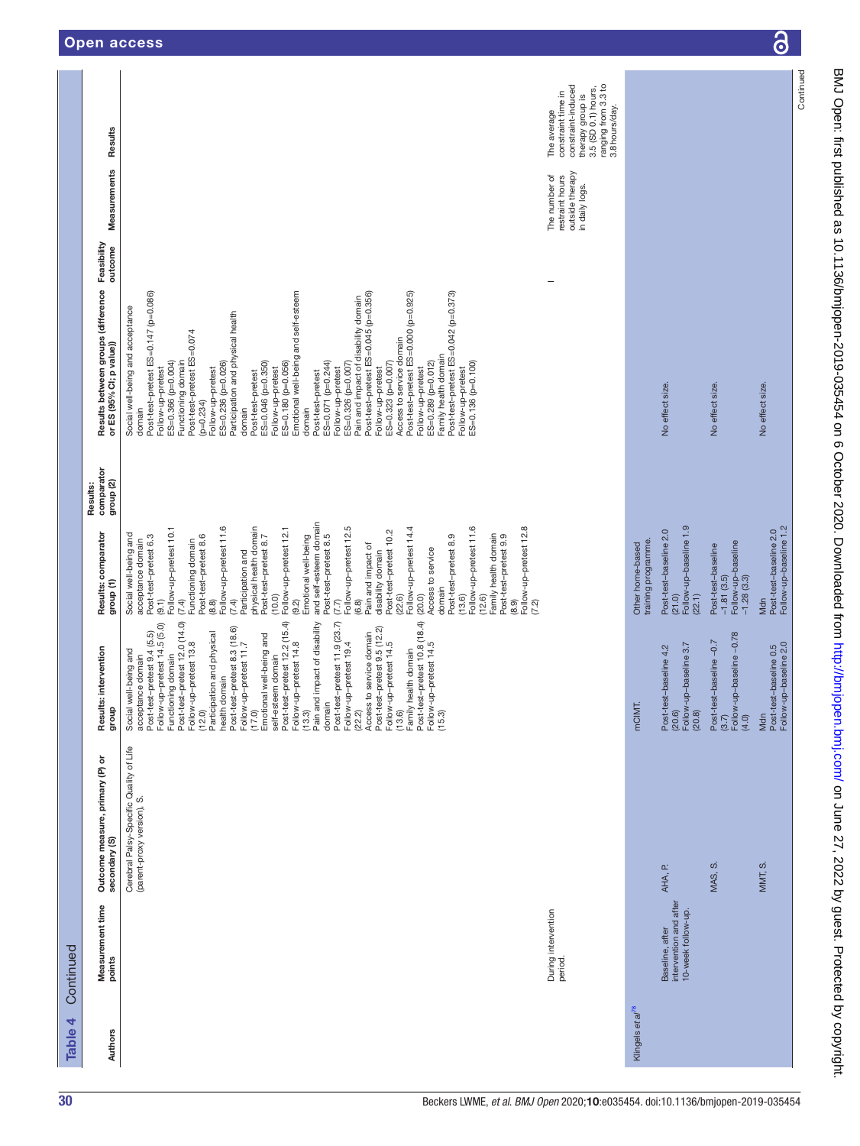| Table 4                      | Continued                                                       |                                                                       |                                                                                                                                                                                                                                                                                                                                                                                                                                                                                                |                                                                                                                                                                                                                                                                                                                                                                                                                                                                                                                                                                                                                                                                                                                                                                              |                                                |                                                                                                                                                                                                                                                                                                                                                                                                                                                                                                                                                                                                                                                                                                                                                                                                                                                                               |                                                                       |                                                                             |
|------------------------------|-----------------------------------------------------------------|-----------------------------------------------------------------------|------------------------------------------------------------------------------------------------------------------------------------------------------------------------------------------------------------------------------------------------------------------------------------------------------------------------------------------------------------------------------------------------------------------------------------------------------------------------------------------------|------------------------------------------------------------------------------------------------------------------------------------------------------------------------------------------------------------------------------------------------------------------------------------------------------------------------------------------------------------------------------------------------------------------------------------------------------------------------------------------------------------------------------------------------------------------------------------------------------------------------------------------------------------------------------------------------------------------------------------------------------------------------------|------------------------------------------------|-------------------------------------------------------------------------------------------------------------------------------------------------------------------------------------------------------------------------------------------------------------------------------------------------------------------------------------------------------------------------------------------------------------------------------------------------------------------------------------------------------------------------------------------------------------------------------------------------------------------------------------------------------------------------------------------------------------------------------------------------------------------------------------------------------------------------------------------------------------------------------|-----------------------------------------------------------------------|-----------------------------------------------------------------------------|
| <b>Authors</b>               | Measurement time<br>points                                      | ৯<br>Outcome measure, primary (P)<br>secondary (S)                    | Results: intervention<br>dhoub                                                                                                                                                                                                                                                                                                                                                                                                                                                                 | Results: comparator<br>group (1)                                                                                                                                                                                                                                                                                                                                                                                                                                                                                                                                                                                                                                                                                                                                             | comparator<br>group <sub>(2)</sub><br>Results: | Feasibility<br>outcome<br>Results between groups (difference<br>or ES (95% CI; p value))                                                                                                                                                                                                                                                                                                                                                                                                                                                                                                                                                                                                                                                                                                                                                                                      | Results<br>Measurements                                               |                                                                             |
|                              | During intervention<br>period.                                  | Cerebral Palsy-Specific Quality of Life<br>(parent-proxy version), S. | Access to service domain<br>Post-test-pretest 9.5 (12.2)<br>(13.6)<br>(13.6)<br>Family health domain<br>Fost-test-pretest 10.8 (4)<br>For the Soly<br>(15.9)<br>Follow-up-petest 14, 50.0)<br>(Functioning domain<br>$\frac{1}{2}$ is the set of the set of the set of the set of the<br>Fost-test-pretest 13.8<br>(12.0)<br>(12.0)<br>Participation and physical<br>Peter bost-test-pretest 1.7<br>Follow-up-pet<br>acceptance domain<br>Post-test–pretest 9.4 (5.5)<br>Social well-being and | and self-esteem domain<br>Follow-up-pretest 11.6<br>Follow-up-pretest 11.6<br>Follow-up-pretest 12.8<br>(7.7)<br>Follow-up-pretest 12.5<br>Follow-up-pretest 10.1<br>physical health domain<br>Follow-up-pretest 12.1<br>Follow-up-pretest 14.4<br>Post-test-pretest 10.2<br>Social well-being and<br>Family health domain<br>Post-test-pretest 6.3<br>Post-test-pretest 8.6<br>Post-test-pretest 8.9<br>Post-test-pretest 8.7<br>Emotional well-being<br>Post-test-pretest 8.5<br>Post-test-pretest 9.9<br>Functioning domain<br>acceptance domain<br>Pain and impact of<br>Access to service<br>Participation and<br>disability domain<br>domain<br>(22.6)<br>(20.0)<br>(10.0)<br>(13.6)<br>(12.6)<br>(7.4)<br>(6.8)<br>(8.9)<br>(9.1)<br>(8.8)<br>(7.4)<br>(9.2)<br>(7.2) |                                                | Emotional well-being and self-esteem<br>Post-test-pretest ES=0.147 (p=0.086)<br>Post-test-pretest ES=0.045 (p=0.356)<br>Post-test-pretest ES=0.000 (p=0.925)<br>Post-test-pretest ES=0.042 (p=0.373)<br>Pain and impact of disability domain<br>Social well-being and acceptance<br>Participation and physical health<br>Post-test-pretest ES=0.074<br>Access to service domain<br>Family health domain<br>ES=0.366 (p=0.004)<br>ES=0.046 (p=0.350)<br>ES=0.180 (p=0.056)<br>ES=0.071 (p=0.244)<br>ES=0.289 (p=0.012)<br>ES=0.136 (p=0.100)<br>Functioning domain<br>ES=0.236 (p=0.026)<br>ES=0.326 (p=0.007)<br>ES=0.323 (p=0.007)<br>Follow-up-pretest<br>Follow-up-pretest<br>Follow-up-pretest<br>Follow-up-pretest<br>Follow-up-pretest<br>Follow-up-pretest<br>Follow-up-pretest<br>Post-test-pretest<br>Post-test-pretest<br>$(p=0.234)$<br>domain<br>domain<br>domain | outside therapy<br>The number of<br>restraint hours<br>in daily logs. | constraint time in<br>constraint-induced<br>therapy group is<br>The average |
|                              |                                                                 |                                                                       |                                                                                                                                                                                                                                                                                                                                                                                                                                                                                                |                                                                                                                                                                                                                                                                                                                                                                                                                                                                                                                                                                                                                                                                                                                                                                              |                                                |                                                                                                                                                                                                                                                                                                                                                                                                                                                                                                                                                                                                                                                                                                                                                                                                                                                                               |                                                                       | ranging from 3.3 to<br>3.5 (SD 0.1) hours,<br>3.8 hours/day.                |
| Klingels et al <sup>78</sup> | intervention and after<br>10-week follow-up.<br>Baseline, after | Œ.<br>AHA,                                                            | Post-test-baseline 4.2<br>(20.6)<br>Follow-up-baseline 3.7<br>(20.8)<br>ΜT.<br>pou                                                                                                                                                                                                                                                                                                                                                                                                             | Follow-up-baseline 1.9<br>Post-test-baseline 2.0<br>training programme.<br>Other home-based<br>(21.0)<br>(22.1)                                                                                                                                                                                                                                                                                                                                                                                                                                                                                                                                                                                                                                                              |                                                | No effect size.                                                                                                                                                                                                                                                                                                                                                                                                                                                                                                                                                                                                                                                                                                                                                                                                                                                               |                                                                       |                                                                             |
|                              |                                                                 | ဟ<br>MAS,                                                             | Post-test-baseline –0.7<br>(3.7)<br>Follow-up-baseline –0.78<br>(4.0)                                                                                                                                                                                                                                                                                                                                                                                                                          | Follow-up-baseline<br>-1.28 (3.3)<br>Post-test-baseline<br>$-1.81(3.5)$                                                                                                                                                                                                                                                                                                                                                                                                                                                                                                                                                                                                                                                                                                      |                                                | No effect size.                                                                                                                                                                                                                                                                                                                                                                                                                                                                                                                                                                                                                                                                                                                                                                                                                                                               |                                                                       |                                                                             |
|                              |                                                                 | MMT, S.                                                               | Post-test-baseline 0.5<br>Follow-up-baseline 2.0<br>Mdn                                                                                                                                                                                                                                                                                                                                                                                                                                        | Follow-up-baseline 1.2<br>Post-test-baseline 2.0<br>Mdn                                                                                                                                                                                                                                                                                                                                                                                                                                                                                                                                                                                                                                                                                                                      |                                                | No effect size.                                                                                                                                                                                                                                                                                                                                                                                                                                                                                                                                                                                                                                                                                                                                                                                                                                                               |                                                                       |                                                                             |
|                              |                                                                 |                                                                       |                                                                                                                                                                                                                                                                                                                                                                                                                                                                                                |                                                                                                                                                                                                                                                                                                                                                                                                                                                                                                                                                                                                                                                                                                                                                                              |                                                |                                                                                                                                                                                                                                                                                                                                                                                                                                                                                                                                                                                                                                                                                                                                                                                                                                                                               |                                                                       | Continued                                                                   |

 $\overline{\partial}$ 

**This**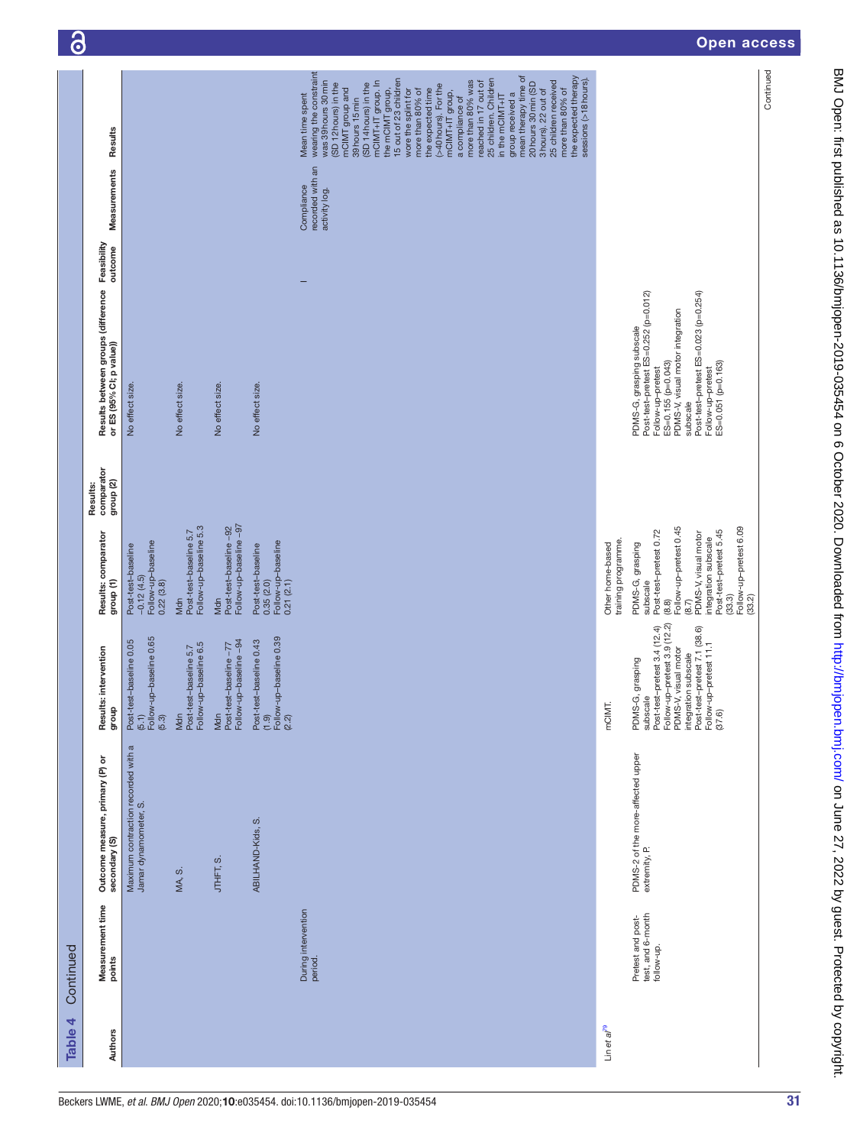| Table 4         | Continued                                            |                                                              |                                                                                                                                                                                                                                  |                                                                                                                                                                                                                              |                                                |                                                                                                                                                                                                                                                       |                                                 |                                                                                                                                                                                                                                                                                                                                                                                                                                                                                                                                                                                                                                        |
|-----------------|------------------------------------------------------|--------------------------------------------------------------|----------------------------------------------------------------------------------------------------------------------------------------------------------------------------------------------------------------------------------|------------------------------------------------------------------------------------------------------------------------------------------------------------------------------------------------------------------------------|------------------------------------------------|-------------------------------------------------------------------------------------------------------------------------------------------------------------------------------------------------------------------------------------------------------|-------------------------------------------------|----------------------------------------------------------------------------------------------------------------------------------------------------------------------------------------------------------------------------------------------------------------------------------------------------------------------------------------------------------------------------------------------------------------------------------------------------------------------------------------------------------------------------------------------------------------------------------------------------------------------------------------|
| Authors         | Measurement time<br>points                           | Outcome measure, primary (P) or<br>secondary (S)             | Results: intervention<br>dno.fo                                                                                                                                                                                                  | Results: comparator<br>group (1)                                                                                                                                                                                             | comparator<br>group <sub>(2)</sub><br>Results: | Results between groups (difference<br>or ES (95% CI; p value))                                                                                                                                                                                        | Measurements<br>Feasibility<br>outcome          | Results                                                                                                                                                                                                                                                                                                                                                                                                                                                                                                                                                                                                                                |
|                 |                                                      | Maximum contraction recorded with a<br>Jamar dynamometer, S. | (5.1)<br>Follow-up-baseline 0.65<br>(5.3)<br>Post-test-baseline 0.05                                                                                                                                                             | Follow-up-baseline<br>0.22 (3.8)<br>Post-test-baseline<br>$-0.12(4.5)$                                                                                                                                                       |                                                | No effect size.                                                                                                                                                                                                                                       |                                                 |                                                                                                                                                                                                                                                                                                                                                                                                                                                                                                                                                                                                                                        |
|                 |                                                      | MA, S.                                                       | Post-test-baseline 5.7<br>Follow-up-baseline 6.5<br>Mdn                                                                                                                                                                          | Follow-up-baseline 5.3<br>Post-test-baseline 5.7<br>Mdn                                                                                                                                                                      |                                                | No effect size.                                                                                                                                                                                                                                       |                                                 |                                                                                                                                                                                                                                                                                                                                                                                                                                                                                                                                                                                                                                        |
|                 |                                                      | <b>JTHFTS</b>                                                | Follow-up-baseline -94<br>Post-test-baseline-77<br>Mdn                                                                                                                                                                           | Post-test-baseline -92<br>Follow-up-baseline -97<br>Mdn                                                                                                                                                                      |                                                | No effect size.                                                                                                                                                                                                                                       |                                                 |                                                                                                                                                                                                                                                                                                                                                                                                                                                                                                                                                                                                                                        |
|                 |                                                      | ABILHAND-Kids, S.                                            | (1.9)<br>Follow-up-baseline 0.39<br>(2.2)<br>Post-test-baseline 0.43                                                                                                                                                             | Follow-up-baseline<br>0.21 (2.1)<br>Post-test-baseline<br>0.35(2.0)                                                                                                                                                          |                                                | No effect size.                                                                                                                                                                                                                                       |                                                 |                                                                                                                                                                                                                                                                                                                                                                                                                                                                                                                                                                                                                                        |
|                 | During intervention<br>period.                       |                                                              |                                                                                                                                                                                                                                  |                                                                                                                                                                                                                              |                                                |                                                                                                                                                                                                                                                       | recorded with an<br>Compliance<br>activity log. | wearing the constraint<br>the expected therapy<br>mean therapy time of<br>the mCIMT group,<br>15 out of 23 children<br>sessions (>18 hours).<br>25 children. Children<br>was 39hours 30 min<br>25 children received<br>mCIMT+IT group. In<br>more than 80% was<br>reached in 17 out of<br>20 hours 30 min (SD<br>(SD 12 hours) in the<br>(SD 14 hours) in the<br>(>40 hours). For the<br>mCIMT group and<br>more than 80% of<br>wore the splint for<br>the expected time<br>more than 80% of<br>3 hours). 22 out of<br>mCIMT+IT group,<br>group received a<br>in the mCIMT+IT<br>Mean time spent<br>a compliance of<br>39 hours 15 min |
| Lineta $l^{79}$ |                                                      |                                                              | mCIMT.                                                                                                                                                                                                                           | training programme.<br>Other home-based                                                                                                                                                                                      |                                                |                                                                                                                                                                                                                                                       |                                                 |                                                                                                                                                                                                                                                                                                                                                                                                                                                                                                                                                                                                                                        |
|                 | Pretest and post-<br>test, and 6-month<br>follow-up. | PDMS-2 of the more-affected upper<br>extremity, P.           | Post-test-pretest 3.4 (12.4)<br>Follow-up-pretest 3.9 (12.2)<br>PDMS-V, visual motor<br>integration subscale<br>Post-test–pretest 7.1 (38.6)<br>Follow-up–pretest 11.1<br>(37.6)<br>PDMS-G, grasping<br>$\overline{0}$<br>subsca | Follow-up-pretest 0.45<br>Follow-up-pretest 6.09<br>(33.2)<br>Post-test-pretest 5.45<br>Post-test-pretest 0.72<br>$(8.7)$<br>PDMS-V, visual motor<br>integration subscale<br>PDMS-G, grasping<br>subscale<br>(33.3)<br>(8.8) |                                                | PDMS-G, grasping subscale<br>Post-test–pretest ES=0.252 (p=0.012)<br>Post-test-pretest ES=0.023 (p=0.254)<br>PDMS-V, visual motor integration<br>Follow-up-pretest<br>ES=0.155 (p=0.043)<br>$ES = 0.051 (p = 0.163)$<br>Follow-up-pretest<br>subscale |                                                 |                                                                                                                                                                                                                                                                                                                                                                                                                                                                                                                                                                                                                                        |
|                 |                                                      |                                                              |                                                                                                                                                                                                                                  |                                                                                                                                                                                                                              |                                                |                                                                                                                                                                                                                                                       |                                                 | Continued                                                                                                                                                                                                                                                                                                                                                                                                                                                                                                                                                                                                                              |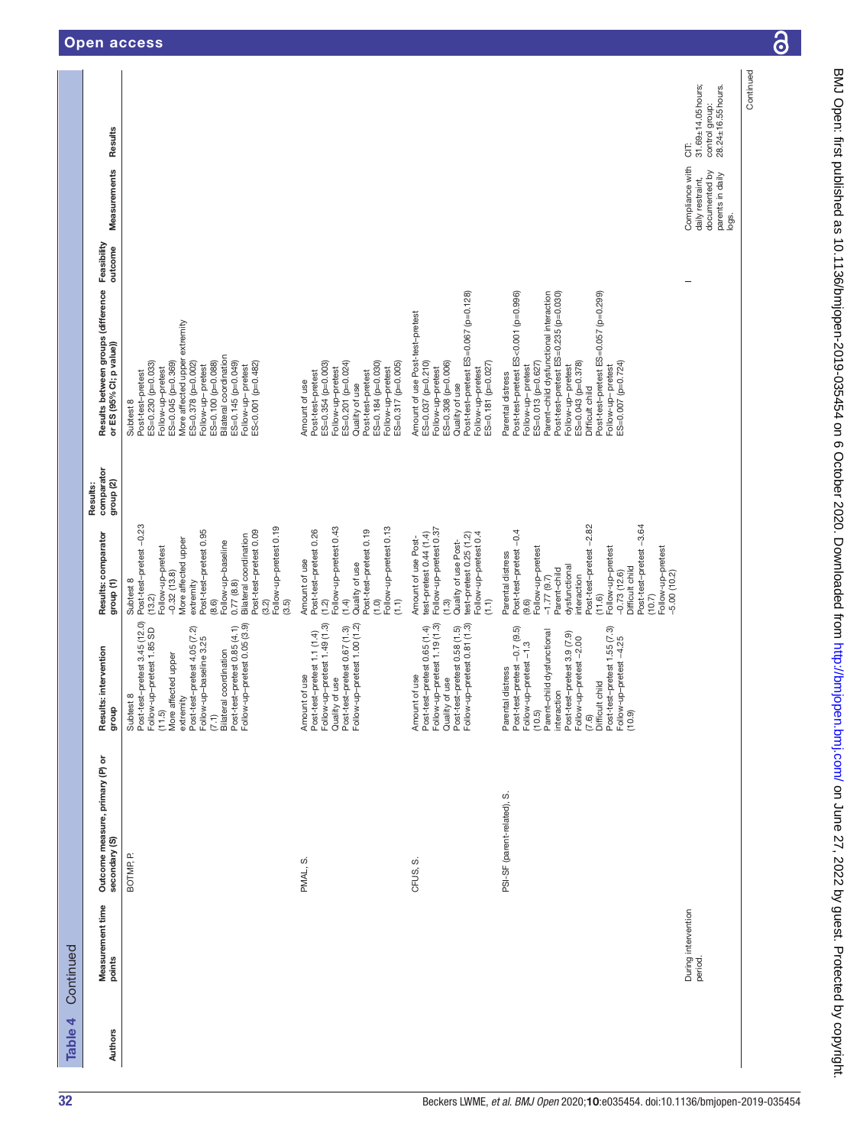| Continued<br>Table 4                  |                                                  |                                                                                                                                                                                                                                                                                                           |                                                                                                                                                                                                                                                                                                                 |                                                |                                                                                                                                                                                                                                                                                                                                         |                                                                                   |                                                                     |
|---------------------------------------|--------------------------------------------------|-----------------------------------------------------------------------------------------------------------------------------------------------------------------------------------------------------------------------------------------------------------------------------------------------------------|-----------------------------------------------------------------------------------------------------------------------------------------------------------------------------------------------------------------------------------------------------------------------------------------------------------------|------------------------------------------------|-----------------------------------------------------------------------------------------------------------------------------------------------------------------------------------------------------------------------------------------------------------------------------------------------------------------------------------------|-----------------------------------------------------------------------------------|---------------------------------------------------------------------|
| Measurement time<br>points<br>Authors | Outcome measure, primary (P) or<br>secondary (S) | Results: intervention<br>dho.fb                                                                                                                                                                                                                                                                           | Results: comparator<br>group (1)                                                                                                                                                                                                                                                                                | comparator<br>group <sub>(2)</sub><br>Results: | Results between groups (difference Feasibility<br>outcome<br>or ES (95% CI; p value))                                                                                                                                                                                                                                                   | Measurements                                                                      | Results                                                             |
|                                       | BOTMP <sub>P</sub>                               | Post-test-pretest 3.45 (12.0)<br>Follow-up-pretest 0.05 (3.9)<br>Post-test-pretest 0.85 (4.1)<br>Follow-up-pretest 1.85 SD<br>Post-test-pretest 4.05 (7.2)<br>Follow-up-baseline 3.25<br>coordination<br>More affected upper<br>$\infty$<br>extremity<br><b>Subtest</b><br>$(7.1)$<br>Bilateral<br>(11.5) | Post-test-pretest-0.23<br>Follow-up-pretest 0.19<br>Post-test-pretest 0.95<br>Post-test-pretest 0.09<br>Bilateral coordination<br>More affected upper<br>Follow-up-baseline<br>Follow-up-pretest<br>$-0.32(13.8)$<br>Subtest 8<br>extremity<br>0.77(8.8)<br>(13.2)<br>(8.6)<br>(3.2)<br>(3.5)                   |                                                | More affected upper extremity<br>Bilateral coordination<br>ES=0.100 (p=0.088)<br>ES=0.145 (p=0.049)<br>ES=0.045 (p=0.369)<br>ES=0.378 (p=0.002)<br>ES=0.230 (p=0.033)<br>ES<0.001 (p=0.482)<br>Follow-up-pretest<br>Follow-up-pretest<br>Follow-up-pretest<br>Post-test-pretest<br>Subtest 8                                            |                                                                                   |                                                                     |
|                                       | PMAL, S.                                         | Follow-up-pretest 1.49 (1.3)<br>Follow-up-pretest 1.00 (1.2)<br>Quality of use<br>Post-test-pretest 0.67 (1.3)<br>Post-test-pretest 1.1 (1.4)<br>of use<br>Amount                                                                                                                                         | Follow-up-pretest 0.13<br>Follow-up-pretest 0.43<br>Post-test-pretest 0.26<br>Post-test-pretest 0.19<br>Amount of use<br>Quality of use<br>$\widehat{C}$<br>(1.2)<br>(1.4)<br>$\overline{C}$                                                                                                                    |                                                | Follow-up-pretest<br>ES=0.201 (p=0.024)<br>ES=0.317 (p=0.005)<br>ES=0.354 (p=0.003)<br>ES=0.184 (p=0.030)<br>Follow-up-pretest<br>Post-test-pretest<br>Post-test-pretest<br>Amount of use<br>Quality of use                                                                                                                             |                                                                                   |                                                                     |
|                                       | ဟ<br>CFUS,                                       | Quality of use<br>Post-test–pretest 0.58 (1.5)<br>Follow-up–pretest 0.81 (1.3)<br>Follow-up-pretest 1.19 (1.3)<br>Post-test-pretest 0.65 (1.4)<br>of use<br>Amount                                                                                                                                        | Follow-up-pretest 0.37<br>Follow-up-pretest 0.4<br>test-pretest 0.44 (1.4)<br>test-pretest 0.25 (1.2)<br>Amount of use Post-<br>Quality of use Post-<br>$\widehat{H}$<br>(1.3)                                                                                                                                  |                                                | Post-test-pretest ES=0.067 (p=0.128)<br>Amount of use Post-test-pretest<br>ES=0.037 (p=0.210)<br>Follow-up-pretest<br>ES=0.181 (p=0.027)<br>ES=0.308 (p=0.006)<br>Follow-up-pretest<br>Quality of use                                                                                                                                   |                                                                                   |                                                                     |
|                                       | PSI-SF (parent-related), S.                      | Post-test-pretest -0.7 (9.5)<br>Post-test-pretest 1.55 (7.3)<br>Parent-child dysfunctional<br>Post-test-pretest 3.9 (7.9)<br>Follow-up-pretest-2.00<br>Follow-up-pretest -4.25<br>(10.9)<br>Follow-up-pretest -1.3<br>(10.5)<br>Parental distress<br>Difficult child<br>interaction<br>(7.6)              | Post-test-pretest-3.64<br>Post-test-pretest-2.82<br>Post-test-pretest-0.4<br>Follow-up-pretest<br>Follow-up-pretest<br>Follow-up-pretest<br>Parental distress<br>dysfunctional<br>Difficult child<br>Parent-child<br>$-0.73(12.6)$<br>$-5.00(10.2)$<br>interaction<br>$-1.77(9.7)$<br>(11.6)<br>(10.7)<br>(9.6) |                                                | Post-test-pretest ES<0.001 (p=0.996)<br>Post-test-pretest ES=0.057 (p=0.299)<br>Parent-child dysfunctional interaction<br>Post-test-pretest ES=0.235 (p=0.030)<br>Follow-up-pretest<br>ES=0.043 (p=0.378)<br>ES=0.007 (p=0.724)<br>Follow-up-pretest<br>ES=0.013 (p=0.627)<br>Follow-up-pretest<br>Parental distress<br>Difficult child |                                                                                   |                                                                     |
| During intervention<br>period.        |                                                  |                                                                                                                                                                                                                                                                                                           |                                                                                                                                                                                                                                                                                                                 |                                                |                                                                                                                                                                                                                                                                                                                                         | Compliance with<br>documented by<br>parents in daily<br>daily restraint,<br>logs. | 31.69±14.05hours;<br>28.24±16.55 hours.<br>control group:<br>5<br>O |
|                                       |                                                  |                                                                                                                                                                                                                                                                                                           |                                                                                                                                                                                                                                                                                                                 |                                                |                                                                                                                                                                                                                                                                                                                                         |                                                                                   | Continued                                                           |

6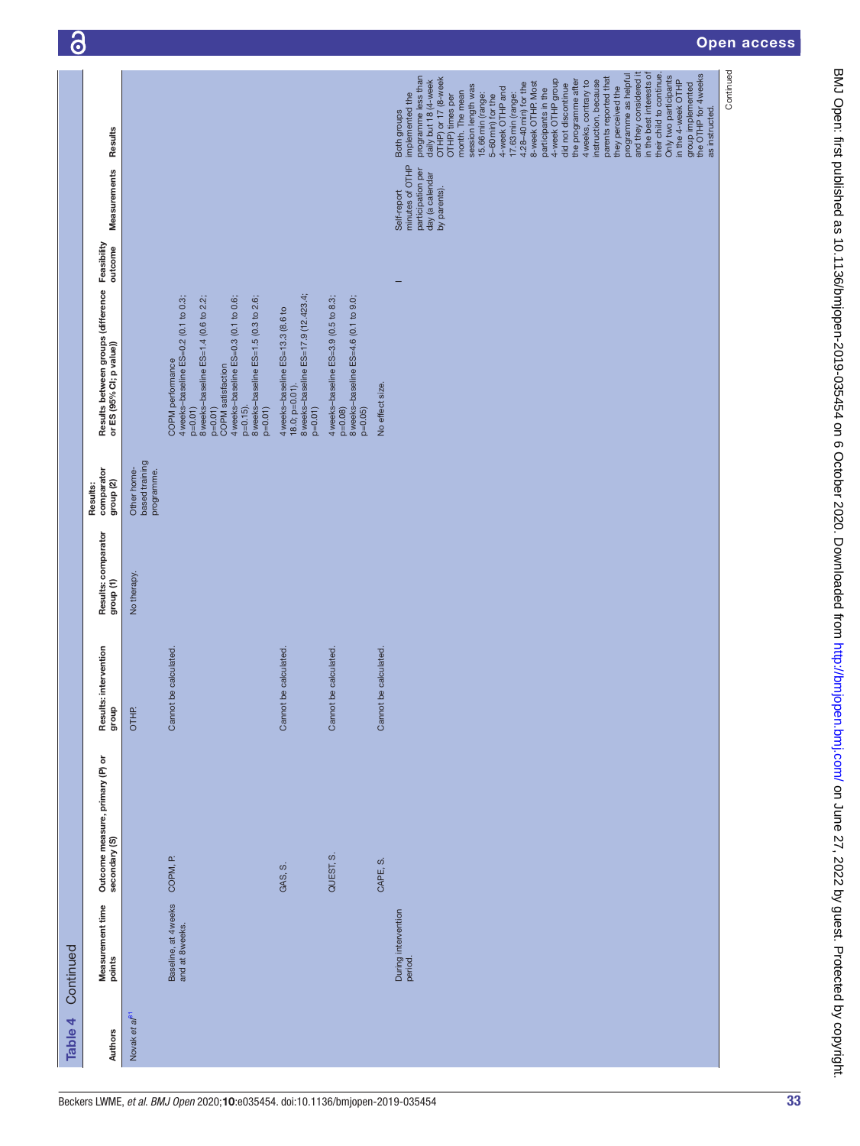| as instructed.<br>Both groups<br>Results<br>minutes of OTHP<br>participation per<br>day (a calendar<br>Measurements<br>by parents).<br>Self-report<br>Feasibility<br>outcome<br>Results between groups (difference<br>or ES (95% CI; p value))<br>8 weeks-baseline ES=17.9 (12.423.4;<br>COPM performance<br>4 weeks-baseline ES=0.2 (0.1 to 0.3;<br>8 weeks-baseline ES=1.4 (0.6 to 2.2;<br>8 weeks-baseline ES=1.5 (0.3 to 2.6;<br>4 weeks-baseline ES=3.9 (0.5 to 8.3;<br>8 weeks-baseline ES=4.6 (0.1 to 9.0;<br>4 weeks-baseline ES=0.3 (0.1 to 0.6;<br>4 weeks-baseline ES=13.3 (8.6 to<br>COPM satisfaction<br>$18.0; p=0.01$ ).<br>No effect size.<br>$p=0.15$ ).<br>$p=0.01$<br>$p=0.01$<br>$p=0.01$<br>$p=0.01$<br>$p=0.08$<br>$p=0.05$<br>based training<br>Results:<br>comparator<br>Other home-<br>programme.<br>group (2)<br>Results: comparator<br>No therapy<br>group (1)<br>Results: intervention<br>Cannot be calculated.<br>Cannot be calculated.<br>Cannot be calculated.<br>Cannot be calculated.<br>group<br>OTHP.<br>Outcome measure, primary (P) or<br>secondary (S)<br>QUEST, S.<br>COPM, P.<br>CAPE, S.<br>GAS, S.<br>Baseline, at 4 weeks<br>and at 8 weeks.<br>Measurement time<br>points<br>During intervention<br>period.<br>Novak et a/ <sup>81</sup><br>Authors | Table 4 | Continued |  |  |  |                                                                                                                                                                                                                                                                                                                                                                                                                                                                                                                                                                                                                                                                               |
|-------------------------------------------------------------------------------------------------------------------------------------------------------------------------------------------------------------------------------------------------------------------------------------------------------------------------------------------------------------------------------------------------------------------------------------------------------------------------------------------------------------------------------------------------------------------------------------------------------------------------------------------------------------------------------------------------------------------------------------------------------------------------------------------------------------------------------------------------------------------------------------------------------------------------------------------------------------------------------------------------------------------------------------------------------------------------------------------------------------------------------------------------------------------------------------------------------------------------------------------------------------------------------------------------|---------|-----------|--|--|--|-------------------------------------------------------------------------------------------------------------------------------------------------------------------------------------------------------------------------------------------------------------------------------------------------------------------------------------------------------------------------------------------------------------------------------------------------------------------------------------------------------------------------------------------------------------------------------------------------------------------------------------------------------------------------------|
|                                                                                                                                                                                                                                                                                                                                                                                                                                                                                                                                                                                                                                                                                                                                                                                                                                                                                                                                                                                                                                                                                                                                                                                                                                                                                                 |         |           |  |  |  |                                                                                                                                                                                                                                                                                                                                                                                                                                                                                                                                                                                                                                                                               |
|                                                                                                                                                                                                                                                                                                                                                                                                                                                                                                                                                                                                                                                                                                                                                                                                                                                                                                                                                                                                                                                                                                                                                                                                                                                                                                 |         |           |  |  |  |                                                                                                                                                                                                                                                                                                                                                                                                                                                                                                                                                                                                                                                                               |
|                                                                                                                                                                                                                                                                                                                                                                                                                                                                                                                                                                                                                                                                                                                                                                                                                                                                                                                                                                                                                                                                                                                                                                                                                                                                                                 |         |           |  |  |  |                                                                                                                                                                                                                                                                                                                                                                                                                                                                                                                                                                                                                                                                               |
|                                                                                                                                                                                                                                                                                                                                                                                                                                                                                                                                                                                                                                                                                                                                                                                                                                                                                                                                                                                                                                                                                                                                                                                                                                                                                                 |         |           |  |  |  |                                                                                                                                                                                                                                                                                                                                                                                                                                                                                                                                                                                                                                                                               |
|                                                                                                                                                                                                                                                                                                                                                                                                                                                                                                                                                                                                                                                                                                                                                                                                                                                                                                                                                                                                                                                                                                                                                                                                                                                                                                 |         |           |  |  |  |                                                                                                                                                                                                                                                                                                                                                                                                                                                                                                                                                                                                                                                                               |
|                                                                                                                                                                                                                                                                                                                                                                                                                                                                                                                                                                                                                                                                                                                                                                                                                                                                                                                                                                                                                                                                                                                                                                                                                                                                                                 |         |           |  |  |  |                                                                                                                                                                                                                                                                                                                                                                                                                                                                                                                                                                                                                                                                               |
|                                                                                                                                                                                                                                                                                                                                                                                                                                                                                                                                                                                                                                                                                                                                                                                                                                                                                                                                                                                                                                                                                                                                                                                                                                                                                                 |         |           |  |  |  | and they considered it<br>programme as helpful<br>in the best interests of<br>their child to continue.<br>group implemented<br>the OTHP for 4 weeks<br>Only two participants<br>programme less than<br>parents reported that<br>OTHP) or 17 (8-week<br>OTHP) times per<br>participants in the<br>4-week OTHP group<br>daily but 18 (4-week<br>the programme after<br>instruction, because<br>in the 4-week OTHP<br>4 weeks, contrary to<br>8-week OTHP. Most<br>4.28-40 min) for the<br>did not discontinue<br>session length was<br>they perceived the<br>4-week OTHP and<br>month. The mean<br>15.66min (range:<br>17.63min (range:<br>implemented the<br>5-60 min) for the |
|                                                                                                                                                                                                                                                                                                                                                                                                                                                                                                                                                                                                                                                                                                                                                                                                                                                                                                                                                                                                                                                                                                                                                                                                                                                                                                 |         |           |  |  |  | Continued                                                                                                                                                                                                                                                                                                                                                                                                                                                                                                                                                                                                                                                                     |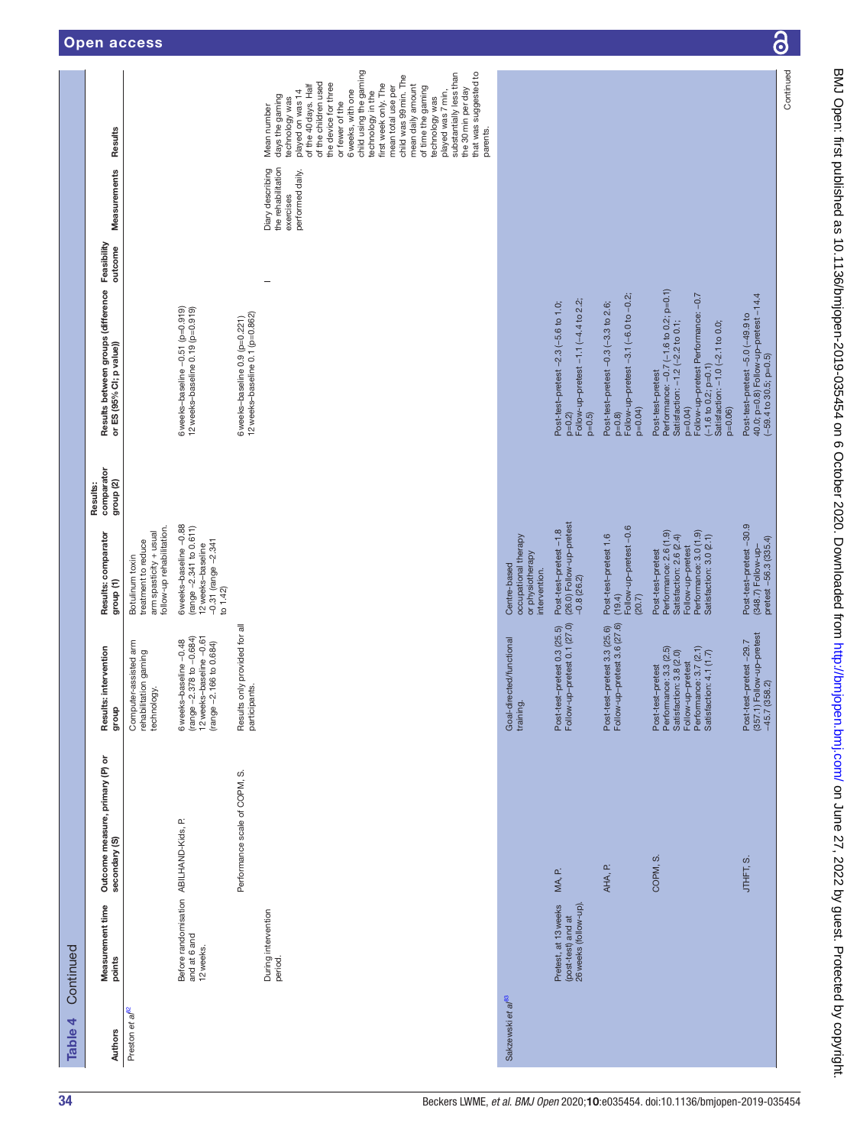| Table 4                       | Continued                                                           |                                                                                              |                                                                                                                                                  |                                                                                                                                                  |                                                |                                                                                                                                                                                                                              |                        |                                                                         |                                                                                                                                                                                                                                                                                                                                                                                                                                                                                    |
|-------------------------------|---------------------------------------------------------------------|----------------------------------------------------------------------------------------------|--------------------------------------------------------------------------------------------------------------------------------------------------|--------------------------------------------------------------------------------------------------------------------------------------------------|------------------------------------------------|------------------------------------------------------------------------------------------------------------------------------------------------------------------------------------------------------------------------------|------------------------|-------------------------------------------------------------------------|------------------------------------------------------------------------------------------------------------------------------------------------------------------------------------------------------------------------------------------------------------------------------------------------------------------------------------------------------------------------------------------------------------------------------------------------------------------------------------|
| <b>Authors</b>                | Measurement time<br>points                                          | Outcome measure, primary (P) or<br>secondary (S)                                             | Results: intervention<br>dho.fb                                                                                                                  | Results: comparator<br>group (1)                                                                                                                 | comparator<br>group <sub>(2)</sub><br>Results: | Results between groups (difference<br>or ES (95% CI; p value))                                                                                                                                                               | Feasibility<br>outcome | Measurements                                                            | Results                                                                                                                                                                                                                                                                                                                                                                                                                                                                            |
| Preston et al <sup>82</sup>   |                                                                     |                                                                                              | Computer-assisted arm<br>rehabilitation gaming<br>technology.                                                                                    | follow-up rehabilitation.<br>arm spasticity + usual<br>treatment to reduce<br>Botulinum toxin                                                    |                                                |                                                                                                                                                                                                                              |                        |                                                                         |                                                                                                                                                                                                                                                                                                                                                                                                                                                                                    |
|                               | Before randomisation ABILHAND-Kids, P.<br>and at 6 and<br>12 weeks. |                                                                                              | (range $-2.378$ to $-0.684$ )<br>12 weeks-baseline $-0.61$<br>6 weeks-baseline -0.48<br>(range -2.166 to 0.684)                                  | 6 weeks-baseline -0.88<br>(range -2.341 to 0.611)<br>$-0.31$ (range $-2.341$<br>12weeks-baseline<br>to 1.42                                      |                                                | 6weeks-baseline -0.51 (p=0.919)<br>12 weeks-baseline 0.19 (p=0.919)                                                                                                                                                          |                        |                                                                         |                                                                                                                                                                                                                                                                                                                                                                                                                                                                                    |
|                               |                                                                     | Performance scale of COPM, S.                                                                | Results only provided for all<br>participants.                                                                                                   |                                                                                                                                                  |                                                | 12 weeks-baseline 0.1 (p=0.862)<br>6 weeks-baseline 0.9 (p=0.221)                                                                                                                                                            |                        |                                                                         |                                                                                                                                                                                                                                                                                                                                                                                                                                                                                    |
|                               | During intervention<br>period.                                      |                                                                                              |                                                                                                                                                  |                                                                                                                                                  |                                                |                                                                                                                                                                                                                              |                        | the rehabilitation<br>Diary describing<br>performed daily.<br>exercises | child using the gaming<br>substantially less than<br>that was suggested to<br>child was 99 min. The<br>of the children used<br>the device for three<br>first week only. The<br>of the 40 days. Half<br>mean total use per<br>mean daily amount<br>of time the gaming<br>the 30 min per day<br>6 weeks, with one<br>played on was 14<br>played was 7 min,<br>technology in the<br>days the gaming<br>technology was<br>technology was<br>or fewer of the<br>Mean number<br>parents. |
| Sakzewski et al <sup>83</sup> |                                                                     |                                                                                              | Goal-directed/functional<br>training.                                                                                                            | occupational therapy<br>or physiotherapy<br>Centre-based<br>intervention.                                                                        |                                                |                                                                                                                                                                                                                              |                        |                                                                         |                                                                                                                                                                                                                                                                                                                                                                                                                                                                                    |
|                               | Pretest, at 13 weeks<br>(post-test) and at<br>26 weeks (follow-up). | $\mathbf{C}$<br>MA,                                                                          | Post-test-pretest 0.3 (25.5)<br>Follow-up-pretest 0.1 (27.0)                                                                                     | Post-test-pretest -1.8<br>(26.0) Follow-up-pretest<br>$-0.8(26.2)$                                                                               |                                                | Follow-up-pretest -1.1 (-4.4 to 2.2;<br>Post-test-pretest -2.3 (-5.6 to 1.0;<br>$p=0.2$ )<br>$p=0.5$                                                                                                                         |                        |                                                                         |                                                                                                                                                                                                                                                                                                                                                                                                                                                                                    |
|                               |                                                                     | AHA, P.                                                                                      | Post-test-pretest 3.3 (25.6)<br>Follow-up-pretest 3.6 (27.6)                                                                                     | Follow-up-pretest-0.6<br>Post-test-pretest 1.6<br>(19.4)<br>(20.7)                                                                               |                                                | Follow-up-pretest -3.1 (-6.0 to -0.2;<br>Post-test-pretest -0.3 (-3.3 to 2.6;<br>$p=0.04$<br>$p=0.8$                                                                                                                         |                        |                                                                         |                                                                                                                                                                                                                                                                                                                                                                                                                                                                                    |
|                               |                                                                     | COPM, S.                                                                                     | Performance: 3.7 (2.1)<br>Satisfaction: 4.1 (1.7)<br>Post-test-pretest<br>Performance: 3.3 (2.5)<br>Satisfaction: 3.8 (2.0)<br>Follow-up-pretest | Performance: 2.6 (1.9)<br>Performance: 3.0 (1.9)<br>Satisfaction: 3.0 (2.1)<br>Satisfaction: 2.6 (2.4)<br>Follow-up-pretest<br>Post-test-pretest |                                                | Performance: -0.7 (-1.6 to 0.2; p=0.1)<br>Follow-up-pretest Performance: -0.7<br>Satisfaction: -1.2 (-2.2 to 0.1;<br>Satisfaction: -1.0 (-2.1 to 0.0;<br>$(-1.6 to 0.2; p=0.1)$<br>Post-test-pretest<br>$p=0.04$<br>$p=0.06$ |                        |                                                                         |                                                                                                                                                                                                                                                                                                                                                                                                                                                                                    |
|                               |                                                                     | S<br>S<br>S<br>S<br>S<br>S<br>S<br>S<br><br><br><br><br><br><br><br><br><br><br><br><br><br> | (357.1) Follow-up-pretest<br>-45.7 (358.2)<br>Post-test-pretest-29.7                                                                             | Post-test–pretest – 30.9<br>(348.7) Follow-up–<br>pretest – 56.3 (335.4)                                                                         |                                                | Post-test-pretest –5.0 (–49.9 to<br>40.0; p=0.8) Follow-up-pretest –14.4<br>$(-59.4 \text{ to } 30.5; p=0.5)$                                                                                                                |                        |                                                                         |                                                                                                                                                                                                                                                                                                                                                                                                                                                                                    |
|                               |                                                                     |                                                                                              |                                                                                                                                                  |                                                                                                                                                  |                                                |                                                                                                                                                                                                                              |                        |                                                                         | Continued                                                                                                                                                                                                                                                                                                                                                                                                                                                                          |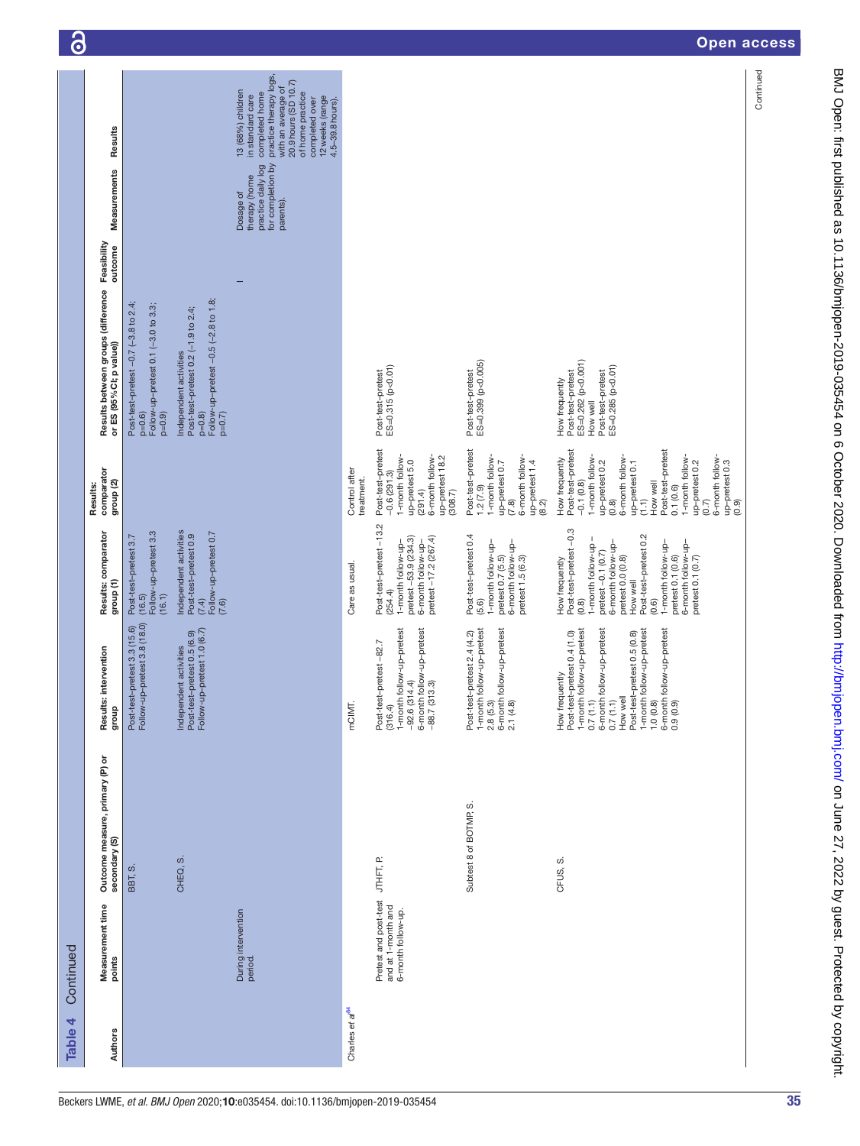| Table 4                     | Continued                                                         |                                                  |                                                                                                                                                                                                                                                                                                             |                                                                                                                                                                                                                                                                                  |                                                                                                                                                                                                                                                                                                                 |                                                                                                                             |                                                                                    |                                                                                                                                                                                                              | ၑ |
|-----------------------------|-------------------------------------------------------------------|--------------------------------------------------|-------------------------------------------------------------------------------------------------------------------------------------------------------------------------------------------------------------------------------------------------------------------------------------------------------------|----------------------------------------------------------------------------------------------------------------------------------------------------------------------------------------------------------------------------------------------------------------------------------|-----------------------------------------------------------------------------------------------------------------------------------------------------------------------------------------------------------------------------------------------------------------------------------------------------------------|-----------------------------------------------------------------------------------------------------------------------------|------------------------------------------------------------------------------------|--------------------------------------------------------------------------------------------------------------------------------------------------------------------------------------------------------------|---|
| Authors                     | Measurement time<br>points                                        | Outcome measure, primary (P) or<br>secondary (S) | intervention<br>Results:<br>dno.fo                                                                                                                                                                                                                                                                          | Results: comparator<br>group <sub>(1)</sub>                                                                                                                                                                                                                                      | comparator<br>group <sub>(2)</sub><br>Results:                                                                                                                                                                                                                                                                  | Results between groups (difference Feasibility<br>or ES (95% CI; p value))                                                  | Measurements                                                                       | Results                                                                                                                                                                                                      |   |
|                             |                                                                   | BBT, S.                                          | Post-test-pretest 3.3 (15.6)<br>Follow-up-pretest 3.8 (18.0)                                                                                                                                                                                                                                                | Follow-up-pretest 3.3<br>Post-test-pretest 3.7<br>(16.1)<br>(16.5)                                                                                                                                                                                                               |                                                                                                                                                                                                                                                                                                                 | Post-test-pretest -0.7 (-3.8 to 2.4;<br>Follow-up-pretest 0.1 (-3.0 to 3.3;<br>$p=0.9$<br>$p=0.6$                           |                                                                                    |                                                                                                                                                                                                              |   |
|                             |                                                                   | CHEQ, S.                                         | Follow-up-pretest 1.0 (6.7)<br>Post-test-pretest 0.5 (6.9)<br>Independent activities                                                                                                                                                                                                                        | Independent activities<br>(7.4)<br>Follow-up-pretest 0.7<br>Post-test-pretest 0.9<br>(7.6)                                                                                                                                                                                       |                                                                                                                                                                                                                                                                                                                 | Follow-up-pretest -0.5 (-2.8 to 1.8;<br>Post-test-pretest 0.2 (-1.9 to 2.4;<br>Independent activities<br>$p=0.7$<br>$p=0.8$ |                                                                                    |                                                                                                                                                                                                              |   |
|                             | During intervention<br>period.                                    |                                                  |                                                                                                                                                                                                                                                                                                             |                                                                                                                                                                                                                                                                                  |                                                                                                                                                                                                                                                                                                                 |                                                                                                                             | for completion by<br>practice daily log<br>therapy (home<br>Dosage of<br>parents). | practice therapy logs,<br>20.9 hours (SD 10.7)<br>with an average of<br>13 (68%) children<br>completed home<br>of home practice<br>in standard care<br>12 weeks (range<br>completed over<br>4.5-39.8 hours). |   |
| Charles et al <sup>84</sup> |                                                                   |                                                  | mCIMT.                                                                                                                                                                                                                                                                                                      | Care as usual.                                                                                                                                                                                                                                                                   | Control after<br>treatment.                                                                                                                                                                                                                                                                                     |                                                                                                                             |                                                                                    |                                                                                                                                                                                                              |   |
|                             | Pretest and post-test<br>and at 1-month and<br>6-month follow-up. | JTHFT, P.                                        | 1-month follow-up-pretest<br>follow-up-pretest<br>Post-test-pretest -82.7<br>(316.4)<br>4.4)<br>6-month follow<br>-88.7 (313.3)<br>$-92.6(31)$                                                                                                                                                              | Post-test-pretest -13.2<br>pretest-53.9 (234.3)<br>pretest $-17.2$ (267.4)<br>6-month follow-up-<br>1-month follow-up-<br>(254.4)                                                                                                                                                | Post-test-pretest<br>1-month follow-<br>6-month follow-<br>up-pretest 18.2<br>up-pretest 5.0<br>$-0.6(291.3)$<br>(308.7)<br>(291.4)                                                                                                                                                                             | Post-test-pretest<br>ES=0.315 (p<0.01)                                                                                      |                                                                                    |                                                                                                                                                                                                              |   |
|                             |                                                                   | Subtest 8 of BOTMP, S.                           | follow-up-pretest<br>follow-up-pretest<br>Post-test-pretest 2.4 (4.2)<br>$1$ -month f<br>2.8 $(5.3)$<br>$6$ -month f<br>2.1 (4.8)                                                                                                                                                                           | Post-test-pretest 0.4<br>6-month follow-up-<br>pretest 1.5 (6.3)<br>1-month follow-up-<br>pretest 0.7 (5.5)<br>(5.6)                                                                                                                                                             | Post-test-pretest<br>6-month follow-<br>1-month follow-<br>up-pretest 1.4<br>up-pretest 0.7<br>1.2(7.9)<br>$(7.8)$<br>(8.2)                                                                                                                                                                                     | ES=0.399 (p<0.005)<br>Post-test-pretest                                                                                     |                                                                                    |                                                                                                                                                                                                              |   |
|                             |                                                                   | CFUS, S.                                         | follow-up-pretest<br>follow-up-pretest<br>follow-up-pretest<br>follow-up-pretest<br>Post-test-pretest 0.5 (0.8)<br>Post-test-pretest 0.4 (1.0)<br>1-month follow-up-pretest<br>0.7 (1.1)<br>uently<br>How well<br>$1$ -month $1$<br>How freq<br>6-month<br>$1.0(0.8)$<br>6-month f<br>0.9 (0.9)<br>0.7(1.1) | Post-test-pretest-0.3<br>Post-test-pretest 0.2<br>1-month follow-up -<br>6-month follow-up-<br>6-month follow-up-<br>1-month follow-up-<br>pretest $-0.1$ $(0.7)$<br>pretest 0.1 (0.6)<br>pretest 0.0 (0.8)<br>pretest 0.1 (0.7)<br>How frequently<br>How well<br>(0.8)<br>(0.6) | Post-test-pretest<br>Post-test-pretest<br>6-month follow-<br>1-month follow-<br>6-month follow-<br>1-month follow-<br>How frequently<br>up-pretest 0.2<br>up-pretest 0.2<br>up-pretest 0.3<br>up-pretest 0.1<br>$-0.1(0.8)$<br>How well<br>0.1(0.6)<br>(0.9)<br>(0.8)<br>$\widehat{t}$ . $\widehat{t}$<br>(0.7) | ES=0.262 (p<0.001)<br>ES=0.285 (p<0.01)<br>Post-test-pretest<br>Post-test-pretest<br>How frequently<br>How well             |                                                                                    |                                                                                                                                                                                                              |   |
|                             |                                                                   |                                                  |                                                                                                                                                                                                                                                                                                             |                                                                                                                                                                                                                                                                                  |                                                                                                                                                                                                                                                                                                                 |                                                                                                                             |                                                                                    | Continued                                                                                                                                                                                                    |   |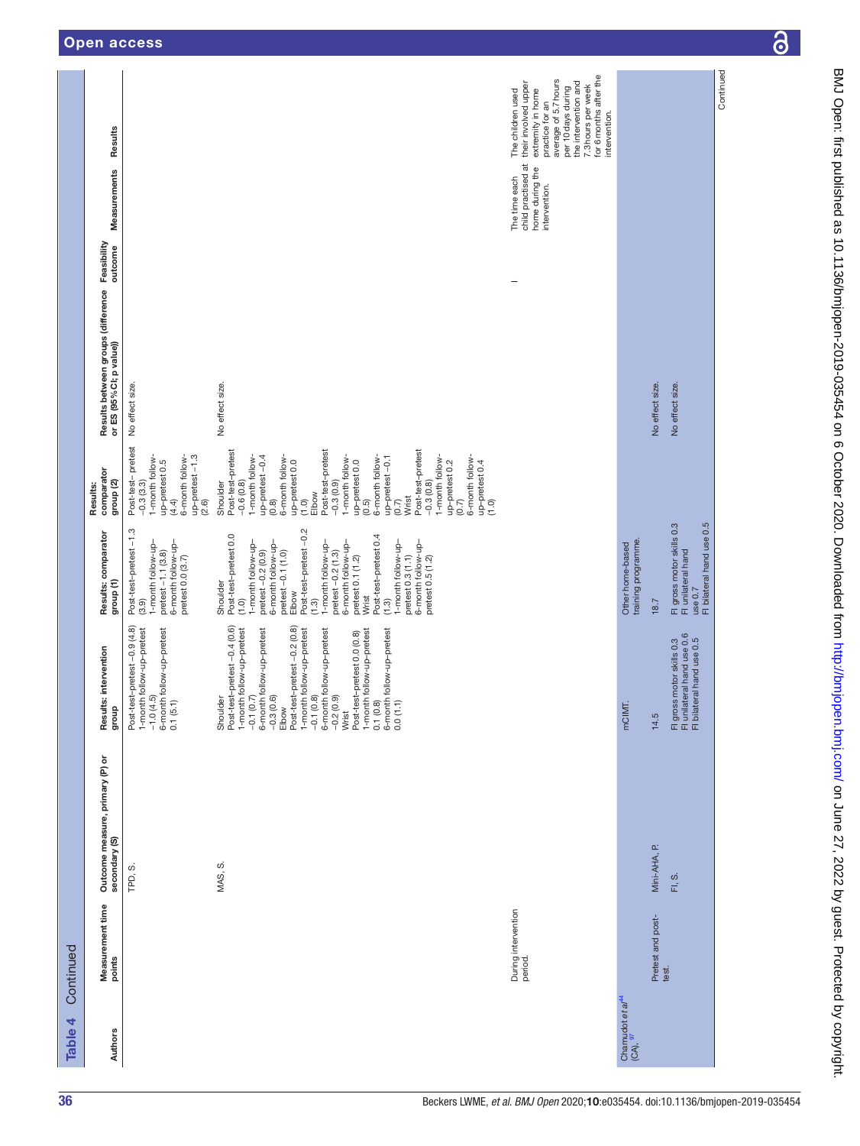| The time each<br>intervention.<br>Feasibility<br>outcome<br>Results between groups (difference<br>or ES (95% CI; p value))<br>No effect size.<br>No effect size.<br>No effect size.<br>No effect size.<br>Post-test-pretest<br>Post-test-pretest<br>Post-test-pretest<br>Post-test-pretest<br>1-month follow-<br>6-month follow-<br>1-month follow-<br>6-month follow-<br>1-month follow-<br>6-month follow-<br>1-month follow-<br>6-month follow-<br>up-pretest-1.3<br>up-pretest -0.4<br>up-pretest -0.1<br>up-pretest 0.0<br>up-pretest 0.0<br>up-pretest 0.5<br>up-pretest 0.2<br>up-pretest $0.4$<br>$(1.0)$<br>comparator<br>group <sub>(2)</sub><br>$-0.3(0.9)$<br>$-0.3(0.8)$<br>$-0.3(3.3)$<br>$-0.6(0.8)$<br>Shoulder<br>Results:<br>Elbow<br>Wrist<br>(4.4)<br>(2.6)<br>(0.8)<br>(1.0)<br>(0.5)<br>(0.7)<br>(0.7)<br>Fl gross motor skills 0.3<br>Fl unilateral hand<br>use 0.7<br>Fl bilateral hand use 0.5<br>Elbow<br>Post-test-pretest -0.2<br>Post-test-pretest-1.3<br>Results: comparator<br>Post-test-pretest 0.0<br>Post-test-pretest 0.4<br>training programme.<br>6-month follow-up-<br>-month follow-up-<br>6-month follow-up-<br>1-month follow-up-<br>6-month follow-up-<br>1-month follow-up-<br>1-month follow-up-<br>6-month follow-up-<br>Other home-based<br>$pretest - 1.1 (3.8)$<br>$pretest -0.2 (0.9)$<br>pretest -0.1 (1.0)<br>$pretest -0.2(1.3)$<br>pretest 0.3 (1.1)<br>pretest 0.0 (3.7)<br>pretest 0.5 (1.2)<br>pretest 0.1 (1.2)<br>group <sub>(1)</sub><br>Shoulder<br>Wrist<br>ต.<br>ป.<br>18.7<br>(3.9)<br>(1.3)<br>(1.0)<br>Post-test-pretest-0.9 (4.8)<br>Post-test-pretest-0.4 (0.6)<br>$\begin{array}{ll} -0.7(0.7) & \cdots \\ -0.7(0.7) & \cdots \\ -0.3(0.6) & \cdots \\ -0.3(0.6) & \cdots \\ -0.7(0.8) & \cdots \\ -0.7(0.8) & \cdots \\ -0.7(0.8) & \cdots \\ -0.2(0.9) & \cdots \\ -0.2(0.9) & \cdots \\ -0.2(0.9) & \cdots \\ -0.2(0.9) & \cdots \\ -0.7(0.8) & \cdots \\ -0.7(0.8) & \cdots \\ -0.7(0.9) & \cdots \\ -0.7(0.9) & \cdots \\ -0.$<br>1-month follow-up-pretest<br>-1.0 (4.5)<br>6-month follow-up-pretest<br>1-month follow-up-pretest<br>Fl gross motor skills 0.3<br>Fl unilateral hand use 0.6<br>Fl bilateral hand use 0.5<br>Results: intervention<br>Shoulder<br>0.1(5.1)<br>0.0(1.1)<br>mCIMT.<br>dno.fb<br>14.5<br>Outcome measure, primary (P) or<br>secondary (S)<br>Mini-AHA, P.<br>MAS, S.<br>TPD, S.<br>FI, S.<br>Measurement time<br>points<br>During intervention<br>period.<br>Pretest and post-<br>test.<br>Chamudot et al <sup>44</sup><br>(CA), <sup>97</sup><br>Authors | Table 4 | Continued |  |  |  |                                       |                                                                                                                                                                                                                         |
|-------------------------------------------------------------------------------------------------------------------------------------------------------------------------------------------------------------------------------------------------------------------------------------------------------------------------------------------------------------------------------------------------------------------------------------------------------------------------------------------------------------------------------------------------------------------------------------------------------------------------------------------------------------------------------------------------------------------------------------------------------------------------------------------------------------------------------------------------------------------------------------------------------------------------------------------------------------------------------------------------------------------------------------------------------------------------------------------------------------------------------------------------------------------------------------------------------------------------------------------------------------------------------------------------------------------------------------------------------------------------------------------------------------------------------------------------------------------------------------------------------------------------------------------------------------------------------------------------------------------------------------------------------------------------------------------------------------------------------------------------------------------------------------------------------------------------------------------------------------------------------------------------------------------------------------------------------------------------------------------------------------------------------------------------------------------------------------------------------------------------------------------------------------------------------------------------------------------------------------------------------------------------------------------------------------------------------------------------------------------------------------------------------------------------------------------------------------------------------------------------------------------------------------------------------------------|---------|-----------|--|--|--|---------------------------------------|-------------------------------------------------------------------------------------------------------------------------------------------------------------------------------------------------------------------------|
|                                                                                                                                                                                                                                                                                                                                                                                                                                                                                                                                                                                                                                                                                                                                                                                                                                                                                                                                                                                                                                                                                                                                                                                                                                                                                                                                                                                                                                                                                                                                                                                                                                                                                                                                                                                                                                                                                                                                                                                                                                                                                                                                                                                                                                                                                                                                                                                                                                                                                                                                                                   |         |           |  |  |  | Measurements                          | Results                                                                                                                                                                                                                 |
|                                                                                                                                                                                                                                                                                                                                                                                                                                                                                                                                                                                                                                                                                                                                                                                                                                                                                                                                                                                                                                                                                                                                                                                                                                                                                                                                                                                                                                                                                                                                                                                                                                                                                                                                                                                                                                                                                                                                                                                                                                                                                                                                                                                                                                                                                                                                                                                                                                                                                                                                                                   |         |           |  |  |  |                                       |                                                                                                                                                                                                                         |
|                                                                                                                                                                                                                                                                                                                                                                                                                                                                                                                                                                                                                                                                                                                                                                                                                                                                                                                                                                                                                                                                                                                                                                                                                                                                                                                                                                                                                                                                                                                                                                                                                                                                                                                                                                                                                                                                                                                                                                                                                                                                                                                                                                                                                                                                                                                                                                                                                                                                                                                                                                   |         |           |  |  |  |                                       |                                                                                                                                                                                                                         |
|                                                                                                                                                                                                                                                                                                                                                                                                                                                                                                                                                                                                                                                                                                                                                                                                                                                                                                                                                                                                                                                                                                                                                                                                                                                                                                                                                                                                                                                                                                                                                                                                                                                                                                                                                                                                                                                                                                                                                                                                                                                                                                                                                                                                                                                                                                                                                                                                                                                                                                                                                                   |         |           |  |  |  | child practised at<br>home during the | for 6 months after the<br>average of 5.7 hours<br>their involved upper<br>the intervention and<br>7.3 hours per week<br>per 10days during<br>extremity in home<br>The children used<br>practice for an<br>intervention. |
|                                                                                                                                                                                                                                                                                                                                                                                                                                                                                                                                                                                                                                                                                                                                                                                                                                                                                                                                                                                                                                                                                                                                                                                                                                                                                                                                                                                                                                                                                                                                                                                                                                                                                                                                                                                                                                                                                                                                                                                                                                                                                                                                                                                                                                                                                                                                                                                                                                                                                                                                                                   |         |           |  |  |  |                                       |                                                                                                                                                                                                                         |
|                                                                                                                                                                                                                                                                                                                                                                                                                                                                                                                                                                                                                                                                                                                                                                                                                                                                                                                                                                                                                                                                                                                                                                                                                                                                                                                                                                                                                                                                                                                                                                                                                                                                                                                                                                                                                                                                                                                                                                                                                                                                                                                                                                                                                                                                                                                                                                                                                                                                                                                                                                   |         |           |  |  |  |                                       |                                                                                                                                                                                                                         |
|                                                                                                                                                                                                                                                                                                                                                                                                                                                                                                                                                                                                                                                                                                                                                                                                                                                                                                                                                                                                                                                                                                                                                                                                                                                                                                                                                                                                                                                                                                                                                                                                                                                                                                                                                                                                                                                                                                                                                                                                                                                                                                                                                                                                                                                                                                                                                                                                                                                                                                                                                                   |         |           |  |  |  |                                       | Continued                                                                                                                                                                                                               |

 $\overline{\partial}$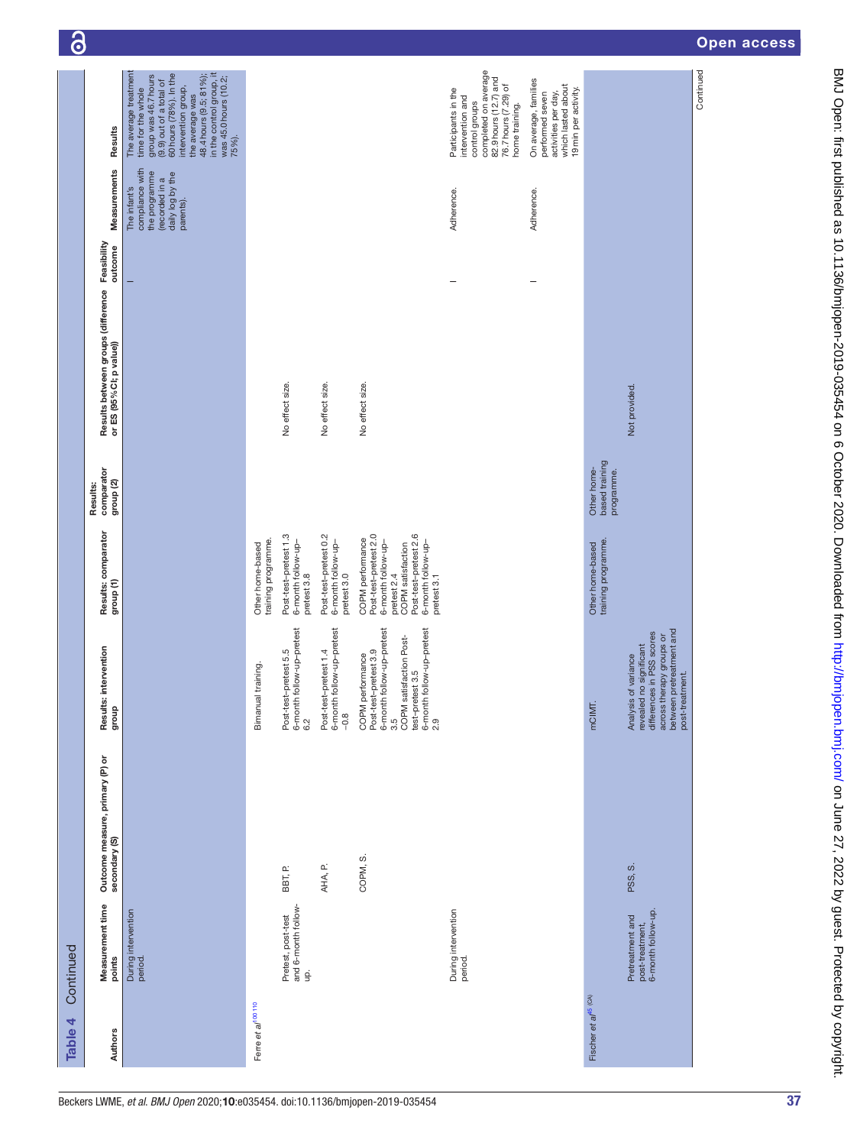| Table 4                                   | Continued                                                 |                                                  |                                                                                                                                                                    |                                                                                                                                                                   |                                                |                                                                            |                                                                                                     |                                                                                                                                                                                                                                                            |
|-------------------------------------------|-----------------------------------------------------------|--------------------------------------------------|--------------------------------------------------------------------------------------------------------------------------------------------------------------------|-------------------------------------------------------------------------------------------------------------------------------------------------------------------|------------------------------------------------|----------------------------------------------------------------------------|-----------------------------------------------------------------------------------------------------|------------------------------------------------------------------------------------------------------------------------------------------------------------------------------------------------------------------------------------------------------------|
| <b>Authors</b>                            | Measurement time<br>points                                | Outcome measure, primary (P) or<br>secondary (S) | Results: intervention<br>qroup                                                                                                                                     | Results: comparator<br>group <sub>(1)</sub>                                                                                                                       | comparator<br>group <sub>(2)</sub><br>Results: | Results between groups (difference Feasibility<br>or ES (95% CI; p value)) | Measurements                                                                                        | Results                                                                                                                                                                                                                                                    |
|                                           | During intervention<br>period.                            |                                                  |                                                                                                                                                                    |                                                                                                                                                                   |                                                |                                                                            | compliance with<br>the programme<br>daily log by the<br>parents).<br>(recorded in a<br>The infant's | The average treatment<br>group was 46.7 hours<br>(9.9) out of a total of<br>60 hours (78%). In the<br>in the control group, it<br>48.4 hours (9.5; 81%);<br>was 45.0 hours (10.2;<br>intervention group,<br>time for the whole<br>the average was<br>75%). |
| Ferre et al <sup>100</sup> <sup>110</sup> |                                                           |                                                  | Bimanual training.                                                                                                                                                 | training programme.<br>Other home-based                                                                                                                           |                                                |                                                                            |                                                                                                     |                                                                                                                                                                                                                                                            |
|                                           | Pretest, post-test<br>and 6-month follow-<br>g.           | BBT, P.                                          | 6-month follow-up-pretest<br>Post-test-pretest 5.5<br>6.2                                                                                                          | Post-test-pretest 1.3<br>6-month follow-up-<br>pretest 3.8                                                                                                        |                                                | No effect size.                                                            |                                                                                                     |                                                                                                                                                                                                                                                            |
|                                           |                                                           | AHA, P.                                          | 6-month follow-up-pretest<br>Post-test-pretest 1.4<br>$-0.8$                                                                                                       | Post-test-pretest 0.2<br>6-month follow-up-<br>pretest 3.0                                                                                                        |                                                | No effect size.                                                            |                                                                                                     |                                                                                                                                                                                                                                                            |
|                                           |                                                           | COPM, S.                                         | Post-test-pretest 3.9<br>6-month follow-up-pretest<br>3.5<br>COPM satisfaction Post-<br>6-month follow-up-pretest<br>6-month follow-up-pretest<br>COPM performance | Post-test-pretest 2.0<br>Post-test-pretest 2.6<br>6-month follow-up-<br>COPM performance<br>6-month follow-up-<br>COPM satisfaction<br>pretest 3.1<br>pretest 2.4 |                                                | No effect size.                                                            |                                                                                                     |                                                                                                                                                                                                                                                            |
|                                           | During intervention<br>period.                            |                                                  |                                                                                                                                                                    |                                                                                                                                                                   |                                                |                                                                            | Adherence.                                                                                          | completed on average<br>82.9 hours (12.7) and<br>76.7 hours (7.29) of<br>Participants in the<br>intervention and<br>control groups<br>home training.                                                                                                       |
|                                           |                                                           |                                                  |                                                                                                                                                                    |                                                                                                                                                                   |                                                |                                                                            | Adherence.                                                                                          | On average, families<br>which lasted about<br>19 min per activity.<br>activities per day,<br>performed seven                                                                                                                                               |
| Fischer et al <sup>45 (CA)</sup>          |                                                           |                                                  | mCIMT.                                                                                                                                                             | training programme.<br>Other home-based                                                                                                                           | based training<br>Other home-<br>programme.    |                                                                            |                                                                                                     |                                                                                                                                                                                                                                                            |
|                                           | Pretreatment and<br>post-treatment,<br>6-month follow-up. | PSS, S.                                          | between pretreatment and<br>differences in PSS scores<br>across therapy groups or<br>revealed no significant<br>Analysis of variance<br>post-treatment.            |                                                                                                                                                                   |                                                | Not provided.                                                              |                                                                                                     |                                                                                                                                                                                                                                                            |
|                                           |                                                           |                                                  |                                                                                                                                                                    |                                                                                                                                                                   |                                                |                                                                            |                                                                                                     | Continued                                                                                                                                                                                                                                                  |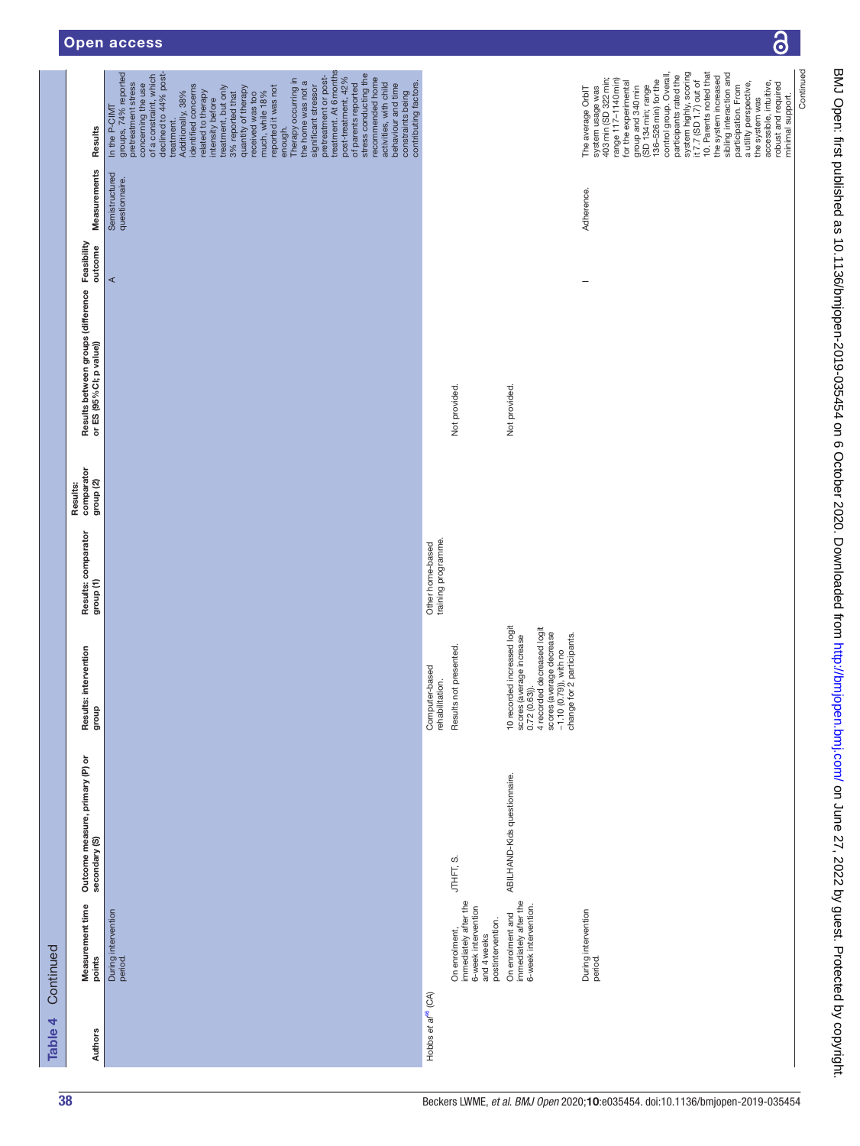| !<br>piwo uniti lighti nisi hanzura sa in 1900 lighti 2020-2020 a lighti dhe dhe ann an 2020. Downloadhan lighti li |  |
|---------------------------------------------------------------------------------------------------------------------|--|
|                                                                                                                     |  |
|                                                                                                                     |  |
|                                                                                                                     |  |
|                                                                                                                     |  |
|                                                                                                                     |  |
|                                                                                                                     |  |
|                                                                                                                     |  |
|                                                                                                                     |  |
|                                                                                                                     |  |
|                                                                                                                     |  |
|                                                                                                                     |  |
|                                                                                                                     |  |
|                                                                                                                     |  |
|                                                                                                                     |  |
|                                                                                                                     |  |
|                                                                                                                     |  |
|                                                                                                                     |  |
|                                                                                                                     |  |
|                                                                                                                     |  |
|                                                                                                                     |  |
|                                                                                                                     |  |
|                                                                                                                     |  |
|                                                                                                                     |  |
|                                                                                                                     |  |
|                                                                                                                     |  |
|                                                                                                                     |  |
|                                                                                                                     |  |
|                                                                                                                     |  |
|                                                                                                                     |  |
|                                                                                                                     |  |
|                                                                                                                     |  |
| ニ+hlishna 」s 10 11 2の/hmi.nnan-2010-0252FA 25 の つけかい 2020 コ                                                         |  |
|                                                                                                                     |  |
|                                                                                                                     |  |
|                                                                                                                     |  |
|                                                                                                                     |  |
|                                                                                                                     |  |
|                                                                                                                     |  |
|                                                                                                                     |  |
|                                                                                                                     |  |
|                                                                                                                     |  |
|                                                                                                                     |  |
|                                                                                                                     |  |
|                                                                                                                     |  |
|                                                                                                                     |  |
|                                                                                                                     |  |
|                                                                                                                     |  |
|                                                                                                                     |  |
|                                                                                                                     |  |
|                                                                                                                     |  |
|                                                                                                                     |  |
|                                                                                                                     |  |
|                                                                                                                     |  |
|                                                                                                                     |  |
|                                                                                                                     |  |
| conded trom http://p.m.obo-                                                                                         |  |
|                                                                                                                     |  |
|                                                                                                                     |  |
|                                                                                                                     |  |
|                                                                                                                     |  |
|                                                                                                                     |  |
|                                                                                                                     |  |
|                                                                                                                     |  |
|                                                                                                                     |  |
|                                                                                                                     |  |
| ì                                                                                                                   |  |
| .<br>.<br>.<br>.                                                                                                    |  |
|                                                                                                                     |  |
|                                                                                                                     |  |
| ーくーく                                                                                                                |  |
|                                                                                                                     |  |
|                                                                                                                     |  |
|                                                                                                                     |  |
|                                                                                                                     |  |
|                                                                                                                     |  |
|                                                                                                                     |  |
|                                                                                                                     |  |
|                                                                                                                     |  |
|                                                                                                                     |  |
|                                                                                                                     |  |
|                                                                                                                     |  |
|                                                                                                                     |  |
|                                                                                                                     |  |
|                                                                                                                     |  |

 $\delta$ 

| Table 4                       | Continued                                                                                         |                                                  |                                                                                                                                                                                   |                                             |                                                |                                                                            |         |                                  |                                                                                                                                                                                                                                                                                                                                                                                                                                                                                                                                                                                                                                                                                                        |
|-------------------------------|---------------------------------------------------------------------------------------------------|--------------------------------------------------|-----------------------------------------------------------------------------------------------------------------------------------------------------------------------------------|---------------------------------------------|------------------------------------------------|----------------------------------------------------------------------------|---------|----------------------------------|--------------------------------------------------------------------------------------------------------------------------------------------------------------------------------------------------------------------------------------------------------------------------------------------------------------------------------------------------------------------------------------------------------------------------------------------------------------------------------------------------------------------------------------------------------------------------------------------------------------------------------------------------------------------------------------------------------|
|                               | Measurement time<br>points                                                                        | Outcome measure, primary (P) or<br>secondary (S) | Results: intervention<br>qno.fo                                                                                                                                                   | Results: comparator<br>group <sub>(1)</sub> | comparator<br>group <sub>(2)</sub><br>Results: | Results between groups (difference Feasibility<br>or ES (95% CI; p value)) |         | Measurements                     | Results                                                                                                                                                                                                                                                                                                                                                                                                                                                                                                                                                                                                                                                                                                |
|                               | During intervention<br>period.                                                                    |                                                  |                                                                                                                                                                                   |                                             |                                                |                                                                            | $\prec$ | Semistructured<br>questionnaire. | pretreatment or post-<br>treatment. At 6 months<br>declined to 44% post-<br>groups, 74% reported<br>of a constraint, which<br>of parents reported<br>stress conducting the<br>recommended home<br>post-treatment, 42%<br>Therapy occurring in<br>the home was not a<br>contributing factors.<br>pretreatment stress<br>activities, with child<br>behaviour and time<br>concerning the use<br>identified concerns<br>significant stressor<br>treatment, but only<br>reported it was not<br>quantity of therapy<br>related to therapy<br>constraints being<br>Additionally, 38%<br>much, while 18%<br>3% reported that<br>received was too<br>intensity before<br>In the P-CIMT<br>treatment.<br>enough. |
| Hobbs et a <sup>n6</sup> (CA) |                                                                                                   |                                                  | Computer-based<br>rehabilitation.                                                                                                                                                 | Other home-based<br>training programme.     |                                                |                                                                            |         |                                  |                                                                                                                                                                                                                                                                                                                                                                                                                                                                                                                                                                                                                                                                                                        |
|                               | immediately after the<br>6-week intervention<br>postintervention.<br>On enrolment,<br>and 4 weeks | JTHFT, S.                                        | Results not presented.                                                                                                                                                            |                                             |                                                | Not provided.                                                              |         |                                  |                                                                                                                                                                                                                                                                                                                                                                                                                                                                                                                                                                                                                                                                                                        |
|                               | On enrolment and<br>immediately after the<br>6-week intervention.                                 | ABILHAND-Kids questionnaire.                     | 10 recorded increased logit<br>scores (average increase<br>0.72 (0.63)).<br>4 recorded decreased logit<br>4 recorded decrease<br>-1.10 (0.79)), with no<br>-1.10 (0.79)), with no |                                             |                                                | Not provided.                                                              |         |                                  |                                                                                                                                                                                                                                                                                                                                                                                                                                                                                                                                                                                                                                                                                                        |
|                               | During intervention<br>period.                                                                    |                                                  |                                                                                                                                                                                   |                                             |                                                |                                                                            | ۰       | Adherence.                       | 10. Parents noted that<br>system highly, scoring<br>it 7.7 (SD 1.7) out of<br>sibling interaction and<br>control group. Overall,<br>participants rated the<br>the system increased<br>system usage was<br>403 min (SD 322 min;<br>range 117-1140 min)<br>136-526 min) for the<br>for the experimental<br>a utility perspective,<br>the system was<br>accessible, intuitive,<br>robust and required<br>participation. From<br>(SD 134 min; range<br>group and 340 min<br>The average OrbIT<br>minimal support.                                                                                                                                                                                          |
|                               |                                                                                                   |                                                  |                                                                                                                                                                                   |                                             |                                                |                                                                            |         |                                  | Continued                                                                                                                                                                                                                                                                                                                                                                                                                                                                                                                                                                                                                                                                                              |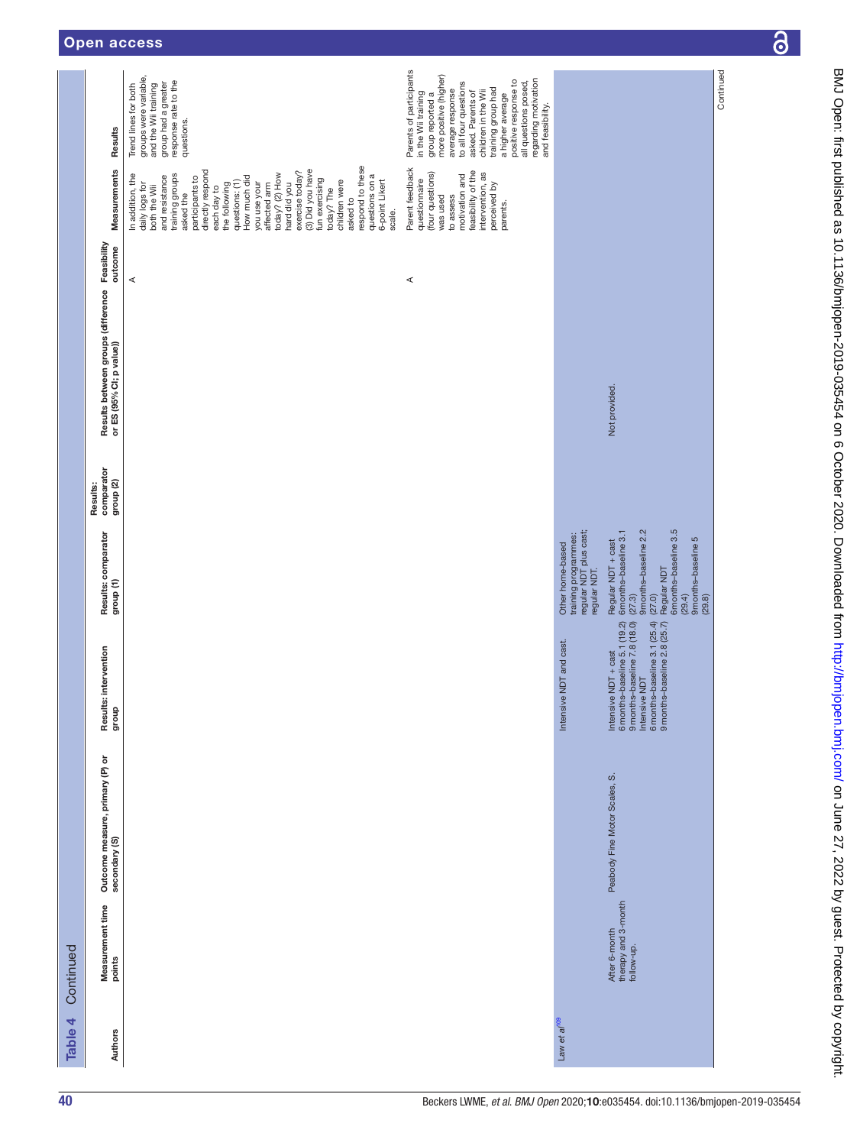|           | Results                                                                    | groups were variable,<br>response rate to the<br>group had a greater<br>and the Wii training<br>Trend lines for both<br>questions.                                                                                                                                                                                                                                                                                                                    | Parents of participants<br>more positive (higher)<br>regarding motivation<br>positive response to<br>to all four questions<br>all questions posed,<br>training group had<br>average response<br>in the Wii training<br>children in the Wii<br>asked. Parents of<br>group reported a<br>a higher average<br>and feasibility. |                                                                                    |                                                                                                                                                                             | Continued |
|-----------|----------------------------------------------------------------------------|-------------------------------------------------------------------------------------------------------------------------------------------------------------------------------------------------------------------------------------------------------------------------------------------------------------------------------------------------------------------------------------------------------------------------------------------------------|-----------------------------------------------------------------------------------------------------------------------------------------------------------------------------------------------------------------------------------------------------------------------------------------------------------------------------|------------------------------------------------------------------------------------|-----------------------------------------------------------------------------------------------------------------------------------------------------------------------------|-----------|
|           | Measurements                                                               | respond to these<br>exercise today?<br>(3) Did you have<br>directly respond<br>today? (2) How<br>training groups<br>questions on a<br>In addition, the<br>and resistance<br>participants to<br>How much did<br>fun exercising<br>children were<br>6-point Likert<br>questions: (1)<br>daily logs for<br>both the Wii<br>the following<br>you use your<br>affected arm<br>hard did you<br>each day to<br>today? The<br>asked the<br>asked to<br>scale. | Parent feedback<br>feasibility of the<br>(four questions)<br>intervention, as<br>motivation and<br>questionnaire<br>perceived by<br>to assess<br>was used<br>parents.                                                                                                                                                       |                                                                                    |                                                                                                                                                                             |           |
|           |                                                                            | ⋖                                                                                                                                                                                                                                                                                                                                                                                                                                                     | ⋖                                                                                                                                                                                                                                                                                                                           |                                                                                    |                                                                                                                                                                             |           |
|           | Results between groups (difference Feasibility<br>or ES (95% Cl; p value)) |                                                                                                                                                                                                                                                                                                                                                                                                                                                       |                                                                                                                                                                                                                                                                                                                             |                                                                                    | Not provided.                                                                                                                                                               |           |
|           | comparator<br>group <sub>(2)</sub><br>Results:                             |                                                                                                                                                                                                                                                                                                                                                                                                                                                       |                                                                                                                                                                                                                                                                                                                             |                                                                                    |                                                                                                                                                                             |           |
|           | Results: comparator<br>group (1)                                           |                                                                                                                                                                                                                                                                                                                                                                                                                                                       |                                                                                                                                                                                                                                                                                                                             | training programmes:<br>regular NDT plus cast;<br>Other home-based<br>regular NDT. | 6 months-baseline 3.5<br>9 months-baseline 2.2<br>6 months-baseline 3.1<br>9 months-baseline 5<br>Regular NDT + cast<br>Regular NDT<br>(27.0)<br>(27.3)<br>(29.4)<br>(29.8) |           |
|           | Results: intervention<br>dho.fo                                            |                                                                                                                                                                                                                                                                                                                                                                                                                                                       |                                                                                                                                                                                                                                                                                                                             | Intensive NDT and cast.                                                            | 6 months-baseline 5.1 (19.2)<br>9 months-baseline 7.8 (18.0)<br>Intensive NDT<br>6 months-baseline 3.1 (25.4)<br>9 months-baseline 2.8 (25.7)<br>Intensive NDT + cast       |           |
|           | Outcome measure, primary (P) or<br>secondary (S)                           |                                                                                                                                                                                                                                                                                                                                                                                                                                                       |                                                                                                                                                                                                                                                                                                                             |                                                                                    | Peabody Fine Motor Scales, S.                                                                                                                                               |           |
| Continued | Measurement time<br>points                                                 |                                                                                                                                                                                                                                                                                                                                                                                                                                                       |                                                                                                                                                                                                                                                                                                                             |                                                                                    | After 6-month<br>therapy and 3-month<br>follow-up.                                                                                                                          |           |
| Table 4   | Authors                                                                    |                                                                                                                                                                                                                                                                                                                                                                                                                                                       |                                                                                                                                                                                                                                                                                                                             | Law et a/ <sup>109</sup>                                                           |                                                                                                                                                                             |           |

 $\overline{\partial}$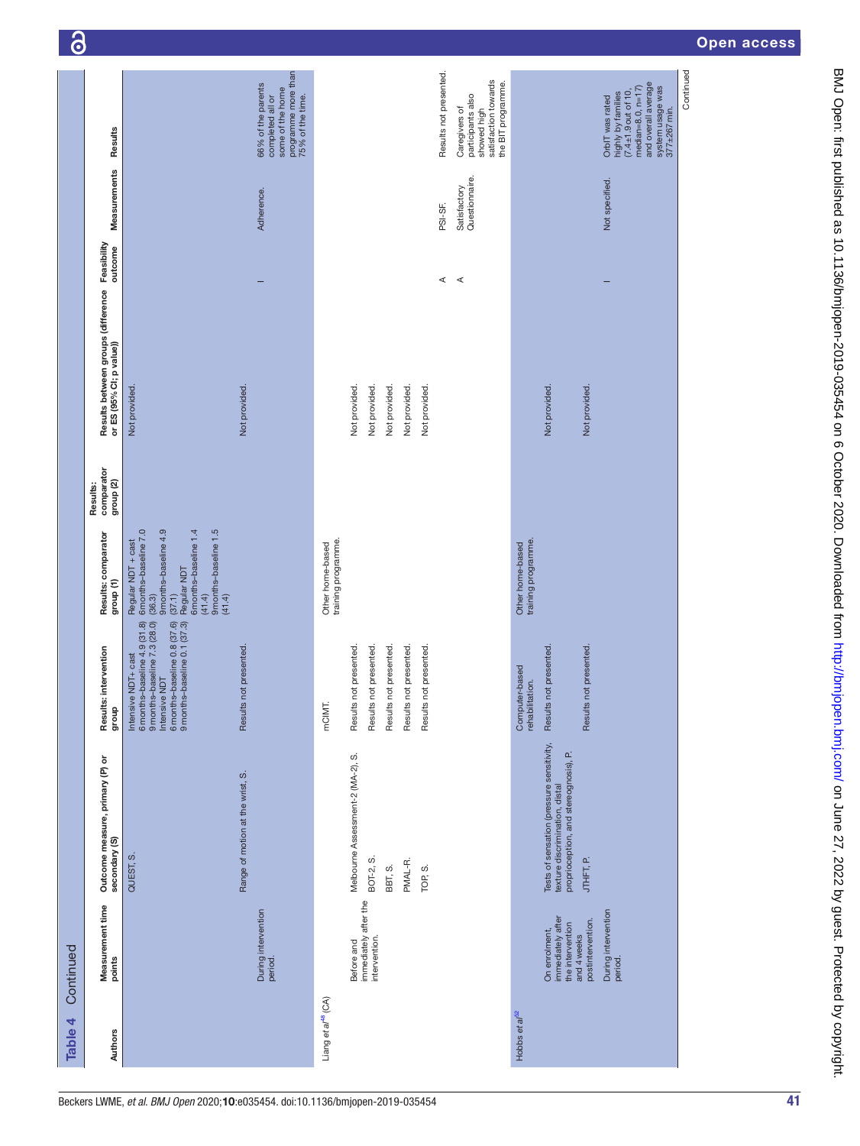| 6         |                                                                |                                                                                                                                                                                               |                                                                                                       |                                         |                                                     |                           |                       |                       |                        |                                                                                                 |                                         |                                                                                                                      |                                  |                                                                                                                                                    |           | <b>Open access</b> |  |
|-----------|----------------------------------------------------------------|-----------------------------------------------------------------------------------------------------------------------------------------------------------------------------------------------|-------------------------------------------------------------------------------------------------------|-----------------------------------------|-----------------------------------------------------|---------------------------|-----------------------|-----------------------|------------------------|-------------------------------------------------------------------------------------------------|-----------------------------------------|----------------------------------------------------------------------------------------------------------------------|----------------------------------|----------------------------------------------------------------------------------------------------------------------------------------------------|-----------|--------------------|--|
|           | Results                                                        |                                                                                                                                                                                               | programme more than<br>75% of the time.<br>66% of the parents<br>some of the home<br>completed all or |                                         |                                                     |                           |                       |                       | Results not presented. | satisfaction towards<br>the BIT programme.<br>participants also<br>Caregivers of<br>showed high |                                         |                                                                                                                      |                                  | and overall average<br>system usage was<br>377±267min.<br>$median=8.0, n=17$<br>$(7.4 \pm 1.9$ out of 10,<br>highly by families<br>OrbIT was rated | Continued |                    |  |
|           | Measurements                                                   |                                                                                                                                                                                               | Adherence.                                                                                            |                                         |                                                     |                           |                       |                       | PSI-SF.                | Questionnaire.<br>Satisfactory                                                                  |                                         |                                                                                                                      |                                  | Not specified.                                                                                                                                     |           |                    |  |
|           | Feasibility<br>outcome                                         |                                                                                                                                                                                               |                                                                                                       |                                         |                                                     |                           |                       |                       | $\prec$                | $\prec$                                                                                         |                                         |                                                                                                                      |                                  |                                                                                                                                                    |           |                    |  |
|           | Results between groups (difference<br>or ES (95% CI; p value)) | Not provided.<br>Not provided.                                                                                                                                                                |                                                                                                       |                                         | Not provided.<br>Not provided.                      | Not provided.             | Not provided.         | Not provided.         |                        |                                                                                                 |                                         | Not provided.                                                                                                        | Not provided.                    |                                                                                                                                                    |           |                    |  |
|           | comparator<br>group <sub>(2)</sub><br>Results:                 |                                                                                                                                                                                               |                                                                                                       |                                         |                                                     |                           |                       |                       |                        |                                                                                                 |                                         |                                                                                                                      |                                  |                                                                                                                                                    |           |                    |  |
|           | Results: comparator<br>group <sub>(1)</sub>                    | 9 months-baseline 4.9<br>9 months-baseline 1.5<br>(41.4)<br>Regular NDT + cast<br>6 months-baseline 7.0<br>6 months-baseline 1.4<br>$(37.1)$<br>Regular NDT<br>(36.3)<br>(41.4)               |                                                                                                       | training programme.<br>Other home-based |                                                     |                           |                       |                       |                        |                                                                                                 | Other home-based<br>training programme. |                                                                                                                      |                                  |                                                                                                                                                    |           |                    |  |
|           | Results: intervention<br>dho.fb                                | 6 months-baseline 0.8 (37.6)<br>9 months-baseline 0.1 (37.3)<br>Intensive NDT + cast<br>6 months-baseline 4.9 (31.8)<br>9 months-baseline 7.3 (28.0)<br>Results not presented<br>Intensive ND |                                                                                                       | mCIMT.                                  | Results not presented.<br>Results not presented.    | resented<br>Results not p | Results not presented | Results not presented |                        |                                                                                                 | Computer-based<br>rehabilitation.       | Results not presented.                                                                                               | Results not presented            |                                                                                                                                                    |           |                    |  |
|           | Outcome measure, primary (P) or<br>secondary (S)               | Range of motion at the wrist, S.<br>QUEST, S.                                                                                                                                                 |                                                                                                       |                                         | Melbourne Assessment-2 (MA-2), S.<br>BOT-2, S.      | BBT, S.                   | PMAL-R.               | TOP, S.               |                        |                                                                                                 |                                         | Tests of sensation (pressure sensitivity,<br>texture discrimination, distal<br>proprioception, and stereognosis), P. | JTHFT, P.                        |                                                                                                                                                    |           |                    |  |
| Continued | Measurement time<br>points                                     |                                                                                                                                                                                               | During intervention<br>period.                                                                        |                                         | immediately after the<br>intervention<br>Before and |                           |                       |                       |                        |                                                                                                 |                                         | On enrolment,<br>immediately after<br>the intervention                                                               | postintervention.<br>and 4 weeks | During intervention<br>period.                                                                                                                     |           |                    |  |
| Table 4   | Authors                                                        |                                                                                                                                                                                               |                                                                                                       | Liang et al <sup>48</sup> (CA)          |                                                     |                           |                       |                       |                        |                                                                                                 | Hobbs et al <sup>52</sup>               |                                                                                                                      |                                  |                                                                                                                                                    |           |                    |  |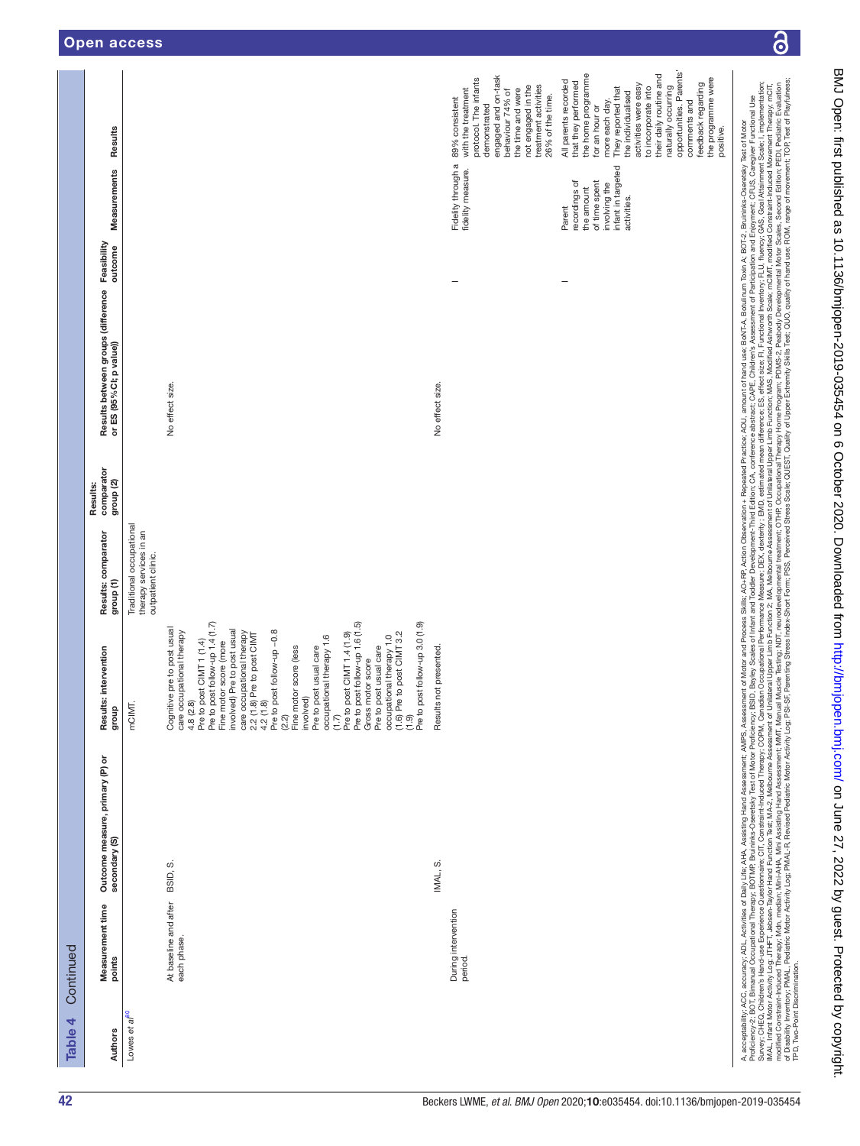| BNJ Opers: 2022 by constrated by constrated by a compartion included to 2020. Dowaldaded trightilon included to the chiral charged to the 2020 SO200 Dava level and the strighting card on a cluded to a cluded by a cluded by<br>$\ddot{\phantom{a}}$<br>of Disability Inventory; PMAL-R, Revised Peviased Peviased Peviased Peviased Revised S.P. S.S. Parting Stress Scale; PSST, Quality of Upper Extremity Skills Test, QUAL, Rediation Motor Activity Log. PAR 61 Partin 10P, Test<br>Survey; CHEQ, Childen's Hand-use Clustrianced Therapy, Comehold.com Performance Measure; DEX, dexterity; EMD, estimated mean difference; ES, effect size; FI, Fundional Inventory; FLU, fluency; GAS, Gada Attainment Scale; I<br>modified Constraint-AHA, Mini-AHA, Mini-AHA, Mini-AHA, Mini-AHA, Mini-AHA, Mini-AHA, Mini-Sessenent, NDT, Pearly disclopedional The Postupation at The Occupation at The Occupation Program Postup Divise, Second Edition; PED<br>MAL, Infant Motor Activity Log, JTHFT, Jebser-Taylor Hand Function Test; MAA2, Melboune Assessment Upper Limb Function 2; MA, Melbourne Assessment of Unilated Upper Limb Function S, Moldfied Ashworth Scale; mCMT, modified<br>Proficiency-2; BOT, Blimanual Occupational Therapy, Best of More Postry Test of Motor Poficiency; BSID, Bayley Scales of Infant and Toddler Development; Childrence abstract; CAPE, Children's Assessment of Participation and<br>A, acceptability, ACC, accuracy, ADL, Activities of Daily Life; AHA, Assisting Hand Assessment, AMPS, Assessment of Motor and Process Skills; AC+RP, Action Observation + Repeated Practice; AOU, amount of hand use; BoNT-A,<br>positive. |
|-------------------------------------------------------------------------------------------------------------------------------------------------------------------------------------------------------------------------------------------------------------------------------------------------------------------------------------------------------------------------------------------------------------------------------------------------------------------------------------------------------------------------------------------------------------------------------------------------------------------------------------------------------------------------------------------------------------------------------------------------------------------------------------------------------------------------------------------------------------------------------------------------------------------------------------------------------------------------------------------------------------------------------------------------------------------------------------------------------------------------------------------------------------------------------------------------------------------------------------------------------------------------------------------------------------------------------------------------------------------------------------------------------------------------------------------------------------------------------------------------------------------------------------------------------------------------------------------------------------------------------------------------------------------------------|
|-------------------------------------------------------------------------------------------------------------------------------------------------------------------------------------------------------------------------------------------------------------------------------------------------------------------------------------------------------------------------------------------------------------------------------------------------------------------------------------------------------------------------------------------------------------------------------------------------------------------------------------------------------------------------------------------------------------------------------------------------------------------------------------------------------------------------------------------------------------------------------------------------------------------------------------------------------------------------------------------------------------------------------------------------------------------------------------------------------------------------------------------------------------------------------------------------------------------------------------------------------------------------------------------------------------------------------------------------------------------------------------------------------------------------------------------------------------------------------------------------------------------------------------------------------------------------------------------------------------------------------------------------------------------------------|

 $\overline{\partial}$ 

|           | Results                                                                               |                                                                          |                                                                                                                                                                                                                                                                                                                                                                                                                                                                                                                                                                                                                                                        |                        | engaged and on-task<br>protocol. The infants<br>treatment activities<br>not engaged in the<br>with the treatment<br>the time and were<br>behaviour 74% of<br>26% of the time.<br>demonstrated | opportunities. Parents'<br>the home programme<br>their daily routine and<br>the programme were<br>positive.<br>All parents recorded<br>that they performed<br>activities were easy<br>feedback regarding<br>naturally occurring<br>They reported that<br>to incorporate into<br>the individualised<br>more each day.<br>comments and<br>for an hour or |
|-----------|---------------------------------------------------------------------------------------|--------------------------------------------------------------------------|--------------------------------------------------------------------------------------------------------------------------------------------------------------------------------------------------------------------------------------------------------------------------------------------------------------------------------------------------------------------------------------------------------------------------------------------------------------------------------------------------------------------------------------------------------------------------------------------------------------------------------------------------------|------------------------|-----------------------------------------------------------------------------------------------------------------------------------------------------------------------------------------------|--------------------------------------------------------------------------------------------------------------------------------------------------------------------------------------------------------------------------------------------------------------------------------------------------------------------------------------------------------|
|           | Measurements                                                                          |                                                                          |                                                                                                                                                                                                                                                                                                                                                                                                                                                                                                                                                                                                                                                        |                        | Fidelity through a 89% consistent<br>fidelity measure.                                                                                                                                        | infant in targeted<br>recordings of<br>of time spent<br>involving the<br>the amount<br>activities.<br>Parent                                                                                                                                                                                                                                           |
|           | Results between groups (difference Feasibility<br>outcome<br>or ES (95% CI; p value)) |                                                                          | No effect size.                                                                                                                                                                                                                                                                                                                                                                                                                                                                                                                                                                                                                                        | No effect size.        | -                                                                                                                                                                                             |                                                                                                                                                                                                                                                                                                                                                        |
|           | comparator<br>group <sub>(2)</sub><br>Results:                                        |                                                                          |                                                                                                                                                                                                                                                                                                                                                                                                                                                                                                                                                                                                                                                        |                        |                                                                                                                                                                                               |                                                                                                                                                                                                                                                                                                                                                        |
|           | Results: comparator<br>group (1)                                                      | Traditional occupational<br>therapy services in an<br>outpatient clinic. |                                                                                                                                                                                                                                                                                                                                                                                                                                                                                                                                                                                                                                                        |                        |                                                                                                                                                                                               |                                                                                                                                                                                                                                                                                                                                                        |
|           | Results: intervention<br>dno.fo                                                       | mCIMT.                                                                   | Pre to post follow-up 3.0 (1.9)<br>Pre to post CIMT 1 (1.4)<br>Pre to post follow-up 1.4 (1.7)<br>Fine motor score (more<br>(1.7)<br>Pre to post CIMT 1.4 (1.9)<br>Pre to post follow-up 1.6 (1.5)<br>Gross motor score<br>Cognitive pre to post usual<br>involved) Pre to post usual<br>2.2 (1.8) Pre to post CIMT<br>4.2 (1.8)<br>Pre to post follow-up -0.8<br>F(2.2)<br>Finolved)<br>involved)<br>Pre to post usual care<br>care occupational therapy<br>care occupational therapy<br>Pre to post CIMT 3.2<br>occupational therapy 1.0<br>occupational therapy 1.6<br>Pre to post usual care<br>4.8 (2.8)<br>$\begin{matrix} 6 \\ -1 \end{matrix}$ | Results not presented. |                                                                                                                                                                                               |                                                                                                                                                                                                                                                                                                                                                        |
|           | Outcome measure, primary (P) or<br>secondary (S)                                      |                                                                          | BSID, S.                                                                                                                                                                                                                                                                                                                                                                                                                                                                                                                                                                                                                                               | IMAL, S.               |                                                                                                                                                                                               |                                                                                                                                                                                                                                                                                                                                                        |
| Continued | Measurement time<br>points                                                            |                                                                          | At baseline and after<br>each phase.                                                                                                                                                                                                                                                                                                                                                                                                                                                                                                                                                                                                                   |                        | During intervention<br>period.                                                                                                                                                                |                                                                                                                                                                                                                                                                                                                                                        |
| Table 4   | Authors                                                                               | Lowes et al <sup>bu</sup>                                                |                                                                                                                                                                                                                                                                                                                                                                                                                                                                                                                                                                                                                                                        |                        |                                                                                                                                                                                               |                                                                                                                                                                                                                                                                                                                                                        |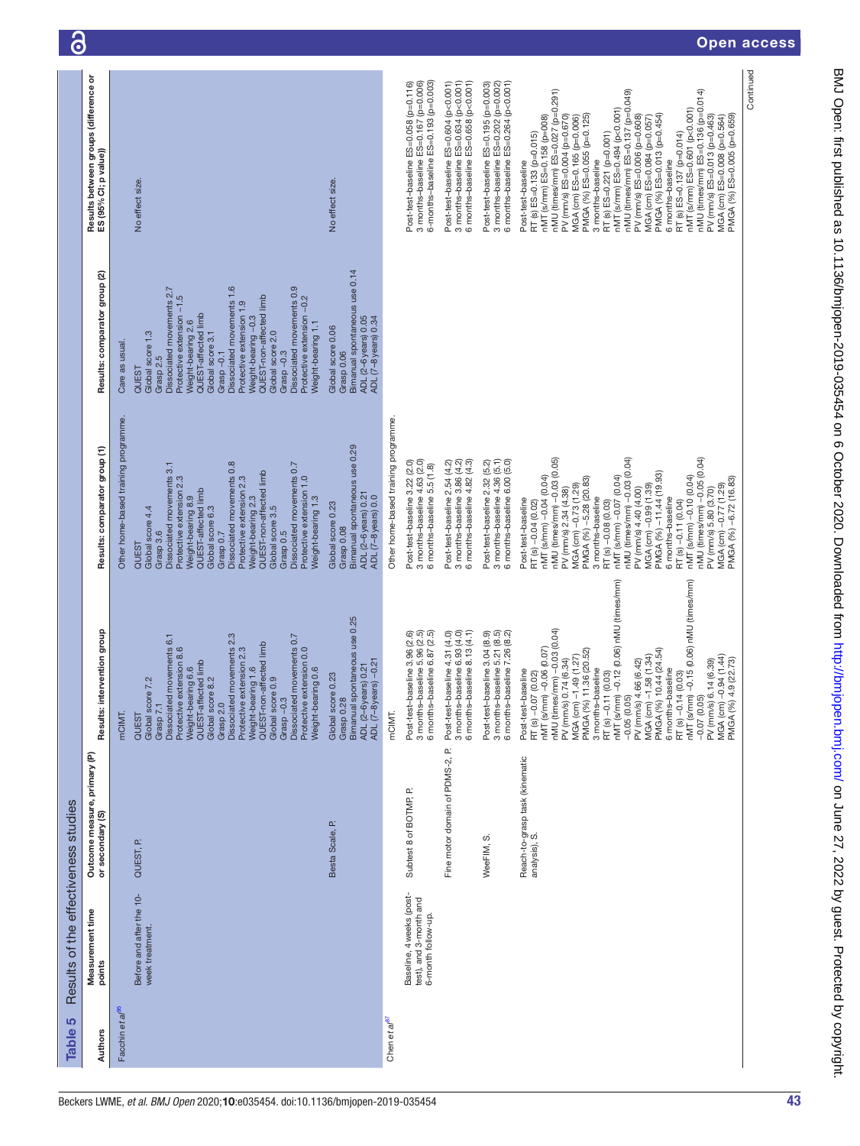| Table 5                     | Results of the effectiveness studies                                     |                                                  |                                                                                                                                                                                                                                                                                                                                                                                                                                                                                                                                                     |                                                                                                                                                                                                                                                                                                                                                                                                                                                                                                                                                    |                                                                                                                                                                                                                                                                                                                                                                                                                                  |                                                                                                                                                                                                                                                                                                                                                                                                                                                                                                                                                                                                                                                                            |
|-----------------------------|--------------------------------------------------------------------------|--------------------------------------------------|-----------------------------------------------------------------------------------------------------------------------------------------------------------------------------------------------------------------------------------------------------------------------------------------------------------------------------------------------------------------------------------------------------------------------------------------------------------------------------------------------------------------------------------------------------|----------------------------------------------------------------------------------------------------------------------------------------------------------------------------------------------------------------------------------------------------------------------------------------------------------------------------------------------------------------------------------------------------------------------------------------------------------------------------------------------------------------------------------------------------|----------------------------------------------------------------------------------------------------------------------------------------------------------------------------------------------------------------------------------------------------------------------------------------------------------------------------------------------------------------------------------------------------------------------------------|----------------------------------------------------------------------------------------------------------------------------------------------------------------------------------------------------------------------------------------------------------------------------------------------------------------------------------------------------------------------------------------------------------------------------------------------------------------------------------------------------------------------------------------------------------------------------------------------------------------------------------------------------------------------------|
| Authors                     | Measurement time<br>points                                               | Outcome measure, primary (P)<br>or secondary (S) | intervention group<br>Results:                                                                                                                                                                                                                                                                                                                                                                                                                                                                                                                      | Results: comparator group (1)                                                                                                                                                                                                                                                                                                                                                                                                                                                                                                                      | Results: comparator group (2)                                                                                                                                                                                                                                                                                                                                                                                                    | Results between groups (difference or<br>ES (95% CI; p value))                                                                                                                                                                                                                                                                                                                                                                                                                                                                                                                                                                                                             |
| Facchin et al <sup>95</sup> | Before and after the 10-<br>week treatment.                              | QUEST, P.                                        | Dissociated movements 2.3<br>Dissociated movements 0.7<br>Dissociated movements 6.1<br>Weight-bearing 1.6<br>QUEST-non-affected limb<br>Protective extension 2.3<br>Protective extension 8.6<br>Protective extension 0.0<br>Weight-bearing 6.6<br>QUEST-affected limb<br>Weight-bearing 0.6<br>Global score 0.9<br>Global score 8.2<br>Global score 7.2<br>Grasp-0.3<br>Grasp 2.0<br>Grasp 7.<br>mCIMT.<br>QUEST                                                                                                                                    | Other home-based training programme.<br>Dissociated movements 0.8<br>Dissociated movements 0.7<br>Dissociated movements 3.1<br>QUEST-non-affected limb<br>Protective extension 2.3<br>Protective extension 2.3<br>Protective extension 1.0<br>QUEST-affected limb<br>Weight-bearing 8.9<br>Weight-bearing 2.3<br>Weight-bearing 1.3<br>Global score 6.3<br>Global score 3.5<br>Global score 4.4<br>Grasp <sub>0.5</sub><br>Grasp 3.6<br>Grasp 0.7<br>QUEST                                                                                         | Dissociated movements 1.6<br>Dissociated movements 0.9<br>Dissociated movements 2.7<br>Protective extension -1.5<br>QUEST-non-affected limb<br>Protective extension -0.2<br>Protective extension 1.9<br>Weight-bearing 2.6<br>QUEST-affected limb<br>Weight-bearing-0.3<br>Weight-bearing 1.1<br>Global score 2.0<br>Global score 1.3<br>Global score 3.1<br>Care as usual<br>$Grasp -0.3$<br>Grasp $-0.1$<br>Grasp 2.5<br>QUEST | No effect size.                                                                                                                                                                                                                                                                                                                                                                                                                                                                                                                                                                                                                                                            |
|                             |                                                                          | Besta Scale, P.                                  | Bimanual spontaneous use 0.25<br>ADL (2–6years) 0.21<br>ADL (7–8years) –0.21<br>Global score 0.23<br>Grasp 0.28                                                                                                                                                                                                                                                                                                                                                                                                                                     | Bimanual spontaneous use 0.29<br>ADL (2-6 years) 0.21<br>ADL (7-8 years) 0.0<br>Global score 0.23<br>Grasp 0.08                                                                                                                                                                                                                                                                                                                                                                                                                                    | Bimanual spontaneous use 0.14<br>ADL (2-6 years) 0.05<br>ADL (7-8 years) 0.34<br>Global score 0.06<br>Grasp 0.06                                                                                                                                                                                                                                                                                                                 | No effect size.                                                                                                                                                                                                                                                                                                                                                                                                                                                                                                                                                                                                                                                            |
| Chen et al <sup>er</sup>    |                                                                          |                                                  | mCIMT.                                                                                                                                                                                                                                                                                                                                                                                                                                                                                                                                              | Other home-based training programme.                                                                                                                                                                                                                                                                                                                                                                                                                                                                                                               |                                                                                                                                                                                                                                                                                                                                                                                                                                  |                                                                                                                                                                                                                                                                                                                                                                                                                                                                                                                                                                                                                                                                            |
|                             | Baseline, 4 weeks (post-<br>test), and 3-month and<br>6-month follow-up. | Subtest 8 of BOTMP, P.                           | Post-test-baseline 3.96 (2.6)<br>3 months-baseline 5.96 (2.5)<br>6 months-baseline 6.87 (2.5)                                                                                                                                                                                                                                                                                                                                                                                                                                                       | Post-test-baseline 3.22 (2.0)<br>3 months-baseline 4.63 (2.0)<br>6 months-baseline 5.5 (1.8)                                                                                                                                                                                                                                                                                                                                                                                                                                                       |                                                                                                                                                                                                                                                                                                                                                                                                                                  | 6-months-baseline ES=0.193 (p=0.003)<br>Post-test-baseline ES=0.058 (p=0.116)<br>3 months-baseline ES=0.167 (p=0.006)                                                                                                                                                                                                                                                                                                                                                                                                                                                                                                                                                      |
|                             |                                                                          | C.<br>Fine motor domain of PDMS-2,               | Post-test-baseline 4.31 (4.0)<br>3 months-baseline 6.93 (4.0)<br>6 months-baseline 8.13 (4.1)                                                                                                                                                                                                                                                                                                                                                                                                                                                       | 3 months-baseline 3.86 (4.2)<br>6 months-baseline 4.82 (4.3)<br>Post-test-baseline 2.54 (4.2)                                                                                                                                                                                                                                                                                                                                                                                                                                                      |                                                                                                                                                                                                                                                                                                                                                                                                                                  | 3 months-baseline ES=0.634 (p<0.001)<br>6 months-baseline ES=0.658 (p<0.001)<br>Post-test-baseline ES=0.604 (p<0.001)                                                                                                                                                                                                                                                                                                                                                                                                                                                                                                                                                      |
|                             |                                                                          | WeeFIM, S                                        | Post-test-baseline 3.04 (8.9)<br>3 months-baseline 5.21 (8.5)<br>6 months-baseline 7.26 (8.2)                                                                                                                                                                                                                                                                                                                                                                                                                                                       | 3 months-baseline 4.36 (5.1)<br>6 months-baseline 6.00 (5.0)<br>Post-test-baseline 2.32 (5.2)                                                                                                                                                                                                                                                                                                                                                                                                                                                      |                                                                                                                                                                                                                                                                                                                                                                                                                                  | 3 months-baseline ES=0.202 (p=0.002)<br>6 months-baseline ES=0.264 (p<0.001)<br>Post-test-baseline ES=0.195 (p=0.003)                                                                                                                                                                                                                                                                                                                                                                                                                                                                                                                                                      |
|                             |                                                                          | Reach-to-grasp task (kinematic<br>analysis), S.  | RT (s) –0.14 (0.03)<br>nMT (s/mm) –0.15 (0.06) nMU (times/mm)<br>RT (s) –0.11 (0.03)<br>nMT (s/mm) –0.12 (0.06) nMU (times/mm)<br>nMU (times/mm) -0.03 (0.04)<br>Post-test-baseline<br>RT (s) –0.07 (0.02)<br>nMT (s/mm) –0.06 (0.07)<br>MGA (cm) -1.49 (1.27)<br>PMGA (%) 11.36 (20.52)<br>PMGA (%) 10.44 (24.54)<br>MGA (cm) -1.58 (1.34)<br>MGA (cm) -0.94 (1.44)<br>PMGA (%) 4.9 (22.73)<br>PV (mm/s) 0.74 (6.34)<br>PV (mm/s) 6.14 (6.39)<br>PV (mm/s) 4.66 (6.42)<br>3 months-baseline<br>6 months-baseline<br>$-0.05(0.05)$<br>$-0.07(0.05)$ | nMU (times/mm) -0.03 (0.04)<br>nMU (times/mm) -0.05 (0.04)<br>nMU (times/mm) -0.03 (0.05)<br>PMGA (%) -11.44 (19.93)<br>nMT (s/mm) -0.04 (0.04)<br>PMGA (%) -5.28 (20.83)<br>nMT (s/mm) -0.07 (0.04)<br>PMGA (%) -6.72 (16.83)<br>nMT (s/mm) -0.10 (0.04)<br>MGA (cm) -0.73 (1.29)<br>MGA (cm) -0.99 (1.39)<br>MGA (cm) -0.77 (1.29)<br>PV (mm/s) 5.80 (3.70)<br>PV (mm/s) 2.34 (4.38)<br>PV (mm/s) 4.40 (4.00)<br>3 months-baseline<br>6 months-baseline<br>Post-test-baseline<br>RT(s)-0.11 (0.04)<br>RT (s) -0.04 (0.02)<br>RT (s) -0.08 (0.03) |                                                                                                                                                                                                                                                                                                                                                                                                                                  | Continued<br>nMU (times/mm) ES=0.027 (p=0.291)<br>nMU (times/mm) ES=0.137 (p=0.049)<br>nMU (times/mm) ES=0.136 (p=0.014)<br>nMT (s/mm) ES=0.494 (p<0.001)<br>nMT (s/mm) ES=0.601 (p<0.001)<br>PMGA (%) ES=0.013 (p=0.454)<br>PMGA (%) ES=0.055 (p=0.125)<br>nMT (s/mm) ES=0.158 (p=008)<br>PV (mm/s) ES=0.004 (p=0.670)<br>PV (mm/s) ES=0.013 (p=0.463)<br>MGA (cm) ES=0.165 (p=0.006)<br>PV (mm/s) ES=0.006 (p=0.608)<br>PMGA (%) ES=0.005 (p=0.659)<br>MGA (cm) ES=0.008 (p=0.564)<br>MGA (cm) ES=0.084 (p=0.057)<br>RT (s) ES=0.137 (p=0.014)<br>RT (s) ES=0.133 (p=0.015)<br>RT (s) ES=0.221 (p=0.001)<br>3 months-baseline<br>6 months-baseline<br>Post-test-baseline |
|                             |                                                                          |                                                  |                                                                                                                                                                                                                                                                                                                                                                                                                                                                                                                                                     |                                                                                                                                                                                                                                                                                                                                                                                                                                                                                                                                                    |                                                                                                                                                                                                                                                                                                                                                                                                                                  |                                                                                                                                                                                                                                                                                                                                                                                                                                                                                                                                                                                                                                                                            |

6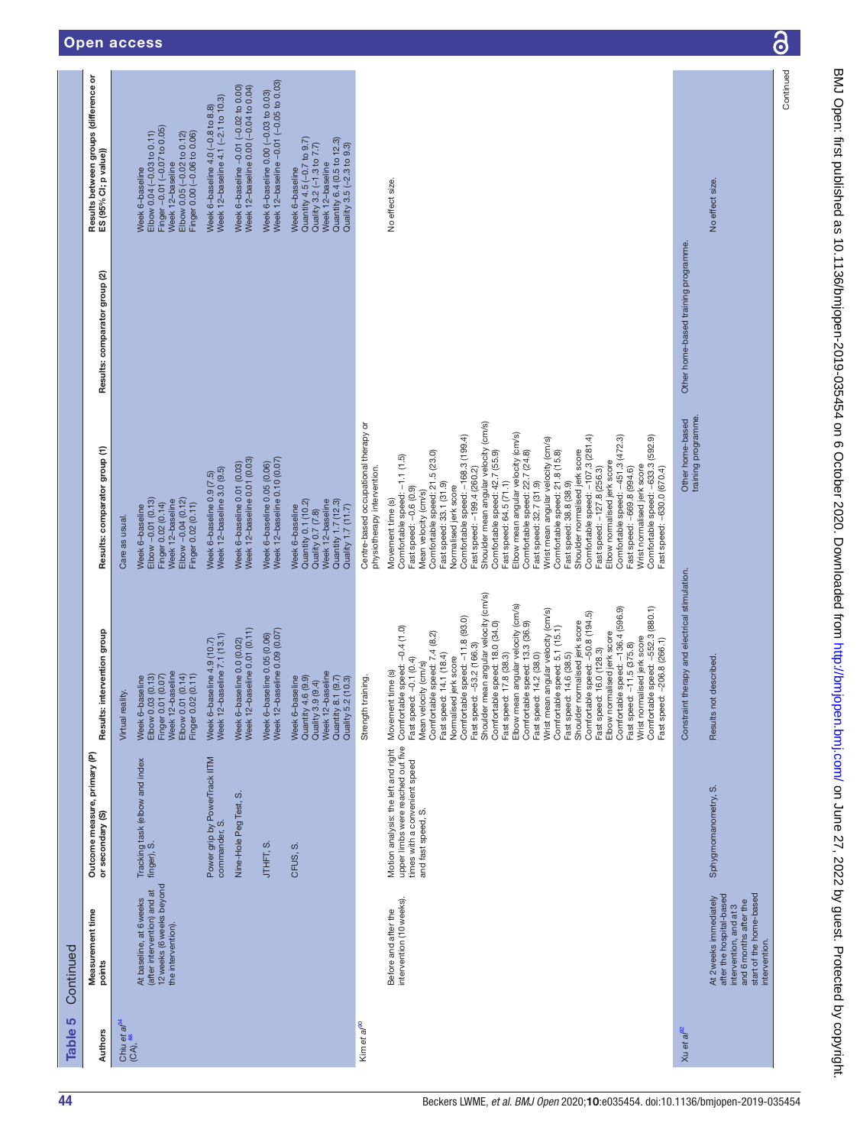| 5<br><b>Table</b>                               | Continued                                                                                                                                          |                                                                                                                                 |                                                                                                                                                                                                                                                                                                                                                                                                                                                                                                                                                                                                                                                                                                                                                                                                                                                                          |                                                                                                                                                                                                                                                                                                                                                                                                                                                                                                                                                                                                                                                                                                                                                                                                                                                                                    |                                     |                                                                                                                                                                |
|-------------------------------------------------|----------------------------------------------------------------------------------------------------------------------------------------------------|---------------------------------------------------------------------------------------------------------------------------------|--------------------------------------------------------------------------------------------------------------------------------------------------------------------------------------------------------------------------------------------------------------------------------------------------------------------------------------------------------------------------------------------------------------------------------------------------------------------------------------------------------------------------------------------------------------------------------------------------------------------------------------------------------------------------------------------------------------------------------------------------------------------------------------------------------------------------------------------------------------------------|------------------------------------------------------------------------------------------------------------------------------------------------------------------------------------------------------------------------------------------------------------------------------------------------------------------------------------------------------------------------------------------------------------------------------------------------------------------------------------------------------------------------------------------------------------------------------------------------------------------------------------------------------------------------------------------------------------------------------------------------------------------------------------------------------------------------------------------------------------------------------------|-------------------------------------|----------------------------------------------------------------------------------------------------------------------------------------------------------------|
| Authors                                         | Measurement time<br>points                                                                                                                         | Outcome measure, primary (P)<br>or secondary (S)                                                                                | Results: intervention group                                                                                                                                                                                                                                                                                                                                                                                                                                                                                                                                                                                                                                                                                                                                                                                                                                              | Results: comparator group (1)                                                                                                                                                                                                                                                                                                                                                                                                                                                                                                                                                                                                                                                                                                                                                                                                                                                      | Results: comparator group (2)       | ŏ<br>Results between groups (difference<br>ES (95% CI; p value))                                                                                               |
| Chiu et al <sup>34</sup><br>(CA), <sup>88</sup> |                                                                                                                                                    |                                                                                                                                 | Virtual reality.                                                                                                                                                                                                                                                                                                                                                                                                                                                                                                                                                                                                                                                                                                                                                                                                                                                         | Care as usual.                                                                                                                                                                                                                                                                                                                                                                                                                                                                                                                                                                                                                                                                                                                                                                                                                                                                     |                                     |                                                                                                                                                                |
|                                                 | 12 weeks (6 weeks beyond<br>(after intervention) and at<br>At baseline, at 6 weeks<br>the intervention).                                           | Tracking task (elbow and index<br>finger), S.                                                                                   | Week 12-baseline<br>Elbow 0.01 (0.14)<br>Finger 0.02 (0.11)<br>Finger 0.01 (0.07)<br>Elbow 0.03 (0.13)<br>Week 6-baseline                                                                                                                                                                                                                                                                                                                                                                                                                                                                                                                                                                                                                                                                                                                                                | Elbow -0.04 (0.12)<br>Elbow -0.01 (0.13)<br>Week 12-baseline<br>Finger 0.02 (0.14)<br>Finger 0.02 (0.11)<br>Week 6-baseline                                                                                                                                                                                                                                                                                                                                                                                                                                                                                                                                                                                                                                                                                                                                                        |                                     | Finger -0.01 (-0.07 to 0.05)<br>Elbow 0.04 (-0.03 to 0.11)<br>Elbow 0.05 (-0.02 to 0.12)<br>Finger 0.00 (-0.06 to 0.06)<br>Week 12-baseline<br>Week 6-baseline |
|                                                 |                                                                                                                                                    | Power grip by PowerTrack IITM<br>commander, S.                                                                                  | Week 12-baseline 7.1 (13.1)<br>Week 6-baseline 4.9 (10.7)                                                                                                                                                                                                                                                                                                                                                                                                                                                                                                                                                                                                                                                                                                                                                                                                                | Week 12-baseline 3.0 (9.5)<br>Week 6-baseline 0.9 (7.5)                                                                                                                                                                                                                                                                                                                                                                                                                                                                                                                                                                                                                                                                                                                                                                                                                            |                                     | Week 12-baseline 4.1 (-2.1 to 10.3)<br>Week 6-baseline 4.0 (-0.8 to 8.8)                                                                                       |
|                                                 |                                                                                                                                                    | Nine-Hole Peg Test, S.                                                                                                          | Week 12-baseline 0.01 (0.11)<br>Week 6-baseline 0.0 (0.02)                                                                                                                                                                                                                                                                                                                                                                                                                                                                                                                                                                                                                                                                                                                                                                                                               | Week 12-baseline 0.01 (0.03)<br>Week 6-baseline 0.01 (0.03)                                                                                                                                                                                                                                                                                                                                                                                                                                                                                                                                                                                                                                                                                                                                                                                                                        |                                     | Week 6-baseline -0.01 (-0.02 to 0.00)<br>Week 12-baseline 0.00 (-0.04 to 0.04)                                                                                 |
|                                                 |                                                                                                                                                    | JTHFT, S.                                                                                                                       | Week 12-baseline 0.09 (0.07)<br>Week 6-baseline 0.05 (0.06)                                                                                                                                                                                                                                                                                                                                                                                                                                                                                                                                                                                                                                                                                                                                                                                                              | Week 12-baseline 0.10 (0.07)<br>Week 6-baseline 0.05 (0.06)                                                                                                                                                                                                                                                                                                                                                                                                                                                                                                                                                                                                                                                                                                                                                                                                                        |                                     | Week 12-baseline -0.01 (-0.05 to 0.03)<br>Week 6-baseline 0.00 (-0.03 to 0.03)                                                                                 |
|                                                 |                                                                                                                                                    | CFUS, S.                                                                                                                        | Week 12-baseline<br>Quantity 4.6 (9.9)<br>Week 6-baseline<br>Quantity 8.1 (9.7)<br>Quality 5.2 (10.3)<br>Quality 3.9 (9.4)                                                                                                                                                                                                                                                                                                                                                                                                                                                                                                                                                                                                                                                                                                                                               | Week 12-baseline<br>Quantity 0.1 (10.2)<br>Quantity 1.7 (12.3)<br>Week 6-baseline<br>Quality 1.7 (11.7)<br>Quality 0.7 (7.8)                                                                                                                                                                                                                                                                                                                                                                                                                                                                                                                                                                                                                                                                                                                                                       |                                     | Quantity 4.5 (-0.7 to 9.7)<br>Quantity 6.4 (0.5 to 12.3)<br>Quality 3.2 (-1.3 to 7.7)<br>Quality 3.5 (-2.3 to 9.3)<br>Week 12-baseline<br>Week 6-baseline      |
| Kim et al <sup>90</sup>                         |                                                                                                                                                    |                                                                                                                                 | Strength training.                                                                                                                                                                                                                                                                                                                                                                                                                                                                                                                                                                                                                                                                                                                                                                                                                                                       | Centre-based occupational therapy or<br>physiotherapy intervention.                                                                                                                                                                                                                                                                                                                                                                                                                                                                                                                                                                                                                                                                                                                                                                                                                |                                     |                                                                                                                                                                |
|                                                 | intervention (10 weeks).<br>Before and after the                                                                                                   | upper limbs were reached out five<br>Motion analysis: the left and right<br>times with a convenient speed<br>and fast speed, S. | Shoulder mean angular velocity (cm/s)<br>Elbow mean angular velocity (cm/s)<br>Comfortable speed: -552.3 (880.1)<br>Comfortable speed: -136.4 (596.9)<br>Wrist mean angular velocity (cm/s)<br>Comfortable speed: -50.8 (194.5)<br>Comfortable speed: -11.8 (93.0)<br>Shoulder normalised jerk score<br>Comfortable speed: 18.0 (34.0)<br>Comfortable speed: 13.3 (36.9)<br>Comfortable speed: 5.1 (15.1)<br>Fast speed: 14.6 (38.5)<br>Comfortable speed: -0.4 (1.0)<br>Comfortable speed: 7.4 (8.2)<br>Elbow normalised jerk score<br>Wrist normalised jerk score<br>Fast speed: -206.8 (266.1)<br>Fast speed: -11.5 (375.8)<br>Fast speed: -53.2 (166.3)<br>Fast speed: 16.0 (128.3)<br>Fast speed: 14.1 (18.4)<br>Fast speed: 17.8 (38.3)<br>Fast speed: 14.2 (38.0)<br>Fast speed: -0.1 (0.4)<br>Normalised jerk score<br>Mean velocity (cm/s)<br>Movement time (s) | Shoulder mean angular velocity (cm/s)<br>Elbow mean angular velocity (cm/s)<br>Comfortable speed: -451.3 (472.3)<br>Comfortable speed: -168.3 (199.4)<br>Fast speed: -199.4 (260.2)<br>Comfortable speed: -107.3 (281.4)<br>Comfortable speed: -633.3 (592.9)<br>Fast speed: -630.0 (670.4)<br>Wrist mean angular velocity (cm/s)<br>Shoulder normalised jerk score<br>Comfortable speed: 21.5 (23.0)<br>Comfortable speed: 42.7 (55.9)<br>Comfortable speed: 22.7 (24.8)<br>Comfortable speed: 21.8 (15.8)<br>Comfortable speed: -1.1 (1.5)<br>Elbow normalised jerk score<br>Wrist normalised jerk score<br>Fast speed: -669.8 (994.6)<br>Fast speed: -127.8 (256.3)<br>Fast speed: 32.7 (31.9)<br>Fast speed: 64.5 (71.1)<br>Fast speed: 38.8 (38.9)<br>Fast speed: 33.1 (31.9)<br>Fast speed: -0.6 (0.9)<br>Normalised jerk score<br>Mean velocity (cm/s)<br>Movement time (s) |                                     | No effect size.                                                                                                                                                |
| Xu et al <sup>92</sup>                          |                                                                                                                                                    |                                                                                                                                 | Constraint therapy and electrical stimulation.                                                                                                                                                                                                                                                                                                                                                                                                                                                                                                                                                                                                                                                                                                                                                                                                                           | training programme.<br>Other home-based                                                                                                                                                                                                                                                                                                                                                                                                                                                                                                                                                                                                                                                                                                                                                                                                                                            | Other home-based training programme |                                                                                                                                                                |
|                                                 | start of the home-based<br>after the hospital-based<br>At 2 weeks immediately<br>and 6 months after the<br>intervention, and at 3<br>intervention. | Sphygmomanometry, S.                                                                                                            | Results not described                                                                                                                                                                                                                                                                                                                                                                                                                                                                                                                                                                                                                                                                                                                                                                                                                                                    |                                                                                                                                                                                                                                                                                                                                                                                                                                                                                                                                                                                                                                                                                                                                                                                                                                                                                    |                                     | No effect size.                                                                                                                                                |
|                                                 |                                                                                                                                                    |                                                                                                                                 |                                                                                                                                                                                                                                                                                                                                                                                                                                                                                                                                                                                                                                                                                                                                                                                                                                                                          |                                                                                                                                                                                                                                                                                                                                                                                                                                                                                                                                                                                                                                                                                                                                                                                                                                                                                    |                                     | Continued                                                                                                                                                      |

 $\overline{a}$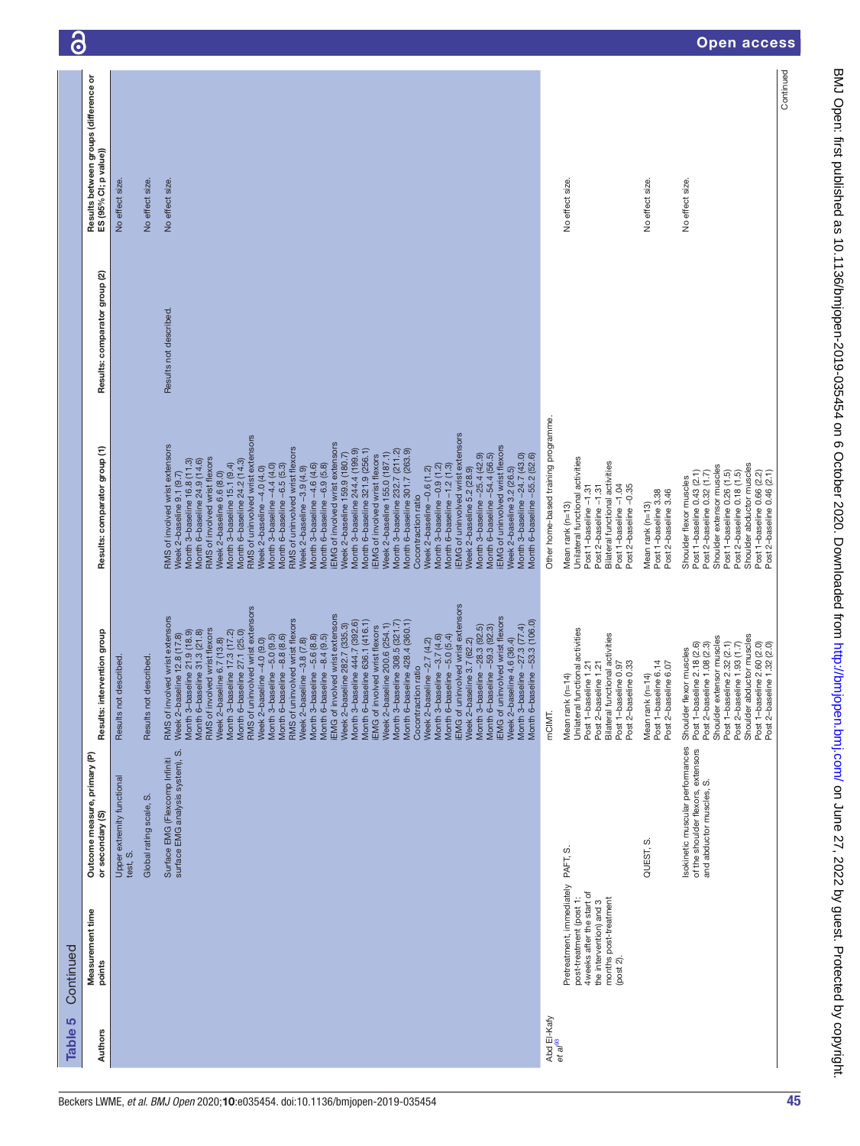| $\overline{\mathbf{C}}$ |                                                                |                                        |                        |                                                                                                                                                                                                                                                                                                                                                                                                                                                                                                                                                                                                                                                                                                                                                                                                                                                                                                                                                                                                                                                                                                                                                                                                                                             |                                     |                                                                                                                                                                                             |                                                                  | <b>Open access</b>                                                                                                                                                                                                                                                    |
|-------------------------|----------------------------------------------------------------|----------------------------------------|------------------------|---------------------------------------------------------------------------------------------------------------------------------------------------------------------------------------------------------------------------------------------------------------------------------------------------------------------------------------------------------------------------------------------------------------------------------------------------------------------------------------------------------------------------------------------------------------------------------------------------------------------------------------------------------------------------------------------------------------------------------------------------------------------------------------------------------------------------------------------------------------------------------------------------------------------------------------------------------------------------------------------------------------------------------------------------------------------------------------------------------------------------------------------------------------------------------------------------------------------------------------------|-------------------------------------|---------------------------------------------------------------------------------------------------------------------------------------------------------------------------------------------|------------------------------------------------------------------|-----------------------------------------------------------------------------------------------------------------------------------------------------------------------------------------------------------------------------------------------------------------------|
|                         | Results between groups (difference or<br>ES (95% CI; p value)) | No effect size.                        | No effect size.        | No effect size.                                                                                                                                                                                                                                                                                                                                                                                                                                                                                                                                                                                                                                                                                                                                                                                                                                                                                                                                                                                                                                                                                                                                                                                                                             |                                     | No effect size.                                                                                                                                                                             | No effect size.                                                  | Continued<br>No effect size.                                                                                                                                                                                                                                          |
|                         | Results: comparator group (2)                                  |                                        |                        | Results not described.                                                                                                                                                                                                                                                                                                                                                                                                                                                                                                                                                                                                                                                                                                                                                                                                                                                                                                                                                                                                                                                                                                                                                                                                                      |                                     |                                                                                                                                                                                             |                                                                  |                                                                                                                                                                                                                                                                       |
|                         | Results: comparator group (1)                                  |                                        |                        | EMG of uninvolved wrist extensors<br>RMS of uninvolved wrist extensors<br>EMG of involved wrist extensors<br>RMS of involved wrist extensors<br>EMG of uninvolved wrist flexors<br>RMS of uninvolved wrist flexors<br>Month 3-baseline 244.4 (199.9)<br>Month 6-baseline 321.9 (256.1)<br>Month 3-baseline 232.7 (211.2)<br>Month 6-baseline 301.7 (263.9)<br>Week 2-baseline 155.0 (187.1)<br>Week 2-baseline 159.9 (180.7)<br>Month 3-baseline -25.4 (42.9)<br>Month 6-baseline -54.4 (56.5)<br>Month 3-baseline -24.7 (43.0)<br>Month 6-baseline -55.2 (52.6)<br>EMG of involved wrist flexors<br>RMS of involved wrist flexors<br>Month 3-baseline 16.8 (11.3)<br>Month 6-baseline 24.9 (14.6)<br>Month 6-baseline 24.2 (14.3)<br>Month 3-baseline 15.1 (9.4)<br>Month 3-baseline -4.6 (4.6)<br>Month 6-baseline -6.9 (5.8)<br>Month 3-baseline -4.4 (4.0)<br>Month 6-baseline -6.5 (5.3)<br>Month 3-baseline -0.9 (1.2)<br>Month 6-baseline -1.2 (1.3)<br>Week 2-baseline -3.9 (4.9)<br>Week 2-baseline 5.2 (28.9)<br>Week 2-baseline -4.0 (4.0)<br>Week 2-baseline 3.2 (26.5)<br>Week 2-baseline -0.6 (1.2)<br>Week 2-baseline 6.6 (8.0)<br>Week 2-baseline 9.1 (9.7)<br>Cocontraction ratio                                          | Other home-based training programme | Unilateral functional activities<br>Bilateral functional activities<br>Post 1-baseline -1.04<br>Post 2-baseline -0.35<br>Post 1-baseline -1.31<br>Post 2-baseline -1.31<br>Mean rank (n=13) | Post 1-baseline 3.38<br>Post 2-baseline 3.46<br>Mean rank (n=13) | Shoulder abductor muscles<br>Shoulder extensor muscles<br>Post 1-baseline 0.26 (1.5)<br>Post 2-baseline 0.18 (1.5)<br>Post 1-baseline 0.66 (2.2)<br>Post 1-baseline 0.43 (2.1)<br>Post 2-baseline 0.46 (2.1)<br>Post 2-baseline 0.32 (1.7)<br>Shoulder flexor muscles |
|                         | Results: intervention group                                    | Results not described.                 | Results not described. | <b>IEMG</b> of uninvolved wrist extensors<br>RMS of uninvolved wrist extensors<br><b>IEMG</b> of involved wrist extensors<br>RMS of involved wrist extensors<br><b>IEMG</b> of uninvolved wrist flexors<br>RMS of uninvolved wrist flexors<br>Month 6-baseline 636.1 (416.1)<br>Month 3-baseline -27.3 (77.4)<br>Month 6-baseline -53.3 (106.0)<br>Month 3-baseline 444.7 (392.6)<br>Month 3-baseline 308.5 (321.7)<br>Month 6-baseline 428.4 (360.1)<br>Week 2-baseline 200.6 (254.1)<br>Week 2-baseline 282.7 (335.3)<br>line -28.3 (92.5)<br><b>IEMG</b> of involved wrist flexors<br>Month 6-baseline -59.3 (92.3)<br>RMS of involved wrist flexors<br>Month 3-baseline 21.9 (18.9)<br>Month 6-baseline 31.3 (21.8)<br>Month 3-baseline 17.3 (17.2)<br>Month 6-baseline 27.1 (25.0)<br>Week 2-baseline 12.8 (17.8)<br>Month 3-baseline -5.6 (8.8)<br>Month 6-baseline -8.4 (9.5)<br>Month 3-baseline -3.7 (4.6)<br>Month 6-baseline -5.0 (5.4)<br>Month 3-baseline -5.0 (9.5)<br>Month 6-baseline -8.8 (8.6)<br>Week 2-baseline -4.0 (9.0)<br>Week 2-baseline -3.8 (7.8)<br>Week 2-baseline 6.7 (13.8)<br>Week 2-baseline -2.7 (4.2)<br>Week 2-baseline 3.7 (62.2)<br>Week 2-baseline 4.6 (36.4)<br>Cocontraction ratio<br>Month 3-base | mCIMT.                              | Unilateral functional activities<br>Bilateral functional activities<br>Post 2-baseline 0.33<br>Post 1-baseline 1.21<br>Post 2-baseline 1.21<br>Post 1-baseline 0.97<br>Mean rank (n=14)     | Post 1-baseline 6.14<br>Post 2-baseline 6.07<br>Mean rank (n=14) | Shoulder abductor muscles<br>Shoulder extensor muscles<br>Post 1-baseline 2.32 (2.1)<br>Post 1-baseline 2.18 (2.6)<br>Post 1-baseline 2.60 (2.0)<br>Post 2-baseline 1.32 (2.0)<br>Post 2-baseline 1.08 (2.3)<br>Post 2-baseline 1.93 (1.7)<br>Shoulder flexor muscles |
|                         | Outcome measure, primary (P)<br>or secondary (S)               | Upper extremity functional<br>test, S. | Global rating scale, S | surface EMG analysis system), S.<br>Surface EMG (Flexcomp Infiniti                                                                                                                                                                                                                                                                                                                                                                                                                                                                                                                                                                                                                                                                                                                                                                                                                                                                                                                                                                                                                                                                                                                                                                          |                                     |                                                                                                                                                                                             | ပာ<br>QUEST,                                                     | Isokinetic muscular performances<br>of the shoulder flexors, extensors<br>and abductor muscles, S.                                                                                                                                                                    |
| Continued               | Measurement time<br>points                                     |                                        |                        |                                                                                                                                                                                                                                                                                                                                                                                                                                                                                                                                                                                                                                                                                                                                                                                                                                                                                                                                                                                                                                                                                                                                                                                                                                             |                                     | Pretreatment, immediately PAFT, S<br>4 weeks after the start of<br>post-treatment (post 1:<br>months post-treatment<br>the intervention) and 3<br>(post 2).                                 |                                                                  |                                                                                                                                                                                                                                                                       |
| <u> ဟ</u><br>Table      | Authors                                                        |                                        |                        |                                                                                                                                                                                                                                                                                                                                                                                                                                                                                                                                                                                                                                                                                                                                                                                                                                                                                                                                                                                                                                                                                                                                                                                                                                             | Abd El-Kafy<br>$et$ a $l^{83}$      |                                                                                                                                                                                             |                                                                  |                                                                                                                                                                                                                                                                       |

BMJ Open: first published as 10.1136/bmjopen-2019-035454 on 6 October 2020. Downloaded from http://bmjopen.bmj.com/ on June 27, 2022 by guest. Protected by copyright. BMJ Open: first published as 10.1136/bmjopen-2019-030-454 on 6 October 2020. Downloaded from <http://bmjopen.bmj.com/> on June 27, 2022 by guest. Protected by copyright.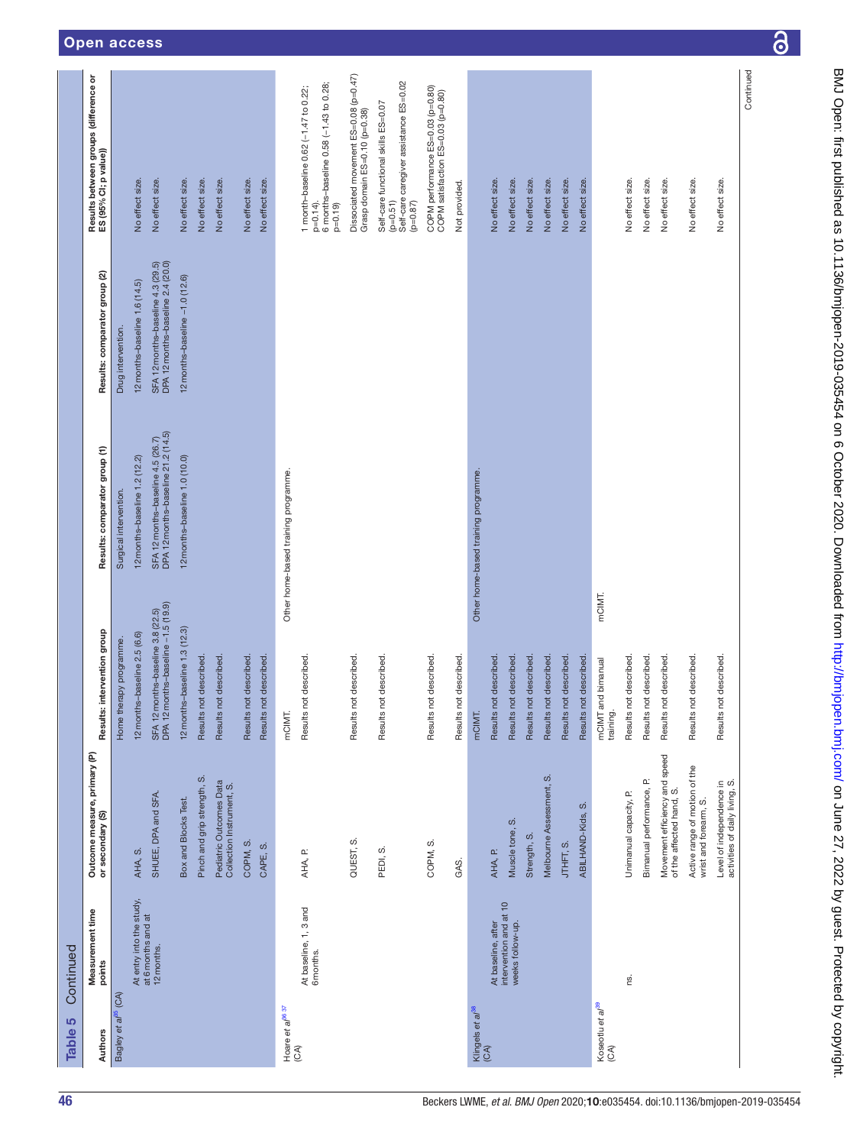| Table 5                                    | Continued                                  |                                                            |                                                                         |                                                                         |                                                                        |                                                                                                             |
|--------------------------------------------|--------------------------------------------|------------------------------------------------------------|-------------------------------------------------------------------------|-------------------------------------------------------------------------|------------------------------------------------------------------------|-------------------------------------------------------------------------------------------------------------|
| Authors                                    | Measurement time<br>points                 | Outcome measure, primary (P)<br>or secondary (S)           | intervention group<br>Results:                                          | Results: comparator group (1)                                           | Results: comparator group (2)                                          | Results between groups (difference or<br>ES (95% Cl; p value))                                              |
| Bagley et al <sup>35</sup> (CA)            |                                            |                                                            | Home therapy programme.                                                 | Surgical intervention.                                                  | Drug intervention.                                                     |                                                                                                             |
|                                            | At entry into the study,                   | AHA, S.                                                    | 12 months-baseline 2.5 (6.6)                                            | 12 months-baseline 1.2 (12.2)                                           | 12 months-baseline 1.6 (14.5)                                          | No effect size.                                                                                             |
|                                            | at 6 months and at<br>12 months.           | SHUEE, DPA and SFA                                         | SFA 12 months-baseline 3.8 (22.5)<br>DPA 12 months-baseline -1.5 (19.9) | SFA 12 months-baseline 4.5 (26.7)<br>DPA 12 months-baseline 21.2 (14.5) | SFA 12 months-baseline 4.3 (29.5)<br>DPA 12 months-baseline 2.4 (20.0) | No effect size.                                                                                             |
|                                            |                                            | Box and Blocks Test.                                       | 12 months-baseline 1.3 (12.3)                                           | 12 months-baseline 1.0 (10.0)                                           | 12 months-baseline -1.0 (12.6)                                         | No effect size.                                                                                             |
|                                            |                                            | Pinch and grip strength, S.                                | Results not described.                                                  |                                                                         |                                                                        | No effect size.                                                                                             |
|                                            |                                            | Pediatric Outcomes Data<br>Collection Instrument, S.       | Results not described.                                                  |                                                                         |                                                                        | No effect size.                                                                                             |
|                                            |                                            | COPM, S.                                                   | Results not described.                                                  |                                                                         |                                                                        | No effect size.                                                                                             |
|                                            |                                            | CAPE, S.                                                   | Results not described.                                                  |                                                                         |                                                                        | No effect size.                                                                                             |
| Hoare et $a^{38.37}$<br>(CA)               |                                            |                                                            | mCIMT.                                                                  | Other home-based training programme.                                    |                                                                        |                                                                                                             |
|                                            | At baseline, 1, 3 and<br>6 months.         | AHA, P.                                                    | Results not described                                                   |                                                                         |                                                                        | 6 months-baseline 0.58 (-1.43 to 0.28;<br>1 month-baseline 0.62 (-1.47 to 0.22;<br>$p=0.14$ ).<br>$p=0.19$  |
|                                            |                                            | QUEST, S                                                   | Results not described.                                                  |                                                                         |                                                                        | Dissociated movement ES=0.08 (p=0.47)<br>Grasp domain ES=0.10 (p=0.38)                                      |
|                                            |                                            | PEDI, S.                                                   | Results not described                                                   |                                                                         |                                                                        | Self-care caregiver assistance ES=0.02<br>Self-care functional skills ES=0.07<br>$(p=0.51)$<br>$(58.0 = 0)$ |
|                                            |                                            | COPM, S.                                                   | Results not described.                                                  |                                                                         |                                                                        | COPM performance ES=0.03 (p=0.80)<br>COPM satisfaction ES=0.03 (p=0.80)                                     |
|                                            |                                            | GAS.                                                       | Results not described.                                                  |                                                                         |                                                                        | Not provided.                                                                                               |
| Klingels <i>et al<sup>38</sup></i><br>(CA) |                                            |                                                            | mCIMT.                                                                  | Other home-based training programme.                                    |                                                                        |                                                                                                             |
|                                            | At baseline, after                         | AHA, P.                                                    | Results not described                                                   |                                                                         |                                                                        | No effect size.                                                                                             |
|                                            | intervention and at 10<br>weeks follow-up. | ဟ<br>Muscle tone,                                          | Results not described.                                                  |                                                                         |                                                                        | No effect size.                                                                                             |
|                                            |                                            | Strength, S.                                               | Results not described.                                                  |                                                                         |                                                                        | No effect size.                                                                                             |
|                                            |                                            | Melbourne Assessment, S.                                   | Results not described.                                                  |                                                                         |                                                                        | No effect size.                                                                                             |
|                                            |                                            | ဖ<br>ABILHAND-Kids,<br>JTHFT, S.                           | Results not described.<br>Results not described                         |                                                                         |                                                                        | No effect size.<br>No effect size.                                                                          |
| Koseotlu et al <sup>39</sup><br>(CA)       |                                            |                                                            | mCIMT.<br>mCIMT and bimanual                                            |                                                                         |                                                                        |                                                                                                             |
|                                            |                                            | Unimanual capacity, P.                                     | Results not described.<br>training.                                     |                                                                         |                                                                        | No effect size.                                                                                             |
|                                            | ΩŚ.                                        |                                                            |                                                                         |                                                                         |                                                                        |                                                                                                             |
|                                            |                                            | Bimanual performance, P.                                   | Results not described.                                                  |                                                                         |                                                                        | No effect size.                                                                                             |
|                                            |                                            | Movement efficiency and speed<br>of the affected hand, S.  | Results not described.                                                  |                                                                         |                                                                        | No effect size.                                                                                             |
|                                            |                                            | Active range of motion of the<br>wrist and forearm, S.     | Results not described.                                                  |                                                                         |                                                                        | No effect size.                                                                                             |
|                                            |                                            | Level of independence in<br>activities of daily living, S. | Results not described                                                   |                                                                         |                                                                        | No effect size.                                                                                             |
|                                            |                                            |                                                            |                                                                         |                                                                         |                                                                        | Continued                                                                                                   |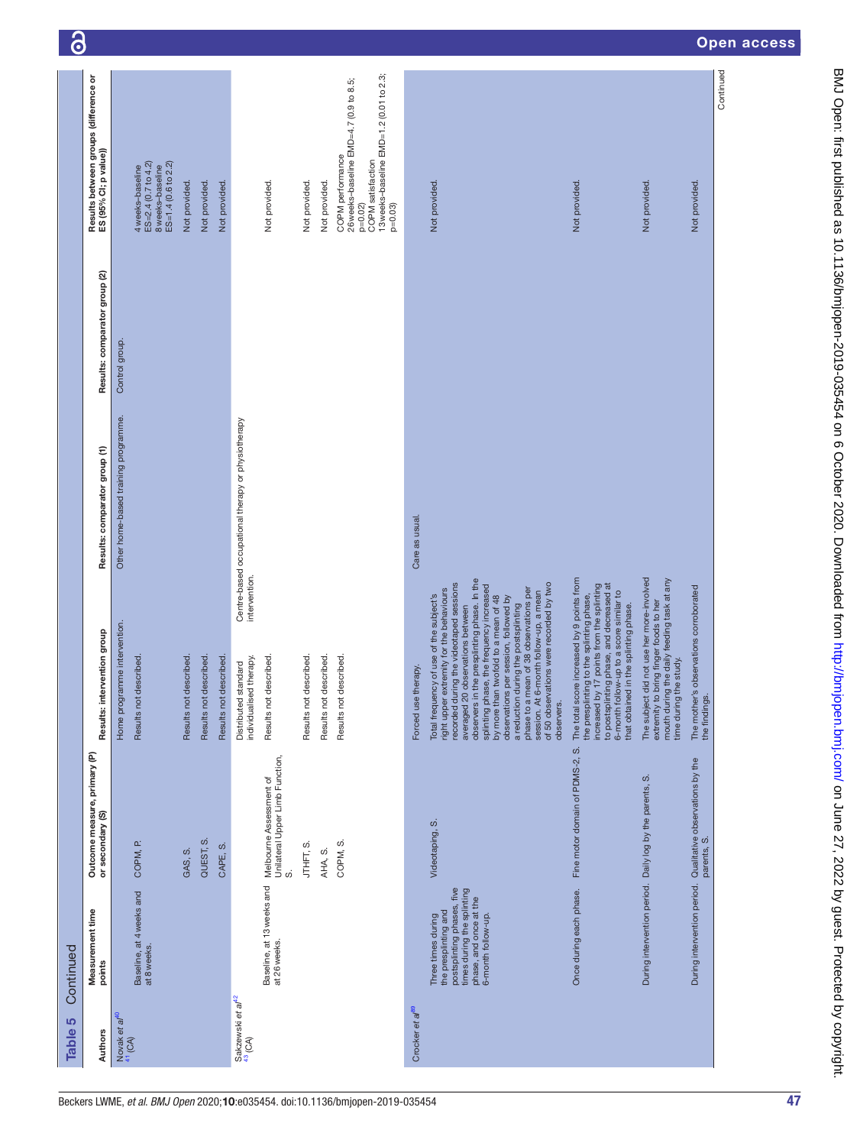| 5<br><b>Table</b>                                   | Continued                                                                                                                                              |                                                                  |                                                                                                                                                                                                                                                                                                                                                                                                                                                                                                                                    |                                                    |                               |                                                                                                                                                    | $\ddot{\bullet}$ |
|-----------------------------------------------------|--------------------------------------------------------------------------------------------------------------------------------------------------------|------------------------------------------------------------------|------------------------------------------------------------------------------------------------------------------------------------------------------------------------------------------------------------------------------------------------------------------------------------------------------------------------------------------------------------------------------------------------------------------------------------------------------------------------------------------------------------------------------------|----------------------------------------------------|-------------------------------|----------------------------------------------------------------------------------------------------------------------------------------------------|------------------|
| Authors                                             | Measurement time<br>points                                                                                                                             | Outcome measure, primary (P)<br>or secondary (S)                 | Results: intervention group                                                                                                                                                                                                                                                                                                                                                                                                                                                                                                        | Results: comparator group (1)                      | Results: comparator group (2) | Results between groups (difference or<br>ES (95% Cl; p value))                                                                                     |                  |
| Novak et a $t^{40}$<br>$^{41}$ (CA)                 | Baseline, at 4 weeks and<br>at 8 weeks.                                                                                                                | COPM, P.                                                         | Home programme intervention.<br>Results not described.                                                                                                                                                                                                                                                                                                                                                                                                                                                                             | Other home-based training programme.               | Control group.                | ES=2.4 (0.7 to 4.2)<br>8 weeks-baseline<br>4 weeks-baseline                                                                                        |                  |
|                                                     |                                                                                                                                                        |                                                                  |                                                                                                                                                                                                                                                                                                                                                                                                                                                                                                                                    |                                                    |                               | ES=1.4 (0.6 to 2.2)                                                                                                                                |                  |
|                                                     |                                                                                                                                                        | QUEST, S.<br>GAS, S.                                             | Results not described.<br>Results not described                                                                                                                                                                                                                                                                                                                                                                                                                                                                                    |                                                    |                               | Not provided.<br>Not provided.                                                                                                                     |                  |
|                                                     |                                                                                                                                                        | CAPE, S.                                                         | Results not described                                                                                                                                                                                                                                                                                                                                                                                                                                                                                                              |                                                    |                               | Not provided.                                                                                                                                      |                  |
| Sakzewski et af <sup>42</sup><br><sup>43</sup> (CA) |                                                                                                                                                        |                                                                  | intervention.<br>individualised therapy.<br>Distributed standard                                                                                                                                                                                                                                                                                                                                                                                                                                                                   | Centre-based occupational therapy or physiotherapy |                               |                                                                                                                                                    |                  |
|                                                     | Baseline, at 13 weeks and<br>at 26 weeks.                                                                                                              | Unilateral Upper Limb Function,<br>Melbourne Assessment of<br>တ် | Results not described                                                                                                                                                                                                                                                                                                                                                                                                                                                                                                              |                                                    |                               | Not provided.                                                                                                                                      |                  |
|                                                     |                                                                                                                                                        |                                                                  | Results not described.                                                                                                                                                                                                                                                                                                                                                                                                                                                                                                             |                                                    |                               | Not provided.                                                                                                                                      |                  |
|                                                     |                                                                                                                                                        | AHA, S.                                                          | Results not described.                                                                                                                                                                                                                                                                                                                                                                                                                                                                                                             |                                                    |                               | Not provided.                                                                                                                                      |                  |
|                                                     |                                                                                                                                                        | COPM, S.                                                         | Results not described.                                                                                                                                                                                                                                                                                                                                                                                                                                                                                                             |                                                    |                               | 13 weeks-baseline EMD=1.2 (0.01 to 2.3;<br>26 weeks-baseline EMD=4.7 (0.9 to 8.5;<br>COPM performance<br>COPM satisfaction<br>$p=0.03$<br>$p=0.02$ |                  |
| Crocker et a <sup>p99</sup>                         |                                                                                                                                                        |                                                                  | Forced use therapy.                                                                                                                                                                                                                                                                                                                                                                                                                                                                                                                | Care as usual.                                     |                               |                                                                                                                                                    |                  |
|                                                     | postsplinting phases, five<br>times during the splinting<br>phase, and once at the<br>the presplinting and<br>6-month follow-up.<br>Three times during | Videotaping, S.                                                  | observers in the presplinting phase. In the<br>recorded during the videotaped sessions<br>of 50 observations were recorded by two<br>splinting phase, the frequency increased<br>phase to a mean of 38 observations per<br>right upper extremity for the behaviours<br>session. At 6-month follow-up, a mean<br>Total frequency of use of the subject's<br>by more than twofold to a mean of 48<br>observations per session, followed by<br>a reduction during the postsplinting<br>averaged 20 observations between<br>observers. |                                                    |                               | Not provided.                                                                                                                                      |                  |
|                                                     | Once during each phase.                                                                                                                                | Fine motor domain of PDMS-2, S.                                  | The total score increased by 9 points from<br>increased by 17 points from the splinting<br>to postsplinting phase, and decreased at<br>6-month follow-up to a score similar to<br>the presplinting to the splinting phase,<br>in the splinting phase.<br>that obtained                                                                                                                                                                                                                                                             |                                                    |                               | Not provided.                                                                                                                                      |                  |
|                                                     | During intervention period. Daily log by the parents,                                                                                                  | ဟဲ                                                               | The subject did not use her more-involved<br>extremity to bring finger foods to her<br>mouth during the daily feeding task at any<br>time during the study.                                                                                                                                                                                                                                                                                                                                                                        |                                                    |                               | Not provided.                                                                                                                                      |                  |
|                                                     | During intervention period.                                                                                                                            | Qualitative observations by the<br>parents, S.                   | The mother's observations corroborated<br>the findings.                                                                                                                                                                                                                                                                                                                                                                                                                                                                            |                                                    |                               | Not provided.                                                                                                                                      |                  |
|                                                     |                                                                                                                                                        |                                                                  |                                                                                                                                                                                                                                                                                                                                                                                                                                                                                                                                    |                                                    |                               | Continued                                                                                                                                          | Open acc         |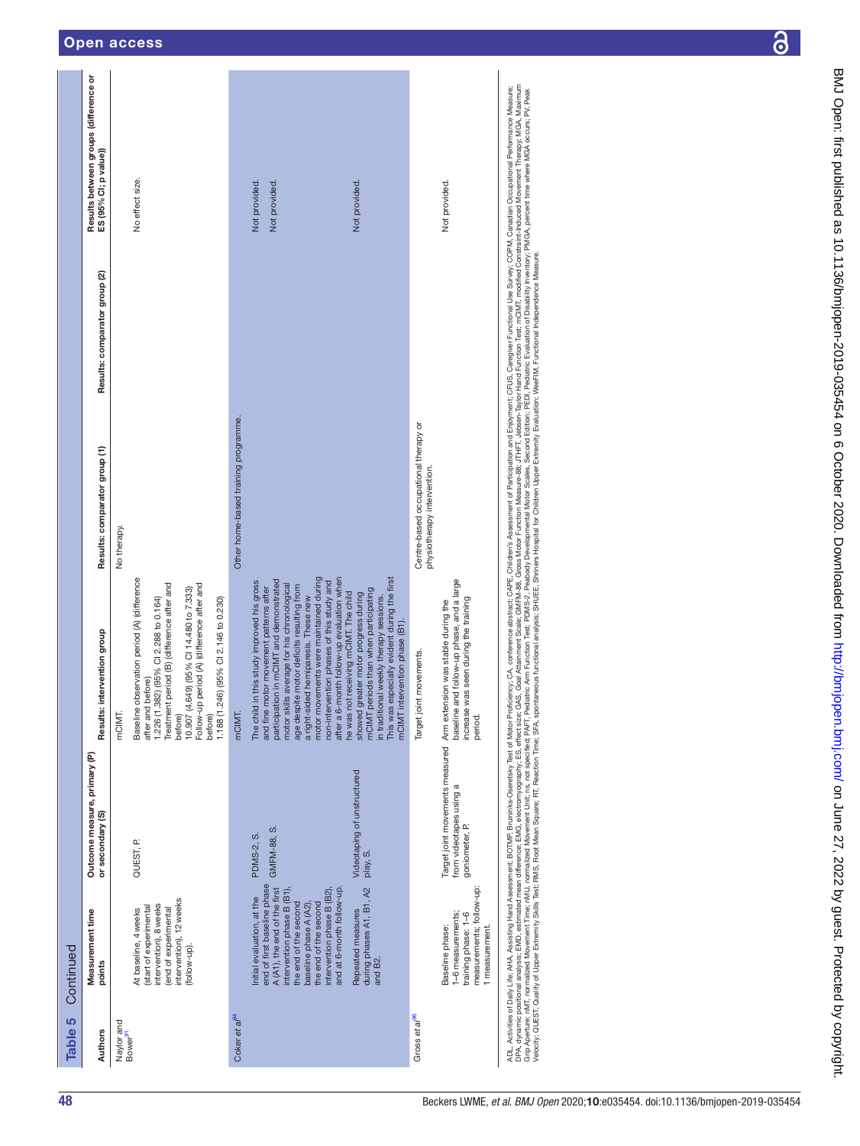| Open access |  |  |  |  |
|-------------|--|--|--|--|
|-------------|--|--|--|--|

| Table 5                           | Continued                                                                                                                                                                                                                                                                                                                            |                                                                      |                                                                                                                                                                                                                                                                                                                                                                                                                                                                                                                                                                                                                                                                                      |                                                                     |                               |                                                                |
|-----------------------------------|--------------------------------------------------------------------------------------------------------------------------------------------------------------------------------------------------------------------------------------------------------------------------------------------------------------------------------------|----------------------------------------------------------------------|--------------------------------------------------------------------------------------------------------------------------------------------------------------------------------------------------------------------------------------------------------------------------------------------------------------------------------------------------------------------------------------------------------------------------------------------------------------------------------------------------------------------------------------------------------------------------------------------------------------------------------------------------------------------------------------|---------------------------------------------------------------------|-------------------------------|----------------------------------------------------------------|
| Authors                           | Measurement time<br>points                                                                                                                                                                                                                                                                                                           | Outcome measure, primary (P)<br>or secondary (S)                     | Results: intervention group                                                                                                                                                                                                                                                                                                                                                                                                                                                                                                                                                                                                                                                          | Results: comparator group (1)                                       | Results: comparator group (2) | Results between groups (difference or<br>ES (95% CI; p value)) |
| Naylor and<br>Bower <sup>91</sup> | intervention), 12 weeks<br>intervention), 8 weeks<br>start of experimental<br>end of experimental<br>At baseline, 4 weeks<br>(follow-up).                                                                                                                                                                                            | QUEST, P.                                                            | Baseline observation period (A) (difference<br>Treatment period (B) (difference after and<br>Follow-up period (A) (difference after and<br>(4.649) (95% CI 14.480 to 7.333)<br>1.226 (1.382) (95% CI 2.288 to 0.164)<br>.246) (95% CI 2.146 to 0.230)<br>after and before)<br>mCIMT.<br>1.188(1<br>10.907<br>before)<br>before)                                                                                                                                                                                                                                                                                                                                                      | No therapy.                                                         |                               | No effect size.                                                |
| Coker et al <sup>94</sup>         | end of first baseline phase<br>and at 6-month follow-up.<br>during phases A1, B1, A2<br>A (A1), the end of the first<br>intervention phase B (B1),<br>intervention phase B (B2),<br>Initial evaluation, at the<br>the end of the second<br>the end of the second<br>baseline phase A (A2)<br>Repeated measures<br>and B <sub>2</sub> | Videotaping of unstructured<br>GMFM-88, S.<br>PDMS-2, S.<br>play, S. | motor movements were maintained during<br>after a 6-month follow-up evaluation when<br>This was especially evident during the first<br>participation in mCIMT and demonstrated<br>The child in this study improved his gross<br>non-intervention phases of this study and<br>motor skills average for his chronological<br>age despite motor deficits resulting from<br>and fine motor movement patterns after<br>periods than when participating<br>he was not receiving mCIMT. The child<br>greater motor progress during<br>in traditional weekly therapy sessions.<br>a right-sided hemiparesis. These new<br>mCIMT intervention phase (B1).<br>mCIMT.<br>showed<br><b>mCIMT</b> | Other home-based training programme.                                |                               | Not provided.<br>Not provided.<br>Not provided.                |
| Gross et al <sup>96</sup>         | measurements; follow-up:<br>1-6 measurements;<br>training phase: 1-6<br>Baseline phase:<br>1 measurement.                                                                                                                                                                                                                            | from videotapes using a<br>goniometer, P.                            | baseline and follow-up phase, and a large<br>increase was seen during the training<br>Target joint movements measured Arm extension was stable during the<br>Target joint movements.<br>period.                                                                                                                                                                                                                                                                                                                                                                                                                                                                                      | Centre-based occupational therapy or<br>physiotherapy intervention. |                               | Not provided.                                                  |

ADL, Adtivites of Dally Life, AHA, Assisting Hand Assessment; BOTMP, Brunderisy Test of Motor Portoferros obstetes conference abstract to Motor Portoferros observed CAPE, CMHs CAPE, CMHs of and the Survey, COPM, Canadian O DPA, dynamic positional analysis: EMG, estimated mean difference; EMG, electromonycraphy; ES, effect size; GAS, Gad Machinment Scale; GMFM-88, Gross Motor Function Measure-88; JTHFT, Jebsen-Tayland Function Test; mCMMT, mo ADL. Adtivities of Daily Life; AHA, Assisting Hand Assessment BOTMP. Bestery Desity Test of Motor Prificiency; CA Proficiency; CAPC, CAPC, CAPC, CAPC, CAPC, CAPC, CAPC, CAPC, CAPC, Assessment of Partorian and Enjoyment, CF Grip Aperture, nMT, normalized Movement Unit; the not specified; PAFT, Pediatric Arm Function Test; Pedioty Developmental Motor Scales, Second Edition; PEDI, Pediatric Evaluation of Disability Inventory, PMGA, percent time Velocity, QUEST, Quality of Upper Extremity Skills Test, RMS. Root Mean Square; RT, Reaction Time; SFA, spontaneous functional analysis; SHUEE, Shriners Hospital for Children Upper Extremity Evaluation; WeeFIM, Functional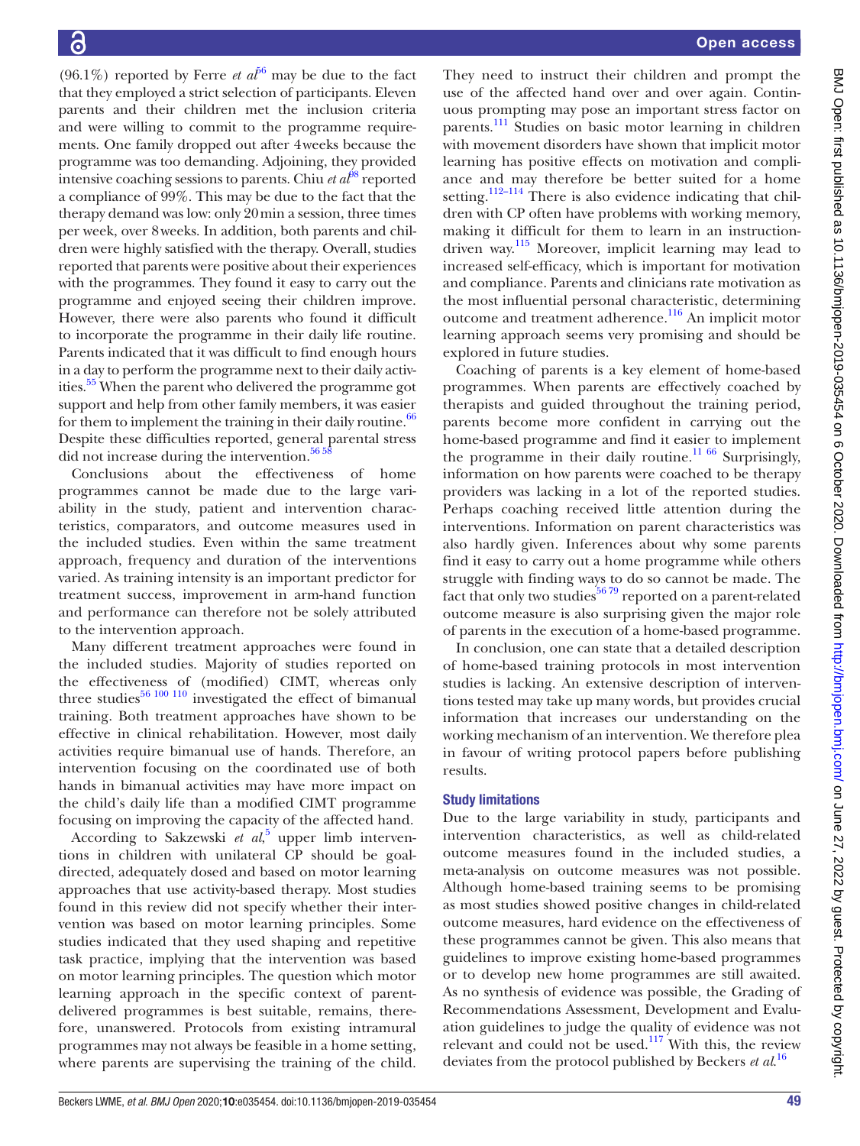(96.1%) reported by Ferre *et a* $l^{56}$  $l^{56}$  $l^{56}$  may be due to the fact that they employed a strict selection of participants. Eleven parents and their children met the inclusion criteria and were willing to commit to the programme requirements. One family dropped out after 4weeks because the programme was too demanding. Adjoining, they provided intensive coaching sessions to parents. Chiu  $\epsilon t$   $a t^{8}$  reported a compliance of 99%. This may be due to the fact that the therapy demand was low: only 20min a session, three times per week, over 8weeks. In addition, both parents and children were highly satisfied with the therapy. Overall, studies reported that parents were positive about their experiences with the programmes. They found it easy to carry out the programme and enjoyed seeing their children improve. However, there were also parents who found it difficult to incorporate the programme in their daily life routine. Parents indicated that it was difficult to find enough hours in a day to perform the programme next to their daily activities.<sup>55</sup> When the parent who delivered the programme got support and help from other family members, it was easier for them to implement the training in their daily routine. $66$ Despite these difficulties reported, general parental stress did not increase during the intervention. $565$ 

Conclusions about the effectiveness of home programmes cannot be made due to the large variability in the study, patient and intervention characteristics, comparators, and outcome measures used in the included studies. Even within the same treatment approach, frequency and duration of the interventions varied. As training intensity is an important predictor for treatment success, improvement in arm-hand function and performance can therefore not be solely attributed to the intervention approach.

Many different treatment approaches were found in the included studies. Majority of studies reported on the effectiveness of (modified) CIMT, whereas only three studies $^{56\ 100\ 110}$  investigated the effect of bimanual training. Both treatment approaches have shown to be effective in clinical rehabilitation. However, most daily activities require bimanual use of hands. Therefore, an intervention focusing on the coordinated use of both hands in bimanual activities may have more impact on the child's daily life than a modified CIMT programme focusing on improving the capacity of the affected hand.

According to Sakzewski *et al*,<sup>[5](#page-49-3)</sup> upper limb interventions in children with unilateral CP should be goaldirected, adequately dosed and based on motor learning approaches that use activity-based therapy. Most studies found in this review did not specify whether their intervention was based on motor learning principles. Some studies indicated that they used shaping and repetitive task practice, implying that the intervention was based on motor learning principles. The question which motor learning approach in the specific context of parentdelivered programmes is best suitable, remains, therefore, unanswered. Protocols from existing intramural programmes may not always be feasible in a home setting, where parents are supervising the training of the child.

They need to instruct their children and prompt the use of the affected hand over and over again. Continuous prompting may pose an important stress factor on parents.<sup>[111](#page-51-38)</sup> Studies on basic motor learning in children with movement disorders have shown that implicit motor learning has positive effects on motivation and compliance and may therefore be better suited for a home setting.<sup>112–114</sup> There is also evidence indicating that children with CP often have problems with working memory, making it difficult for them to learn in an instructiondriven way.[115](#page-51-40) Moreover, implicit learning may lead to increased self-efficacy, which is important for motivation and compliance. Parents and clinicians rate motivation as the most influential personal characteristic, determining outcome and treatment adherence.<sup>116</sup> An implicit motor learning approach seems very promising and should be explored in future studies.

Coaching of parents is a key element of home-based programmes. When parents are effectively coached by therapists and guided throughout the training period, parents become more confident in carrying out the home-based programme and find it easier to implement the programme in their daily routine.<sup>[11 66](#page-49-9)</sup> Surprisingly, information on how parents were coached to be therapy providers was lacking in a lot of the reported studies. Perhaps coaching received little attention during the interventions. Information on parent characteristics was also hardly given. Inferences about why some parents find it easy to carry out a home programme while others struggle with finding ways to do so cannot be made. The fact that only two studies<sup>56 79</sup> reported on a parent-related outcome measure is also surprising given the major role of parents in the execution of a home-based programme.

In conclusion, one can state that a detailed description of home-based training protocols in most intervention studies is lacking. An extensive description of interventions tested may take up many words, but provides crucial information that increases our understanding on the working mechanism of an intervention. We therefore plea in favour of writing protocol papers before publishing results.

#### Study limitations

Due to the large variability in study, participants and intervention characteristics, as well as child-related outcome measures found in the included studies, a meta-analysis on outcome measures was not possible. Although home-based training seems to be promising as most studies showed positive changes in child-related outcome measures, hard evidence on the effectiveness of these programmes cannot be given. This also means that guidelines to improve existing home-based programmes or to develop new home programmes are still awaited. As no synthesis of evidence was possible, the Grading of Recommendations Assessment, Development and Evaluation guidelines to judge the quality of evidence was not relevant and could not be used. $117$  With this, the review deviates from the protocol published by Beckers *et al*. [16](#page-49-13)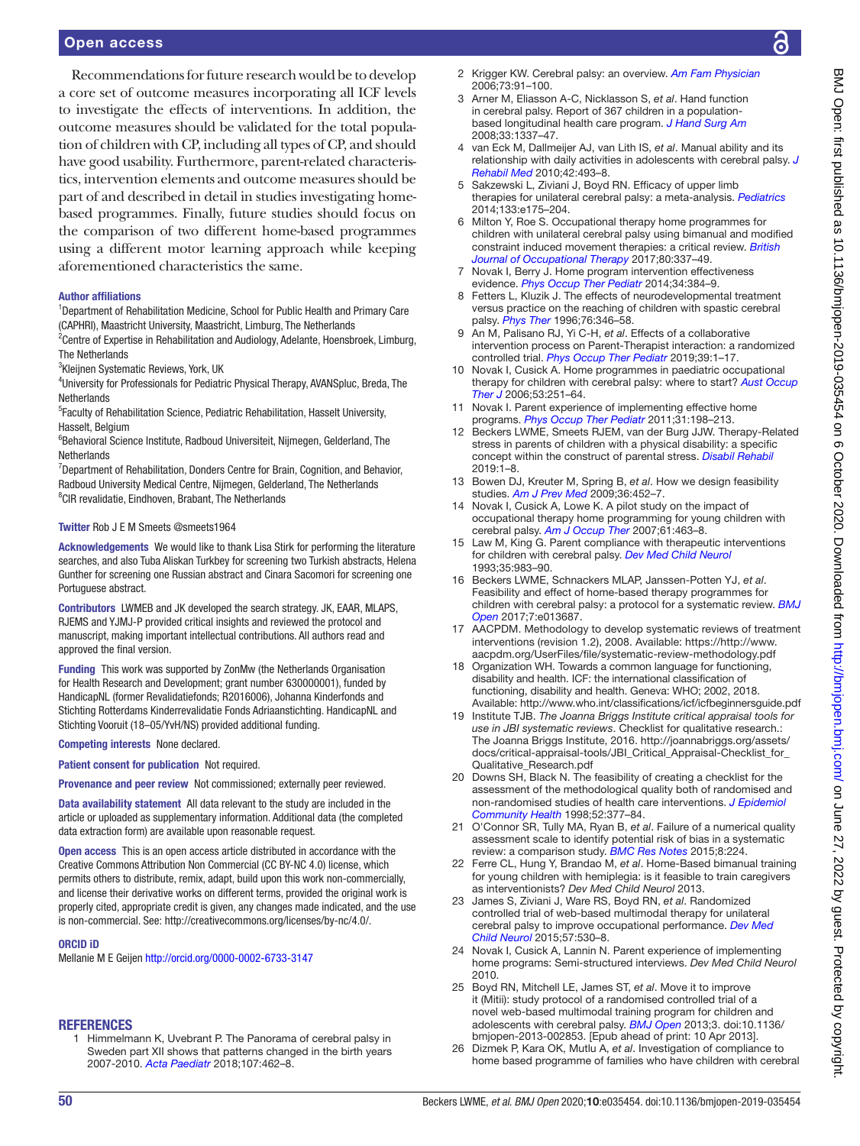#### Open access

Recommendations for future research would be to develop a core set of outcome measures incorporating all ICF levels to investigate the effects of interventions. In addition, the outcome measures should be validated for the total population of children with CP, including all types of CP, and should have good usability. Furthermore, parent-related characteristics, intervention elements and outcome measures should be part of and described in detail in studies investigating homebased programmes. Finally, future studies should focus on the comparison of two different home-based programmes using a different motor learning approach while keeping aforementioned characteristics the same.

#### Author affiliations

<sup>1</sup>Department of Rehabilitation Medicine, School for Public Health and Primary Care (CAPHRI), Maastricht University, Maastricht, Limburg, The Netherlands

<sup>2</sup> Centre of Expertise in Rehabilitation and Audiology, Adelante, Hoensbroek, Limburg, The Netherlands

3 Kleijnen Systematic Reviews, York, UK

4 University for Professionals for Pediatric Physical Therapy, AVANSpluc, Breda, The **Netherlands** 

<sup>5</sup> Faculty of Rehabilitation Science, Pediatric Rehabilitation, Hasselt University, Hasselt, Belgium

6 Behavioral Science Institute, Radboud Universiteit, Nijmegen, Gelderland, The **Netherlands** 

<sup>7</sup>Department of Rehabilitation, Donders Centre for Brain, Cognition, and Behavior, Radboud University Medical Centre, Nijmegen, Gelderland, The Netherlands <sup>8</sup>CIR revalidatie, Eindhoven, Brabant, The Netherlands

#### Twitter Rob J E M Smeets [@smeets1964](https://twitter.com/smeets1964)

Acknowledgements We would like to thank Lisa Stirk for performing the literature searches, and also Tuba Aliskan Turkbey for screening two Turkish abstracts, Helena Gunther for screening one Russian abstract and Cinara Sacomori for screening one Portuguese abstract.

Contributors LWMEB and JK developed the search strategy. JK, EAAR, MLAPS, RJEMS and YJMJ-P provided critical insights and reviewed the protocol and manuscript, making important intellectual contributions. All authors read and approved the final version.

Funding This work was supported by ZonMw (the Netherlands Organisation for Health Research and Development; grant number 630000001), funded by HandicapNL (former Revalidatiefonds; R2016006), Johanna Kinderfonds and Stichting Rotterdams Kinderrevalidatie Fonds Adriaanstichting. HandicapNL and Stichting Vooruit (18–05/YvH/NS) provided additional funding.

Competing interests None declared.

Patient consent for publication Not required.

Provenance and peer review Not commissioned; externally peer reviewed.

Data availability statement All data relevant to the study are included in the article or uploaded as supplementary information. Additional data (the completed data extraction form) are available upon reasonable request.

Open access This is an open access article distributed in accordance with the Creative Commons Attribution Non Commercial (CC BY-NC 4.0) license, which permits others to distribute, remix, adapt, build upon this work non-commercially, and license their derivative works on different terms, provided the original work is properly cited, appropriate credit is given, any changes made indicated, and the use is non-commercial. See: [http://creativecommons.org/licenses/by-nc/4.0/.](http://creativecommons.org/licenses/by-nc/4.0/)

#### ORCID iD

Mellanie M E Geijen <http://orcid.org/0000-0002-6733-3147>

#### <span id="page-49-0"></span>**REFERENCES**

1 Himmelmann K, Uvebrant P. The Panorama of cerebral palsy in Sweden part XII shows that patterns changed in the birth years 2007-2010. *[Acta Paediatr](http://dx.doi.org/10.1111/apa.14147)* 2018;107:462–8.

- <span id="page-49-1"></span>2 Krigger KW. Cerebral palsy: an overview. *[Am Fam Physician](http://www.ncbi.nlm.nih.gov/pubmed/http://www.ncbi.nlm.nih.gov/pubmed/16417071)* 2006;73:91–100.
- <span id="page-49-2"></span>3 Arner M, Eliasson A-C, Nicklasson S, *et al*. Hand function in cerebral palsy. Report of 367 children in a populationbased longitudinal health care program. *[J Hand Surg Am](http://dx.doi.org/10.1016/j.jhsa.2008.02.032)* 2008;33:1337–47.
- 4 van Eck M, Dallmeijer AJ, van Lith IS, *et al*. Manual ability and its relationship with daily activities in adolescents with cerebral palsy. *[J](http://dx.doi.org/10.2340/16501977-0543)  [Rehabil Med](http://dx.doi.org/10.2340/16501977-0543)* 2010;42:493–8.
- <span id="page-49-3"></span>5 Sakzewski L, Ziviani J, Boyd RN. Efficacy of upper limb therapies for unilateral cerebral palsy: a meta-analysis. *[Pediatrics](http://dx.doi.org/10.1542/peds.2013-0675)* 2014;133:e175–204.
- <span id="page-49-4"></span>6 Milton Y, Roe S. Occupational therapy home programmes for children with unilateral cerebral palsy using bimanual and modified constraint induced movement therapies: a critical review. *[British](http://dx.doi.org/10.1177/0308022616664738)  [Journal of Occupational Therapy](http://dx.doi.org/10.1177/0308022616664738)* 2017;80:337–49.
- <span id="page-49-5"></span>7 Novak I, Berry J. Home program intervention effectiveness evidence. *[Phys Occup Ther Pediatr](http://dx.doi.org/10.3109/01942638.2014.964020)* 2014;34:384–9.
- <span id="page-49-6"></span>8 Fetters L, Kluzik J. The effects of neurodevelopmental treatment versus practice on the reaching of children with spastic cerebral palsy. *[Phys Ther](http://dx.doi.org/10.1093/ptj/76.4.346)* 1996;76:346–58.
- <span id="page-49-7"></span>9 An M, Palisano RJ, Yi C-H, *et al*. Effects of a collaborative intervention process on Parent-Therapist interaction: a randomized controlled trial. *[Phys Occup Ther Pediatr](http://dx.doi.org/10.1080/01942638.2018.1496965)* 2019;39:1–17.
- <span id="page-49-8"></span>10 Novak I, Cusick A. Home programmes in paediatric occupational therapy for children with cerebral palsy: where to start? *[Aust Occup](http://dx.doi.org/10.1111/j.1440-1630.2006.00577.x)  [Ther J](http://dx.doi.org/10.1111/j.1440-1630.2006.00577.x)* 2006;53:251–64.
- <span id="page-49-9"></span>11 Novak I. Parent experience of implementing effective home programs. *[Phys Occup Ther Pediatr](http://dx.doi.org/10.3109/01942638.2010.533746)* 2011;31:198–213.
- <span id="page-49-10"></span>12 Beckers LWME, Smeets RJEM, van der Burg JJW. Therapy-Related stress in parents of children with a physical disability: a specific concept within the construct of parental stress. *[Disabil Rehabil](http://dx.doi.org/10.1080/09638288.2019.1646815)* 2019:1–8.
- <span id="page-49-11"></span>13 Bowen DJ, Kreuter M, Spring B, *et al*. How we design feasibility studies. *[Am J Prev Med](http://dx.doi.org/10.1016/j.amepre.2009.02.002)* 2009;36:452–7.
- <span id="page-49-12"></span>14 Novak I, Cusick A, Lowe K. A pilot study on the impact of occupational therapy home programming for young children with cerebral palsy. *[Am J Occup Ther](http://dx.doi.org/10.5014/ajot.61.4.463)* 2007;61:463–8.
- <span id="page-49-22"></span>15 Law M, King G. Parent compliance with therapeutic interventions for children with cerebral palsy. *[Dev Med Child Neurol](http://dx.doi.org/10.1111/j.1469-8749.1993.tb11580.x)* 1993;35:983–90.
- <span id="page-49-13"></span>16 Beckers LWME, Schnackers MLAP, Janssen-Potten YJ, *et al*. Feasibility and effect of home-based therapy programmes for children with cerebral palsy: a protocol for a systematic review. *[BMJ](http://dx.doi.org/10.1136/bmjopen-2016-013687)  [Open](http://dx.doi.org/10.1136/bmjopen-2016-013687)* 2017;7:e013687.
- <span id="page-49-14"></span>17 AACPDM. Methodology to develop systematic reviews of treatment interventions (revision 1.2), 2008. Available: [https://http://www.](https://http://www.aacpdm.org/UserFiles/file/systematic-review-methodology.pdf) [aacpdm.org/UserFiles/file/systematic-review-methodology.pdf](https://http://www.aacpdm.org/UserFiles/file/systematic-review-methodology.pdf)
- <span id="page-49-15"></span>18 Organization WH. Towards a common language for functioning, disability and health. ICF: the international classification of functioning, disability and health. Geneva: WHO; 2002, 2018. Available: http://www.who.int/classifications/icf/icfbeginnersquide.pdf
- <span id="page-49-16"></span>19 Institute TJB. *The Joanna Briggs Institute critical appraisal tools for use in JBI systematic reviews*. Checklist for qualitative research.: The Joanna Briggs Institute, 2016. [http://joannabriggs.org/assets/](http://joannabriggs.org/assets/docs/critical-appraisal-tools/JBI_Critical_Appraisal-Checklist_for_Qualitative_Research.pdf) docs/critical-appraisal-tools/JBI\_Critical\_Appraisal-Checklist\_for [Qualitative\\_Research.pdf](http://joannabriggs.org/assets/docs/critical-appraisal-tools/JBI_Critical_Appraisal-Checklist_for_Qualitative_Research.pdf)
- <span id="page-49-17"></span>20 Downs SH, Black N. The feasibility of creating a checklist for the assessment of the methodological quality both of randomised and non-randomised studies of health care interventions. *[J Epidemiol](http://dx.doi.org/10.1136/jech.52.6.377)  [Community Health](http://dx.doi.org/10.1136/jech.52.6.377)* 1998;52:377–84.
- <span id="page-49-18"></span>21 O'Connor SR, Tully MA, Ryan B, *et al*. Failure of a numerical quality assessment scale to identify potential risk of bias in a systematic review: a comparison study. *[BMC Res Notes](http://dx.doi.org/10.1186/s13104-015-1181-1)* 2015;8:224.
- <span id="page-49-19"></span>22 Ferre CL, Hung Y, Brandao M, *et al*. Home-Based bimanual training for young children with hemiplegia: is it feasible to train caregivers as interventionists? *Dev Med Child Neurol* 2013.
- <span id="page-49-20"></span>23 James S, Ziviani J, Ware RS, Boyd RN, *et al*. Randomized controlled trial of web-based multimodal therapy for unilateral cerebral palsy to improve occupational performance. *[Dev Med](http://dx.doi.org/10.1111/dmcn.12705)  [Child Neurol](http://dx.doi.org/10.1111/dmcn.12705)* 2015;57:530–8.
- <span id="page-49-21"></span>24 Novak I, Cusick A, Lannin N. Parent experience of implementing home programs: Semi-structured interviews. *Dev Med Child Neurol* 2010.
- <span id="page-49-23"></span>25 Boyd RN, Mitchell LE, James ST, *et al*. Move it to improve it (Mitii): study protocol of a randomised controlled trial of a novel web-based multimodal training program for children and adolescents with cerebral palsy. *[BMJ Open](http://dx.doi.org/10.1136/bmjopen-2013-002853)* 2013;3. doi:10.1136/ bmjopen-2013-002853. [Epub ahead of print: 10 Apr 2013].
- <span id="page-49-24"></span>26 Dizmek P, Kara OK, Mutlu A, *et al*. Investigation of compliance to home based programme of families who have children with cerebral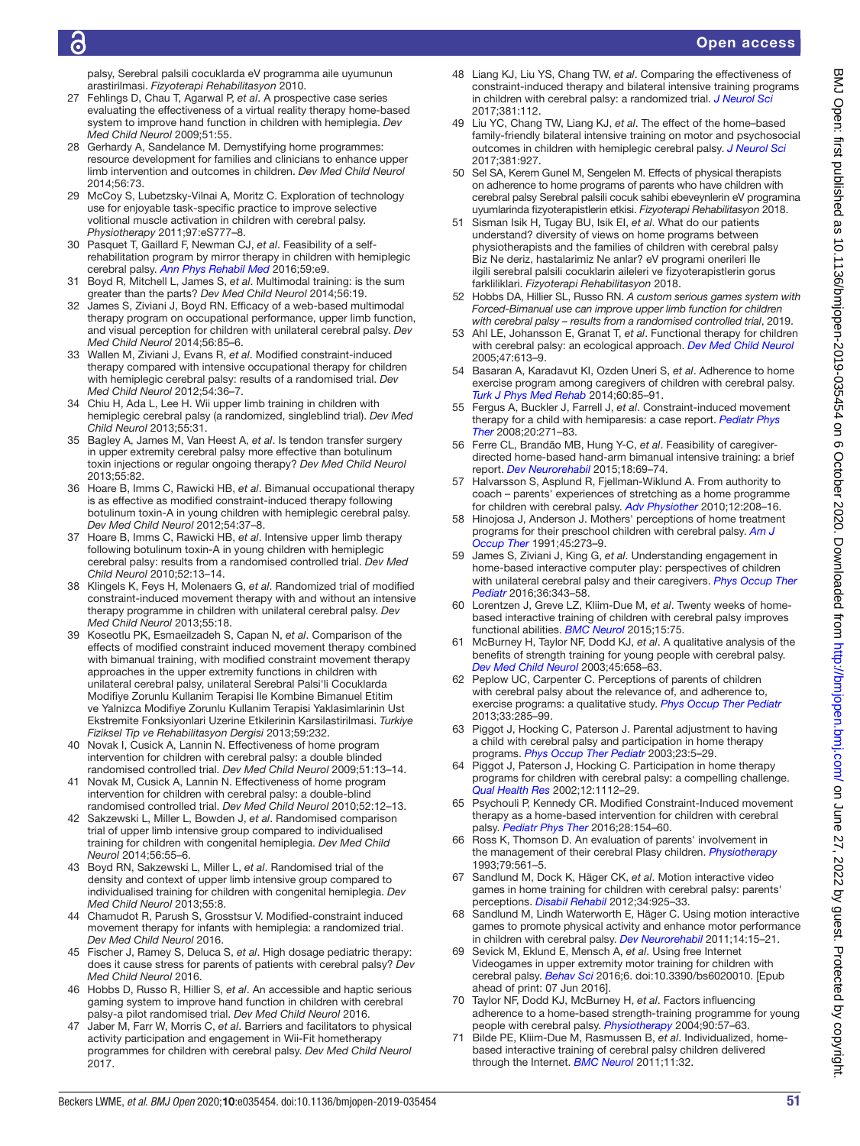## ð

#### Open access

palsy, Serebral palsili cocuklarda eV programma aile uyumunun arastirilmasi. *Fizyoterapi Rehabilitasyon* 2010.

- <span id="page-50-11"></span>27 Fehlings D, Chau T, Agarwal P, *et al*. A prospective case series evaluating the effectiveness of a virtual reality therapy home-based system to improve hand function in children with hemiplegia. *Dev Med Child Neurol* 2009;51:55.
- <span id="page-50-21"></span>28 Gerhardy A, Sandelance M. Demystifying home programmes: resource development for families and clinicians to enhance upper limb intervention and outcomes in children. *Dev Med Child Neurol* 2014;56:73.
- <span id="page-50-8"></span>29 McCoy S, Lubetzsky-Vilnai A, Moritz C. Exploration of technology use for enjoyable task-specific practice to improve selective volitional muscle activation in children with cerebral palsy. *Physiotherapy* 2011;97:eS777–8.
- <span id="page-50-25"></span>30 Pasquet T, Gaillard F, Newman CJ, *et al*. Feasibility of a selfrehabilitation program by mirror therapy in children with hemiplegic cerebral palsy. *[Ann Phys Rehabil Med](http://dx.doi.org/10.1016/j.rehab.2016.07.023)* 2016;59:e9.
- <span id="page-50-27"></span>31 Boyd R, Mitchell L, James S, *et al*. Multimodal training: is the sum greater than the parts? *Dev Med Child Neurol* 2014;56:19.
- <span id="page-50-28"></span>32 James S, Ziviani J, Boyd RN. Efficacy of a web-based multimodal therapy program on occupational performance, upper limb function, and visual perception for children with unilateral cerebral palsy. *Dev Med Child Neurol* 2014;56:85–6.
- <span id="page-50-29"></span>33 Wallen M, Ziviani J, Evans R, *et al*. Modified constraint-induced therapy compared with intensive occupational therapy for children with hemiplegic cerebral palsy: results of a randomised trial. *Dev Med Child Neurol* 2012;54:36–7.
- <span id="page-50-35"></span>Chiu H, Ada L, Lee H. Wii upper limb training in children with hemiplegic cerebral palsy (a randomized, singleblind trial). *Dev Med Child Neurol* 2013;55:31.
- <span id="page-50-36"></span>35 Bagley A, James M, Van Heest A, *et al*. Is tendon transfer surgery in upper extremity cerebral palsy more effective than botulinum toxin injections or regular ongoing therapy? *Dev Med Child Neurol* 2013;55:82.
- <span id="page-50-37"></span>36 Hoare B, Imms C, Rawicki HB, *et al*. Bimanual occupational therapy is as effective as modified constraint-induced therapy following botulinum toxin-A in young children with hemiplegic cerebral palsy. *Dev Med Child Neurol* 2012;54:37–8.
- 37 Hoare B, Imms C, Rawicki HB, *et al*. Intensive upper limb therapy following botulinum toxin-A in young children with hemiplegic cerebral palsy: results from a randomised controlled trial. *Dev Med Child Neurol* 2010;52:13–14.
- <span id="page-50-38"></span>38 Klingels K, Feys H, Molenaers G, *et al*. Randomized trial of modified constraint-induced movement therapy with and without an intensive therapy programme in children with unilateral cerebral palsy. *Dev Med Child Neurol* 2013;55:18.
- <span id="page-50-39"></span>39 Koseotlu PK, Esmaeilzadeh S, Capan N, *et al*. Comparison of the effects of modified constraint induced movement therapy combined with bimanual training, with modified constraint movement therapy approaches in the upper extremity functions in children with unilateral cerebral palsy, unilateral Serebral Palsi'li Cocuklarda Modifiye Zorunlu Kullanim Terapisi Ile Kombine Bimanuel Etitim ve Yalnizca Modifiye Zorunlu Kullanim Terapisi Yaklasimlarinin Ust Ekstremite Fonksiyonlari Uzerine Etkilerinin Karsilastirilmasi. *Turkiye Fiziksel Tip ve Rehabilitasyon Dergisi* 2013;59:232.
- <span id="page-50-40"></span>40 Novak I, Cusick A, Lannin N. Effectiveness of home program intervention for children with cerebral palsy: a double blinded randomised controlled trial. *Dev Med Child Neurol* 2009;51:13–14.
- 41 Novak M, Cusick A, Lannin N. Effectiveness of home program intervention for children with cerebral palsy: a double-blind randomised controlled trial. *Dev Med Child Neurol* 2010;52:12–13.
- <span id="page-50-41"></span>42 Sakzewski L, Miller L, Bowden J, *et al*. Randomised comparison trial of upper limb intensive group compared to individualised training for children with congenital hemiplegia. *Dev Med Child Neurol* 2014;56:55–6.
- 43 Boyd RN, Sakzewski L, Miller L, *et al*. Randomised trial of the density and context of upper limb intensive group compared to individualised training for children with congenital hemiplegia. *Dev Med Child Neurol* 2013;55:8.
- <span id="page-50-30"></span>44 Chamudot R, Parush S, Grosstsur V. Modified-constraint induced movement therapy for infants with hemiplegia: a randomized trial. *Dev Med Child Neurol* 2016.
- <span id="page-50-31"></span>45 Fischer J, Ramey S, Deluca S, *et al*. High dosage pediatric therapy: does it cause stress for parents of patients with cerebral palsy? *Dev Med Child Neurol* 2016.
- <span id="page-50-32"></span>46 Hobbs D, Russo R, Hillier S, *et al*. An accessible and haptic serious gaming system to improve hand function in children with cerebral palsy-a pilot randomised trial. *Dev Med Child Neurol* 2016.
- <span id="page-50-13"></span>47 Jaber M, Farr W, Morris C, *et al*. Barriers and facilitators to physical activity participation and engagement in Wii-Fit hometherapy programmes for children with cerebral palsy. *Dev Med Child Neurol*  $2017$
- <span id="page-50-33"></span>48 Liang KJ, Liu YS, Chang TW, *et al*. Comparing the effectiveness of constraint-induced therapy and bilateral intensive training programs in children with cerebral palsy: a randomized trial. *[J Neurol Sci](http://dx.doi.org/10.1016/j.jns.2017.08.353)* 2017;381:112.
- <span id="page-50-9"></span>49 Liu YC, Chang TW, Liang KJ, *et al*. The effect of the home–based family-friendly bilateral intensive training on motor and psychosocial outcomes in children with hemiplegic cerebral palsy. *[J Neurol Sci](http://dx.doi.org/10.1016/j.jns.2017.08.2607)* 2017;381:927.
- <span id="page-50-22"></span>50 Sel SA, Kerem Gunel M, Sengelen M. Effects of physical therapists on adherence to home programs of parents who have children with cerebral palsy Serebral palsili cocuk sahibi ebeveynlerin eV programina uyumlarinda fizyoterapistlerin etkisi. *Fizyoterapi Rehabilitasyon* 2018.
- <span id="page-50-26"></span>51 Sisman Isik H, Tugay BU, Isik EI, *et al*. What do our patients understand? diversity of views on home programs between physiotherapists and the families of children with cerebral palsy Biz Ne deriz, hastalarimiz Ne anlar? eV programi onerileri Ile ilgili serebral palsili cocuklarin aileleri ve fizyoterapistlerin gorus farkliliklari. *Fizyoterapi Rehabilitasyon* 2018.
- <span id="page-50-34"></span>52 Hobbs DA, Hillier SL, Russo RN. *A custom serious games system with Forced-Bimanual use can improve upper limb function for children with cerebral palsy – results from a randomised controlled trial*, 2019.
- <span id="page-50-6"></span>53 Ahl LE, Johansson E, Granat T, *et al*. Functional therapy for children with cerebral palsy: an ecological approach. *[Dev Med Child Neurol](http://dx.doi.org/10.1111/j.1469-8749.2005.tb01213.x)* 2005;47:613–9.
- <span id="page-50-1"></span>54 Basaran A, Karadavut KI, Ozden Uneri S, *et al*. Adherence to home exercise program among caregivers of children with cerebral palsy. *[Turk J Phys Med Rehab](http://dx.doi.org/10.5152/tftrd.2014.60973)* 2014;60:85–91.
- <span id="page-50-12"></span>55 Fergus A, Buckler J, Farrell J, *et al*. Constraint-induced movement therapy for a child with hemiparesis: a case report. *[Pediatr Phys](http://dx.doi.org/10.1097/PEP.0b013e318181e569)  [Ther](http://dx.doi.org/10.1097/PEP.0b013e318181e569)* 2008;20:271–83.
- <span id="page-50-10"></span>56 Ferre CL, Brandão MB, Hung Y-C, *et al*. Feasibility of caregiverdirected home-based hand-arm bimanual intensive training: a brief report. *[Dev Neurorehabil](http://dx.doi.org/10.3109/17518423.2014.948641)* 2015;18:69–74.
- <span id="page-50-14"></span>57 Halvarsson S, Asplund R, Fjellman-Wiklund A. From authority to coach – parents' experiences of stretching as a home programme for children with cerebral palsy. *[Adv Physiother](http://dx.doi.org/10.3109/14038196.2010.528023)* 2010;12:208–16.
- <span id="page-50-15"></span>Hinojosa J, Anderson J. Mothers' perceptions of home treatment programs for their preschool children with cerebral palsy. *[Am J](http://dx.doi.org/10.5014/ajot.45.3.273)  [Occup Ther](http://dx.doi.org/10.5014/ajot.45.3.273)* 1991;45:273–9.
- <span id="page-50-0"></span>59 James S, Ziviani J, King G, *et al*. Understanding engagement in home-based interactive computer play: perspectives of children with unilateral cerebral palsy and their caregivers. *[Phys Occup Ther](http://dx.doi.org/10.3109/01942638.2015.1076560)  [Pediatr](http://dx.doi.org/10.3109/01942638.2015.1076560)* 2016;36:343–58.
- <span id="page-50-4"></span>60 Lorentzen J, Greve LZ, Kliim-Due M, *et al*. Twenty weeks of homebased interactive training of children with cerebral palsy improves functional abilities. *[BMC Neurol](http://dx.doi.org/10.1186/s12883-015-0334-0)* 2015;15:75.
- <span id="page-50-2"></span>61 McBurney H, Taylor NF, Dodd KJ, *et al*. A qualitative analysis of the benefits of strength training for young people with cerebral palsy. *[Dev Med Child Neurol](http://dx.doi.org/10.1111/j.1469-8749.2003.tb00867.x)* 2003;45:658–63.
- <span id="page-50-16"></span>62 Peplow UC, Carpenter C. Perceptions of parents of children with cerebral palsy about the relevance of, and adherence to, exercise programs: a qualitative study. *[Phys Occup Ther Pediatr](http://dx.doi.org/10.3109/01942638.2013.773954)* 2013;33:285–99.
- <span id="page-50-17"></span>63 Piggot J, Hocking C, Paterson J. Parental adjustment to having a child with cerebral palsy and participation in home therapy programs. *[Phys Occup Ther Pediatr](http://dx.doi.org/10.1080/J006v23n04_02)* 2003;23:5–29.
- <span id="page-50-18"></span>64 Piggot J, Paterson J, Hocking C. Participation in home therapy programs for children with cerebral palsy: a compelling challenge. *[Qual Health Res](http://dx.doi.org/10.1177/104973202129120476)* 2002;12:1112–29.
- <span id="page-50-5"></span>65 Psychouli P, Kennedy CR. Modified Constraint-Induced movement therapy as a home-based intervention for children with cerebral palsy. *[Pediatr Phys Ther](http://dx.doi.org/10.1097/PEP.0000000000000227)* 2016;28:154–60.
- <span id="page-50-19"></span>66 Ross K, Thomson D. An evaluation of parents' involvement in the management of their cerebral Plasy children. *[Physiotherapy](http://dx.doi.org/10.1016/S0031-9406(10)60299-4)* 1993;79:561–5.
- <span id="page-50-20"></span>67 Sandlund M, Dock K, Häger CK, *et al*. Motion interactive video games in home training for children with cerebral palsy: parents' perceptions. *[Disabil Rehabil](http://dx.doi.org/10.3109/09638288.2011.626489)* 2012;34:925–33.
- <span id="page-50-23"></span>Sandlund M, Lindh Waterworth E, Häger C. Using motion interactive games to promote physical activity and enhance motor performance in children with cerebral palsy. *[Dev Neurorehabil](http://dx.doi.org/10.3109/17518423.2010.533329)* 2011;14:15–21.
- <span id="page-50-24"></span>69 Sevick M, Eklund E, Mensch A, *et al*. Using free Internet Videogames in upper extremity motor training for children with cerebral palsy. *[Behav Sci](http://dx.doi.org/10.3390/bs6020010)* 2016;6. doi:10.3390/bs6020010. [Epub ahead of print: 07 Jun 2016].
- <span id="page-50-3"></span>70 Taylor NF, Dodd KJ, McBurney H, *et al*. Factors influencing adherence to a home-based strength-training programme for young people with cerebral palsy. *[Physiotherapy](http://dx.doi.org/10.1016/j.physio.2003.09.001)* 2004;90:57–63.
- <span id="page-50-7"></span>71 Bilde PE, Kliim-Due M, Rasmussen B, *et al*. Individualized, homebased interactive training of cerebral palsy children delivered through the Internet. *[BMC Neurol](http://dx.doi.org/10.1186/1471-2377-11-32)* 2011;11:32.